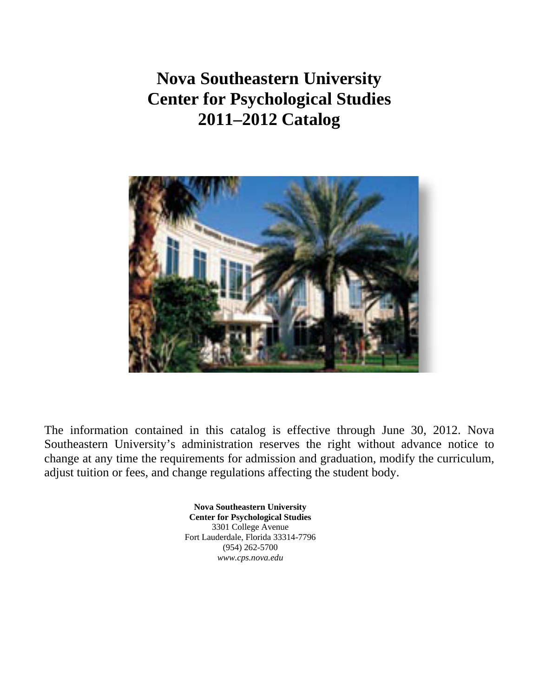# **Nova Southeastern University Center for Psychological Studies 2011–2012 Catalog**



The information contained in this catalog is effective through June 30, 2012. Nova Southeastern University's administration reserves the right without advance notice to change at any time the requirements for admission and graduation, modify the curriculum, adjust tuition or fees, and change regulations affecting the student body.

> **Nova Southeastern University Center for Psychological Studies** 3301 College Avenue Fort Lauderdale, Florida 33314-7796 (954) 262-5700 *www.cps.nova.edu*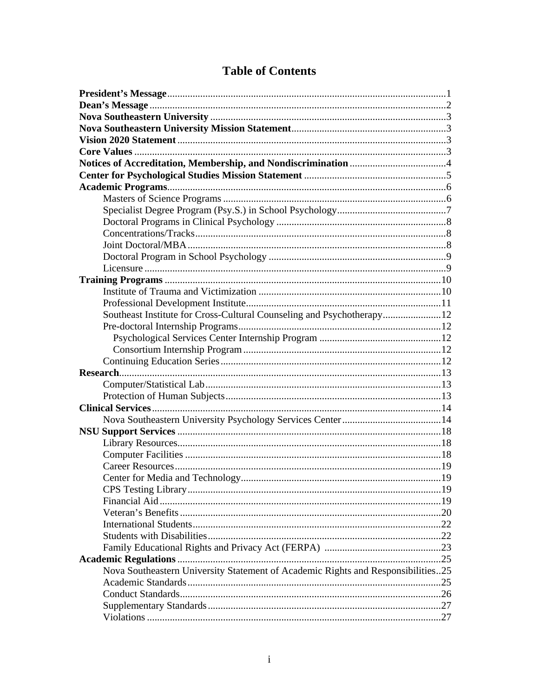| Southeast Institute for Cross-Cultural Counseling and Psychotherapy12            |  |
|----------------------------------------------------------------------------------|--|
|                                                                                  |  |
|                                                                                  |  |
|                                                                                  |  |
|                                                                                  |  |
|                                                                                  |  |
|                                                                                  |  |
|                                                                                  |  |
|                                                                                  |  |
|                                                                                  |  |
|                                                                                  |  |
|                                                                                  |  |
|                                                                                  |  |
|                                                                                  |  |
|                                                                                  |  |
|                                                                                  |  |
|                                                                                  |  |
|                                                                                  |  |
|                                                                                  |  |
|                                                                                  |  |
|                                                                                  |  |
|                                                                                  |  |
| Nova Southeastern University Statement of Academic Rights and Responsibilities25 |  |
|                                                                                  |  |
|                                                                                  |  |
|                                                                                  |  |
|                                                                                  |  |

# **Table of Contents**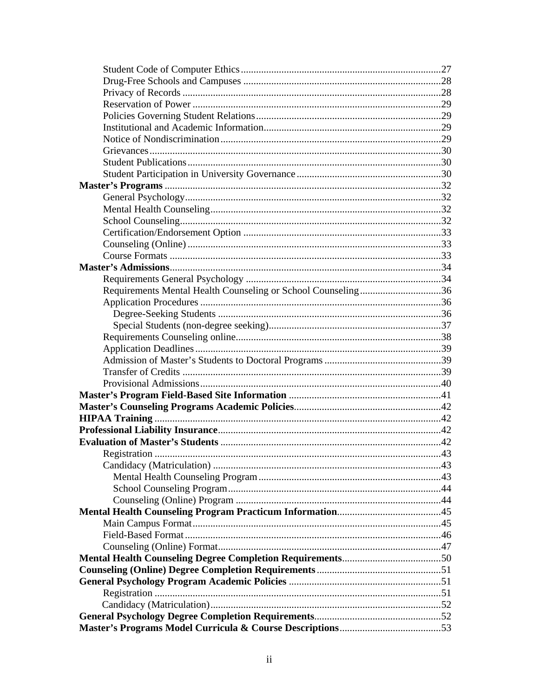| Requirements Mental Health Counseling or School Counseling36 |  |
|--------------------------------------------------------------|--|
|                                                              |  |
|                                                              |  |
|                                                              |  |
|                                                              |  |
|                                                              |  |
|                                                              |  |
|                                                              |  |
|                                                              |  |
|                                                              |  |
|                                                              |  |
|                                                              |  |
|                                                              |  |
|                                                              |  |
|                                                              |  |
|                                                              |  |
|                                                              |  |
|                                                              |  |
|                                                              |  |
|                                                              |  |
|                                                              |  |
|                                                              |  |
|                                                              |  |
|                                                              |  |
|                                                              |  |
|                                                              |  |
|                                                              |  |
|                                                              |  |
|                                                              |  |
|                                                              |  |
|                                                              |  |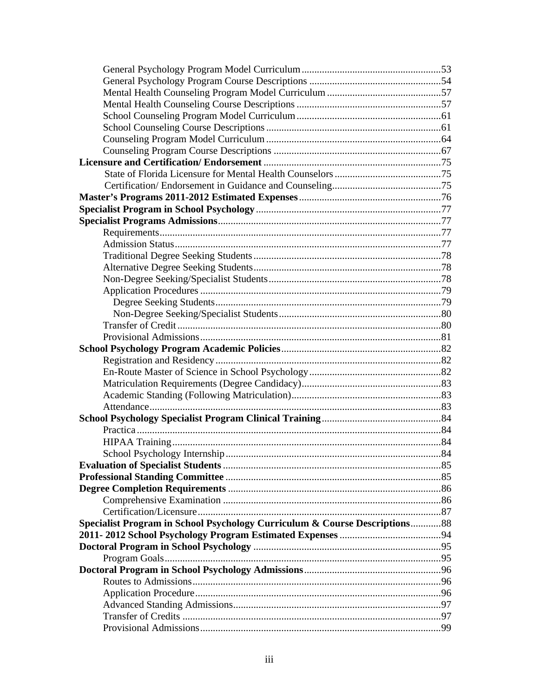| Specialist Program in School Psychology Curriculum & Course Descriptions88 |  |
|----------------------------------------------------------------------------|--|
|                                                                            |  |
|                                                                            |  |
|                                                                            |  |
|                                                                            |  |
|                                                                            |  |
|                                                                            |  |
|                                                                            |  |
|                                                                            |  |
|                                                                            |  |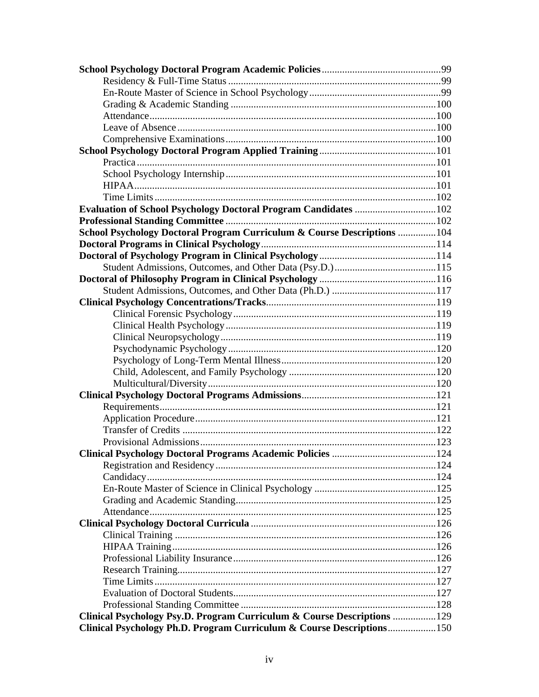| Evaluation of School Psychology Doctoral Program Candidates  102         |  |
|--------------------------------------------------------------------------|--|
|                                                                          |  |
| School Psychology Doctoral Program Curriculum & Course Descriptions  104 |  |
|                                                                          |  |
|                                                                          |  |
|                                                                          |  |
|                                                                          |  |
|                                                                          |  |
|                                                                          |  |
|                                                                          |  |
|                                                                          |  |
|                                                                          |  |
|                                                                          |  |
|                                                                          |  |
|                                                                          |  |
|                                                                          |  |
|                                                                          |  |
|                                                                          |  |
|                                                                          |  |
|                                                                          |  |
|                                                                          |  |
|                                                                          |  |
|                                                                          |  |
|                                                                          |  |
|                                                                          |  |
|                                                                          |  |
|                                                                          |  |
|                                                                          |  |
|                                                                          |  |
|                                                                          |  |
|                                                                          |  |
|                                                                          |  |
|                                                                          |  |
|                                                                          |  |
|                                                                          |  |
|                                                                          |  |
| Clinical Psychology Psy.D. Program Curriculum & Course Descriptions  129 |  |
| Clinical Psychology Ph.D. Program Curriculum & Course Descriptions150    |  |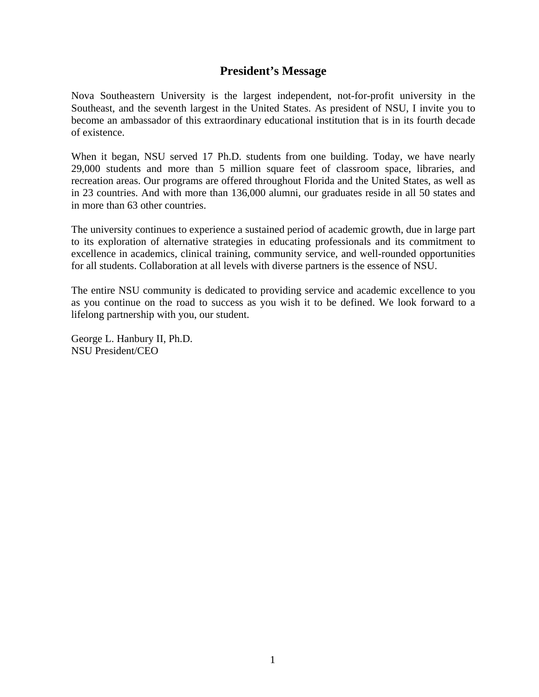# **President's Message**

Nova Southeastern University is the largest independent, not-for-profit university in the Southeast, and the seventh largest in the United States. As president of NSU, I invite you to become an ambassador of this extraordinary educational institution that is in its fourth decade of existence.

When it began, NSU served 17 Ph.D. students from one building. Today, we have nearly 29,000 students and more than 5 million square feet of classroom space, libraries, and recreation areas. Our programs are offered throughout Florida and the United States, as well as in 23 countries. And with more than 136,000 alumni, our graduates reside in all 50 states and in more than 63 other countries.

The university continues to experience a sustained period of academic growth, due in large part to its exploration of alternative strategies in educating professionals and its commitment to excellence in academics, clinical training, community service, and well-rounded opportunities for all students. Collaboration at all levels with diverse partners is the essence of NSU.

The entire NSU community is dedicated to providing service and academic excellence to you as you continue on the road to success as you wish it to be defined. We look forward to a lifelong partnership with you, our student.

George L. Hanbury II, Ph.D. NSU President/CEO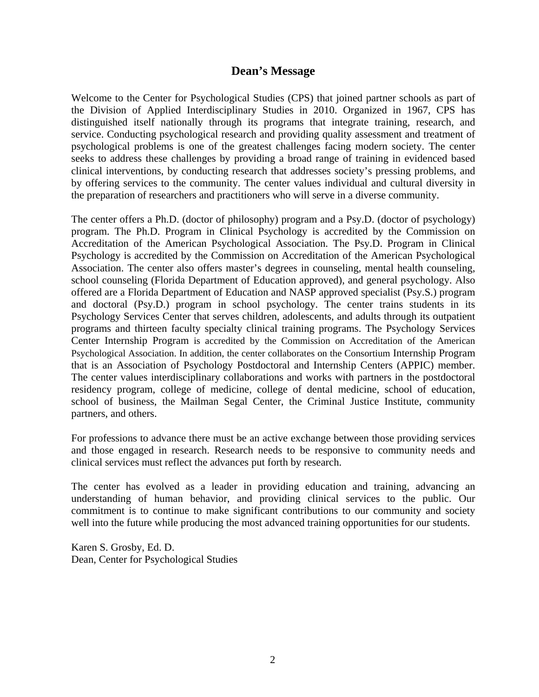# **Dean's Message**

Welcome to the Center for Psychological Studies (CPS) that joined partner schools as part of the Division of Applied Interdisciplinary Studies in 2010. Organized in 1967, CPS has distinguished itself nationally through its programs that integrate training, research, and service. Conducting psychological research and providing quality assessment and treatment of psychological problems is one of the greatest challenges facing modern society. The center seeks to address these challenges by providing a broad range of training in evidenced based clinical interventions, by conducting research that addresses society's pressing problems, and by offering services to the community. The center values individual and cultural diversity in the preparation of researchers and practitioners who will serve in a diverse community.

The center offers a Ph.D. (doctor of philosophy) program and a Psy.D. (doctor of psychology) program. The Ph.D. Program in Clinical Psychology is accredited by the Commission on Accreditation of the American Psychological Association. The Psy.D. Program in Clinical Psychology is accredited by the Commission on Accreditation of the American Psychological Association. The center also offers master's degrees in counseling, mental health counseling, school counseling (Florida Department of Education approved), and general psychology. Also offered are a Florida Department of Education and NASP approved specialist (Psy.S.) program and doctoral (Psy.D.) program in school psychology. The center trains students in its Psychology Services Center that serves children, adolescents, and adults through its outpatient programs and thirteen faculty specialty clinical training programs. The Psychology Services Center Internship Program is accredited by the Commission on Accreditation of the American Psychological Association. In addition, the center collaborates on the Consortium Internship Program that is an Association of Psychology Postdoctoral and Internship Centers (APPIC) member. The center values interdisciplinary collaborations and works with partners in the postdoctoral residency program, college of medicine, college of dental medicine, school of education, school of business, the Mailman Segal Center, the Criminal Justice Institute, community partners, and others.

For professions to advance there must be an active exchange between those providing services and those engaged in research. Research needs to be responsive to community needs and clinical services must reflect the advances put forth by research.

The center has evolved as a leader in providing education and training, advancing an understanding of human behavior, and providing clinical services to the public. Our commitment is to continue to make significant contributions to our community and society well into the future while producing the most advanced training opportunities for our students.

Karen S. Grosby, Ed. D. Dean, Center for Psychological Studies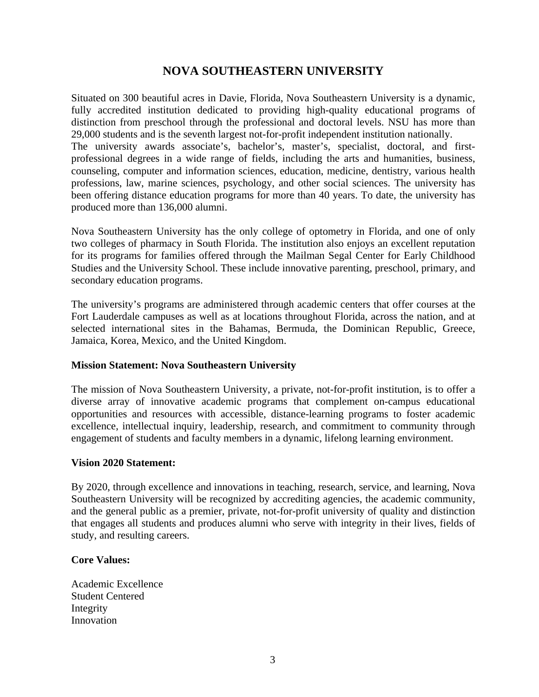# **NOVA SOUTHEASTERN UNIVERSITY**

Situated on 300 beautiful acres in Davie, Florida, Nova Southeastern University is a dynamic, fully accredited institution dedicated to providing high-quality educational programs of distinction from preschool through the professional and doctoral levels. NSU has more than 29,000 students and is the seventh largest not-for-profit independent institution nationally. The university awards associate's, bachelor's, master's, specialist, doctoral, and firstprofessional degrees in a wide range of fields, including the arts and humanities, business, counseling, computer and information sciences, education, medicine, dentistry, various health professions, law, marine sciences, psychology, and other social sciences. The university has been offering distance education programs for more than 40 years. To date, the university has produced more than 136,000 alumni.

Nova Southeastern University has the only college of optometry in Florida, and one of only two colleges of pharmacy in South Florida. The institution also enjoys an excellent reputation for its programs for families offered through the Mailman Segal Center for Early Childhood Studies and the University School. These include innovative parenting, preschool, primary, and secondary education programs.

The university's programs are administered through academic centers that offer courses at the Fort Lauderdale campuses as well as at locations throughout Florida, across the nation, and at selected international sites in the Bahamas, Bermuda, the Dominican Republic, Greece, Jamaica, Korea, Mexico, and the United Kingdom.

#### **Mission Statement: Nova Southeastern University**

The mission of Nova Southeastern University, a private, not-for-profit institution, is to offer a diverse array of innovative academic programs that complement on-campus educational opportunities and resources with accessible, distance-learning programs to foster academic excellence, intellectual inquiry, leadership, research, and commitment to community through engagement of students and faculty members in a dynamic, lifelong learning environment.

#### **Vision 2020 Statement:**

By 2020, through excellence and innovations in teaching, research, service, and learning, Nova Southeastern University will be recognized by accrediting agencies, the academic community, and the general public as a premier, private, not-for-profit university of quality and distinction that engages all students and produces alumni who serve with integrity in their lives, fields of study, and resulting careers.

#### **Core Values:**

Academic Excellence Student Centered Integrity Innovation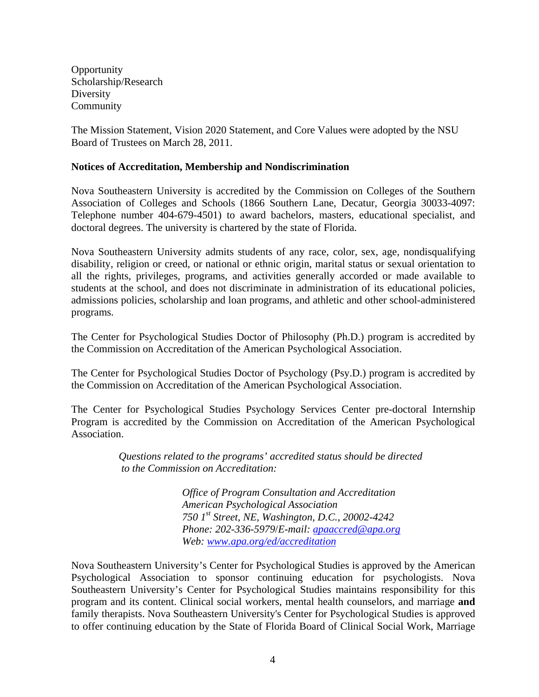**Opportunity** Scholarship/Research Diversity Community

The Mission Statement, Vision 2020 Statement, and Core Values were adopted by the NSU Board of Trustees on March 28, 2011.

#### **Notices of Accreditation, Membership and Nondiscrimination**

Nova Southeastern University is accredited by the Commission on Colleges of the Southern Association of Colleges and Schools (1866 Southern Lane, Decatur, Georgia 30033-4097: Telephone number 404-679-4501) to award bachelors, masters, educational specialist, and doctoral degrees. The university is chartered by the state of Florida.

Nova Southeastern University admits students of any race, color, sex, age, nondisqualifying disability, religion or creed, or national or ethnic origin, marital status or sexual orientation to all the rights, privileges, programs, and activities generally accorded or made available to students at the school, and does not discriminate in administration of its educational policies, admissions policies, scholarship and loan programs, and athletic and other school-administered programs.

The Center for Psychological Studies Doctor of Philosophy (Ph.D.) program is accredited by the Commission on Accreditation of the American Psychological Association.

The Center for Psychological Studies Doctor of Psychology (Psy.D.) program is accredited by the Commission on Accreditation of the American Psychological Association.

The Center for Psychological Studies Psychology Services Center pre-doctoral Internship Program is accredited by the Commission on Accreditation of the American Psychological Association.

> *Questions related to the programs' accredited status should be directed to the Commission on Accreditation:*

> > *Office of Program Consultation and Accreditation American Psychological Association 750 1st Street, NE, Washington, D.C., 20002-4242 Phone: 202-336-5979*/*E-mail: [apaaccred@apa.org](mailto:apaaccred@apa.org) Web: [www.apa.org/ed/accreditation](http://www.apa.org/ed/accreditation)*

Nova Southeastern University's Center for Psychological Studies is approved by the American Psychological Association to sponsor continuing education for psychologists. Nova Southeastern University's Center for Psychological Studies maintains responsibility for this program and its content. Clinical social workers, mental health counselors, and marriage **and**  family therapists. Nova Southeastern University's Center for Psychological Studies is approved to offer continuing education by the State of Florida Board of Clinical Social Work, Marriage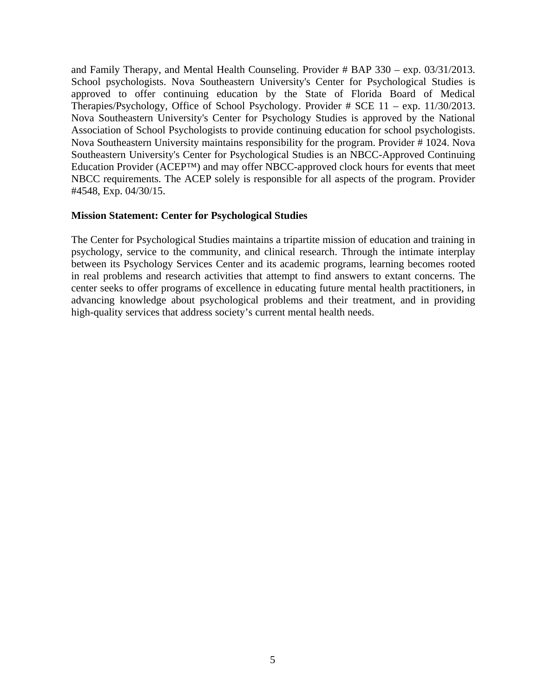and Family Therapy, and Mental Health Counseling. Provider # BAP 330 – exp. 03/31/2013. School psychologists. Nova Southeastern University's Center for Psychological Studies is approved to offer continuing education by the State of Florida Board of Medical Therapies/Psychology, Office of School Psychology. Provider # SCE 11 – exp. 11/30/2013. Nova Southeastern University's Center for Psychology Studies is approved by the National Association of School Psychologists to provide continuing education for school psychologists. Nova Southeastern University maintains responsibility for the program. Provider # 1024. Nova Southeastern University's Center for Psychological Studies is an NBCC-Approved Continuing Education Provider (ACEP™) and may offer NBCC-approved clock hours for events that meet NBCC requirements. The ACEP solely is responsible for all aspects of the program. Provider #4548, Exp. 04/30/15.

#### **Mission Statement: Center for Psychological Studies**

The Center for Psychological Studies maintains a tripartite mission of education and training in psychology, service to the community, and clinical research. Through the intimate interplay between its Psychology Services Center and its academic programs, learning becomes rooted in real problems and research activities that attempt to find answers to extant concerns. The center seeks to offer programs of excellence in educating future mental health practitioners, in advancing knowledge about psychological problems and their treatment, and in providing high-quality services that address society's current mental health needs.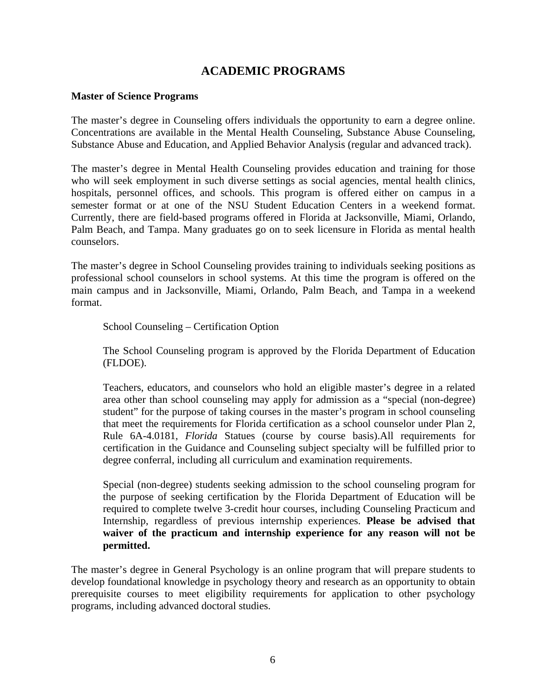# **ACADEMIC PROGRAMS**

#### **Master of Science Programs**

The master's degree in Counseling offers individuals the opportunity to earn a degree online. Concentrations are available in the Mental Health Counseling, Substance Abuse Counseling, Substance Abuse and Education, and Applied Behavior Analysis (regular and advanced track).

The master's degree in Mental Health Counseling provides education and training for those who will seek employment in such diverse settings as social agencies, mental health clinics, hospitals, personnel offices, and schools. This program is offered either on campus in a semester format or at one of the NSU Student Education Centers in a weekend format. Currently, there are field-based programs offered in Florida at Jacksonville, Miami, Orlando, Palm Beach, and Tampa. Many graduates go on to seek licensure in Florida as mental health counselors.

The master's degree in School Counseling provides training to individuals seeking positions as professional school counselors in school systems. At this time the program is offered on the main campus and in Jacksonville, Miami, Orlando, Palm Beach, and Tampa in a weekend format.

School Counseling – Certification Option

The School Counseling program is approved by the Florida Department of Education (FLDOE).

Teachers, educators, and counselors who hold an eligible master's degree in a related area other than school counseling may apply for admission as a "special (non-degree) student" for the purpose of taking courses in the master's program in school counseling that meet the requirements for Florida certification as a school counselor under Plan 2, Rule 6A-4.0181, *Florida* Statues (course by course basis).All requirements for certification in the Guidance and Counseling subject specialty will be fulfilled prior to degree conferral, including all curriculum and examination requirements.

Special (non-degree) students seeking admission to the school counseling program for the purpose of seeking certification by the Florida Department of Education will be required to complete twelve 3-credit hour courses, including Counseling Practicum and Internship, regardless of previous internship experiences. **Please be advised that waiver of the practicum and internship experience for any reason will not be permitted.** 

The master's degree in General Psychology is an online program that will prepare students to develop foundational knowledge in psychology theory and research as an opportunity to obtain prerequisite courses to meet eligibility requirements for application to other psychology programs, including advanced doctoral studies.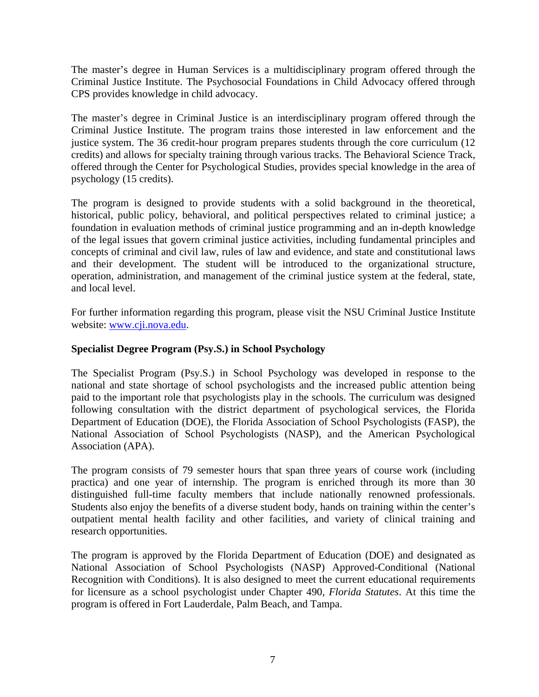The master's degree in Human Services is a multidisciplinary program offered through the Criminal Justice Institute. The Psychosocial Foundations in Child Advocacy offered through CPS provides knowledge in child advocacy.

The master's degree in Criminal Justice is an interdisciplinary program offered through the Criminal Justice Institute. The program trains those interested in law enforcement and the justice system. The 36 credit-hour program prepares students through the core curriculum (12 credits) and allows for specialty training through various tracks. The Behavioral Science Track, offered through the Center for Psychological Studies, provides special knowledge in the area of psychology (15 credits).

The program is designed to provide students with a solid background in the theoretical, historical, public policy, behavioral, and political perspectives related to criminal justice; a foundation in evaluation methods of criminal justice programming and an in-depth knowledge of the legal issues that govern criminal justice activities, including fundamental principles and concepts of criminal and civil law, rules of law and evidence, and state and constitutional laws and their development. The student will be introduced to the organizational structure, operation, administration, and management of the criminal justice system at the federal, state, and local level.

For further information regarding this program, please visit the NSU Criminal Justice Institute website: [www.cji.nova.edu.](http://www.cji.nova.edu/)

# **Specialist Degree Program (Psy.S.) in School Psychology**

The Specialist Program (Psy.S.) in School Psychology was developed in response to the national and state shortage of school psychologists and the increased public attention being paid to the important role that psychologists play in the schools. The curriculum was designed following consultation with the district department of psychological services, the Florida Department of Education (DOE), the Florida Association of School Psychologists (FASP), the National Association of School Psychologists (NASP), and the American Psychological Association (APA).

The program consists of 79 semester hours that span three years of course work (including practica) and one year of internship. The program is enriched through its more than 30 distinguished full-time faculty members that include nationally renowned professionals. Students also enjoy the benefits of a diverse student body, hands on training within the center's outpatient mental health facility and other facilities, and variety of clinical training and research opportunities.

The program is approved by the Florida Department of Education (DOE) and designated as National Association of School Psychologists (NASP) Approved-Conditional (National Recognition with Conditions). It is also designed to meet the current educational requirements for licensure as a school psychologist under Chapter 490, *Florida Statutes*. At this time the program is offered in Fort Lauderdale, Palm Beach, and Tampa.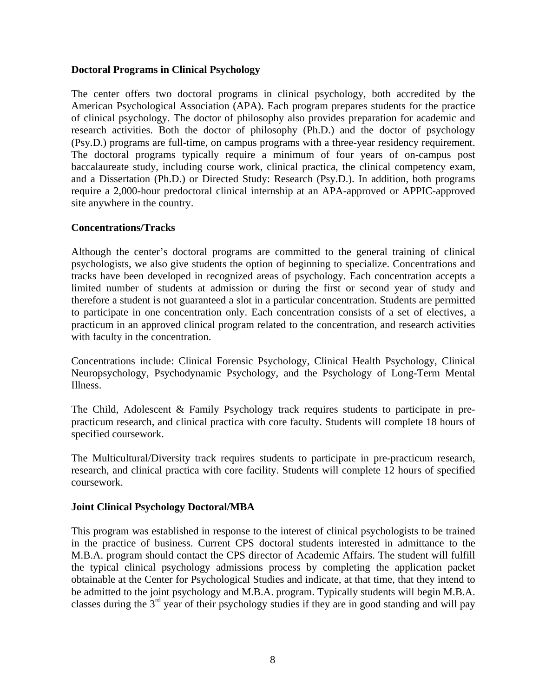#### **Doctoral Programs in Clinical Psychology**

The center offers two doctoral programs in clinical psychology, both accredited by the American Psychological Association (APA). Each program prepares students for the practice of clinical psychology. The doctor of philosophy also provides preparation for academic and research activities. Both the doctor of philosophy (Ph.D.) and the doctor of psychology (Psy.D.) programs are full-time, on campus programs with a three-year residency requirement. The doctoral programs typically require a minimum of four years of on-campus post baccalaureate study, including course work, clinical practica, the clinical competency exam, and a Dissertation (Ph.D.) or Directed Study: Research (Psy.D.). In addition, both programs require a 2,000-hour predoctoral clinical internship at an APA-approved or APPIC-approved site anywhere in the country.

# **Concentrations/Tracks**

Although the center's doctoral programs are committed to the general training of clinical psychologists, we also give students the option of beginning to specialize. Concentrations and tracks have been developed in recognized areas of psychology. Each concentration accepts a limited number of students at admission or during the first or second year of study and therefore a student is not guaranteed a slot in a particular concentration. Students are permitted to participate in one concentration only. Each concentration consists of a set of electives, a practicum in an approved clinical program related to the concentration, and research activities with faculty in the concentration.

Concentrations include: Clinical Forensic Psychology, Clinical Health Psychology, Clinical Neuropsychology, Psychodynamic Psychology, and the Psychology of Long-Term Mental Illness.

The Child, Adolescent & Family Psychology track requires students to participate in prepracticum research, and clinical practica with core faculty. Students will complete 18 hours of specified coursework.

The Multicultural/Diversity track requires students to participate in pre-practicum research, research, and clinical practica with core facility. Students will complete 12 hours of specified coursework.

#### **Joint Clinical Psychology Doctoral/MBA**

This program was established in response to the interest of clinical psychologists to be trained in the practice of business. Current CPS doctoral students interested in admittance to the M.B.A. program should contact the CPS director of Academic Affairs. The student will fulfill the typical clinical psychology admissions process by completing the application packet obtainable at the Center for Psychological Studies and indicate, at that time, that they intend to be admitted to the joint psychology and M.B.A. program. Typically students will begin M.B.A. classes during the 3rd year of their psychology studies if they are in good standing and will pay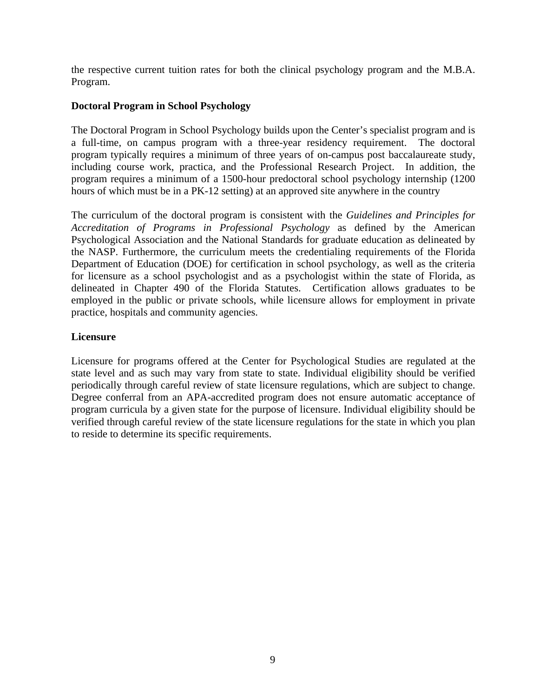the respective current tuition rates for both the clinical psychology program and the M.B.A. Program.

# **Doctoral Program in School Psychology**

The Doctoral Program in School Psychology builds upon the Center's specialist program and is a full-time, on campus program with a three-year residency requirement. The doctoral program typically requires a minimum of three years of on-campus post baccalaureate study, including course work, practica, and the Professional Research Project. In addition, the program requires a minimum of a 1500-hour predoctoral school psychology internship (1200 hours of which must be in a PK-12 setting) at an approved site anywhere in the country

The curriculum of the doctoral program is consistent with the *Guidelines and Principles for Accreditation of Programs in Professional Psychology* as defined by the American Psychological Association and the National Standards for graduate education as delineated by the NASP. Furthermore, the curriculum meets the credentialing requirements of the Florida Department of Education (DOE) for certification in school psychology, as well as the criteria for licensure as a school psychologist and as a psychologist within the state of Florida, as delineated in Chapter 490 of the Florida Statutes. Certification allows graduates to be employed in the public or private schools, while licensure allows for employment in private practice, hospitals and community agencies.

# **Licensure**

Licensure for programs offered at the Center for Psychological Studies are regulated at the state level and as such may vary from state to state. Individual eligibility should be verified periodically through careful review of state licensure regulations, which are subject to change. Degree conferral from an APA-accredited program does not ensure automatic acceptance of program curricula by a given state for the purpose of licensure. Individual eligibility should be verified through careful review of the state licensure regulations for the state in which you plan to reside to determine its specific requirements.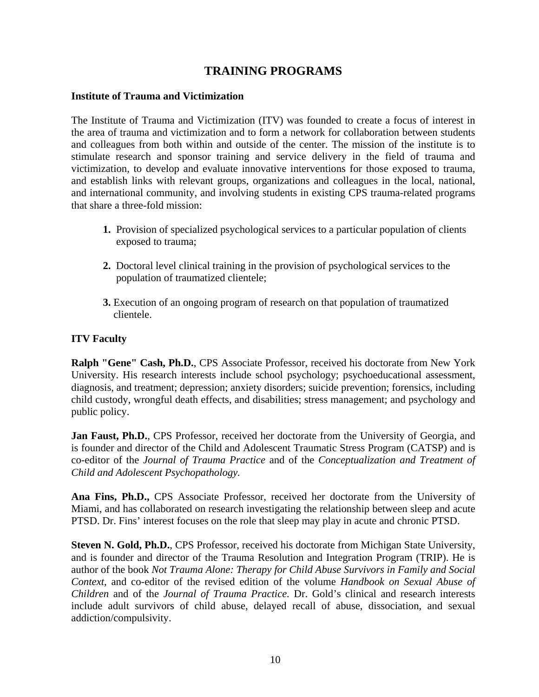# **TRAINING PROGRAMS**

#### **Institute of Trauma and Victimization**

The Institute of Trauma and Victimization (ITV) was founded to create a focus of interest in the area of trauma and victimization and to form a network for collaboration between students and colleagues from both within and outside of the center. The mission of the institute is to stimulate research and sponsor training and service delivery in the field of trauma and victimization, to develop and evaluate innovative interventions for those exposed to trauma, and establish links with relevant groups, organizations and colleagues in the local, national, and international community, and involving students in existing CPS trauma-related programs that share a three-fold mission:

- **1.** Provision of specialized psychological services to a particular population of clients exposed to trauma;
- **2.** Doctoral level clinical training in the provision of psychological services to the population of traumatized clientele;
- **3.** Execution of an ongoing program of research on that population of traumatized clientele.

#### **ITV Faculty**

**Ralph "Gene" Cash, Ph.D.**, CPS Associate Professor, received his doctorate from New York University. His research interests include school psychology; psychoeducational assessment, diagnosis, and treatment; depression; anxiety disorders; suicide prevention; forensics, including child custody, wrongful death effects, and disabilities; stress management; and psychology and public policy.

**Jan Faust, Ph.D.**, CPS Professor, received her doctorate from the University of Georgia, and is founder and director of the Child and Adolescent Traumatic Stress Program (CATSP) and is co-editor of the *Journal of Trauma Practice* and of the *Conceptualization and Treatment of Child and Adolescent Psychopathology.*

**Ana Fins, Ph.D.,** CPS Associate Professor, received her doctorate from the University of Miami, and has collaborated on research investigating the relationship between sleep and acute PTSD. Dr. Fins' interest focuses on the role that sleep may play in acute and chronic PTSD.

**Steven N. Gold, Ph.D.**, CPS Professor, received his doctorate from Michigan State University, and is founder and director of the Trauma Resolution and Integration Program (TRIP). He is author of the book *Not Trauma Alone: Therapy for Child Abuse Survivors in Family and Social Context*, and co-editor of the revised edition of the volume *Handbook on Sexual Abuse of Children* and of the *Journal of Trauma Practice.* Dr. Gold's clinical and research interests include adult survivors of child abuse, delayed recall of abuse, dissociation, and sexual addiction/compulsivity.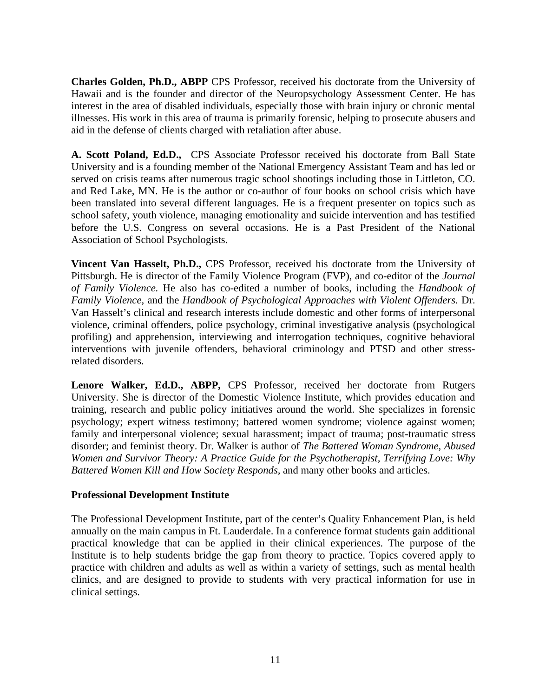**Charles Golden, Ph.D., ABPP** CPS Professor, received his doctorate from the University of Hawaii and is the founder and director of the Neuropsychology Assessment Center. He has interest in the area of disabled individuals, especially those with brain injury or chronic mental illnesses. His work in this area of trauma is primarily forensic, helping to prosecute abusers and aid in the defense of clients charged with retaliation after abuse.

**A. Scott Poland, Ed.D.,** CPS Associate Professor received his doctorate from Ball State University and is a founding member of the National Emergency Assistant Team and has led or served on crisis teams after numerous tragic school shootings including those in Littleton, CO. and Red Lake, MN. He is the author or co-author of four books on school crisis which have been translated into several different languages. He is a frequent presenter on topics such as school safety, youth violence, managing emotionality and suicide intervention and has testified before the U.S. Congress on several occasions. He is a Past President of the National Association of School Psychologists.

**Vincent Van Hasselt, Ph.D.,** CPS Professor, received his doctorate from the University of Pittsburgh. He is director of the Family Violence Program (FVP), and co-editor of the *Journal of Family Violence.* He also has co-edited a number of books, including the *Handbook of Family Violence,* and the *Handbook of Psychological Approaches with Violent Offenders.* Dr. Van Hasselt's clinical and research interests include domestic and other forms of interpersonal violence, criminal offenders, police psychology, criminal investigative analysis (psychological profiling) and apprehension, interviewing and interrogation techniques, cognitive behavioral interventions with juvenile offenders, behavioral criminology and PTSD and other stressrelated disorders.

Lenore Walker, Ed.D., ABPP, CPS Professor, received her doctorate from Rutgers University. She is director of the Domestic Violence Institute, which provides education and training, research and public policy initiatives around the world. She specializes in forensic psychology; expert witness testimony; battered women syndrome; violence against women; family and interpersonal violence; sexual harassment; impact of trauma; post-traumatic stress disorder; and feminist theory. Dr. Walker is author of *The Battered Woman Syndrome, Abused Women and Survivor Theory: A Practice Guide for the Psychotherapist, Terrifying Love: Why Battered Women Kill and How Society Responds,* and many other books and articles.

#### **Professional Development Institute**

The Professional Development Institute, part of the center's Quality Enhancement Plan, is held annually on the main campus in Ft. Lauderdale. In a conference format students gain additional practical knowledge that can be applied in their clinical experiences. The purpose of the Institute is to help students bridge the gap from theory to practice. Topics covered apply to practice with children and adults as well as within a variety of settings, such as mental health clinics, and are designed to provide to students with very practical information for use in clinical settings.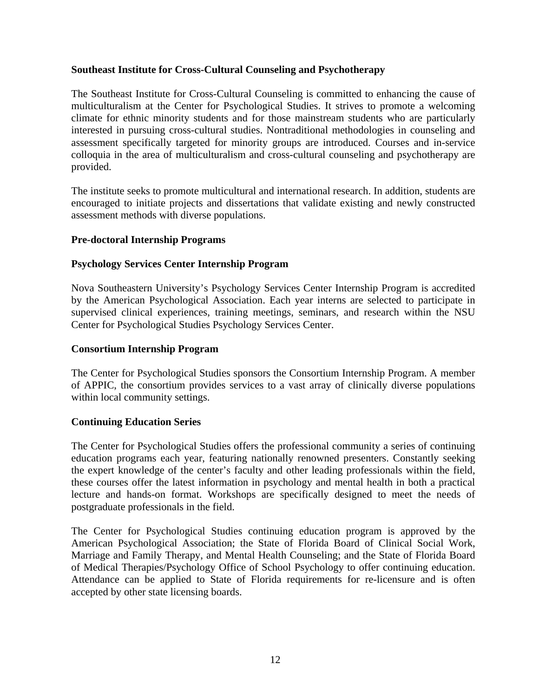# **Southeast Institute for Cross-Cultural Counseling and Psychotherapy**

The Southeast Institute for Cross-Cultural Counseling is committed to enhancing the cause of multiculturalism at the Center for Psychological Studies. It strives to promote a welcoming climate for ethnic minority students and for those mainstream students who are particularly interested in pursuing cross-cultural studies. Nontraditional methodologies in counseling and assessment specifically targeted for minority groups are introduced. Courses and in-service colloquia in the area of multiculturalism and cross-cultural counseling and psychotherapy are provided.

The institute seeks to promote multicultural and international research. In addition, students are encouraged to initiate projects and dissertations that validate existing and newly constructed assessment methods with diverse populations.

# **Pre-doctoral Internship Programs**

# **Psychology Services Center Internship Program**

Nova Southeastern University's Psychology Services Center Internship Program is accredited by the American Psychological Association. Each year interns are selected to participate in supervised clinical experiences, training meetings, seminars, and research within the NSU Center for Psychological Studies Psychology Services Center.

#### **Consortium Internship Program**

The Center for Psychological Studies sponsors the Consortium Internship Program. A member of APPIC, the consortium provides services to a vast array of clinically diverse populations within local community settings.

#### **Continuing Education Series**

The Center for Psychological Studies offers the professional community a series of continuing education programs each year, featuring nationally renowned presenters. Constantly seeking the expert knowledge of the center's faculty and other leading professionals within the field, these courses offer the latest information in psychology and mental health in both a practical lecture and hands-on format. Workshops are specifically designed to meet the needs of postgraduate professionals in the field.

The Center for Psychological Studies continuing education program is approved by the American Psychological Association; the State of Florida Board of Clinical Social Work, Marriage and Family Therapy, and Mental Health Counseling; and the State of Florida Board of Medical Therapies/Psychology Office of School Psychology to offer continuing education. Attendance can be applied to State of Florida requirements for re-licensure and is often accepted by other state licensing boards.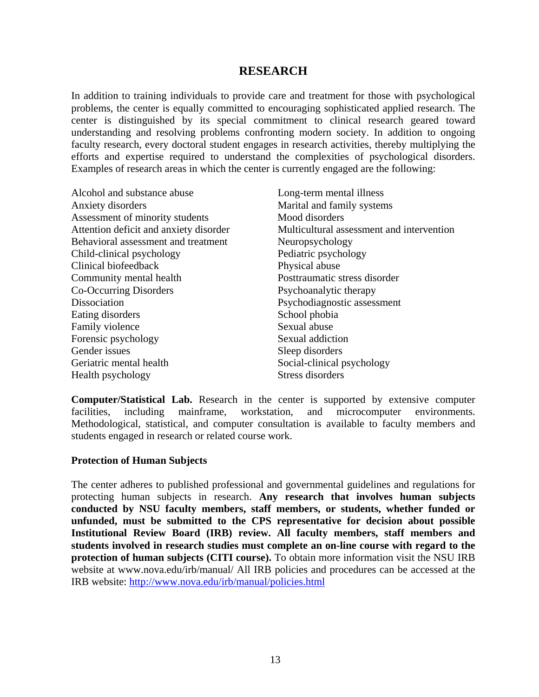# **RESEARCH**

In addition to training individuals to provide care and treatment for those with psychological problems, the center is equally committed to encouraging sophisticated applied research. The center is distinguished by its special commitment to clinical research geared toward understanding and resolving problems confronting modern society. In addition to ongoing faculty research, every doctoral student engages in research activities, thereby multiplying the efforts and expertise required to understand the complexities of psychological disorders. Examples of research areas in which the center is currently engaged are the following:

| Alcohol and substance abuse            | Long-term mental illness                  |
|----------------------------------------|-------------------------------------------|
| Anxiety disorders                      | Marital and family systems                |
| Assessment of minority students        | Mood disorders                            |
| Attention deficit and anxiety disorder | Multicultural assessment and intervention |
| Behavioral assessment and treatment    | Neuropsychology                           |
| Child-clinical psychology              | Pediatric psychology                      |
| Clinical biofeedback                   | Physical abuse                            |
| Community mental health                | Posttraumatic stress disorder             |
| Co-Occurring Disorders                 | Psychoanalytic therapy                    |
| <b>Dissociation</b>                    | Psychodiagnostic assessment               |
| Eating disorders                       | School phobia                             |
| Family violence                        | Sexual abuse                              |
| Forensic psychology                    | Sexual addiction                          |
| Gender issues                          | Sleep disorders                           |
| Geriatric mental health                | Social-clinical psychology                |
| Health psychology                      | Stress disorders                          |

**Computer/Statistical Lab.** Research in the center is supported by extensive computer facilities, including mainframe, workstation, and microcomputer environments. Methodological, statistical, and computer consultation is available to faculty members and students engaged in research or related course work.

#### **Protection of Human Subjects**

The center adheres to published professional and governmental guidelines and regulations for protecting human subjects in research. **Any research that involves human subjects conducted by NSU faculty members, staff members, or students, whether funded or unfunded, must be submitted to the CPS representative for decision about possible Institutional Review Board (IRB) review. All faculty members, staff members and students involved in research studies must complete an on-line course with regard to the protection of human subjects (CITI course).** To obtain more information visit the NSU IRB website at www.nova.edu/irb/manual/ All IRB policies and procedures can be accessed at the IRB website:<http://www.nova.edu/irb/manual/policies.html>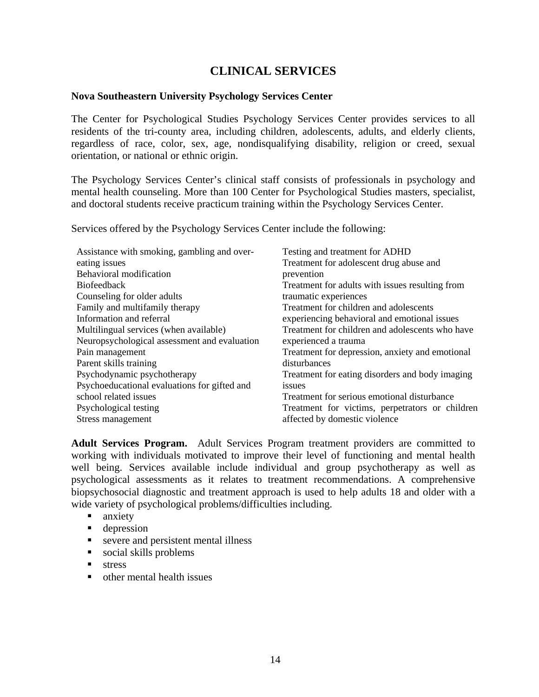# **CLINICAL SERVICES**

#### **Nova Southeastern University Psychology Services Center**

The Center for Psychological Studies Psychology Services Center provides services to all residents of the tri-county area, including children, adolescents, adults, and elderly clients, regardless of race, color, sex, age, nondisqualifying disability, religion or creed, sexual orientation, or national or ethnic origin.

The Psychology Services Center's clinical staff consists of professionals in psychology and mental health counseling. More than 100 Center for Psychological Studies masters, specialist, and doctoral students receive practicum training within the Psychology Services Center.

Services offered by the Psychology Services Center include the following:

| Assistance with smoking, gambling and over-  | Testing and treatment for ADHD                  |
|----------------------------------------------|-------------------------------------------------|
| eating issues                                | Treatment for adolescent drug abuse and         |
| Behavioral modification                      | prevention                                      |
| <b>Biofeedback</b>                           | Treatment for adults with issues resulting from |
| Counseling for older adults                  | traumatic experiences                           |
| Family and multifamily therapy               | Treatment for children and adolescents          |
| Information and referral                     | experiencing behavioral and emotional issues    |
| Multilingual services (when available)       | Treatment for children and adolescents who have |
| Neuropsychological assessment and evaluation | experienced a trauma                            |
| Pain management                              | Treatment for depression, anxiety and emotional |
| Parent skills training                       | disturbances                                    |
| Psychodynamic psychotherapy                  | Treatment for eating disorders and body imaging |
| Psychoeducational evaluations for gifted and | issues                                          |
| school related issues                        | Treatment for serious emotional disturbance     |
| Psychological testing                        | Treatment for victims, perpetrators or children |
| Stress management                            | affected by domestic violence                   |
|                                              |                                                 |

**Adult Services Program.** Adult Services Program treatment providers are committed to working with individuals motivated to improve their level of functioning and mental health well being. Services available include individual and group psychotherapy as well as psychological assessments as it relates to treatment recommendations. A comprehensive biopsychosocial diagnostic and treatment approach is used to help adults 18 and older with a wide variety of psychological problems/difficulties including.

- **n** anxiety
- **depression**
- severe and persistent mental illness
- social skills problems
- **stress**
- **n** other mental health issues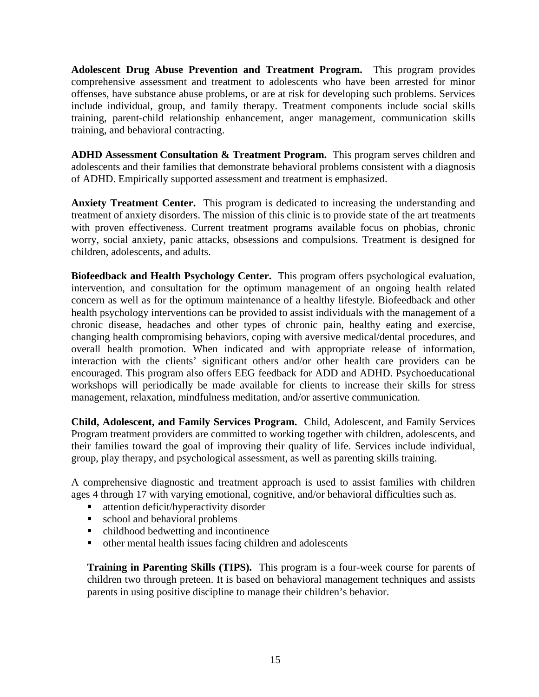**Adolescent Drug Abuse Prevention and Treatment Program.** This program provides comprehensive assessment and treatment to adolescents who have been arrested for minor offenses, have substance abuse problems, or are at risk for developing such problems. Services include individual, group, and family therapy. Treatment components include social skills training, parent-child relationship enhancement, anger management, communication skills training, and behavioral contracting.

**ADHD Assessment Consultation & Treatment Program.** This program serves children and adolescents and their families that demonstrate behavioral problems consistent with a diagnosis of ADHD. Empirically supported assessment and treatment is emphasized.

**Anxiety Treatment Center.** This program is dedicated to increasing the understanding and treatment of anxiety disorders. The mission of this clinic is to provide state of the art treatments with proven effectiveness. Current treatment programs available focus on phobias, chronic worry, social anxiety, panic attacks, obsessions and compulsions. Treatment is designed for children, adolescents, and adults.

**Biofeedback and Health Psychology Center.** This program offers psychological evaluation, intervention, and consultation for the optimum management of an ongoing health related concern as well as for the optimum maintenance of a healthy lifestyle. Biofeedback and other health psychology interventions can be provided to assist individuals with the management of a chronic disease, headaches and other types of chronic pain, healthy eating and exercise, changing health compromising behaviors, coping with aversive medical/dental procedures, and overall health promotion. When indicated and with appropriate release of information, interaction with the clients' significant others and/or other health care providers can be encouraged. This program also offers EEG feedback for ADD and ADHD. Psychoeducational workshops will periodically be made available for clients to increase their skills for stress management, relaxation, mindfulness meditation, and/or assertive communication.

**Child, Adolescent, and Family Services Program.** Child, Adolescent, and Family Services Program treatment providers are committed to working together with children, adolescents, and their families toward the goal of improving their quality of life. Services include individual, group, play therapy, and psychological assessment, as well as parenting skills training.

A comprehensive diagnostic and treatment approach is used to assist families with children ages 4 through 17 with varying emotional, cognitive, and/or behavioral difficulties such as.

- attention deficit/hyperactivity disorder
- school and behavioral problems
- childhood bedwetting and incontinence
- other mental health issues facing children and adolescents

**Training in Parenting Skills (TIPS).** This program is a four-week course for parents of children two through preteen. It is based on behavioral management techniques and assists parents in using positive discipline to manage their children's behavior.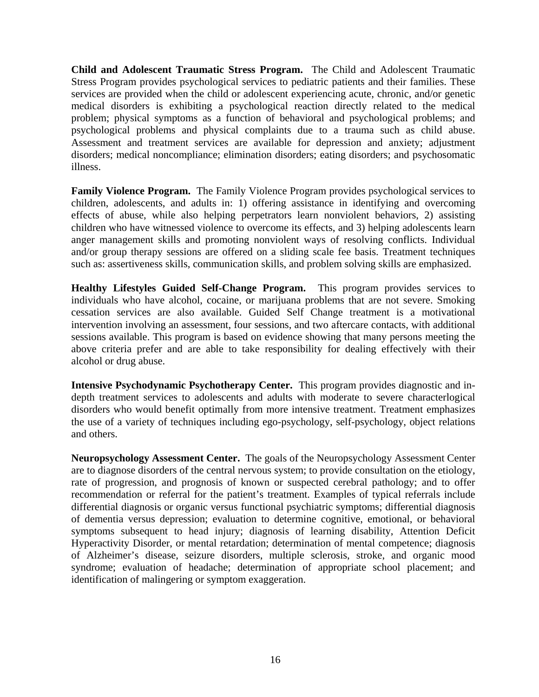**Child and Adolescent Traumatic Stress Program.** The Child and Adolescent Traumatic Stress Program provides psychological services to pediatric patients and their families. These services are provided when the child or adolescent experiencing acute, chronic, and/or genetic medical disorders is exhibiting a psychological reaction directly related to the medical problem; physical symptoms as a function of behavioral and psychological problems; and psychological problems and physical complaints due to a trauma such as child abuse. Assessment and treatment services are available for depression and anxiety; adjustment disorders; medical noncompliance; elimination disorders; eating disorders; and psychosomatic illness.

**Family Violence Program.** The Family Violence Program provides psychological services to children, adolescents, and adults in: 1) offering assistance in identifying and overcoming effects of abuse, while also helping perpetrators learn nonviolent behaviors, 2) assisting children who have witnessed violence to overcome its effects, and 3) helping adolescents learn anger management skills and promoting nonviolent ways of resolving conflicts. Individual and/or group therapy sessions are offered on a sliding scale fee basis. Treatment techniques such as: assertiveness skills, communication skills, and problem solving skills are emphasized.

**Healthy Lifestyles Guided Self-Change Program.** This program provides services to individuals who have alcohol, cocaine, or marijuana problems that are not severe. Smoking cessation services are also available. Guided Self Change treatment is a motivational intervention involving an assessment, four sessions, and two aftercare contacts, with additional sessions available. This program is based on evidence showing that many persons meeting the above criteria prefer and are able to take responsibility for dealing effectively with their alcohol or drug abuse.

**Intensive Psychodynamic Psychotherapy Center.** This program provides diagnostic and indepth treatment services to adolescents and adults with moderate to severe characterlogical disorders who would benefit optimally from more intensive treatment. Treatment emphasizes the use of a variety of techniques including ego-psychology, self-psychology, object relations and others.

**Neuropsychology Assessment Center.** The goals of the Neuropsychology Assessment Center are to diagnose disorders of the central nervous system; to provide consultation on the etiology, rate of progression, and prognosis of known or suspected cerebral pathology; and to offer recommendation or referral for the patient's treatment. Examples of typical referrals include differential diagnosis or organic versus functional psychiatric symptoms; differential diagnosis of dementia versus depression; evaluation to determine cognitive, emotional, or behavioral symptoms subsequent to head injury; diagnosis of learning disability, Attention Deficit Hyperactivity Disorder, or mental retardation; determination of mental competence; diagnosis of Alzheimer's disease, seizure disorders, multiple sclerosis, stroke, and organic mood syndrome; evaluation of headache; determination of appropriate school placement; and identification of malingering or symptom exaggeration.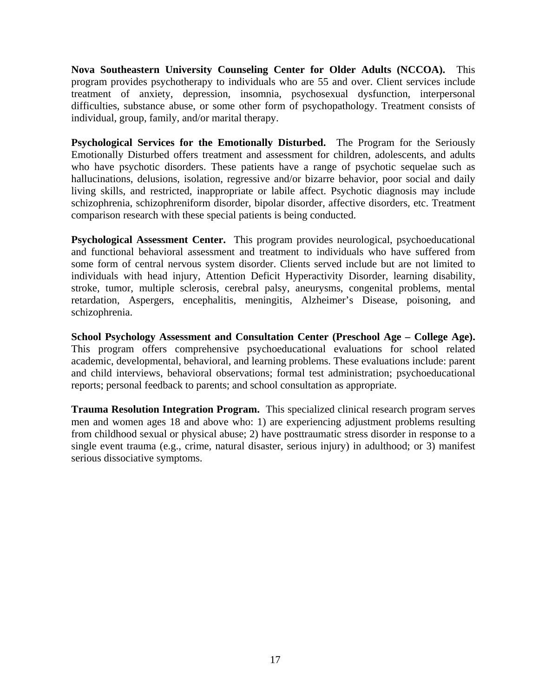**Nova Southeastern University Counseling Center for Older Adults (NCCOA).** This program provides psychotherapy to individuals who are 55 and over. Client services include treatment of anxiety, depression, insomnia, psychosexual dysfunction, interpersonal difficulties, substance abuse, or some other form of psychopathology. Treatment consists of individual, group, family, and/or marital therapy.

**Psychological Services for the Emotionally Disturbed.** The Program for the Seriously Emotionally Disturbed offers treatment and assessment for children, adolescents, and adults who have psychotic disorders. These patients have a range of psychotic sequelae such as hallucinations, delusions, isolation, regressive and/or bizarre behavior, poor social and daily living skills, and restricted, inappropriate or labile affect. Psychotic diagnosis may include schizophrenia, schizophreniform disorder, bipolar disorder, affective disorders, etc. Treatment comparison research with these special patients is being conducted.

**Psychological Assessment Center.** This program provides neurological, psychoeducational and functional behavioral assessment and treatment to individuals who have suffered from some form of central nervous system disorder. Clients served include but are not limited to individuals with head injury, Attention Deficit Hyperactivity Disorder, learning disability, stroke, tumor, multiple sclerosis, cerebral palsy, aneurysms, congenital problems, mental retardation, Aspergers, encephalitis, meningitis, Alzheimer's Disease, poisoning, and schizophrenia.

**School Psychology Assessment and Consultation Center (Preschool Age – College Age).** This program offers comprehensive psychoeducational evaluations for school related academic, developmental, behavioral, and learning problems. These evaluations include: parent and child interviews, behavioral observations; formal test administration; psychoeducational reports; personal feedback to parents; and school consultation as appropriate.

**Trauma Resolution Integration Program.** This specialized clinical research program serves men and women ages 18 and above who: 1) are experiencing adjustment problems resulting from childhood sexual or physical abuse; 2) have posttraumatic stress disorder in response to a single event trauma (e.g., crime, natural disaster, serious injury) in adulthood; or 3) manifest serious dissociative symptoms.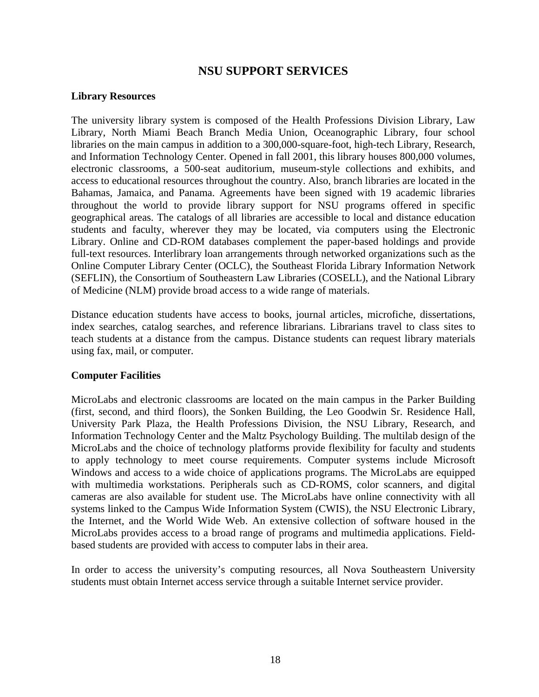# **NSU SUPPORT SERVICES**

#### **Library Resources**

The university library system is composed of the Health Professions Division Library, Law Library, North Miami Beach Branch Media Union, Oceanographic Library, four school libraries on the main campus in addition to a 300,000-square-foot, high-tech Library, Research, and Information Technology Center. Opened in fall 2001, this library houses 800,000 volumes, electronic classrooms, a 500-seat auditorium, museum-style collections and exhibits, and access to educational resources throughout the country. Also, branch libraries are located in the Bahamas, Jamaica, and Panama. Agreements have been signed with 19 academic libraries throughout the world to provide library support for NSU programs offered in specific geographical areas. The catalogs of all libraries are accessible to local and distance education students and faculty, wherever they may be located, via computers using the Electronic Library. Online and CD-ROM databases complement the paper-based holdings and provide full-text resources. Interlibrary loan arrangements through networked organizations such as the Online Computer Library Center (OCLC), the Southeast Florida Library Information Network (SEFLIN), the Consortium of Southeastern Law Libraries (COSELL), and the National Library of Medicine (NLM) provide broad access to a wide range of materials.

Distance education students have access to books, journal articles, microfiche, dissertations, index searches, catalog searches, and reference librarians. Librarians travel to class sites to teach students at a distance from the campus. Distance students can request library materials using fax, mail, or computer.

#### **Computer Facilities**

MicroLabs and electronic classrooms are located on the main campus in the Parker Building (first, second, and third floors), the Sonken Building, the Leo Goodwin Sr. Residence Hall, University Park Plaza, the Health Professions Division, the NSU Library, Research, and Information Technology Center and the Maltz Psychology Building. The multilab design of the MicroLabs and the choice of technology platforms provide flexibility for faculty and students to apply technology to meet course requirements. Computer systems include Microsoft Windows and access to a wide choice of applications programs. The MicroLabs are equipped with multimedia workstations. Peripherals such as CD-ROMS, color scanners, and digital cameras are also available for student use. The MicroLabs have online connectivity with all systems linked to the Campus Wide Information System (CWIS), the NSU Electronic Library, the Internet, and the World Wide Web. An extensive collection of software housed in the MicroLabs provides access to a broad range of programs and multimedia applications. Fieldbased students are provided with access to computer labs in their area.

In order to access the university's computing resources, all Nova Southeastern University students must obtain Internet access service through a suitable Internet service provider.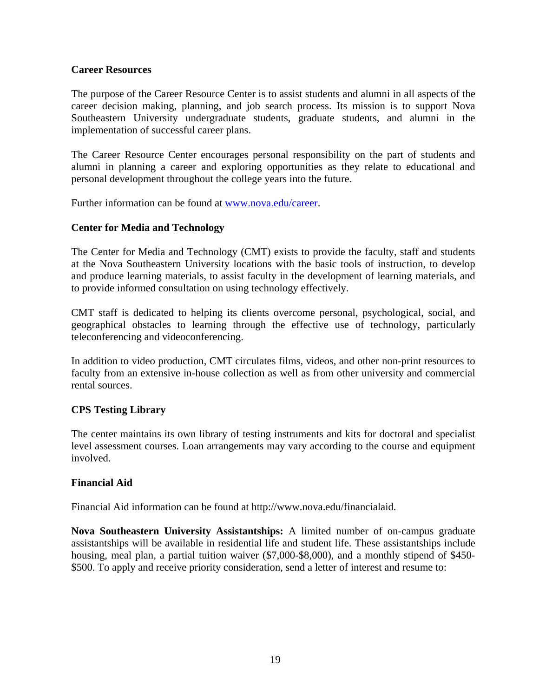#### **Career Resources**

The purpose of the Career Resource Center is to assist students and alumni in all aspects of the career decision making, planning, and job search process. Its mission is to support Nova Southeastern University undergraduate students, graduate students, and alumni in the implementation of successful career plans.

The Career Resource Center encourages personal responsibility on the part of students and alumni in planning a career and exploring opportunities as they relate to educational and personal development throughout the college years into the future.

Further information can be found at [www.nova.edu/career](http://www.nova.edu/career).

#### **Center for Media and Technology**

The Center for Media and Technology (CMT) exists to provide the faculty, staff and students at the Nova Southeastern University locations with the basic tools of instruction, to develop and produce learning materials, to assist faculty in the development of learning materials, and to provide informed consultation on using technology effectively.

CMT staff is dedicated to helping its clients overcome personal, psychological, social, and geographical obstacles to learning through the effective use of technology, particularly teleconferencing and videoconferencing.

In addition to video production, CMT circulates films, videos, and other non-print resources to faculty from an extensive in-house collection as well as from other university and commercial rental sources.

# **CPS Testing Library**

The center maintains its own library of testing instruments and kits for doctoral and specialist level assessment courses. Loan arrangements may vary according to the course and equipment involved.

#### **Financial Aid**

Financial Aid information can be found at http://www.nova.edu/financialaid.

**Nova Southeastern University Assistantships:** A limited number of on-campus graduate assistantships will be available in residential life and student life. These assistantships include housing, meal plan, a partial tuition waiver (\$7,000-\$8,000), and a monthly stipend of \$450-\$500. To apply and receive priority consideration, send a letter of interest and resume to: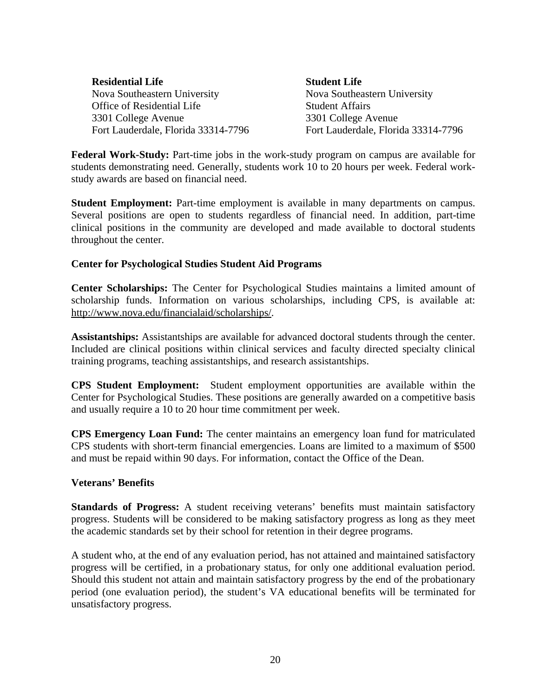**Residential Life**  Nova Southeastern University Office of Residential Life 3301 College Avenue Fort Lauderdale, Florida 33314-7796

**Student Life**  Nova Southeastern University Student Affairs 3301 College Avenue Fort Lauderdale, Florida 33314-7796

**Federal Work-Study:** Part-time jobs in the work-study program on campus are available for students demonstrating need. Generally, students work 10 to 20 hours per week. Federal workstudy awards are based on financial need.

**Student Employment:** Part-time employment is available in many departments on campus. Several positions are open to students regardless of financial need. In addition, part-time clinical positions in the community are developed and made available to doctoral students throughout the center.

#### **Center for Psychological Studies Student Aid Programs**

**Center Scholarships:** The Center for Psychological Studies maintains a limited amount of scholarship funds. Information on various scholarships, including CPS, is available at: http://www.nova.edu/financialaid/scholarships/.

**Assistantships:** Assistantships are available for advanced doctoral students through the center. Included are clinical positions within clinical services and faculty directed specialty clinical training programs, teaching assistantships, and research assistantships.

**CPS Student Employment:** Student employment opportunities are available within the Center for Psychological Studies. These positions are generally awarded on a competitive basis and usually require a 10 to 20 hour time commitment per week.

**CPS Emergency Loan Fund:** The center maintains an emergency loan fund for matriculated CPS students with short-term financial emergencies. Loans are limited to a maximum of \$500 and must be repaid within 90 days. For information, contact the Office of the Dean.

#### **Veterans' Benefits**

**Standards of Progress:** A student receiving veterans' benefits must maintain satisfactory progress. Students will be considered to be making satisfactory progress as long as they meet the academic standards set by their school for retention in their degree programs.

A student who, at the end of any evaluation period, has not attained and maintained satisfactory progress will be certified, in a probationary status, for only one additional evaluation period. Should this student not attain and maintain satisfactory progress by the end of the probationary period (one evaluation period), the student's VA educational benefits will be terminated for unsatisfactory progress.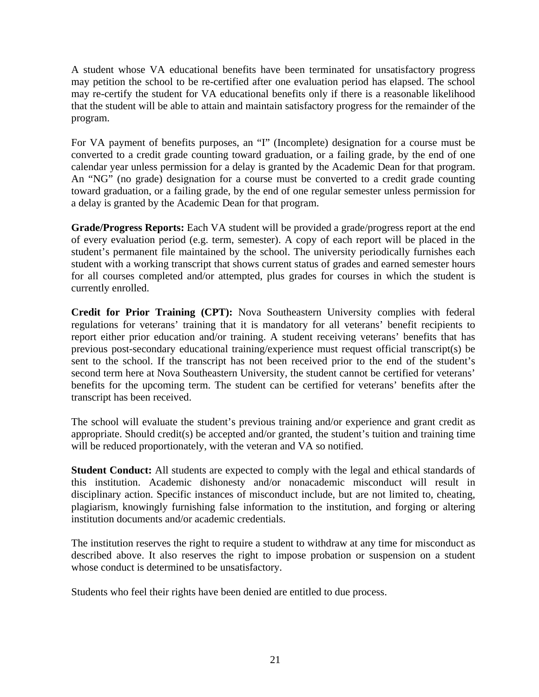A student whose VA educational benefits have been terminated for unsatisfactory progress may petition the school to be re-certified after one evaluation period has elapsed. The school may re-certify the student for VA educational benefits only if there is a reasonable likelihood that the student will be able to attain and maintain satisfactory progress for the remainder of the program.

For VA payment of benefits purposes, an "I" (Incomplete) designation for a course must be converted to a credit grade counting toward graduation, or a failing grade, by the end of one calendar year unless permission for a delay is granted by the Academic Dean for that program. An "NG" (no grade) designation for a course must be converted to a credit grade counting toward graduation, or a failing grade, by the end of one regular semester unless permission for a delay is granted by the Academic Dean for that program.

**Grade/Progress Reports:** Each VA student will be provided a grade/progress report at the end of every evaluation period (e.g. term, semester). A copy of each report will be placed in the student's permanent file maintained by the school. The university periodically furnishes each student with a working transcript that shows current status of grades and earned semester hours for all courses completed and/or attempted, plus grades for courses in which the student is currently enrolled.

**Credit for Prior Training (CPT):** Nova Southeastern University complies with federal regulations for veterans' training that it is mandatory for all veterans' benefit recipients to report either prior education and/or training. A student receiving veterans' benefits that has previous post-secondary educational training/experience must request official transcript(s) be sent to the school. If the transcript has not been received prior to the end of the student's second term here at Nova Southeastern University, the student cannot be certified for veterans' benefits for the upcoming term. The student can be certified for veterans' benefits after the transcript has been received.

The school will evaluate the student's previous training and/or experience and grant credit as appropriate. Should credit(s) be accepted and/or granted, the student's tuition and training time will be reduced proportionately, with the veteran and VA so notified.

**Student Conduct:** All students are expected to comply with the legal and ethical standards of this institution. Academic dishonesty and/or nonacademic misconduct will result in disciplinary action. Specific instances of misconduct include, but are not limited to, cheating, plagiarism, knowingly furnishing false information to the institution, and forging or altering institution documents and/or academic credentials.

The institution reserves the right to require a student to withdraw at any time for misconduct as described above. It also reserves the right to impose probation or suspension on a student whose conduct is determined to be unsatisfactory.

Students who feel their rights have been denied are entitled to due process.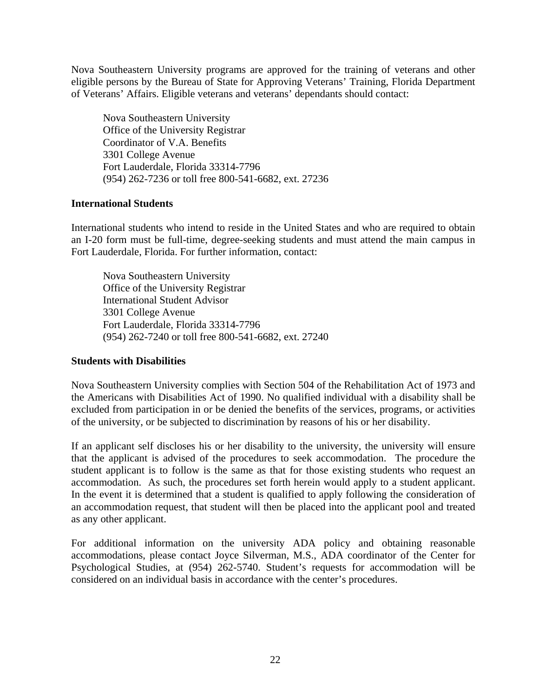Nova Southeastern University programs are approved for the training of veterans and other eligible persons by the Bureau of State for Approving Veterans' Training, Florida Department of Veterans' Affairs. Eligible veterans and veterans' dependants should contact:

Nova Southeastern University Office of the University Registrar Coordinator of V.A. Benefits 3301 College Avenue Fort Lauderdale, Florida 33314-7796 (954) 262-7236 or toll free 800-541-6682, ext. 27236

#### **International Students**

International students who intend to reside in the United States and who are required to obtain an I-20 form must be full-time, degree-seeking students and must attend the main campus in Fort Lauderdale, Florida. For further information, contact:

Nova Southeastern University Office of the University Registrar International Student Advisor 3301 College Avenue Fort Lauderdale, Florida 33314-7796 (954) 262-7240 or toll free 800-541-6682, ext. 27240

#### **Students with Disabilities**

Nova Southeastern University complies with Section 504 of the Rehabilitation Act of 1973 and the Americans with Disabilities Act of 1990. No qualified individual with a disability shall be excluded from participation in or be denied the benefits of the services, programs, or activities of the university, or be subjected to discrimination by reasons of his or her disability.

If an applicant self discloses his or her disability to the university, the university will ensure that the applicant is advised of the procedures to seek accommodation. The procedure the student applicant is to follow is the same as that for those existing students who request an accommodation. As such, the procedures set forth herein would apply to a student applicant. In the event it is determined that a student is qualified to apply following the consideration of an accommodation request, that student will then be placed into the applicant pool and treated as any other applicant.

For additional information on the university ADA policy and obtaining reasonable accommodations, please contact Joyce Silverman, M.S., ADA coordinator of the Center for Psychological Studies, at (954) 262-5740. Student's requests for accommodation will be considered on an individual basis in accordance with the center's procedures.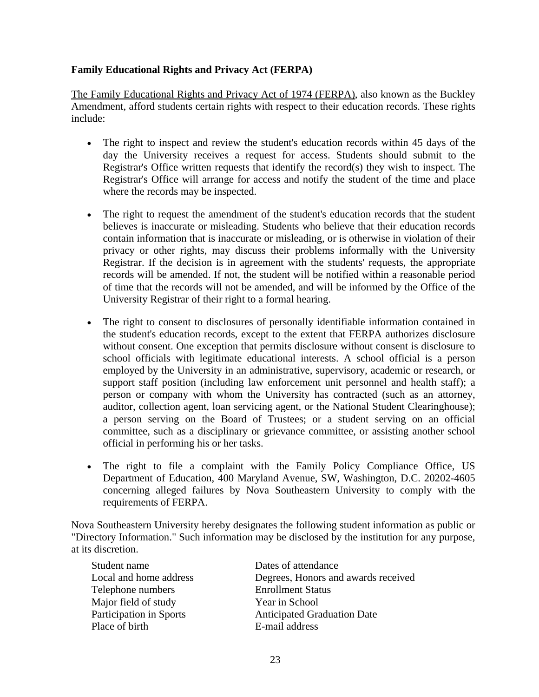# **Family Educational Rights and Privacy Act (FERPA)**

[The Family Educational Rights and Privacy Act of 1974 \(FERPA\)](http://www2.ed.gov/policy/gen/guid/fpco/ferpa/index.html), also known as the Buckley Amendment, afford students certain rights with respect to their education records. These rights include:

- The right to inspect and review the student's education records within 45 days of the day the University receives a request for access. Students should submit to the Registrar's Office written requests that identify the record(s) they wish to inspect. The Registrar's Office will arrange for access and notify the student of the time and place where the records may be inspected.
- The right to request the amendment of the student's education records that the student believes is inaccurate or misleading. Students who believe that their education records contain information that is inaccurate or misleading, or is otherwise in violation of their privacy or other rights, may discuss their problems informally with the University Registrar. If the decision is in agreement with the students' requests, the appropriate records will be amended. If not, the student will be notified within a reasonable period of time that the records will not be amended, and will be informed by the Office of the University Registrar of their right to a formal hearing.
- The right to consent to disclosures of personally identifiable information contained in the student's education records, except to the extent that FERPA authorizes disclosure without consent. One exception that permits disclosure without consent is disclosure to school officials with legitimate educational interests. A school official is a person employed by the University in an administrative, supervisory, academic or research, or support staff position (including law enforcement unit personnel and health staff); a person or company with whom the University has contracted (such as an attorney, auditor, collection agent, loan servicing agent, or the National Student Clearinghouse); a person serving on the Board of Trustees; or a student serving on an official committee, such as a disciplinary or grievance committee, or assisting another school official in performing his or her tasks.
- The right to file a complaint with the Family Policy Compliance Office, US Department of Education, 400 Maryland Avenue, SW, Washington, D.C. 20202-4605 concerning alleged failures by Nova Southeastern University to comply with the requirements of FERPA.

Nova Southeastern University hereby designates the following student information as public or "Directory Information." Such information may be disclosed by the institution for any purpose, at its discretion.

| Student name            | Dates of attendance                 |
|-------------------------|-------------------------------------|
| Local and home address  | Degrees, Honors and awards received |
| Telephone numbers       | <b>Enrollment Status</b>            |
| Major field of study    | Year in School                      |
| Participation in Sports | <b>Anticipated Graduation Date</b>  |
| Place of birth          | E-mail address                      |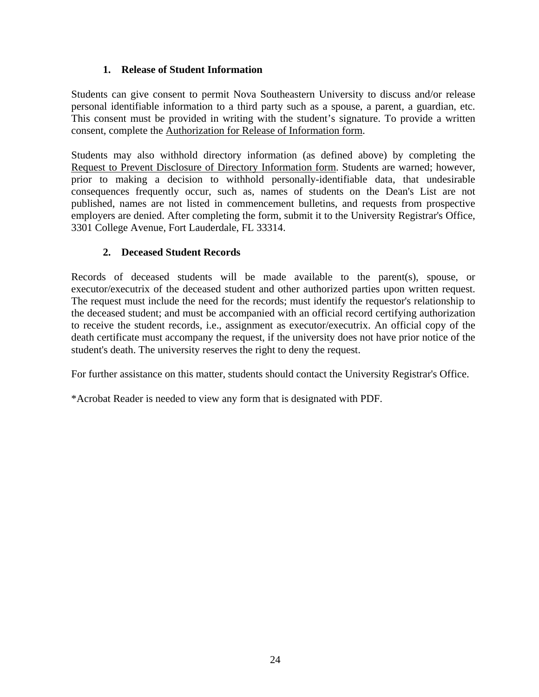# **1. Release of Student Information**

Students can give consent to permit Nova Southeastern University to discuss and/or release personal identifiable information to a third party such as a spouse, a parent, a guardian, etc. This consent must be provided in writing with the student's signature. To provide a written consent, complete the [Authorization for Release of Information form.](http://www.nova.edu/cwis/registrar/forms/release_of_information.pdf)

Students may also withhold directory information (as defined above) by completing the [Request to Prevent Disclosure of Directory Information form.](http://www.nova.edu/cwis/registrar/forms/disclosure.pdf) Students are warned; however, prior to making a decision to withhold personally-identifiable data, that undesirable consequences frequently occur, such as, names of students on the Dean's List are not published, names are not listed in commencement bulletins, and requests from prospective employers are denied. After completing the form, submit it to the University Registrar's Office, 3301 College Avenue, Fort Lauderdale, FL 33314.

# **2. Deceased Student Records**

Records of deceased students will be made available to the parent(s), spouse, or executor/executrix of the deceased student and other authorized parties upon written request. The request must include the need for the records; must identify the requestor's relationship to the deceased student; and must be accompanied with an official record certifying authorization to receive the student records, i.e., assignment as executor/executrix. An official copy of the death certificate must accompany the request, if the university does not have prior notice of the student's death. The university reserves the right to deny the request.

For further assistance on this matter, students should contact the University Registrar's Office.

\*Acrobat Reader is needed to view any form that is designated with PDF.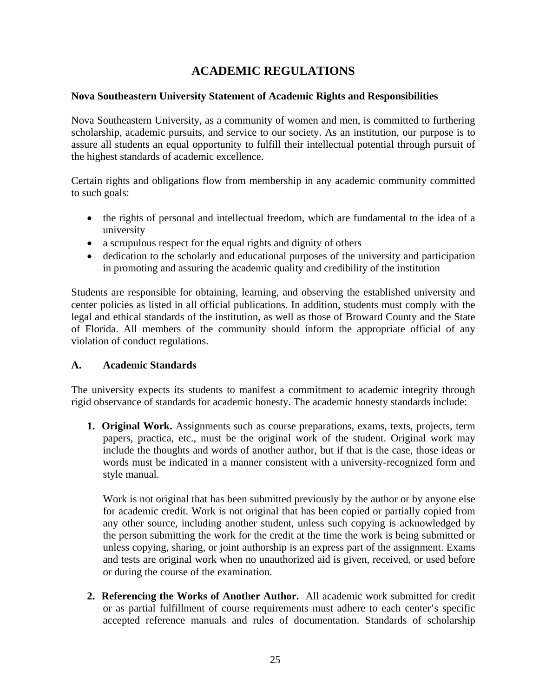# **ACADEMIC REGULATIONS**

# **Nova Southeastern University Statement of Academic Rights and Responsibilities**

Nova Southeastern University, as a community of women and men, is committed to furthering scholarship, academic pursuits, and service to our society. As an institution, our purpose is to assure all students an equal opportunity to fulfill their intellectual potential through pursuit of the highest standards of academic excellence.

Certain rights and obligations flow from membership in any academic community committed to such goals:

- the rights of personal and intellectual freedom, which are fundamental to the idea of a university
- a scrupulous respect for the equal rights and dignity of others
- dedication to the scholarly and educational purposes of the university and participation in promoting and assuring the academic quality and credibility of the institution

Students are responsible for obtaining, learning, and observing the established university and center policies as listed in all official publications. In addition, students must comply with the legal and ethical standards of the institution, as well as those of Broward County and the State of Florida. All members of the community should inform the appropriate official of any violation of conduct regulations.

# **A. Academic Standards**

The university expects its students to manifest a commitment to academic integrity through rigid observance of standards for academic honesty. The academic honesty standards include:

**1. Original Work.** Assignments such as course preparations, exams, texts, projects, term papers, practica, etc., must be the original work of the student. Original work may include the thoughts and words of another author, but if that is the case, those ideas or words must be indicated in a manner consistent with a university-recognized form and style manual.

Work is not original that has been submitted previously by the author or by anyone else for academic credit. Work is not original that has been copied or partially copied from any other source, including another student, unless such copying is acknowledged by the person submitting the work for the credit at the time the work is being submitted or unless copying, sharing, or joint authorship is an express part of the assignment. Exams and tests are original work when no unauthorized aid is given, received, or used before or during the course of the examination.

**2. Referencing the Works of Another Author.** All academic work submitted for credit or as partial fulfillment of course requirements must adhere to each center's specific accepted reference manuals and rules of documentation. Standards of scholarship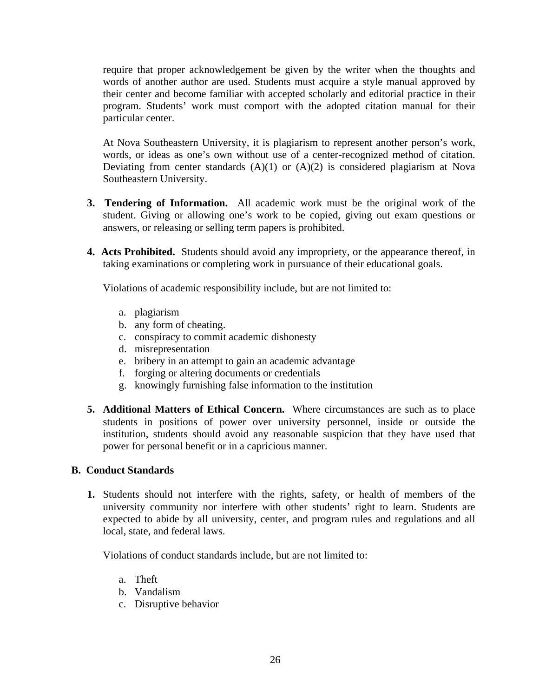require that proper acknowledgement be given by the writer when the thoughts and words of another author are used. Students must acquire a style manual approved by their center and become familiar with accepted scholarly and editorial practice in their program. Students' work must comport with the adopted citation manual for their particular center.

At Nova Southeastern University, it is plagiarism to represent another person's work, words, or ideas as one's own without use of a center-recognized method of citation. Deviating from center standards  $(A)(1)$  or  $(A)(2)$  is considered plagiarism at Nova Southeastern University.

- **3. Tendering of Information.** All academic work must be the original work of the student. Giving or allowing one's work to be copied, giving out exam questions or answers, or releasing or selling term papers is prohibited.
- **4. Acts Prohibited.** Students should avoid any impropriety, or the appearance thereof, in taking examinations or completing work in pursuance of their educational goals.

Violations of academic responsibility include, but are not limited to:

- a. plagiarism
- b. any form of cheating.
- c. conspiracy to commit academic dishonesty
- d. misrepresentation
- e. bribery in an attempt to gain an academic advantage
- f. forging or altering documents or credentials
- g. knowingly furnishing false information to the institution
- **5. Additional Matters of Ethical Concern.** Where circumstances are such as to place students in positions of power over university personnel, inside or outside the institution, students should avoid any reasonable suspicion that they have used that power for personal benefit or in a capricious manner.

#### **B. Conduct Standards**

**1.** Students should not interfere with the rights, safety, or health of members of the university community nor interfere with other students' right to learn. Students are expected to abide by all university, center, and program rules and regulations and all local, state, and federal laws.

Violations of conduct standards include, but are not limited to:

- a. Theft
- b. Vandalism
- c. Disruptive behavior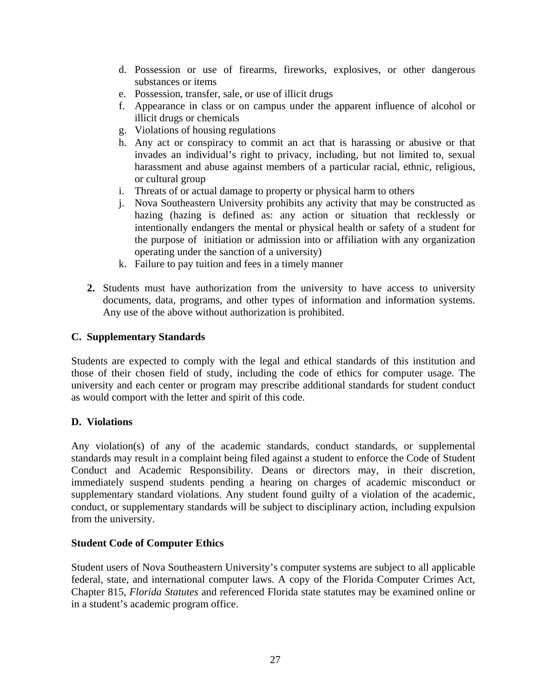- d. Possession or use of firearms, fireworks, explosives, or other dangerous substances or items
- e. Possession, transfer, sale, or use of illicit drugs
- f. Appearance in class or on campus under the apparent influence of alcohol or illicit drugs or chemicals
- g. Violations of housing regulations
- h. Any act or conspiracy to commit an act that is harassing or abusive or that invades an individual's right to privacy, including, but not limited to, sexual harassment and abuse against members of a particular racial, ethnic, religious, or cultural group
- i. Threats of or actual damage to property or physical harm to others
- j. Nova Southeastern University prohibits any activity that may be constructed as hazing (hazing is defined as: any action or situation that recklessly or intentionally endangers the mental or physical health or safety of a student for the purpose of initiation or admission into or affiliation with any organization operating under the sanction of a university)
- k. Failure to pay tuition and fees in a timely manner
- **2.** Students must have authorization from the university to have access to university documents, data, programs, and other types of information and information systems. Any use of the above without authorization is prohibited.

#### **C. Supplementary Standards**

Students are expected to comply with the legal and ethical standards of this institution and those of their chosen field of study, including the code of ethics for computer usage. The university and each center or program may prescribe additional standards for student conduct as would comport with the letter and spirit of this code.

#### **D. Violations**

Any violation(s) of any of the academic standards, conduct standards, or supplemental standards may result in a complaint being filed against a student to enforce the Code of Student Conduct and Academic Responsibility. Deans or directors may, in their discretion, immediately suspend students pending a hearing on charges of academic misconduct or supplementary standard violations. Any student found guilty of a violation of the academic, conduct, or supplementary standards will be subject to disciplinary action, including expulsion from the university.

#### **Student Code of Computer Ethics**

Student users of Nova Southeastern University's computer systems are subject to all applicable federal, state, and international computer laws. A copy of the Florida Computer Crimes Act, Chapter 815, *Florida Statutes* and referenced Florida state statutes may be examined online or in a student's academic program office.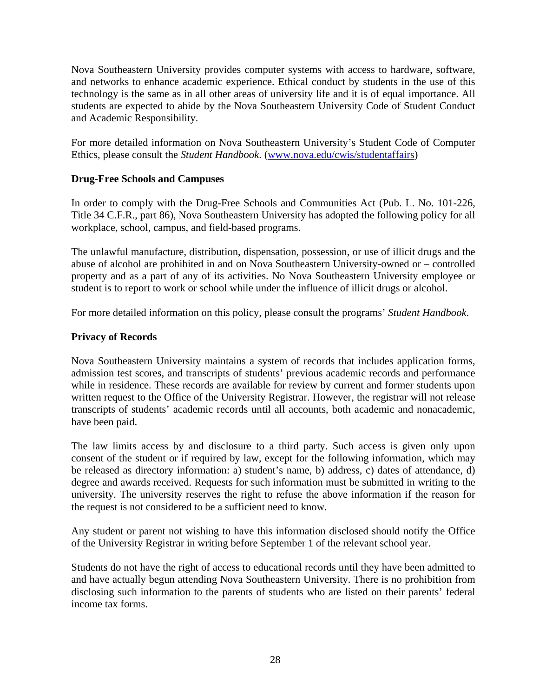Nova Southeastern University provides computer systems with access to hardware, software, and networks to enhance academic experience. Ethical conduct by students in the use of this technology is the same as in all other areas of university life and it is of equal importance. All students are expected to abide by the Nova Southeastern University Code of Student Conduct and Academic Responsibility.

For more detailed information on Nova Southeastern University's Student Code of Computer Ethics, please consult the *Student Handbook*. [\(www.nova.edu/cwis/studentaffairs\)](http://www.nova.edu/cwis/studentaffairs)

# **Drug-Free Schools and Campuses**

In order to comply with the Drug-Free Schools and Communities Act (Pub. L. No. 101-226, Title 34 C.F.R., part 86), Nova Southeastern University has adopted the following policy for all workplace, school, campus, and field-based programs.

The unlawful manufacture, distribution, dispensation, possession, or use of illicit drugs and the abuse of alcohol are prohibited in and on Nova Southeastern University-owned or – controlled property and as a part of any of its activities. No Nova Southeastern University employee or student is to report to work or school while under the influence of illicit drugs or alcohol.

For more detailed information on this policy, please consult the programs' *Student Handbook*.

# **Privacy of Records**

Nova Southeastern University maintains a system of records that includes application forms, admission test scores, and transcripts of students' previous academic records and performance while in residence. These records are available for review by current and former students upon written request to the Office of the University Registrar. However, the registrar will not release transcripts of students' academic records until all accounts, both academic and nonacademic, have been paid.

The law limits access by and disclosure to a third party. Such access is given only upon consent of the student or if required by law, except for the following information, which may be released as directory information: a) student's name, b) address, c) dates of attendance, d) degree and awards received. Requests for such information must be submitted in writing to the university. The university reserves the right to refuse the above information if the reason for the request is not considered to be a sufficient need to know.

Any student or parent not wishing to have this information disclosed should notify the Office of the University Registrar in writing before September 1 of the relevant school year.

Students do not have the right of access to educational records until they have been admitted to and have actually begun attending Nova Southeastern University. There is no prohibition from disclosing such information to the parents of students who are listed on their parents' federal income tax forms.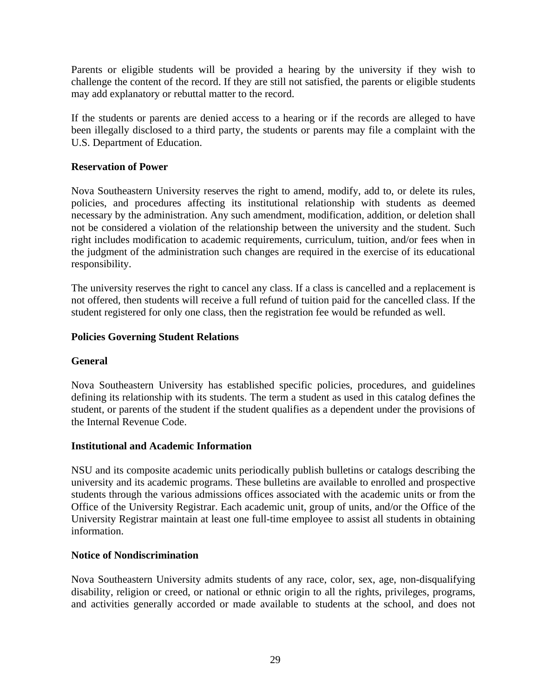Parents or eligible students will be provided a hearing by the university if they wish to challenge the content of the record. If they are still not satisfied, the parents or eligible students may add explanatory or rebuttal matter to the record.

If the students or parents are denied access to a hearing or if the records are alleged to have been illegally disclosed to a third party, the students or parents may file a complaint with the U.S. Department of Education.

# **Reservation of Power**

Nova Southeastern University reserves the right to amend, modify, add to, or delete its rules, policies, and procedures affecting its institutional relationship with students as deemed necessary by the administration. Any such amendment, modification, addition, or deletion shall not be considered a violation of the relationship between the university and the student. Such right includes modification to academic requirements, curriculum, tuition, and/or fees when in the judgment of the administration such changes are required in the exercise of its educational responsibility.

The university reserves the right to cancel any class. If a class is cancelled and a replacement is not offered, then students will receive a full refund of tuition paid for the cancelled class. If the student registered for only one class, then the registration fee would be refunded as well.

# **Policies Governing Student Relations**

#### **General**

Nova Southeastern University has established specific policies, procedures, and guidelines defining its relationship with its students. The term a student as used in this catalog defines the student, or parents of the student if the student qualifies as a dependent under the provisions of the Internal Revenue Code.

#### **Institutional and Academic Information**

NSU and its composite academic units periodically publish bulletins or catalogs describing the university and its academic programs. These bulletins are available to enrolled and prospective students through the various admissions offices associated with the academic units or from the Office of the University Registrar. Each academic unit, group of units, and/or the Office of the University Registrar maintain at least one full-time employee to assist all students in obtaining information.

#### **Notice of Nondiscrimination**

Nova Southeastern University admits students of any race, color, sex, age, non-disqualifying disability, religion or creed, or national or ethnic origin to all the rights, privileges, programs, and activities generally accorded or made available to students at the school, and does not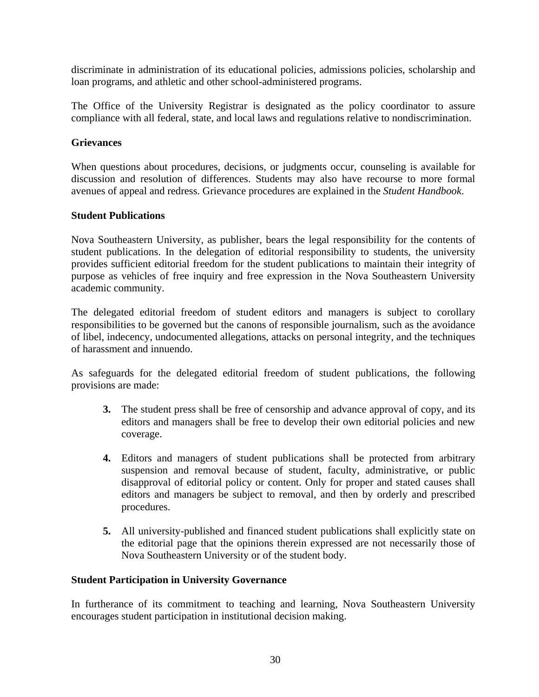discriminate in administration of its educational policies, admissions policies, scholarship and loan programs, and athletic and other school-administered programs.

The Office of the University Registrar is designated as the policy coordinator to assure compliance with all federal, state, and local laws and regulations relative to nondiscrimination.

# **Grievances**

When questions about procedures, decisions, or judgments occur, counseling is available for discussion and resolution of differences. Students may also have recourse to more formal avenues of appeal and redress. Grievance procedures are explained in the *Student Handbook*.

#### **Student Publications**

Nova Southeastern University, as publisher, bears the legal responsibility for the contents of student publications. In the delegation of editorial responsibility to students, the university provides sufficient editorial freedom for the student publications to maintain their integrity of purpose as vehicles of free inquiry and free expression in the Nova Southeastern University academic community.

The delegated editorial freedom of student editors and managers is subject to corollary responsibilities to be governed but the canons of responsible journalism, such as the avoidance of libel, indecency, undocumented allegations, attacks on personal integrity, and the techniques of harassment and innuendo.

As safeguards for the delegated editorial freedom of student publications, the following provisions are made:

- **3.** The student press shall be free of censorship and advance approval of copy, and its editors and managers shall be free to develop their own editorial policies and new coverage.
- **4.** Editors and managers of student publications shall be protected from arbitrary suspension and removal because of student, faculty, administrative, or public disapproval of editorial policy or content. Only for proper and stated causes shall editors and managers be subject to removal, and then by orderly and prescribed procedures.
- **5.** All university-published and financed student publications shall explicitly state on the editorial page that the opinions therein expressed are not necessarily those of Nova Southeastern University or of the student body.

#### **Student Participation in University Governance**

In furtherance of its commitment to teaching and learning, Nova Southeastern University encourages student participation in institutional decision making.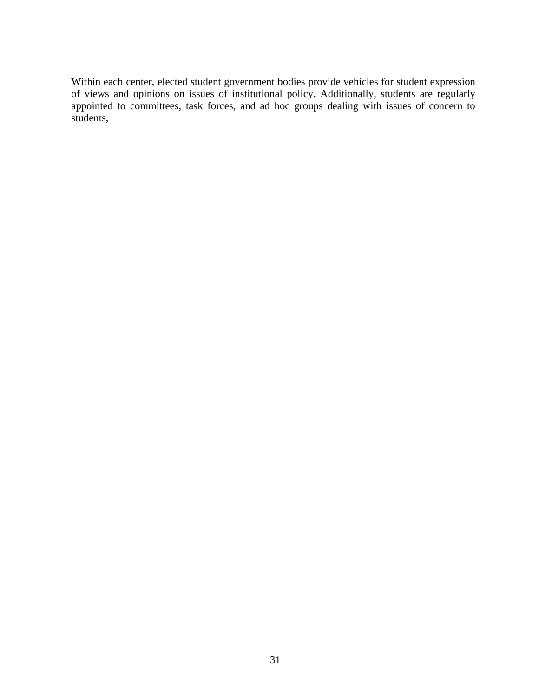Within each center, elected student government bodies provide vehicles for student expression of views and opinions on issues of institutional policy. Additionally, students are regularly appointed to committees, task forces, and ad hoc groups dealing with issues of concern to students,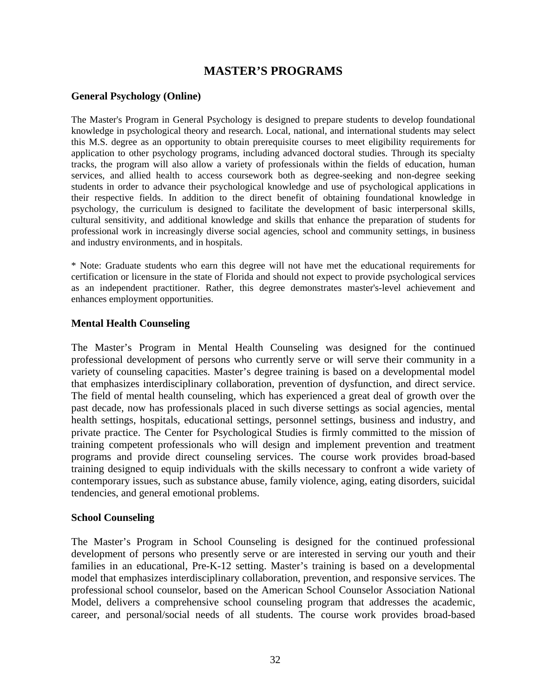## **MASTER'S PROGRAMS**

#### **General Psychology (Online)**

The Master's Program in General Psychology is designed to prepare students to develop foundational knowledge in psychological theory and research. Local, national, and international students may select this M.S. degree as an opportunity to obtain prerequisite courses to meet eligibility requirements for application to other psychology programs, including advanced doctoral studies. Through its specialty tracks, the program will also allow a variety of professionals within the fields of education, human services, and allied health to access coursework both as degree-seeking and non-degree seeking students in order to advance their psychological knowledge and use of psychological applications in their respective fields. In addition to the direct benefit of obtaining foundational knowledge in psychology, the curriculum is designed to facilitate the development of basic interpersonal skills, cultural sensitivity, and additional knowledge and skills that enhance the preparation of students for professional work in increasingly diverse social agencies, school and community settings, in business and industry environments, and in hospitals.

\* Note: Graduate students who earn this degree will not have met the educational requirements for certification or licensure in the state of Florida and should not expect to provide psychological services as an independent practitioner. Rather, this degree demonstrates master's-level achievement and enhances employment opportunities.

#### **Mental Health Counseling**

The Master's Program in Mental Health Counseling was designed for the continued professional development of persons who currently serve or will serve their community in a variety of counseling capacities. Master's degree training is based on a developmental model that emphasizes interdisciplinary collaboration, prevention of dysfunction, and direct service. The field of mental health counseling, which has experienced a great deal of growth over the past decade, now has professionals placed in such diverse settings as social agencies, mental health settings, hospitals, educational settings, personnel settings, business and industry, and private practice. The Center for Psychological Studies is firmly committed to the mission of training competent professionals who will design and implement prevention and treatment programs and provide direct counseling services. The course work provides broad-based training designed to equip individuals with the skills necessary to confront a wide variety of contemporary issues, such as substance abuse, family violence, aging, eating disorders, suicidal tendencies, and general emotional problems.

#### **School Counseling**

The Master's Program in School Counseling is designed for the continued professional development of persons who presently serve or are interested in serving our youth and their families in an educational, Pre-K-12 setting. Master's training is based on a developmental model that emphasizes interdisciplinary collaboration, prevention, and responsive services. The professional school counselor, based on the American School Counselor Association National Model, delivers a comprehensive school counseling program that addresses the academic, career, and personal/social needs of all students. The course work provides broad-based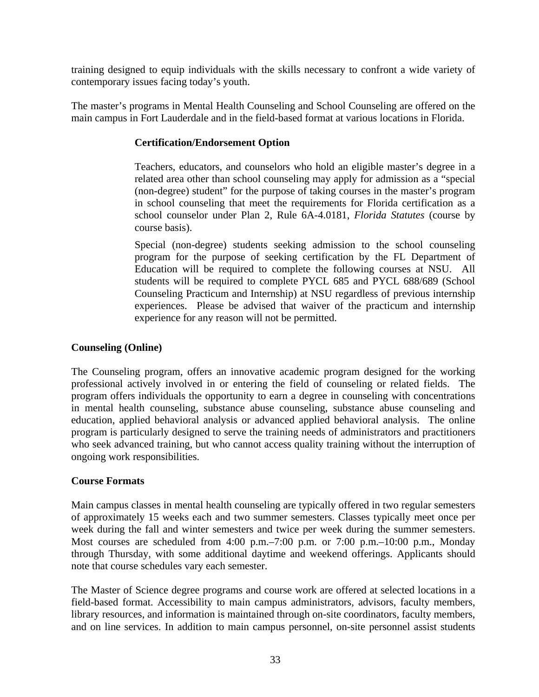training designed to equip individuals with the skills necessary to confront a wide variety of contemporary issues facing today's youth.

The master's programs in Mental Health Counseling and School Counseling are offered on the main campus in Fort Lauderdale and in the field-based format at various locations in Florida.

### **Certification/Endorsement Option**

Teachers, educators, and counselors who hold an eligible master's degree in a related area other than school counseling may apply for admission as a "special (non-degree) student" for the purpose of taking courses in the master's program in school counseling that meet the requirements for Florida certification as a school counselor under Plan 2, Rule 6A-4.0181, *Florida Statutes* (course by course basis).

Special (non-degree) students seeking admission to the school counseling program for the purpose of seeking certification by the FL Department of Education will be required to complete the following courses at NSU. All students will be required to complete PYCL 685 and PYCL 688/689 (School Counseling Practicum and Internship) at NSU regardless of previous internship experiences. Please be advised that waiver of the practicum and internship experience for any reason will not be permitted.

### **Counseling (Online)**

The Counseling program, offers an innovative academic program designed for the working professional actively involved in or entering the field of counseling or related fields. The program offers individuals the opportunity to earn a degree in counseling with concentrations in mental health counseling, substance abuse counseling, substance abuse counseling and education, applied behavioral analysis or advanced applied behavioral analysis. The online program is particularly designed to serve the training needs of administrators and practitioners who seek advanced training, but who cannot access quality training without the interruption of ongoing work responsibilities.

#### **Course Formats**

Main campus classes in mental health counseling are typically offered in two regular semesters of approximately 15 weeks each and two summer semesters. Classes typically meet once per week during the fall and winter semesters and twice per week during the summer semesters. Most courses are scheduled from 4:00 p.m.–7:00 p.m. or 7:00 p.m.–10:00 p.m., Monday through Thursday, with some additional daytime and weekend offerings. Applicants should note that course schedules vary each semester.

The Master of Science degree programs and course work are offered at selected locations in a field-based format. Accessibility to main campus administrators, advisors, faculty members, library resources, and information is maintained through on-site coordinators, faculty members, and on line services. In addition to main campus personnel, on-site personnel assist students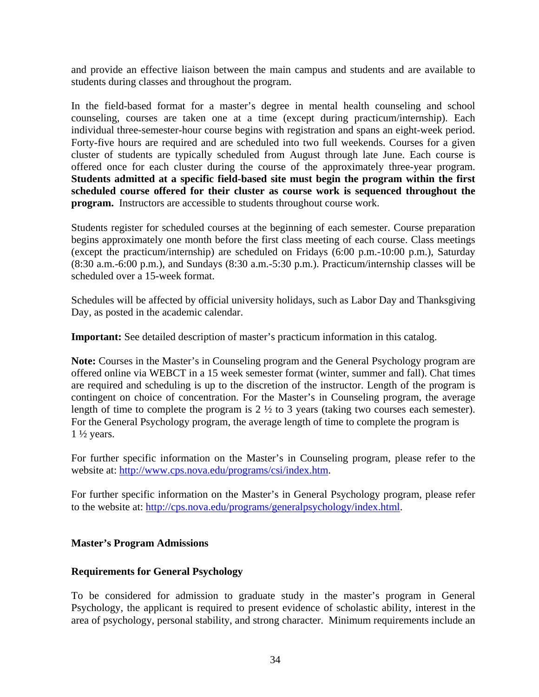and provide an effective liaison between the main campus and students and are available to students during classes and throughout the program.

In the field-based format for a master's degree in mental health counseling and school counseling, courses are taken one at a time (except during practicum/internship). Each individual three-semester-hour course begins with registration and spans an eight-week period. Forty-five hours are required and are scheduled into two full weekends. Courses for a given cluster of students are typically scheduled from August through late June. Each course is offered once for each cluster during the course of the approximately three-year program. **Students admitted at a specific field-based site must begin the program within the first scheduled course offered for their cluster as course work is sequenced throughout the program.** Instructors are accessible to students throughout course work.

Students register for scheduled courses at the beginning of each semester. Course preparation begins approximately one month before the first class meeting of each course. Class meetings (except the practicum/internship) are scheduled on Fridays (6:00 p.m.-10:00 p.m.), Saturday (8:30 a.m.-6:00 p.m.), and Sundays (8:30 a.m.-5:30 p.m.). Practicum/internship classes will be scheduled over a 15-week format.

Schedules will be affected by official university holidays, such as Labor Day and Thanksgiving Day, as posted in the academic calendar.

**Important:** See detailed description of master's practicum information in this catalog.

**Note:** Courses in the Master's in Counseling program and the General Psychology program are offered online via WEBCT in a 15 week semester format (winter, summer and fall). Chat times are required and scheduling is up to the discretion of the instructor. Length of the program is contingent on choice of concentration. For the Master's in Counseling program, the average length of time to complete the program is 2 ½ to 3 years (taking two courses each semester). For the General Psychology program, the average length of time to complete the program is  $1\frac{1}{2}$  years.

For further specific information on the Master's in Counseling program, please refer to the website at: [http://www.cps.nova.edu/programs/csi/index.htm.](http://www.cps.nova.edu/programs/csi/index.htm)

For further specific information on the Master's in General Psychology program, please refer to the website at: <http://cps.nova.edu/programs/generalpsychology/index.html>.

#### **Master's Program Admissions**

#### **Requirements for General Psychology**

To be considered for admission to graduate study in the master's program in General Psychology, the applicant is required to present evidence of scholastic ability, interest in the area of psychology, personal stability, and strong character. Minimum requirements include an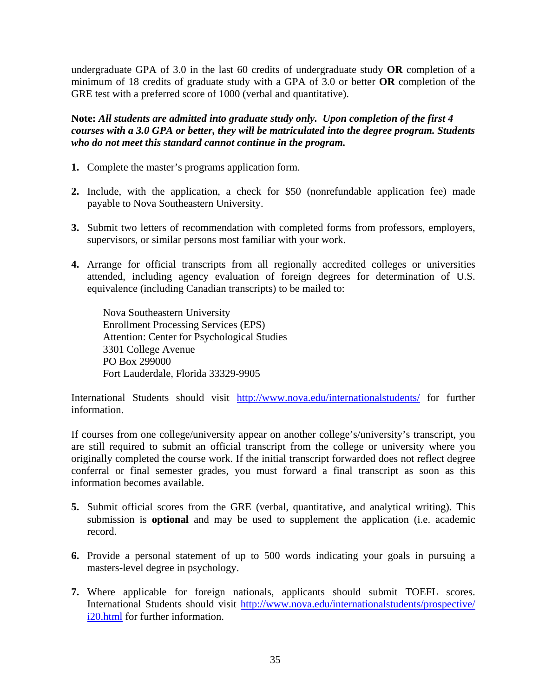undergraduate GPA of 3.0 in the last 60 credits of undergraduate study **OR** completion of a minimum of 18 credits of graduate study with a GPA of 3.0 or better **OR** completion of the GRE test with a preferred score of 1000 (verbal and quantitative).

**Note:** *All students are admitted into graduate study only. Upon completion of the first 4 courses with a 3.0 GPA or better, they will be matriculated into the degree program. Students who do not meet this standard cannot continue in the program.*

- **1.** Complete the master's programs application form.
- **2.** Include, with the application, a check for \$50 (nonrefundable application fee) made payable to Nova Southeastern University.
- **3.** Submit two letters of recommendation with completed forms from professors, employers, supervisors, or similar persons most familiar with your work.
- **4.** Arrange for official transcripts from all regionally accredited colleges or universities attended, including agency evaluation of foreign degrees for determination of U.S. equivalence (including Canadian transcripts) to be mailed to:

 Nova Southeastern University Enrollment Processing Services (EPS) Attention: Center for Psychological Studies 3301 College Avenue PO Box 299000 Fort Lauderdale, Florida 33329-9905

International Students should visit <http://www.nova.edu/internationalstudents/> for further information.

If courses from one college/university appear on another college's/university's transcript, you are still required to submit an official transcript from the college or university where you originally completed the course work. If the initial transcript forwarded does not reflect degree conferral or final semester grades, you must forward a final transcript as soon as this information becomes available.

- **5.** Submit official scores from the GRE (verbal, quantitative, and analytical writing). This submission is **optional** and may be used to supplement the application (i.e. academic record.
- **6.** Provide a personal statement of up to 500 words indicating your goals in pursuing a masters-level degree in psychology.
- **7.** Where applicable for foreign nationals, applicants should submit TOEFL scores. International Students should visit [http://www.nova.edu/internationalstudents/prospective/](http://www.nova.edu/internationalstudents/prospective/ i20.html)  [i20.html](http://www.nova.edu/internationalstudents/prospective/ i20.html) for further information.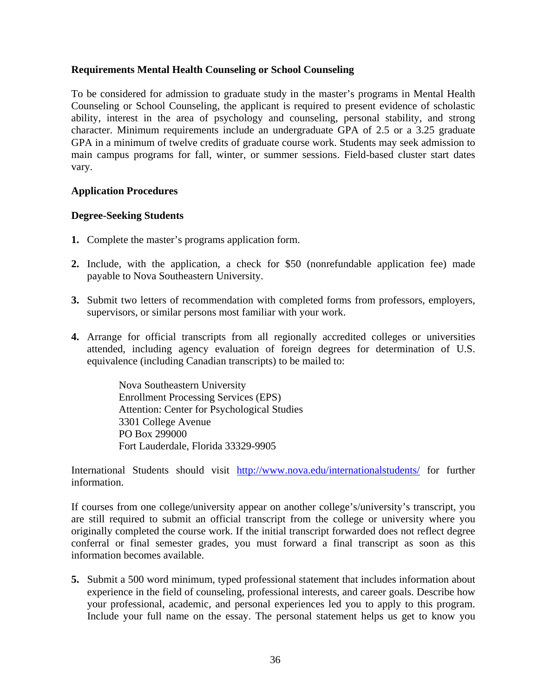### **Requirements Mental Health Counseling or School Counseling**

To be considered for admission to graduate study in the master's programs in Mental Health Counseling or School Counseling, the applicant is required to present evidence of scholastic ability, interest in the area of psychology and counseling, personal stability, and strong character. Minimum requirements include an undergraduate GPA of 2.5 or a 3.25 graduate GPA in a minimum of twelve credits of graduate course work. Students may seek admission to main campus programs for fall, winter, or summer sessions. Field-based cluster start dates vary.

### **Application Procedures**

#### **Degree-Seeking Students**

- **1.** Complete the master's programs application form.
- **2.** Include, with the application, a check for \$50 (nonrefundable application fee) made payable to Nova Southeastern University.
- **3.** Submit two letters of recommendation with completed forms from professors, employers, supervisors, or similar persons most familiar with your work.
- **4.** Arrange for official transcripts from all regionally accredited colleges or universities attended, including agency evaluation of foreign degrees for determination of U.S. equivalence (including Canadian transcripts) to be mailed to:

Nova Southeastern University Enrollment Processing Services (EPS) Attention: Center for Psychological Studies 3301 College Avenue PO Box 299000 Fort Lauderdale, Florida 33329-9905

International Students should visit <http://www.nova.edu/internationalstudents/> for further information.

If courses from one college/university appear on another college's/university's transcript, you are still required to submit an official transcript from the college or university where you originally completed the course work. If the initial transcript forwarded does not reflect degree conferral or final semester grades, you must forward a final transcript as soon as this information becomes available.

**5.** Submit a 500 word minimum, typed professional statement that includes information about experience in the field of counseling, professional interests, and career goals. Describe how your professional, academic, and personal experiences led you to apply to this program. Include your full name on the essay. The personal statement helps us get to know you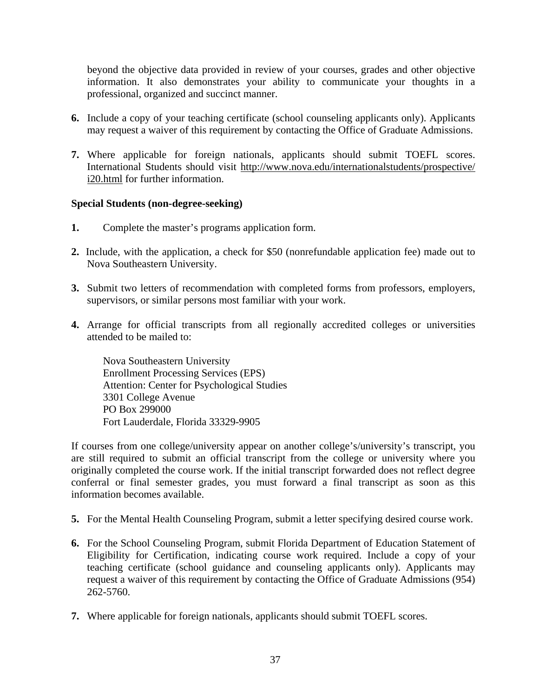beyond the objective data provided in review of your courses, grades and other objective information. It also demonstrates your ability to communicate your thoughts in a professional, organized and succinct manner.

- **6.** Include a copy of your teaching certificate (school counseling applicants only). Applicants may request a waiver of this requirement by contacting the Office of Graduate Admissions.
- **7.** Where applicable for foreign nationals, applicants should submit TOEFL scores. International Students should visit [http://www.nova.edu/internationalstudents/prospective/](http://www.nova.edu/internationalstudents/prospective/ i20.html)  [i20.html](http://www.nova.edu/internationalstudents/prospective/ i20.html) for further information.

### **Special Students (non-degree-seeking)**

- **1.** Complete the master's programs application form.
- **2.** Include, with the application, a check for \$50 (nonrefundable application fee) made out to Nova Southeastern University.
- **3.** Submit two letters of recommendation with completed forms from professors, employers, supervisors, or similar persons most familiar with your work.
- **4.** Arrange for official transcripts from all regionally accredited colleges or universities attended to be mailed to:

 Nova Southeastern University Enrollment Processing Services (EPS) Attention: Center for Psychological Studies 3301 College Avenue PO Box 299000 Fort Lauderdale, Florida 33329-9905

If courses from one college/university appear on another college's/university's transcript, you are still required to submit an official transcript from the college or university where you originally completed the course work. If the initial transcript forwarded does not reflect degree conferral or final semester grades, you must forward a final transcript as soon as this information becomes available.

- **5.** For the Mental Health Counseling Program, submit a letter specifying desired course work.
- **6.** For the School Counseling Program, submit Florida Department of Education Statement of Eligibility for Certification, indicating course work required. Include a copy of your teaching certificate (school guidance and counseling applicants only). Applicants may request a waiver of this requirement by contacting the Office of Graduate Admissions (954) 262-5760.
- **7.** Where applicable for foreign nationals, applicants should submit TOEFL scores.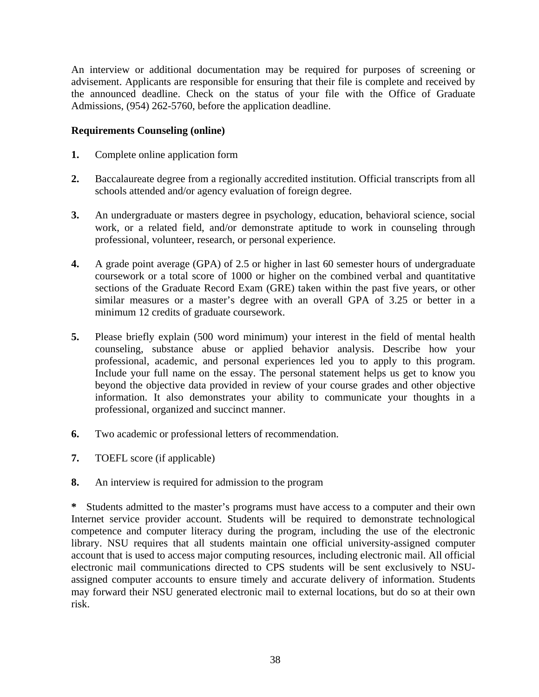An interview or additional documentation may be required for purposes of screening or advisement. Applicants are responsible for ensuring that their file is complete and received by the announced deadline. Check on the status of your file with the Office of Graduate Admissions, (954) 262-5760, before the application deadline.

### **Requirements Counseling (online)**

- **1.** Complete online application form
- **2.** Baccalaureate degree from a regionally accredited institution. Official transcripts from all schools attended and/or agency evaluation of foreign degree.
- **3.** An undergraduate or masters degree in psychology, education, behavioral science, social work, or a related field, and/or demonstrate aptitude to work in counseling through professional, volunteer, research, or personal experience.
- **4.** A grade point average (GPA) of 2.5 or higher in last 60 semester hours of undergraduate coursework or a total score of 1000 or higher on the combined verbal and quantitative sections of the Graduate Record Exam (GRE) taken within the past five years, or other similar measures or a master's degree with an overall GPA of 3.25 or better in a minimum 12 credits of graduate coursework.
- **5.** Please briefly explain (500 word minimum) your interest in the field of mental health counseling, substance abuse or applied behavior analysis. Describe how your professional, academic, and personal experiences led you to apply to this program. Include your full name on the essay. The personal statement helps us get to know you beyond the objective data provided in review of your course grades and other objective information. It also demonstrates your ability to communicate your thoughts in a professional, organized and succinct manner.
- **6.** Two academic or professional letters of recommendation.
- **7.** TOEFL score (if applicable)
- **8.** An interview is required for admission to the program

**\*** Students admitted to the master's programs must have access to a computer and their own Internet service provider account. Students will be required to demonstrate technological competence and computer literacy during the program, including the use of the electronic library. NSU requires that all students maintain one official university-assigned computer account that is used to access major computing resources, including electronic mail. All official electronic mail communications directed to CPS students will be sent exclusively to NSUassigned computer accounts to ensure timely and accurate delivery of information. Students may forward their NSU generated electronic mail to external locations, but do so at their own risk.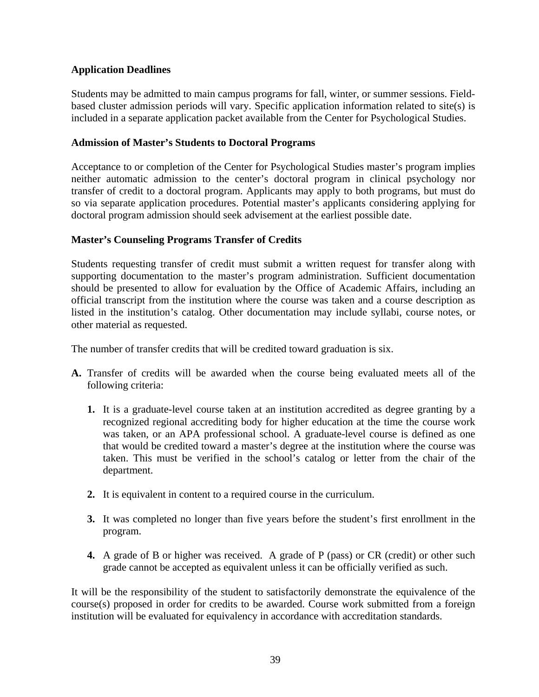### **Application Deadlines**

Students may be admitted to main campus programs for fall, winter, or summer sessions. Fieldbased cluster admission periods will vary. Specific application information related to site(s) is included in a separate application packet available from the Center for Psychological Studies.

### **Admission of Master's Students to Doctoral Programs**

Acceptance to or completion of the Center for Psychological Studies master's program implies neither automatic admission to the center's doctoral program in clinical psychology nor transfer of credit to a doctoral program. Applicants may apply to both programs, but must do so via separate application procedures. Potential master's applicants considering applying for doctoral program admission should seek advisement at the earliest possible date.

### **Master's Counseling Programs Transfer of Credits**

Students requesting transfer of credit must submit a written request for transfer along with supporting documentation to the master's program administration. Sufficient documentation should be presented to allow for evaluation by the Office of Academic Affairs, including an official transcript from the institution where the course was taken and a course description as listed in the institution's catalog. Other documentation may include syllabi, course notes, or other material as requested.

The number of transfer credits that will be credited toward graduation is six.

- **A.** Transfer of credits will be awarded when the course being evaluated meets all of the following criteria:
	- **1.** It is a graduate-level course taken at an institution accredited as degree granting by a recognized regional accrediting body for higher education at the time the course work was taken, or an APA professional school. A graduate-level course is defined as one that would be credited toward a master's degree at the institution where the course was taken. This must be verified in the school's catalog or letter from the chair of the department.
	- **2.** It is equivalent in content to a required course in the curriculum.
	- **3.** It was completed no longer than five years before the student's first enrollment in the program.
	- **4.** A grade of B or higher was received. A grade of P (pass) or CR (credit) or other such grade cannot be accepted as equivalent unless it can be officially verified as such.

It will be the responsibility of the student to satisfactorily demonstrate the equivalence of the course(s) proposed in order for credits to be awarded. Course work submitted from a foreign institution will be evaluated for equivalency in accordance with accreditation standards.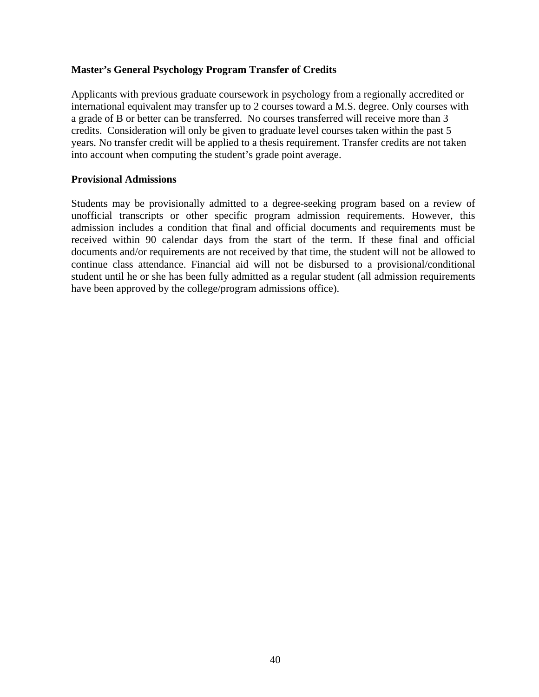### **Master's General Psychology Program Transfer of Credits**

Applicants with previous graduate coursework in psychology from a regionally accredited or international equivalent may transfer up to 2 courses toward a M.S. degree. Only courses with a grade of B or better can be transferred. No courses transferred will receive more than 3 credits. Consideration will only be given to graduate level courses taken within the past 5 years. No transfer credit will be applied to a thesis requirement. Transfer credits are not taken into account when computing the student's grade point average.

#### **Provisional Admissions**

Students may be provisionally admitted to a degree-seeking program based on a review of unofficial transcripts or other specific program admission requirements. However, this admission includes a condition that final and official documents and requirements must be received within 90 calendar days from the start of the term. If these final and official documents and/or requirements are not received by that time, the student will not be allowed to continue class attendance. Financial aid will not be disbursed to a provisional/conditional student until he or she has been fully admitted as a regular student (all admission requirements have been approved by the college/program admissions office).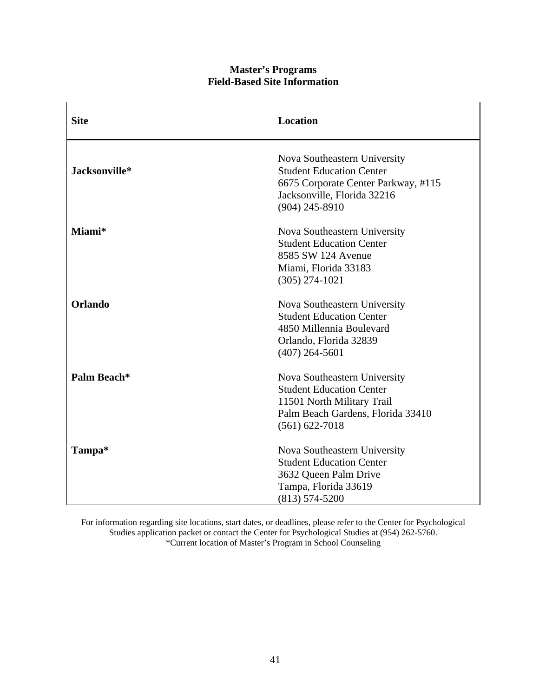### **Master's Programs Field-Based Site Information**

| <b>Site</b>    | Location                                                                                                                                                  |
|----------------|-----------------------------------------------------------------------------------------------------------------------------------------------------------|
| Jacksonville*  | Nova Southeastern University<br><b>Student Education Center</b><br>6675 Corporate Center Parkway, #115<br>Jacksonville, Florida 32216<br>$(904)$ 245-8910 |
| Miami*         | Nova Southeastern University<br><b>Student Education Center</b><br>8585 SW 124 Avenue<br>Miami, Florida 33183<br>$(305)$ 274-1021                         |
| <b>Orlando</b> | Nova Southeastern University<br><b>Student Education Center</b><br>4850 Millennia Boulevard<br>Orlando, Florida 32839<br>$(407)$ 264-5601                 |
| Palm Beach*    | Nova Southeastern University<br><b>Student Education Center</b><br>11501 North Military Trail<br>Palm Beach Gardens, Florida 33410<br>$(561) 622 - 7018$  |
| Tampa*         | Nova Southeastern University<br><b>Student Education Center</b><br>3632 Queen Palm Drive<br>Tampa, Florida 33619<br>$(813) 574 - 5200$                    |

For information regarding site locations, start dates, or deadlines, please refer to the Center for Psychological Studies application packet or contact the Center for Psychological Studies at (954) 262-5760. \*Current location of Master's Program in School Counseling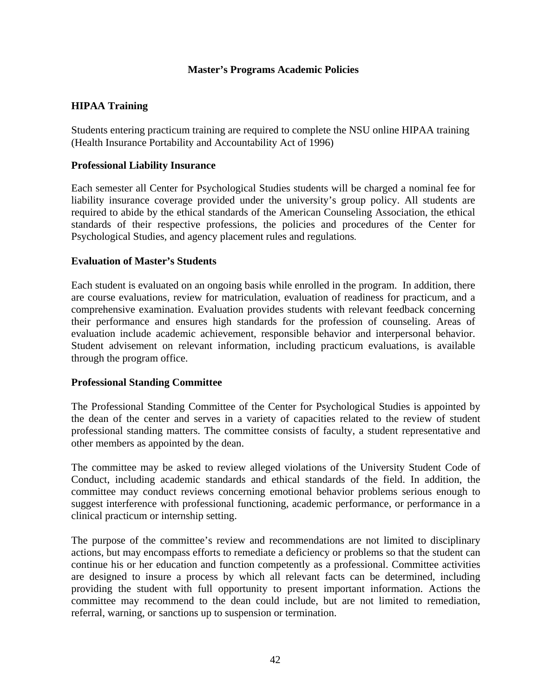#### **Master's Programs Academic Policies**

### **HIPAA Training**

Students entering practicum training are required to complete the NSU online HIPAA training (Health Insurance Portability and Accountability Act of 1996)

#### **Professional Liability Insurance**

Each semester all Center for Psychological Studies students will be charged a nominal fee for liability insurance coverage provided under the university's group policy. All students are required to abide by the ethical standards of the American Counseling Association, the ethical standards of their respective professions, the policies and procedures of the Center for Psychological Studies, and agency placement rules and regulations.

#### **Evaluation of Master's Students**

Each student is evaluated on an ongoing basis while enrolled in the program. In addition, there are course evaluations, review for matriculation, evaluation of readiness for practicum, and a comprehensive examination. Evaluation provides students with relevant feedback concerning their performance and ensures high standards for the profession of counseling. Areas of evaluation include academic achievement, responsible behavior and interpersonal behavior. Student advisement on relevant information, including practicum evaluations, is available through the program office.

#### **Professional Standing Committee**

The Professional Standing Committee of the Center for Psychological Studies is appointed by the dean of the center and serves in a variety of capacities related to the review of student professional standing matters. The committee consists of faculty, a student representative and other members as appointed by the dean.

The committee may be asked to review alleged violations of the University Student Code of Conduct, including academic standards and ethical standards of the field. In addition, the committee may conduct reviews concerning emotional behavior problems serious enough to suggest interference with professional functioning, academic performance, or performance in a clinical practicum or internship setting.

The purpose of the committee's review and recommendations are not limited to disciplinary actions, but may encompass efforts to remediate a deficiency or problems so that the student can continue his or her education and function competently as a professional. Committee activities are designed to insure a process by which all relevant facts can be determined, including providing the student with full opportunity to present important information. Actions the committee may recommend to the dean could include, but are not limited to remediation, referral, warning, or sanctions up to suspension or termination.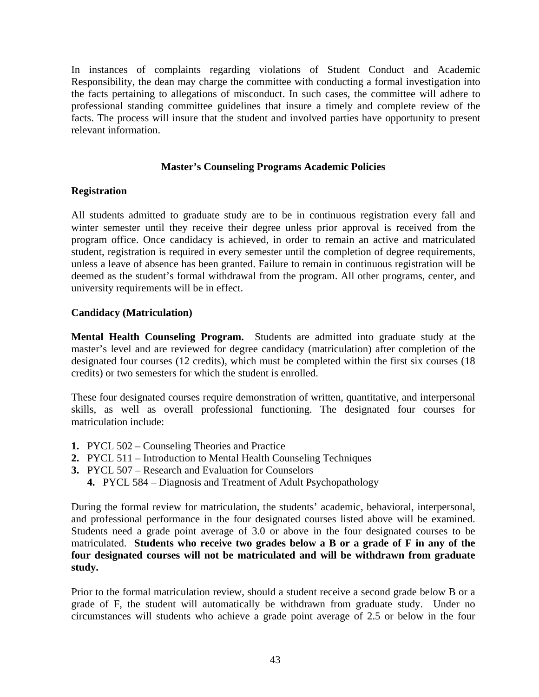In instances of complaints regarding violations of Student Conduct and Academic Responsibility, the dean may charge the committee with conducting a formal investigation into the facts pertaining to allegations of misconduct. In such cases, the committee will adhere to professional standing committee guidelines that insure a timely and complete review of the facts. The process will insure that the student and involved parties have opportunity to present relevant information.

### **Master's Counseling Programs Academic Policies**

### **Registration**

All students admitted to graduate study are to be in continuous registration every fall and winter semester until they receive their degree unless prior approval is received from the program office. Once candidacy is achieved, in order to remain an active and matriculated student, registration is required in every semester until the completion of degree requirements, unless a leave of absence has been granted. Failure to remain in continuous registration will be deemed as the student's formal withdrawal from the program. All other programs, center, and university requirements will be in effect.

### **Candidacy (Matriculation)**

**Mental Health Counseling Program.** Students are admitted into graduate study at the master's level and are reviewed for degree candidacy (matriculation) after completion of the designated four courses (12 credits), which must be completed within the first six courses (18 credits) or two semesters for which the student is enrolled.

These four designated courses require demonstration of written, quantitative, and interpersonal skills, as well as overall professional functioning. The designated four courses for matriculation include:

- **1.** PYCL 502 Counseling Theories and Practice
- **2.** PYCL 511 Introduction to Mental Health Counseling Techniques
- **3.** PYCL 507 Research and Evaluation for Counselors
	- **4.** PYCL 584 Diagnosis and Treatment of Adult Psychopathology

During the formal review for matriculation, the students' academic, behavioral, interpersonal, and professional performance in the four designated courses listed above will be examined. Students need a grade point average of 3.0 or above in the four designated courses to be matriculated. **Students who receive two grades below a B or a grade of F in any of the four designated courses will not be matriculated and will be withdrawn from graduate study.**

Prior to the formal matriculation review, should a student receive a second grade below B or a grade of F, the student will automatically be withdrawn from graduate study. Under no circumstances will students who achieve a grade point average of 2.5 or below in the four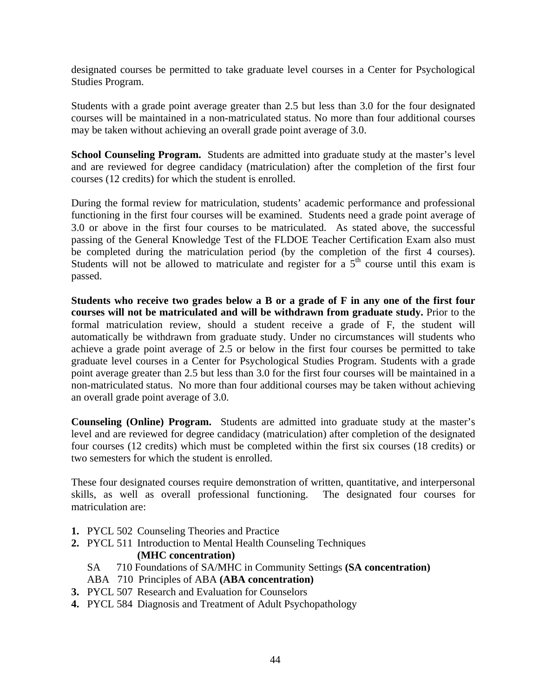designated courses be permitted to take graduate level courses in a Center for Psychological Studies Program.

Students with a grade point average greater than 2.5 but less than 3.0 for the four designated courses will be maintained in a non-matriculated status. No more than four additional courses may be taken without achieving an overall grade point average of 3.0.

**School Counseling Program.** Students are admitted into graduate study at the master's level and are reviewed for degree candidacy (matriculation) after the completion of the first four courses (12 credits) for which the student is enrolled.

During the formal review for matriculation, students' academic performance and professional functioning in the first four courses will be examined. Students need a grade point average of 3.0 or above in the first four courses to be matriculated. As stated above, the successful passing of the General Knowledge Test of the FLDOE Teacher Certification Exam also must be completed during the matriculation period (by the completion of the first 4 courses). Students will not be allowed to matriculate and register for a  $5<sup>th</sup>$  course until this exam is passed.

**Students who receive two grades below a B or a grade of F in any one of the first four courses will not be matriculated and will be withdrawn from graduate study.** Prior to the formal matriculation review, should a student receive a grade of F, the student will automatically be withdrawn from graduate study. Under no circumstances will students who achieve a grade point average of 2.5 or below in the first four courses be permitted to take graduate level courses in a Center for Psychological Studies Program. Students with a grade point average greater than 2.5 but less than 3.0 for the first four courses will be maintained in a non-matriculated status. No more than four additional courses may be taken without achieving an overall grade point average of 3.0.

**Counseling (Online) Program.** Students are admitted into graduate study at the master's level and are reviewed for degree candidacy (matriculation) after completion of the designated four courses (12 credits) which must be completed within the first six courses (18 credits) or two semesters for which the student is enrolled.

These four designated courses require demonstration of written, quantitative, and interpersonal skills, as well as overall professional functioning. The designated four courses for matriculation are:

- **1.** PYCL 502 Counseling Theories and Practice
- **2.** PYCL 511 Introduction to Mental Health Counseling Techniques **(MHC concentration)**
	- SA 710 Foundations of SA/MHC in Community Settings **(SA concentration)**
	- ABA 710 Principles of ABA **(ABA concentration)**
- **3.** PYCL 507 Research and Evaluation for Counselors
- **4.** PYCL 584 Diagnosis and Treatment of Adult Psychopathology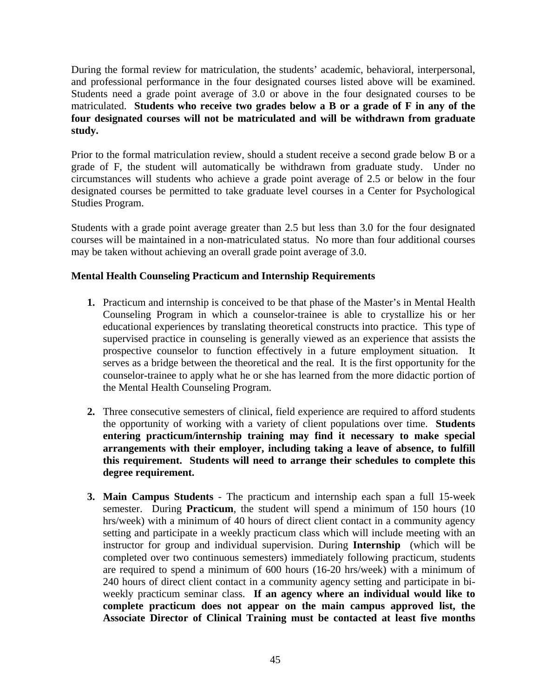During the formal review for matriculation, the students' academic, behavioral, interpersonal, and professional performance in the four designated courses listed above will be examined. Students need a grade point average of 3.0 or above in the four designated courses to be matriculated. **Students who receive two grades below a B or a grade of F in any of the four designated courses will not be matriculated and will be withdrawn from graduate study.**

Prior to the formal matriculation review, should a student receive a second grade below B or a grade of F, the student will automatically be withdrawn from graduate study. Under no circumstances will students who achieve a grade point average of 2.5 or below in the four designated courses be permitted to take graduate level courses in a Center for Psychological Studies Program.

Students with a grade point average greater than 2.5 but less than 3.0 for the four designated courses will be maintained in a non-matriculated status. No more than four additional courses may be taken without achieving an overall grade point average of 3.0.

### **Mental Health Counseling Practicum and Internship Requirements**

- **1.** Practicum and internship is conceived to be that phase of the Master's in Mental Health Counseling Program in which a counselor-trainee is able to crystallize his or her educational experiences by translating theoretical constructs into practice. This type of supervised practice in counseling is generally viewed as an experience that assists the prospective counselor to function effectively in a future employment situation. It serves as a bridge between the theoretical and the real. It is the first opportunity for the counselor-trainee to apply what he or she has learned from the more didactic portion of the Mental Health Counseling Program.
- **2.** Three consecutive semesters of clinical, field experience are required to afford students the opportunity of working with a variety of client populations over time. **Students entering practicum/internship training may find it necessary to make special arrangements with their employer, including taking a leave of absence, to fulfill this requirement. Students will need to arrange their schedules to complete this degree requirement.**
- **3. Main Campus Students** The practicum and internship each span a full 15-week semester. During **Practicum**, the student will spend a minimum of 150 hours (10 hrs/week) with a minimum of 40 hours of direct client contact in a community agency setting and participate in a weekly practicum class which will include meeting with an instructor for group and individual supervision. During **Internship** (which will be completed over two continuous semesters) immediately following practicum, students are required to spend a minimum of 600 hours (16-20 hrs/week) with a minimum of 240 hours of direct client contact in a community agency setting and participate in biweekly practicum seminar class. **If an agency where an individual would like to complete practicum does not appear on the main campus approved list, the Associate Director of Clinical Training must be contacted at least five months**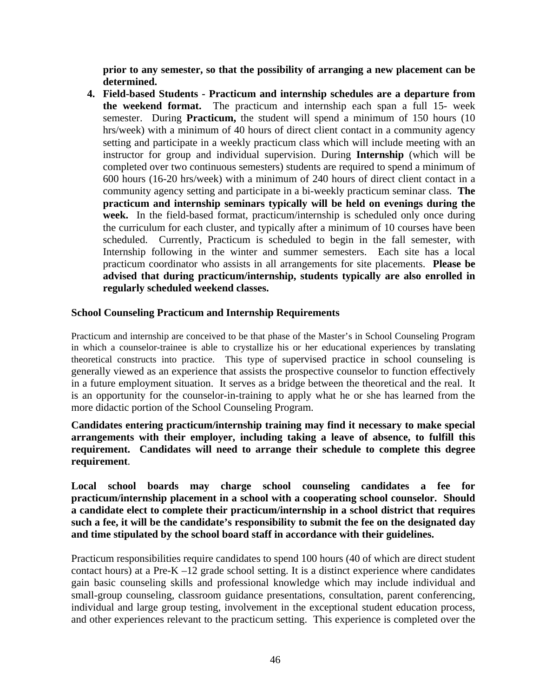**prior to any semester, so that the possibility of arranging a new placement can be determined.**

**4. Field-based Students - Practicum and internship schedules are a departure from the weekend format.** The practicum and internship each span a full 15- week semester. During **Practicum,** the student will spend a minimum of 150 hours (10 hrs/week) with a minimum of 40 hours of direct client contact in a community agency setting and participate in a weekly practicum class which will include meeting with an instructor for group and individual supervision. During **Internship** (which will be completed over two continuous semesters) students are required to spend a minimum of 600 hours (16-20 hrs/week) with a minimum of 240 hours of direct client contact in a community agency setting and participate in a bi-weekly practicum seminar class. **The practicum and internship seminars typically will be held on evenings during the week.** In the field-based format, practicum/internship is scheduled only once during the curriculum for each cluster, and typically after a minimum of 10 courses have been scheduled. Currently, Practicum is scheduled to begin in the fall semester, with Internship following in the winter and summer semesters. Each site has a local practicum coordinator who assists in all arrangements for site placements. **Please be advised that during practicum/internship, students typically are also enrolled in regularly scheduled weekend classes.**

### **School Counseling Practicum and Internship Requirements**

Practicum and internship are conceived to be that phase of the Master's in School Counseling Program in which a counselor-trainee is able to crystallize his or her educational experiences by translating theoretical constructs into practice. This type of supervised practice in school counseling is generally viewed as an experience that assists the prospective counselor to function effectively in a future employment situation. It serves as a bridge between the theoretical and the real. It is an opportunity for the counselor-in-training to apply what he or she has learned from the more didactic portion of the School Counseling Program.

**Candidates entering practicum/internship training may find it necessary to make special arrangements with their employer, including taking a leave of absence, to fulfill this requirement. Candidates will need to arrange their schedule to complete this degree requirement**.

**Local school boards may charge school counseling candidates a fee for practicum/internship placement in a school with a cooperating school counselor. Should a candidate elect to complete their practicum/internship in a school district that requires such a fee, it will be the candidate's responsibility to submit the fee on the designated day and time stipulated by the school board staff in accordance with their guidelines.** 

Practicum responsibilities require candidates to spend 100 hours (40 of which are direct student contact hours) at a Pre-K  $-12$  grade school setting. It is a distinct experience where candidates gain basic counseling skills and professional knowledge which may include individual and small-group counseling, classroom guidance presentations, consultation, parent conferencing, individual and large group testing, involvement in the exceptional student education process, and other experiences relevant to the practicum setting. This experience is completed over the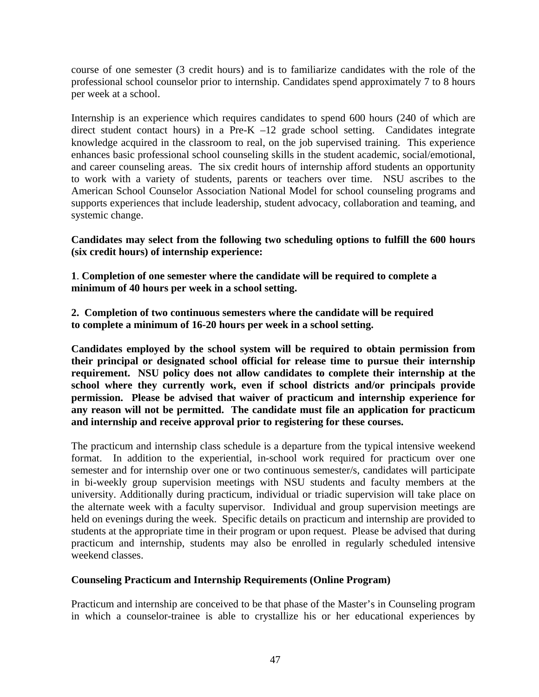course of one semester (3 credit hours) and is to familiarize candidates with the role of the professional school counselor prior to internship. Candidates spend approximately 7 to 8 hours per week at a school.

Internship is an experience which requires candidates to spend 600 hours (240 of which are direct student contact hours) in a Pre-K –12 grade school setting. Candidates integrate knowledge acquired in the classroom to real, on the job supervised training. This experience enhances basic professional school counseling skills in the student academic, social/emotional, and career counseling areas. The six credit hours of internship afford students an opportunity to work with a variety of students, parents or teachers over time. NSU ascribes to the American School Counselor Association National Model for school counseling programs and supports experiences that include leadership, student advocacy, collaboration and teaming, and systemic change.

**Candidates may select from the following two scheduling options to fulfill the 600 hours (six credit hours) of internship experience:** 

**1**. **Completion of one semester where the candidate will be required to complete a minimum of 40 hours per week in a school setting.** 

**2. Completion of two continuous semesters where the candidate will be required to complete a minimum of 16-20 hours per week in a school setting.** 

**Candidates employed by the school system will be required to obtain permission from their principal or designated school official for release time to pursue their internship requirement. NSU policy does not allow candidates to complete their internship at the school where they currently work, even if school districts and/or principals provide permission. Please be advised that waiver of practicum and internship experience for any reason will not be permitted. The candidate must file an application for practicum and internship and receive approval prior to registering for these courses.** 

The practicum and internship class schedule is a departure from the typical intensive weekend format. In addition to the experiential, in-school work required for practicum over one semester and for internship over one or two continuous semester/s, candidates will participate in bi-weekly group supervision meetings with NSU students and faculty members at the university. Additionally during practicum, individual or triadic supervision will take place on the alternate week with a faculty supervisor. Individual and group supervision meetings are held on evenings during the week. Specific details on practicum and internship are provided to students at the appropriate time in their program or upon request. Please be advised that during practicum and internship, students may also be enrolled in regularly scheduled intensive weekend classes.

#### **Counseling Practicum and Internship Requirements (Online Program)**

Practicum and internship are conceived to be that phase of the Master's in Counseling program in which a counselor-trainee is able to crystallize his or her educational experiences by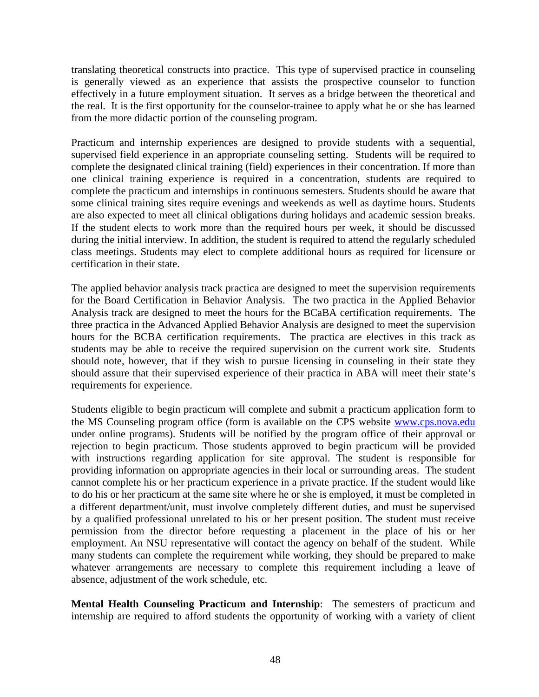translating theoretical constructs into practice. This type of supervised practice in counseling is generally viewed as an experience that assists the prospective counselor to function effectively in a future employment situation. It serves as a bridge between the theoretical and the real. It is the first opportunity for the counselor-trainee to apply what he or she has learned from the more didactic portion of the counseling program.

Practicum and internship experiences are designed to provide students with a sequential, supervised field experience in an appropriate counseling setting. Students will be required to complete the designated clinical training (field) experiences in their concentration. If more than one clinical training experience is required in a concentration, students are required to complete the practicum and internships in continuous semesters. Students should be aware that some clinical training sites require evenings and weekends as well as daytime hours. Students are also expected to meet all clinical obligations during holidays and academic session breaks. If the student elects to work more than the required hours per week, it should be discussed during the initial interview. In addition, the student is required to attend the regularly scheduled class meetings. Students may elect to complete additional hours as required for licensure or certification in their state.

The applied behavior analysis track practica are designed to meet the supervision requirements for the Board Certification in Behavior Analysis. The two practica in the Applied Behavior Analysis track are designed to meet the hours for the BCaBA certification requirements. The three practica in the Advanced Applied Behavior Analysis are designed to meet the supervision hours for the BCBA certification requirements. The practica are electives in this track as students may be able to receive the required supervision on the current work site. Students should note, however, that if they wish to pursue licensing in counseling in their state they should assure that their supervised experience of their practica in ABA will meet their state's requirements for experience.

Students eligible to begin practicum will complete and submit a practicum application form to the MS Counseling program office (form is available on the CPS website [www.cps.nova.edu](http://www.cps.nova.edu/) under online programs). Students will be notified by the program office of their approval or rejection to begin practicum. Those students approved to begin practicum will be provided with instructions regarding application for site approval. The student is responsible for providing information on appropriate agencies in their local or surrounding areas. The student cannot complete his or her practicum experience in a private practice. If the student would like to do his or her practicum at the same site where he or she is employed, it must be completed in a different department/unit, must involve completely different duties, and must be supervised by a qualified professional unrelated to his or her present position. The student must receive permission from the director before requesting a placement in the place of his or her employment. An NSU representative will contact the agency on behalf of the student. While many students can complete the requirement while working, they should be prepared to make whatever arrangements are necessary to complete this requirement including a leave of absence, adjustment of the work schedule, etc.

**Mental Health Counseling Practicum and Internship**: The semesters of practicum and internship are required to afford students the opportunity of working with a variety of client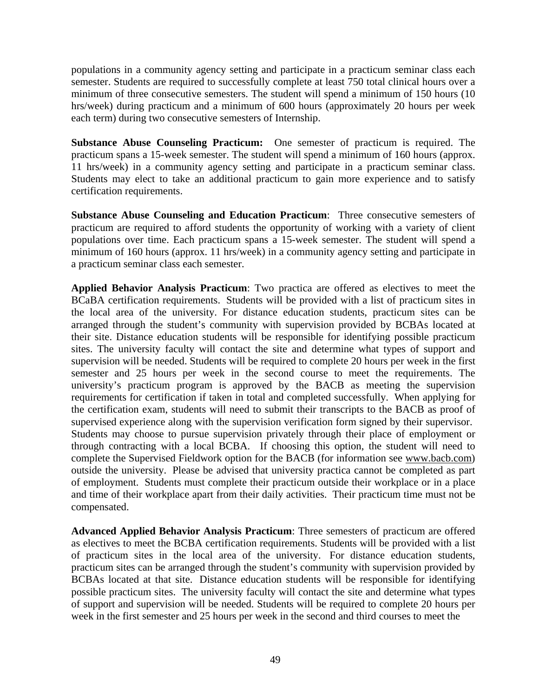populations in a community agency setting and participate in a practicum seminar class each semester. Students are required to successfully complete at least 750 total clinical hours over a minimum of three consecutive semesters. The student will spend a minimum of 150 hours (10 hrs/week) during practicum and a minimum of 600 hours (approximately 20 hours per week each term) during two consecutive semesters of Internship.

**Substance Abuse Counseling Practicum:** One semester of practicum is required. The practicum spans a 15-week semester. The student will spend a minimum of 160 hours (approx. 11 hrs/week) in a community agency setting and participate in a practicum seminar class. Students may elect to take an additional practicum to gain more experience and to satisfy certification requirements.

**Substance Abuse Counseling and Education Practicum**: Three consecutive semesters of practicum are required to afford students the opportunity of working with a variety of client populations over time. Each practicum spans a 15-week semester. The student will spend a minimum of 160 hours (approx. 11 hrs/week) in a community agency setting and participate in a practicum seminar class each semester.

**Applied Behavior Analysis Practicum**: Two practica are offered as electives to meet the BCaBA certification requirements. Students will be provided with a list of practicum sites in the local area of the university. For distance education students, practicum sites can be arranged through the student's community with supervision provided by BCBAs located at their site. Distance education students will be responsible for identifying possible practicum sites. The university faculty will contact the site and determine what types of support and supervision will be needed. Students will be required to complete 20 hours per week in the first semester and 25 hours per week in the second course to meet the requirements. The university's practicum program is approved by the BACB as meeting the supervision requirements for certification if taken in total and completed successfully. When applying for the certification exam, students will need to submit their transcripts to the BACB as proof of supervised experience along with the supervision verification form signed by their supervisor. Students may choose to pursue supervision privately through their place of employment or through contracting with a local BCBA. If choosing this option, the student will need to complete the Supervised Fieldwork option for the BACB (for information see [www.bacb.com\)](http://www.bacb.com/) outside the university. Please be advised that university practica cannot be completed as part of employment. Students must complete their practicum outside their workplace or in a place and time of their workplace apart from their daily activities. Their practicum time must not be compensated.

**Advanced Applied Behavior Analysis Practicum**: Three semesters of practicum are offered as electives to meet the BCBA certification requirements. Students will be provided with a list of practicum sites in the local area of the university. For distance education students, practicum sites can be arranged through the student's community with supervision provided by BCBAs located at that site. Distance education students will be responsible for identifying possible practicum sites. The university faculty will contact the site and determine what types of support and supervision will be needed. Students will be required to complete 20 hours per week in the first semester and 25 hours per week in the second and third courses to meet the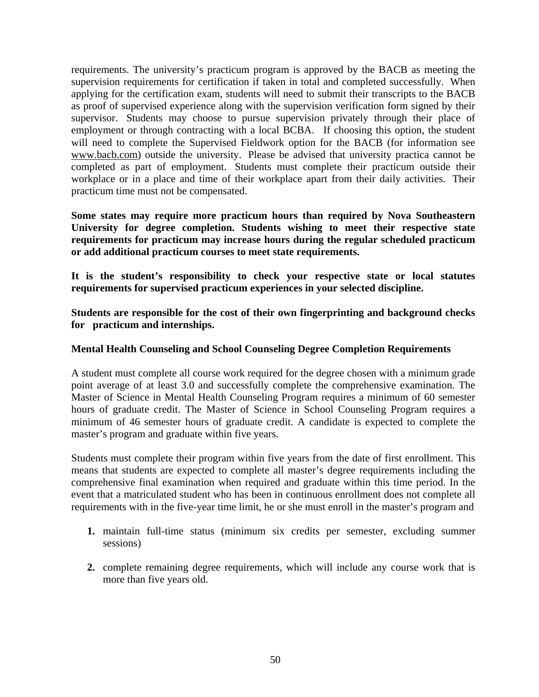requirements. The university's practicum program is approved by the BACB as meeting the supervision requirements for certification if taken in total and completed successfully. When applying for the certification exam, students will need to submit their transcripts to the BACB as proof of supervised experience along with the supervision verification form signed by their supervisor. Students may choose to pursue supervision privately through their place of employment or through contracting with a local BCBA. If choosing this option, the student will need to complete the Supervised Fieldwork option for the BACB (for information see [www.bacb.com](http://www.bacb.com/)) outside the university. Please be advised that university practica cannot be completed as part of employment. Students must complete their practicum outside their workplace or in a place and time of their workplace apart from their daily activities. Their practicum time must not be compensated.

**Some states may require more practicum hours than required by Nova Southeastern University for degree completion. Students wishing to meet their respective state requirements for practicum may increase hours during the regular scheduled practicum or add additional practicum courses to meet state requirements.** 

**It is the student's responsibility to check your respective state or local statutes requirements for supervised practicum experiences in your selected discipline.** 

**Students are responsible for the cost of their own fingerprinting and background checks for practicum and internships.** 

#### **Mental Health Counseling and School Counseling Degree Completion Requirements**

A student must complete all course work required for the degree chosen with a minimum grade point average of at least 3.0 and successfully complete the comprehensive examination. The Master of Science in Mental Health Counseling Program requires a minimum of 60 semester hours of graduate credit. The Master of Science in School Counseling Program requires a minimum of 46 semester hours of graduate credit. A candidate is expected to complete the master's program and graduate within five years.

Students must complete their program within five years from the date of first enrollment. This means that students are expected to complete all master's degree requirements including the comprehensive final examination when required and graduate within this time period. In the event that a matriculated student who has been in continuous enrollment does not complete all requirements with in the five-year time limit, he or she must enroll in the master's program and

- **1.** maintain full-time status (minimum six credits per semester, excluding summer sessions)
- **2.** complete remaining degree requirements, which will include any course work that is more than five years old.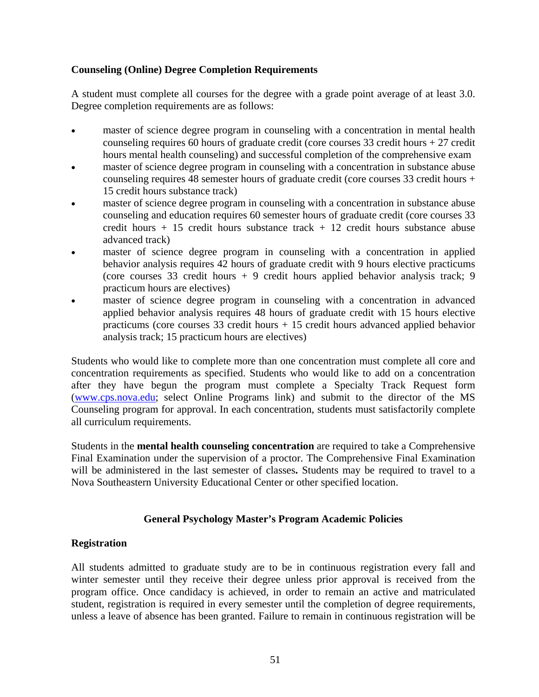### **Counseling (Online) Degree Completion Requirements**

A student must complete all courses for the degree with a grade point average of at least 3.0. Degree completion requirements are as follows:

- master of science degree program in counseling with a concentration in mental health counseling requires 60 hours of graduate credit (core courses 33 credit hours + 27 credit hours mental health counseling) and successful completion of the comprehensive exam
- master of science degree program in counseling with a concentration in substance abuse counseling requires 48 semester hours of graduate credit (core courses 33 credit hours + 15 credit hours substance track)
- master of science degree program in counseling with a concentration in substance abuse counseling and education requires 60 semester hours of graduate credit (core courses 33 credit hours + 15 credit hours substance track + 12 credit hours substance abuse advanced track)
- master of science degree program in counseling with a concentration in applied behavior analysis requires 42 hours of graduate credit with 9 hours elective practicums (core courses 33 credit hours + 9 credit hours applied behavior analysis track; 9 practicum hours are electives)
- master of science degree program in counseling with a concentration in advanced applied behavior analysis requires 48 hours of graduate credit with 15 hours elective practicums (core courses  $33$  credit hours + 15 credit hours advanced applied behavior analysis track; 15 practicum hours are electives)

Students who would like to complete more than one concentration must complete all core and concentration requirements as specified. Students who would like to add on a concentration after they have begun the program must complete a Specialty Track Request form ([www.cps.nova.edu;](https://mail.acast.nova.edu/horde/services/go.php?url=http%3A%2F%2Fwww.cps.nova.edu%2F) select Online Programs link) and submit to the director of the MS Counseling program for approval. In each concentration, students must satisfactorily complete all curriculum requirements.

Students in the **mental health counseling concentration** are required to take a Comprehensive Final Examination under the supervision of a proctor. The Comprehensive Final Examination will be administered in the last semester of classes**.** Students may be required to travel to a Nova Southeastern University Educational Center or other specified location.

### **General Psychology Master's Program Academic Policies**

### **Registration**

All students admitted to graduate study are to be in continuous registration every fall and winter semester until they receive their degree unless prior approval is received from the program office. Once candidacy is achieved, in order to remain an active and matriculated student, registration is required in every semester until the completion of degree requirements, unless a leave of absence has been granted. Failure to remain in continuous registration will be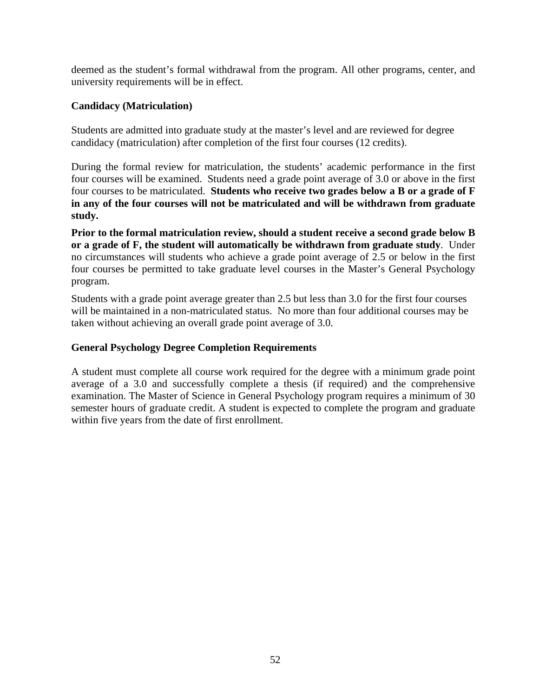deemed as the student's formal withdrawal from the program. All other programs, center, and university requirements will be in effect.

### **Candidacy (Matriculation)**

Students are admitted into graduate study at the master's level and are reviewed for degree candidacy (matriculation) after completion of the first four courses (12 credits).

During the formal review for matriculation, the students' academic performance in the first four courses will be examined. Students need a grade point average of 3.0 or above in the first four courses to be matriculated. **Students who receive two grades below a B or a grade of F in any of the four courses will not be matriculated and will be withdrawn from graduate study.**

**Prior to the formal matriculation review, should a student receive a second grade below B or a grade of F, the student will automatically be withdrawn from graduate study**. Under no circumstances will students who achieve a grade point average of 2.5 or below in the first four courses be permitted to take graduate level courses in the Master's General Psychology program.

Students with a grade point average greater than 2.5 but less than 3.0 for the first four courses will be maintained in a non-matriculated status. No more than four additional courses may be taken without achieving an overall grade point average of 3.0.

### **General Psychology Degree Completion Requirements**

A student must complete all course work required for the degree with a minimum grade point average of a 3.0 and successfully complete a thesis (if required) and the comprehensive examination. The Master of Science in General Psychology program requires a minimum of 30 semester hours of graduate credit. A student is expected to complete the program and graduate within five years from the date of first enrollment.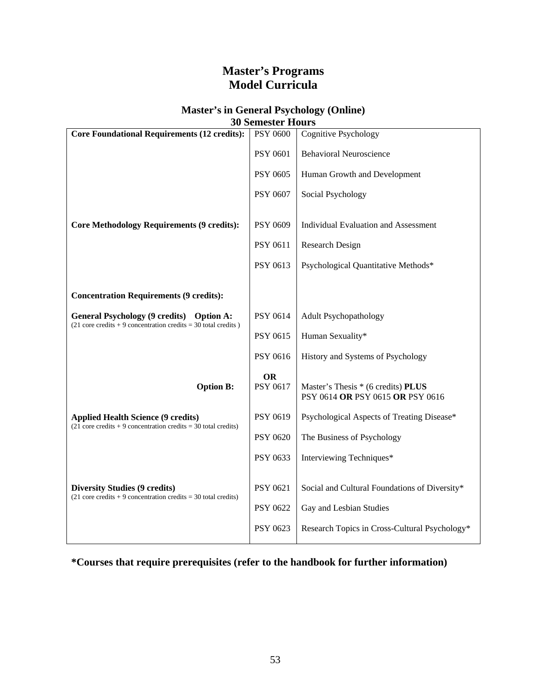## **Master's Programs Model Curricula**

# **Master's in General Psychology (Online)**

| <b>SU SEMESTET LIQUIS</b>                                                                                                             |                 |                                                                        |  |  |  |
|---------------------------------------------------------------------------------------------------------------------------------------|-----------------|------------------------------------------------------------------------|--|--|--|
| <b>Core Foundational Requirements (12 credits):</b>                                                                                   | <b>PSY 0600</b> | <b>Cognitive Psychology</b>                                            |  |  |  |
|                                                                                                                                       | PSY 0601        | <b>Behavioral Neuroscience</b>                                         |  |  |  |
|                                                                                                                                       | <b>PSY 0605</b> | Human Growth and Development                                           |  |  |  |
|                                                                                                                                       | <b>PSY 0607</b> | Social Psychology                                                      |  |  |  |
|                                                                                                                                       |                 |                                                                        |  |  |  |
| <b>Core Methodology Requirements (9 credits):</b>                                                                                     | <b>PSY 0609</b> | <b>Individual Evaluation and Assessment</b>                            |  |  |  |
|                                                                                                                                       | PSY 0611        | <b>Research Design</b>                                                 |  |  |  |
|                                                                                                                                       | PSY 0613        | Psychological Quantitative Methods*                                    |  |  |  |
|                                                                                                                                       |                 |                                                                        |  |  |  |
| <b>Concentration Requirements (9 credits):</b>                                                                                        |                 |                                                                        |  |  |  |
| General Psychology (9 credits) Option A:<br>$(21 \text{ core credits} + 9 \text{ concentration credits} = 30 \text{ total credits})$  | PSY 0614        | <b>Adult Psychopathology</b>                                           |  |  |  |
|                                                                                                                                       | PSY 0615        | Human Sexuality*                                                       |  |  |  |
|                                                                                                                                       | PSY 0616        | History and Systems of Psychology                                      |  |  |  |
|                                                                                                                                       | <b>OR</b>       |                                                                        |  |  |  |
| <b>Option B:</b>                                                                                                                      | PSY 0617        | Master's Thesis * (6 credits) PLUS<br>PSY 0614 OR PSY 0615 OR PSY 0616 |  |  |  |
| <b>Applied Health Science (9 credits)</b><br>$(21 \text{ core credits} + 9 \text{ concentration credits} = 30 \text{ total credits})$ | PSY 0619        | Psychological Aspects of Treating Disease*                             |  |  |  |
|                                                                                                                                       | <b>PSY 0620</b> | The Business of Psychology                                             |  |  |  |
|                                                                                                                                       | PSY 0633        | Interviewing Techniques*                                               |  |  |  |
|                                                                                                                                       |                 |                                                                        |  |  |  |
| <b>Diversity Studies (9 credits)</b><br>$(21$ core credits + 9 concentration credits = 30 total credits)                              | <b>PSY 0621</b> | Social and Cultural Foundations of Diversity*                          |  |  |  |
|                                                                                                                                       | <b>PSY 0622</b> | Gay and Lesbian Studies                                                |  |  |  |
|                                                                                                                                       | <b>PSY 0623</b> | Research Topics in Cross-Cultural Psychology*                          |  |  |  |
|                                                                                                                                       |                 |                                                                        |  |  |  |

### **30 Semester Hours**

### **\*Courses that require prerequisites (refer to the handbook for further information)**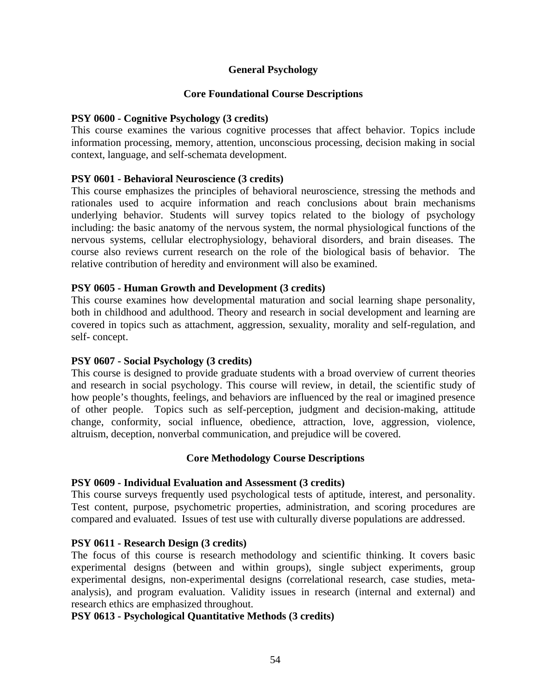### **General Psychology**

### **Core Foundational Course Descriptions**

#### **PSY 0600 - Cognitive Psychology (3 credits)**

This course examines the various cognitive processes that affect behavior. Topics include information processing, memory, attention, unconscious processing, decision making in social context, language, and self-schemata development.

### **PSY 0601 - Behavioral Neuroscience (3 credits)**

This course emphasizes the principles of behavioral neuroscience, stressing the methods and rationales used to acquire information and reach conclusions about brain mechanisms underlying behavior. Students will survey topics related to the biology of psychology including: the basic anatomy of the nervous system, the normal physiological functions of the nervous systems, cellular electrophysiology, behavioral disorders, and brain diseases. The course also reviews current research on the role of the biological basis of behavior. The relative contribution of heredity and environment will also be examined.

#### **PSY 0605 - Human Growth and Development (3 credits)**

This course examines how developmental maturation and social learning shape personality, both in childhood and adulthood. Theory and research in social development and learning are covered in topics such as attachment, aggression, sexuality, morality and self-regulation, and self- concept.

#### **PSY 0607 - Social Psychology (3 credits)**

This course is designed to provide graduate students with a broad overview of current theories and research in social psychology. This course will review, in detail, the scientific study of how people's thoughts, feelings, and behaviors are influenced by the real or imagined presence of other people. Topics such as self-perception, judgment and decision-making, attitude change, conformity, social influence, obedience, attraction, love, aggression, violence, altruism, deception, nonverbal communication, and prejudice will be covered.

### **Core Methodology Course Descriptions**

#### **PSY 0609 - Individual Evaluation and Assessment (3 credits)**

This course surveys frequently used psychological tests of aptitude, interest, and personality. Test content, purpose, psychometric properties, administration, and scoring procedures are compared and evaluated. Issues of test use with culturally diverse populations are addressed.

#### **PSY 0611 - Research Design (3 credits)**

The focus of this course is research methodology and scientific thinking. It covers basic experimental designs (between and within groups), single subject experiments, group experimental designs, non-experimental designs (correlational research, case studies, metaanalysis), and program evaluation. Validity issues in research (internal and external) and research ethics are emphasized throughout.

#### **PSY 0613 - Psychological Quantitative Methods (3 credits)**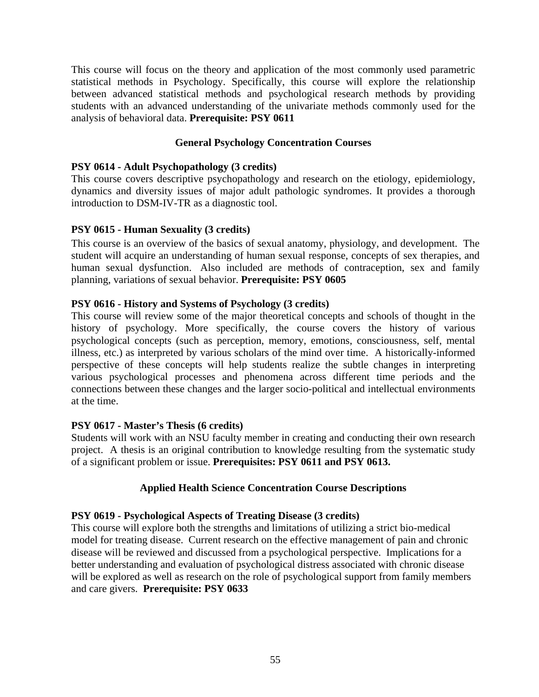This course will focus on the theory and application of the most commonly used parametric statistical methods in Psychology. Specifically, this course will explore the relationship between advanced statistical methods and psychological research methods by providing students with an advanced understanding of the univariate methods commonly used for the analysis of behavioral data. **Prerequisite: PSY 0611** 

### **General Psychology Concentration Courses**

#### **PSY 0614 - Adult Psychopathology (3 credits)**

This course covers descriptive psychopathology and research on the etiology, epidemiology, dynamics and diversity issues of major adult pathologic syndromes. It provides a thorough introduction to DSM-IV-TR as a diagnostic tool.

### **PSY 0615 - Human Sexuality (3 credits)**

This course is an overview of the basics of sexual anatomy, physiology, and development. The student will acquire an understanding of human sexual response, concepts of sex therapies, and human sexual dysfunction. Also included are methods of contraception, sex and family planning, variations of sexual behavior. **Prerequisite: PSY 0605**

#### **PSY 0616 - History and Systems of Psychology (3 credits)**

This course will review some of the major theoretical concepts and schools of thought in the history of psychology. More specifically, the course covers the history of various psychological concepts (such as perception, memory, emotions, consciousness, self, mental illness, etc.) as interpreted by various scholars of the mind over time. A historically-informed perspective of these concepts will help students realize the subtle changes in interpreting various psychological processes and phenomena across different time periods and the connections between these changes and the larger socio-political and intellectual environments at the time.

#### **PSY 0617 - Master's Thesis (6 credits)**

Students will work with an NSU faculty member in creating and conducting their own research project. A thesis is an original contribution to knowledge resulting from the systematic study of a significant problem or issue. **Prerequisites: PSY 0611 and PSY 0613.** 

### **Applied Health Science Concentration Course Descriptions**

### **PSY 0619 - Psychological Aspects of Treating Disease (3 credits)**

This course will explore both the strengths and limitations of utilizing a strict bio-medical model for treating disease. Current research on the effective management of pain and chronic disease will be reviewed and discussed from a psychological perspective. Implications for a better understanding and evaluation of psychological distress associated with chronic disease will be explored as well as research on the role of psychological support from family members and care givers. **Prerequisite: PSY 0633**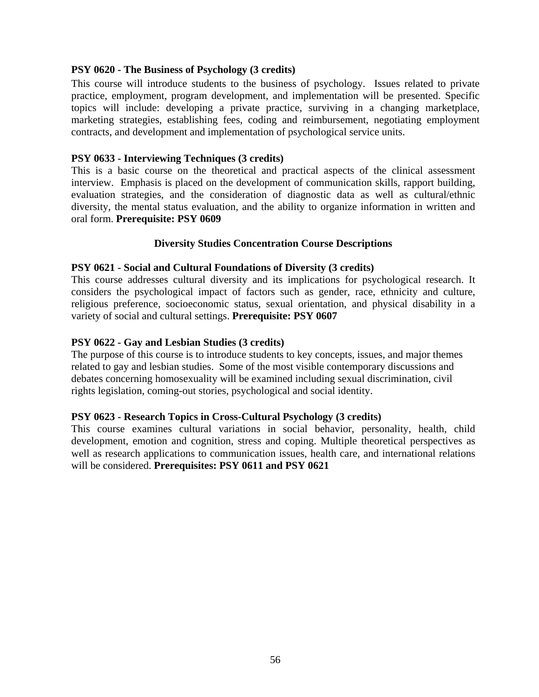#### **PSY 0620 - The Business of Psychology (3 credits)**

This course will introduce students to the business of psychology. Issues related to private practice, employment, program development, and implementation will be presented. Specific topics will include: developing a private practice, surviving in a changing marketplace, marketing strategies, establishing fees, coding and reimbursement, negotiating employment contracts, and development and implementation of psychological service units.

#### **PSY 0633 - Interviewing Techniques (3 credits)**

This is a basic course on the theoretical and practical aspects of the clinical assessment interview. Emphasis is placed on the development of communication skills, rapport building, evaluation strategies, and the consideration of diagnostic data as well as cultural/ethnic diversity, the mental status evaluation, and the ability to organize information in written and oral form. **Prerequisite: PSY 0609** 

#### **Diversity Studies Concentration Course Descriptions**

#### **PSY 0621 - Social and Cultural Foundations of Diversity (3 credits)**

This course addresses cultural diversity and its implications for psychological research. It considers the psychological impact of factors such as gender, race, ethnicity and culture, religious preference, socioeconomic status, sexual orientation, and physical disability in a variety of social and cultural settings. **Prerequisite: PSY 0607** 

#### **PSY 0622 - Gay and Lesbian Studies (3 credits)**

The purpose of this course is to introduce students to key concepts, issues, and major themes related to gay and lesbian studies. Some of the most visible contemporary discussions and debates concerning homosexuality will be examined including sexual discrimination, civil rights legislation, coming-out stories, psychological and social identity.

#### **PSY 0623 - Research Topics in Cross-Cultural Psychology (3 credits)**

This course examines cultural variations in social behavior, personality, health, child development, emotion and cognition, stress and coping. Multiple theoretical perspectives as well as research applications to communication issues, health care, and international relations will be considered. **Prerequisites: PSY 0611 and PSY 0621**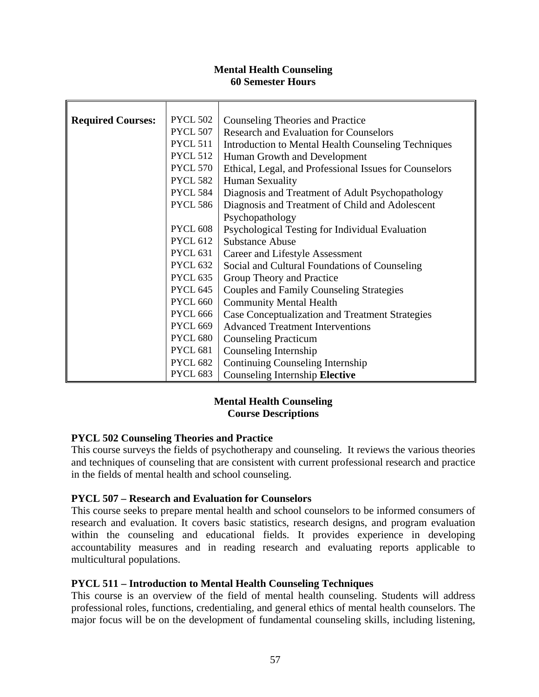### **Mental Health Counseling 60 Semester Hours**

| <b>Required Courses:</b> | <b>PYCL 502</b> | <b>Counseling Theories and Practice</b>                |
|--------------------------|-----------------|--------------------------------------------------------|
|                          | <b>PYCL 507</b> | <b>Research and Evaluation for Counselors</b>          |
|                          | <b>PYCL 511</b> | Introduction to Mental Health Counseling Techniques    |
|                          | <b>PYCL 512</b> | Human Growth and Development                           |
|                          | <b>PYCL 570</b> | Ethical, Legal, and Professional Issues for Counselors |
|                          | <b>PYCL 582</b> | <b>Human Sexuality</b>                                 |
|                          | <b>PYCL 584</b> | Diagnosis and Treatment of Adult Psychopathology       |
|                          | <b>PYCL 586</b> | Diagnosis and Treatment of Child and Adolescent        |
|                          |                 | Psychopathology                                        |
|                          | <b>PYCL 608</b> | Psychological Testing for Individual Evaluation        |
|                          | <b>PYCL 612</b> | <b>Substance Abuse</b>                                 |
|                          | PYCL 631        | Career and Lifestyle Assessment                        |
|                          | <b>PYCL 632</b> | Social and Cultural Foundations of Counseling          |
|                          | <b>PYCL 635</b> | Group Theory and Practice                              |
|                          | <b>PYCL 645</b> | <b>Couples and Family Counseling Strategies</b>        |
|                          | <b>PYCL 660</b> | <b>Community Mental Health</b>                         |
|                          | <b>PYCL 666</b> | <b>Case Conceptualization and Treatment Strategies</b> |
|                          | <b>PYCL 669</b> | <b>Advanced Treatment Interventions</b>                |
|                          | <b>PYCL 680</b> | <b>Counseling Practicum</b>                            |
|                          | <b>PYCL 681</b> | Counseling Internship                                  |
|                          | <b>PYCL 682</b> | <b>Continuing Counseling Internship</b>                |
|                          | <b>PYCL 683</b> | <b>Counseling Internship Elective</b>                  |

### **Mental Health Counseling Course Descriptions**

### **PYCL 502 Counseling Theories and Practice**

This course surveys the fields of psychotherapy and counseling. It reviews the various theories and techniques of counseling that are consistent with current professional research and practice in the fields of mental health and school counseling.

### **PYCL 507 – Research and Evaluation for Counselors**

This course seeks to prepare mental health and school counselors to be informed consumers of research and evaluation. It covers basic statistics, research designs, and program evaluation within the counseling and educational fields. It provides experience in developing accountability measures and in reading research and evaluating reports applicable to multicultural populations.

### **PYCL 511 – Introduction to Mental Health Counseling Techniques**

This course is an overview of the field of mental health counseling. Students will address professional roles, functions, credentialing, and general ethics of mental health counselors. The major focus will be on the development of fundamental counseling skills, including listening,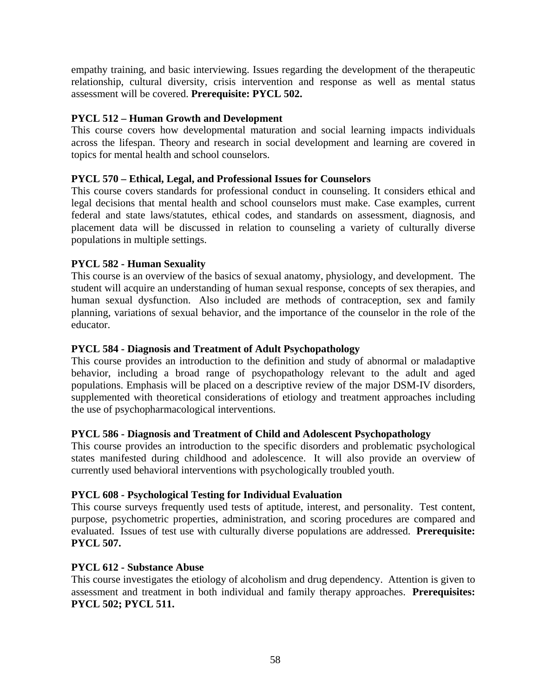empathy training, and basic interviewing. Issues regarding the development of the therapeutic relationship, cultural diversity, crisis intervention and response as well as mental status assessment will be covered. **Prerequisite: PYCL 502.** 

### **PYCL 512 – Human Growth and Development**

This course covers how developmental maturation and social learning impacts individuals across the lifespan. Theory and research in social development and learning are covered in topics for mental health and school counselors.

### **PYCL 570 – Ethical, Legal, and Professional Issues for Counselors**

This course covers standards for professional conduct in counseling. It considers ethical and legal decisions that mental health and school counselors must make. Case examples, current federal and state laws/statutes, ethical codes, and standards on assessment, diagnosis, and placement data will be discussed in relation to counseling a variety of culturally diverse populations in multiple settings.

### **PYCL 582 - Human Sexuality**

This course is an overview of the basics of sexual anatomy, physiology, and development. The student will acquire an understanding of human sexual response, concepts of sex therapies, and human sexual dysfunction. Also included are methods of contraception, sex and family planning, variations of sexual behavior, and the importance of the counselor in the role of the educator.

#### **PYCL 584 - Diagnosis and Treatment of Adult Psychopathology**

This course provides an introduction to the definition and study of abnormal or maladaptive behavior, including a broad range of psychopathology relevant to the adult and aged populations. Emphasis will be placed on a descriptive review of the major DSM-IV disorders, supplemented with theoretical considerations of etiology and treatment approaches including the use of psychopharmacological interventions.

#### **PYCL 586 - Diagnosis and Treatment of Child and Adolescent Psychopathology**

This course provides an introduction to the specific disorders and problematic psychological states manifested during childhood and adolescence. It will also provide an overview of currently used behavioral interventions with psychologically troubled youth.

#### **PYCL 608 - Psychological Testing for Individual Evaluation**

This course surveys frequently used tests of aptitude, interest, and personality. Test content, purpose, psychometric properties, administration, and scoring procedures are compared and evaluated. Issues of test use with culturally diverse populations are addressed. **Prerequisite: PYCL 507.** 

#### **PYCL 612 - Substance Abuse**

This course investigates the etiology of alcoholism and drug dependency. Attention is given to assessment and treatment in both individual and family therapy approaches. **Prerequisites: PYCL 502; PYCL 511.**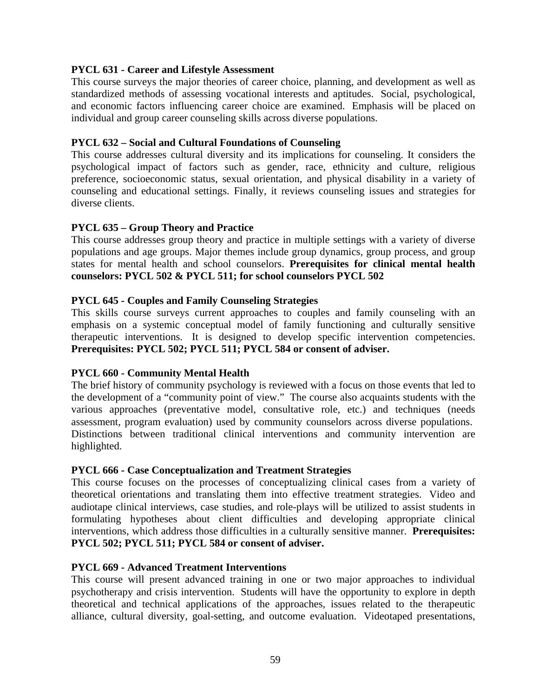#### **PYCL 631 - Career and Lifestyle Assessment**

This course surveys the major theories of career choice, planning, and development as well as standardized methods of assessing vocational interests and aptitudes. Social, psychological, and economic factors influencing career choice are examined. Emphasis will be placed on individual and group career counseling skills across diverse populations.

### **PYCL 632 – Social and Cultural Foundations of Counseling**

This course addresses cultural diversity and its implications for counseling. It considers the psychological impact of factors such as gender, race, ethnicity and culture, religious preference, socioeconomic status, sexual orientation, and physical disability in a variety of counseling and educational settings. Finally, it reviews counseling issues and strategies for diverse clients.

### **PYCL 635 – Group Theory and Practice**

This course addresses group theory and practice in multiple settings with a variety of diverse populations and age groups. Major themes include group dynamics, group process, and group states for mental health and school counselors. **Prerequisites for clinical mental health counselors: PYCL 502 & PYCL 511; for school counselors PYCL 502**

### **PYCL 645 - Couples and Family Counseling Strategies**

This skills course surveys current approaches to couples and family counseling with an emphasis on a systemic conceptual model of family functioning and culturally sensitive therapeutic interventions. It is designed to develop specific intervention competencies. **Prerequisites: PYCL 502; PYCL 511; PYCL 584 or consent of adviser.** 

#### **PYCL 660 - Community Mental Health**

The brief history of community psychology is reviewed with a focus on those events that led to the development of a "community point of view." The course also acquaints students with the various approaches (preventative model, consultative role, etc.) and techniques (needs assessment, program evaluation) used by community counselors across diverse populations. Distinctions between traditional clinical interventions and community intervention are highlighted.

#### **PYCL 666 - Case Conceptualization and Treatment Strategies**

This course focuses on the processes of conceptualizing clinical cases from a variety of theoretical orientations and translating them into effective treatment strategies. Video and audiotape clinical interviews, case studies, and role-plays will be utilized to assist students in formulating hypotheses about client difficulties and developing appropriate clinical interventions, which address those difficulties in a culturally sensitive manner. **Prerequisites: PYCL 502; PYCL 511; PYCL 584 or consent of adviser.** 

#### **PYCL 669 - Advanced Treatment Interventions**

This course will present advanced training in one or two major approaches to individual psychotherapy and crisis intervention. Students will have the opportunity to explore in depth theoretical and technical applications of the approaches, issues related to the therapeutic alliance, cultural diversity, goal-setting, and outcome evaluation. Videotaped presentations,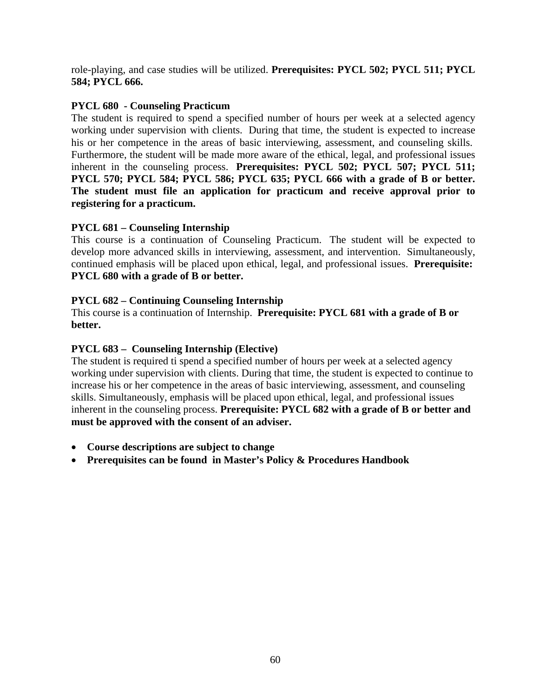role-playing, and case studies will be utilized. **Prerequisites: PYCL 502; PYCL 511; PYCL 584; PYCL 666.** 

### **PYCL 680 - Counseling Practicum**

The student is required to spend a specified number of hours per week at a selected agency working under supervision with clients. During that time, the student is expected to increase his or her competence in the areas of basic interviewing, assessment, and counseling skills. Furthermore, the student will be made more aware of the ethical, legal, and professional issues inherent in the counseling process. **Prerequisites: PYCL 502; PYCL 507; PYCL 511; PYCL 570; PYCL 584; PYCL 586; PYCL 635; PYCL 666 with a grade of B or better. The student must file an application for practicum and receive approval prior to registering for a practicum.** 

### **PYCL 681 – Counseling Internship**

This course is a continuation of Counseling Practicum. The student will be expected to develop more advanced skills in interviewing, assessment, and intervention. Simultaneously, continued emphasis will be placed upon ethical, legal, and professional issues. **Prerequisite: PYCL 680 with a grade of B or better.** 

### **PYCL 682 – Continuing Counseling Internship**

This course is a continuation of Internship. **Prerequisite: PYCL 681 with a grade of B or better.** 

### **PYCL 683 – Counseling Internship (Elective)**

The student is required ti spend a specified number of hours per week at a selected agency working under supervision with clients. During that time, the student is expected to continue to increase his or her competence in the areas of basic interviewing, assessment, and counseling skills. Simultaneously, emphasis will be placed upon ethical, legal, and professional issues inherent in the counseling process. **Prerequisite: PYCL 682 with a grade of B or better and must be approved with the consent of an adviser.** 

- **Course descriptions are subject to change**
- **Prerequisites can be found in Master's Policy & Procedures Handbook**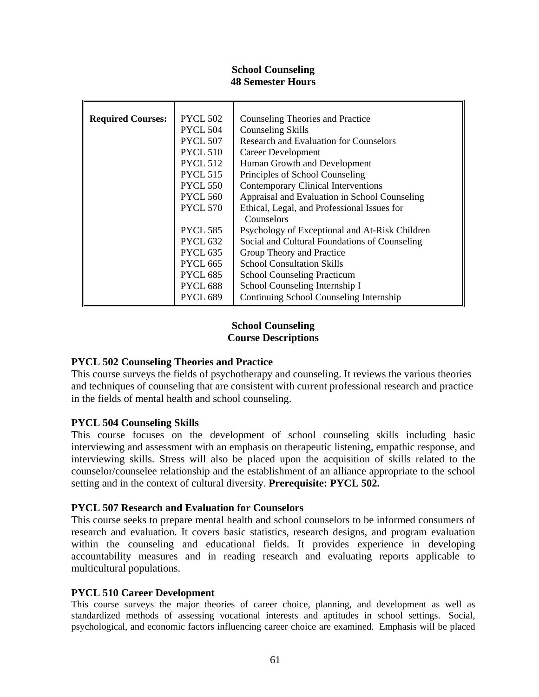#### **Required Courses:** PYCL 502 PYCL 504 PYCL 507 PYCL 510 PYCL 512 PYCL 515 PYCL 550 PYCL 560 PYCL 570 PYCL 585 PYCL 632 PYCL 635 PYCL 665 PYCL 685 PYCL 688 PYCL 689 Counseling Theories and Practice Counseling Skills Research and Evaluation for Counselors Career Development Human Growth and Development Principles of School Counseling Contemporary Clinical Interventions Appraisal and Evaluation in School Counseling Ethical, Legal, and Professional Issues for Counselors Psychology of Exceptional and At-Risk Children Social and Cultural Foundations of Counseling Group Theory and Practice School Consultation Skills School Counseling Practicum School Counseling Internship I Continuing School Counseling Internship

### **School Counseling 48 Semester Hours**

### **School Counseling Course Descriptions**

### **PYCL 502 Counseling Theories and Practice**

This course surveys the fields of psychotherapy and counseling. It reviews the various theories and techniques of counseling that are consistent with current professional research and practice in the fields of mental health and school counseling.

### **PYCL 504 Counseling Skills**

This course focuses on the development of school counseling skills including basic interviewing and assessment with an emphasis on therapeutic listening, empathic response, and interviewing skills. Stress will also be placed upon the acquisition of skills related to the counselor/counselee relationship and the establishment of an alliance appropriate to the school setting and in the context of cultural diversity. **Prerequisite: PYCL 502.**

### **PYCL 507 Research and Evaluation for Counselors**

This course seeks to prepare mental health and school counselors to be informed consumers of research and evaluation. It covers basic statistics, research designs, and program evaluation within the counseling and educational fields. It provides experience in developing accountability measures and in reading research and evaluating reports applicable to multicultural populations.

### **PYCL 510 Career Development**

This course surveys the major theories of career choice, planning, and development as well as standardized methods of assessing vocational interests and aptitudes in school settings. Social, psychological, and economic factors influencing career choice are examined. Emphasis will be placed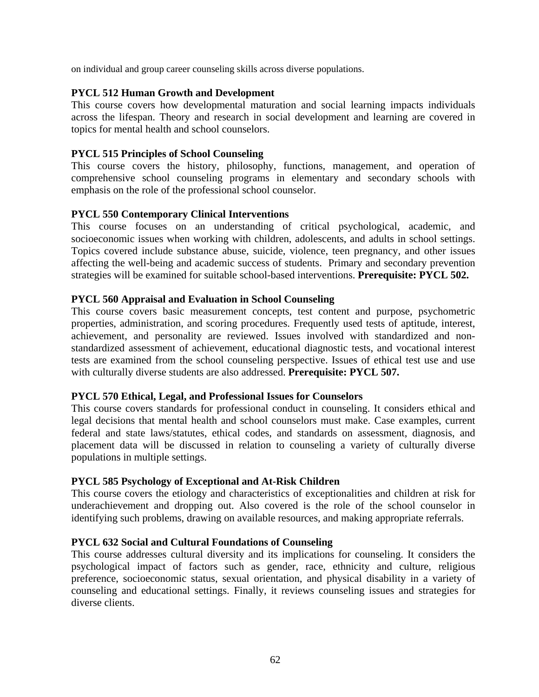on individual and group career counseling skills across diverse populations.

### **PYCL 512 Human Growth and Development**

This course covers how developmental maturation and social learning impacts individuals across the lifespan. Theory and research in social development and learning are covered in topics for mental health and school counselors.

### **PYCL 515 Principles of School Counseling**

This course covers the history, philosophy, functions, management, and operation of comprehensive school counseling programs in elementary and secondary schools with emphasis on the role of the professional school counselor.

### **PYCL 550 Contemporary Clinical Interventions**

This course focuses on an understanding of critical psychological, academic, and socioeconomic issues when working with children, adolescents, and adults in school settings. Topics covered include substance abuse, suicide, violence, teen pregnancy, and other issues affecting the well-being and academic success of students. Primary and secondary prevention strategies will be examined for suitable school-based interventions. **Prerequisite: PYCL 502.** 

### **PYCL 560 Appraisal and Evaluation in School Counseling**

This course covers basic measurement concepts, test content and purpose, psychometric properties, administration, and scoring procedures. Frequently used tests of aptitude, interest, achievement, and personality are reviewed. Issues involved with standardized and nonstandardized assessment of achievement, educational diagnostic tests, and vocational interest tests are examined from the school counseling perspective. Issues of ethical test use and use with culturally diverse students are also addressed. **Prerequisite: PYCL 507.** 

#### **PYCL 570 Ethical, Legal, and Professional Issues for Counselors**

This course covers standards for professional conduct in counseling. It considers ethical and legal decisions that mental health and school counselors must make. Case examples, current federal and state laws/statutes, ethical codes, and standards on assessment, diagnosis, and placement data will be discussed in relation to counseling a variety of culturally diverse populations in multiple settings.

### **PYCL 585 Psychology of Exceptional and At-Risk Children**

This course covers the etiology and characteristics of exceptionalities and children at risk for underachievement and dropping out. Also covered is the role of the school counselor in identifying such problems, drawing on available resources, and making appropriate referrals.

### **PYCL 632 Social and Cultural Foundations of Counseling**

This course addresses cultural diversity and its implications for counseling. It considers the psychological impact of factors such as gender, race, ethnicity and culture, religious preference, socioeconomic status, sexual orientation, and physical disability in a variety of counseling and educational settings. Finally, it reviews counseling issues and strategies for diverse clients.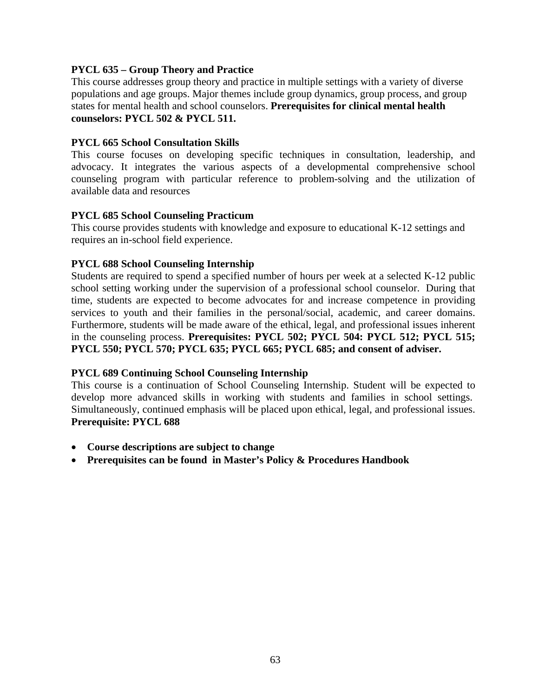### **PYCL 635 – Group Theory and Practice**

This course addresses group theory and practice in multiple settings with a variety of diverse populations and age groups. Major themes include group dynamics, group process, and group states for mental health and school counselors. **Prerequisites for clinical mental health counselors: PYCL 502 & PYCL 511.** 

#### **PYCL 665 School Consultation Skills**

This course focuses on developing specific techniques in consultation, leadership, and advocacy. It integrates the various aspects of a developmental comprehensive school counseling program with particular reference to problem-solving and the utilization of available data and resources

### **PYCL 685 School Counseling Practicum**

This course provides students with knowledge and exposure to educational K-12 settings and requires an in-school field experience.

### **PYCL 688 School Counseling Internship**

Students are required to spend a specified number of hours per week at a selected K-12 public school setting working under the supervision of a professional school counselor. During that time, students are expected to become advocates for and increase competence in providing services to youth and their families in the personal/social, academic, and career domains. Furthermore, students will be made aware of the ethical, legal, and professional issues inherent in the counseling process. **Prerequisites: PYCL 502; PYCL 504: PYCL 512; PYCL 515; PYCL 550; PYCL 570; PYCL 635; PYCL 665; PYCL 685; and consent of adviser.** 

### **PYCL 689 Continuing School Counseling Internship**

This course is a continuation of School Counseling Internship. Student will be expected to develop more advanced skills in working with students and families in school settings. Simultaneously, continued emphasis will be placed upon ethical, legal, and professional issues. **Prerequisite: PYCL 688** 

- **Course descriptions are subject to change**
- **Prerequisites can be found in Master's Policy & Procedures Handbook**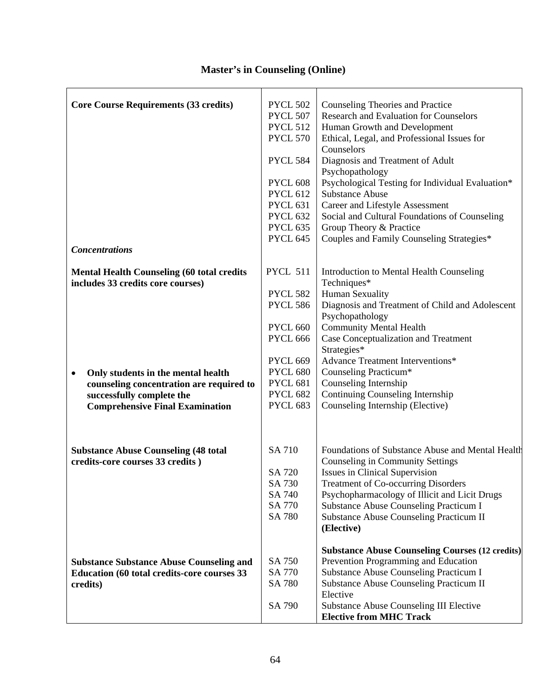| <b>Core Course Requirements (33 credits)</b>       | <b>PYCL 502</b> | Counseling Theories and Practice                          |
|----------------------------------------------------|-----------------|-----------------------------------------------------------|
|                                                    | <b>PYCL 507</b> | <b>Research and Evaluation for Counselors</b>             |
|                                                    | <b>PYCL 512</b> | Human Growth and Development                              |
|                                                    | <b>PYCL 570</b> | Ethical, Legal, and Professional Issues for<br>Counselors |
|                                                    | <b>PYCL 584</b> | Diagnosis and Treatment of Adult<br>Psychopathology       |
|                                                    | <b>PYCL 608</b> | Psychological Testing for Individual Evaluation*          |
|                                                    | <b>PYCL 612</b> | <b>Substance Abuse</b>                                    |
|                                                    | <b>PYCL 631</b> | Career and Lifestyle Assessment                           |
|                                                    | <b>PYCL 632</b> | Social and Cultural Foundations of Counseling             |
|                                                    | <b>PYCL 635</b> | Group Theory & Practice                                   |
|                                                    | <b>PYCL 645</b> | Couples and Family Counseling Strategies*                 |
| <b>Concentrations</b>                              |                 |                                                           |
| <b>Mental Health Counseling (60 total credits</b>  | <b>PYCL 511</b> | Introduction to Mental Health Counseling                  |
| includes 33 credits core courses)                  |                 | Techniques*                                               |
|                                                    | <b>PYCL 582</b> | <b>Human Sexuality</b>                                    |
|                                                    | <b>PYCL 586</b> | Diagnosis and Treatment of Child and Adolescent           |
|                                                    |                 | Psychopathology                                           |
|                                                    | <b>PYCL 660</b> | <b>Community Mental Health</b>                            |
|                                                    | <b>PYCL 666</b> | Case Conceptualization and Treatment                      |
|                                                    |                 | Strategies*                                               |
|                                                    | <b>PYCL 669</b> | <b>Advance Treatment Interventions*</b>                   |
| Only students in the mental health<br>٠            | <b>PYCL 680</b> | Counseling Practicum*                                     |
| counseling concentration are required to           | <b>PYCL 681</b> | Counseling Internship                                     |
| successfully complete the                          | <b>PYCL 682</b> | Continuing Counseling Internship                          |
| <b>Comprehensive Final Examination</b>             | PYCL 683        | Counseling Internship (Elective)                          |
|                                                    |                 |                                                           |
| <b>Substance Abuse Counseling (48 total</b>        | SA 710          | Foundations of Substance Abuse and Mental Health          |
| credits-core courses 33 credits)                   |                 | Counseling in Community Settings                          |
|                                                    | SA 720          | <b>Issues in Clinical Supervision</b>                     |
|                                                    | SA 730          | <b>Treatment of Co-occurring Disorders</b>                |
|                                                    | SA 740          | Psychopharmacology of Illicit and Licit Drugs             |
|                                                    | SA 770          | <b>Substance Abuse Counseling Practicum I</b>             |
|                                                    | SA 780          | <b>Substance Abuse Counseling Practicum II</b>            |
|                                                    |                 | (Elective)                                                |
|                                                    |                 | <b>Substance Abuse Counseling Courses (12 credits)</b>    |
| <b>Substance Substance Abuse Counseling and</b>    | SA 750          | Prevention Programming and Education                      |
| <b>Education (60 total credits-core courses 33</b> | SA 770          | Substance Abuse Counseling Practicum I                    |
| credits)                                           | SA 780          | <b>Substance Abuse Counseling Practicum II</b>            |
|                                                    |                 | Elective                                                  |
|                                                    | SA 790          | <b>Substance Abuse Counseling III Elective</b>            |
|                                                    |                 | <b>Elective from MHC Track</b>                            |

## **Master's in Counseling (Online)**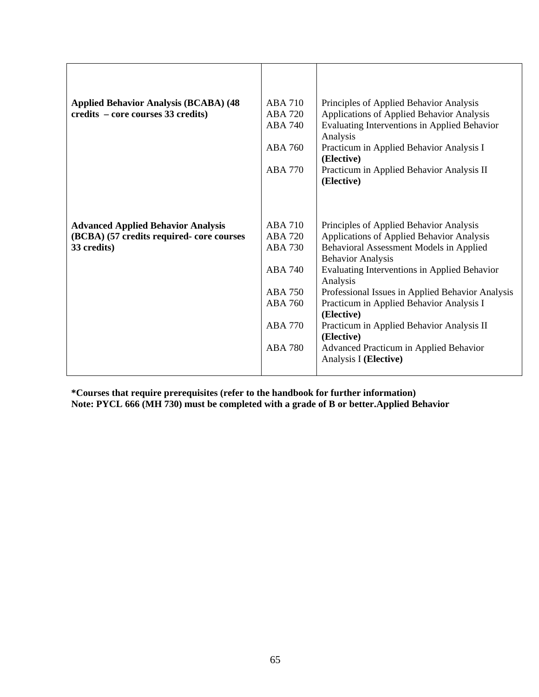| <b>Applied Behavior Analysis (BCABA) (48</b> | <b>ABA 710</b> | Principles of Applied Behavior Analysis             |
|----------------------------------------------|----------------|-----------------------------------------------------|
| credits – core courses 33 credits)           | ABA 720        | Applications of Applied Behavior Analysis           |
|                                              | <b>ABA 740</b> | <b>Evaluating Interventions in Applied Behavior</b> |
|                                              |                | Analysis                                            |
|                                              | <b>ABA 760</b> | Practicum in Applied Behavior Analysis I            |
|                                              |                | (Elective)                                          |
|                                              | <b>ABA 770</b> | Practicum in Applied Behavior Analysis II           |
|                                              |                | (Elective)                                          |
|                                              |                |                                                     |
|                                              |                |                                                     |
|                                              |                |                                                     |
| <b>Advanced Applied Behavior Analysis</b>    | ABA 710        | Principles of Applied Behavior Analysis             |
| (BCBA) (57 credits required- core courses    | <b>ABA 720</b> | Applications of Applied Behavior Analysis           |
| 33 credits)                                  | <b>ABA 730</b> | Behavioral Assessment Models in Applied             |
|                                              |                |                                                     |
|                                              |                | <b>Behavior Analysis</b>                            |
|                                              | <b>ABA 740</b> | <b>Evaluating Interventions in Applied Behavior</b> |
|                                              |                | Analysis                                            |
|                                              | <b>ABA 750</b> | Professional Issues in Applied Behavior Analysis    |
|                                              | <b>ABA 760</b> | Practicum in Applied Behavior Analysis I            |
|                                              |                | (Elective)                                          |
|                                              | <b>ABA 770</b> | Practicum in Applied Behavior Analysis II           |
|                                              |                | (Elective)                                          |
|                                              | <b>ABA 780</b> | Advanced Practicum in Applied Behavior              |
|                                              |                | Analysis I (Elective)                               |
|                                              |                |                                                     |

**\*Courses that require prerequisites (refer to the handbook for further information) Note: PYCL 666 (MH 730) must be completed with a grade of B or better.Applied Behavior**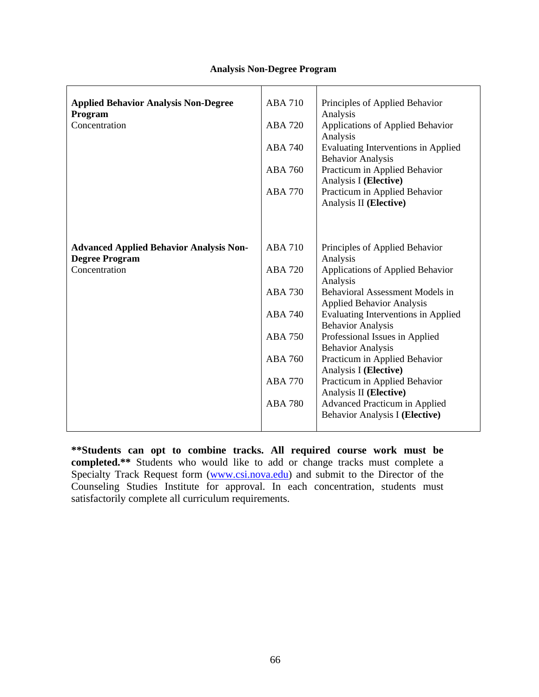### **Analysis Non-Degree Program**

| <b>Applied Behavior Analysis Non-Degree</b><br>Program<br>Concentration | <b>ABA 710</b><br><b>ABA 720</b><br><b>ABA 740</b><br><b>ABA 760</b><br><b>ABA 770</b> | Principles of Applied Behavior<br>Analysis<br>Applications of Applied Behavior<br>Analysis<br>Evaluating Interventions in Applied<br><b>Behavior Analysis</b><br>Practicum in Applied Behavior<br>Analysis I (Elective)<br>Practicum in Applied Behavior |
|-------------------------------------------------------------------------|----------------------------------------------------------------------------------------|----------------------------------------------------------------------------------------------------------------------------------------------------------------------------------------------------------------------------------------------------------|
|                                                                         |                                                                                        | Analysis II (Elective)                                                                                                                                                                                                                                   |
| <b>Advanced Applied Behavior Analysis Non-</b><br><b>Degree Program</b> | <b>ABA 710</b>                                                                         | Principles of Applied Behavior<br>Analysis                                                                                                                                                                                                               |
| Concentration                                                           | <b>ABA 720</b>                                                                         | Applications of Applied Behavior<br>Analysis                                                                                                                                                                                                             |
|                                                                         | <b>ABA 730</b>                                                                         | <b>Behavioral Assessment Models in</b><br><b>Applied Behavior Analysis</b>                                                                                                                                                                               |
|                                                                         | <b>ABA 740</b>                                                                         | <b>Evaluating Interventions in Applied</b><br><b>Behavior Analysis</b>                                                                                                                                                                                   |
|                                                                         | <b>ABA 750</b>                                                                         | Professional Issues in Applied<br><b>Behavior Analysis</b>                                                                                                                                                                                               |
|                                                                         | <b>ABA 760</b>                                                                         | Practicum in Applied Behavior<br>Analysis I (Elective)                                                                                                                                                                                                   |
|                                                                         | <b>ABA 770</b>                                                                         | Practicum in Applied Behavior<br>Analysis II (Elective)                                                                                                                                                                                                  |
|                                                                         | <b>ABA 780</b>                                                                         | Advanced Practicum in Applied<br><b>Behavior Analysis I (Elective)</b>                                                                                                                                                                                   |

**\*\*Students can opt to combine tracks. All required course work must be completed.\*\*** Students who would like to add or change tracks must complete a Specialty Track Request form ([www.csi.nova.edu\)](http://www.csi.nova.edu/) and submit to the Director of the Counseling Studies Institute for approval. In each concentration, students must satisfactorily complete all curriculum requirements.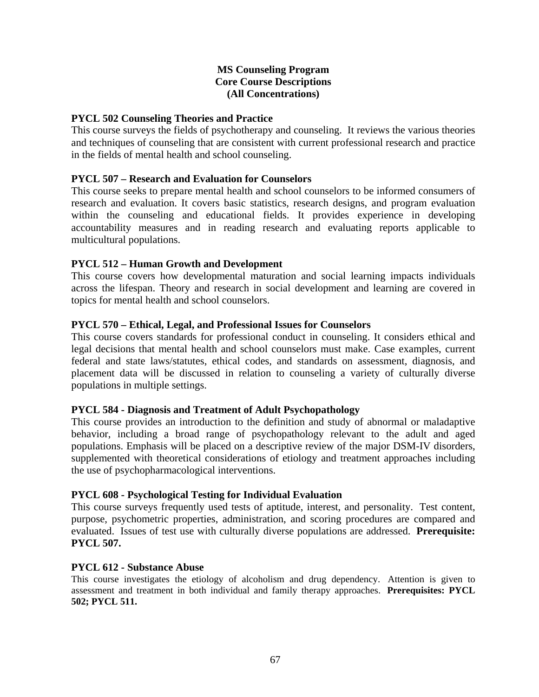# **MS Counseling Program Core Course Descriptions (All Concentrations)**

### **PYCL 502 Counseling Theories and Practice**

This course surveys the fields of psychotherapy and counseling. It reviews the various theories and techniques of counseling that are consistent with current professional research and practice in the fields of mental health and school counseling.

### **PYCL 507 – Research and Evaluation for Counselors**

This course seeks to prepare mental health and school counselors to be informed consumers of research and evaluation. It covers basic statistics, research designs, and program evaluation within the counseling and educational fields. It provides experience in developing accountability measures and in reading research and evaluating reports applicable to multicultural populations.

## **PYCL 512 – Human Growth and Development**

This course covers how developmental maturation and social learning impacts individuals across the lifespan. Theory and research in social development and learning are covered in topics for mental health and school counselors.

### **PYCL 570 – Ethical, Legal, and Professional Issues for Counselors**

This course covers standards for professional conduct in counseling. It considers ethical and legal decisions that mental health and school counselors must make. Case examples, current federal and state laws/statutes, ethical codes, and standards on assessment, diagnosis, and placement data will be discussed in relation to counseling a variety of culturally diverse populations in multiple settings.

### **PYCL 584 - Diagnosis and Treatment of Adult Psychopathology**

This course provides an introduction to the definition and study of abnormal or maladaptive behavior, including a broad range of psychopathology relevant to the adult and aged populations. Emphasis will be placed on a descriptive review of the major DSM-IV disorders, supplemented with theoretical considerations of etiology and treatment approaches including the use of psychopharmacological interventions.

### **PYCL 608 - Psychological Testing for Individual Evaluation**

This course surveys frequently used tests of aptitude, interest, and personality. Test content, purpose, psychometric properties, administration, and scoring procedures are compared and evaluated. Issues of test use with culturally diverse populations are addressed. **Prerequisite: PYCL 507.** 

#### **PYCL 612 - Substance Abuse**

This course investigates the etiology of alcoholism and drug dependency. Attention is given to assessment and treatment in both individual and family therapy approaches. **Prerequisites: PYCL 502; PYCL 511.**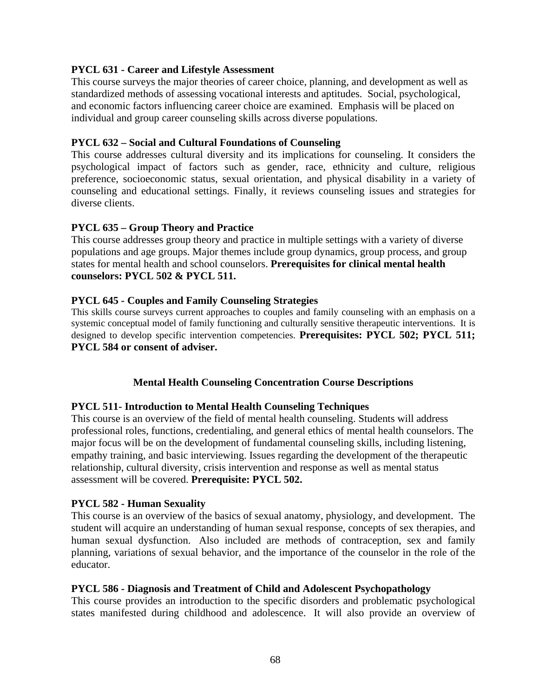# **PYCL 631 - Career and Lifestyle Assessment**

This course surveys the major theories of career choice, planning, and development as well as standardized methods of assessing vocational interests and aptitudes. Social, psychological, and economic factors influencing career choice are examined. Emphasis will be placed on individual and group career counseling skills across diverse populations.

## **PYCL 632 – Social and Cultural Foundations of Counseling**

This course addresses cultural diversity and its implications for counseling. It considers the psychological impact of factors such as gender, race, ethnicity and culture, religious preference, socioeconomic status, sexual orientation, and physical disability in a variety of counseling and educational settings. Finally, it reviews counseling issues and strategies for diverse clients.

# **PYCL 635 – Group Theory and Practice**

This course addresses group theory and practice in multiple settings with a variety of diverse populations and age groups. Major themes include group dynamics, group process, and group states for mental health and school counselors. **Prerequisites for clinical mental health counselors: PYCL 502 & PYCL 511.**

## **PYCL 645 - Couples and Family Counseling Strategies**

This skills course surveys current approaches to couples and family counseling with an emphasis on a systemic conceptual model of family functioning and culturally sensitive therapeutic interventions. It is designed to develop specific intervention competencies. **Prerequisites: PYCL 502; PYCL 511; PYCL 584 or consent of adviser.** 

# **Mental Health Counseling Concentration Course Descriptions**

### **PYCL 511- Introduction to Mental Health Counseling Techniques**

This course is an overview of the field of mental health counseling. Students will address professional roles, functions, credentialing, and general ethics of mental health counselors. The major focus will be on the development of fundamental counseling skills, including listening, empathy training, and basic interviewing. Issues regarding the development of the therapeutic relationship, cultural diversity, crisis intervention and response as well as mental status assessment will be covered. **Prerequisite: PYCL 502.** 

### **PYCL 582 - Human Sexuality**

This course is an overview of the basics of sexual anatomy, physiology, and development. The student will acquire an understanding of human sexual response, concepts of sex therapies, and human sexual dysfunction. Also included are methods of contraception, sex and family planning, variations of sexual behavior, and the importance of the counselor in the role of the educator.

### **PYCL 586 - Diagnosis and Treatment of Child and Adolescent Psychopathology**

This course provides an introduction to the specific disorders and problematic psychological states manifested during childhood and adolescence. It will also provide an overview of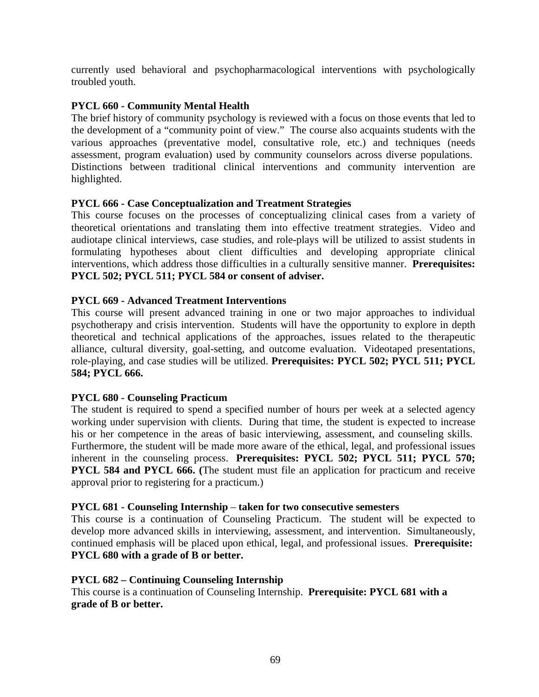currently used behavioral and psychopharmacological interventions with psychologically troubled youth.

# **PYCL 660 - Community Mental Health**

The brief history of community psychology is reviewed with a focus on those events that led to the development of a "community point of view." The course also acquaints students with the various approaches (preventative model, consultative role, etc.) and techniques (needs assessment, program evaluation) used by community counselors across diverse populations. Distinctions between traditional clinical interventions and community intervention are highlighted.

## **PYCL 666 - Case Conceptualization and Treatment Strategies**

This course focuses on the processes of conceptualizing clinical cases from a variety of theoretical orientations and translating them into effective treatment strategies. Video and audiotape clinical interviews, case studies, and role-plays will be utilized to assist students in formulating hypotheses about client difficulties and developing appropriate clinical interventions, which address those difficulties in a culturally sensitive manner. **Prerequisites: PYCL 502; PYCL 511; PYCL 584 or consent of adviser.** 

# **PYCL 669 - Advanced Treatment Interventions**

This course will present advanced training in one or two major approaches to individual psychotherapy and crisis intervention. Students will have the opportunity to explore in depth theoretical and technical applications of the approaches, issues related to the therapeutic alliance, cultural diversity, goal-setting, and outcome evaluation. Videotaped presentations, role-playing, and case studies will be utilized. **Prerequisites: PYCL 502; PYCL 511; PYCL 584; PYCL 666.** 

### **PYCL 680 - Counseling Practicum**

The student is required to spend a specified number of hours per week at a selected agency working under supervision with clients. During that time, the student is expected to increase his or her competence in the areas of basic interviewing, assessment, and counseling skills. Furthermore, the student will be made more aware of the ethical, legal, and professional issues inherent in the counseling process. **Prerequisites: PYCL 502; PYCL 511; PYCL 570; PYCL 584 and PYCL 666.** (The student must file an application for practicum and receive approval prior to registering for a practicum.)

### **PYCL 681 - Counseling Internship** – **taken for two consecutive semesters**

This course is a continuation of Counseling Practicum. The student will be expected to develop more advanced skills in interviewing, assessment, and intervention. Simultaneously, continued emphasis will be placed upon ethical, legal, and professional issues. **Prerequisite: PYCL 680 with a grade of B or better.** 

### **PYCL 682 – Continuing Counseling Internship**

This course is a continuation of Counseling Internship. **Prerequisite: PYCL 681 with a grade of B or better.**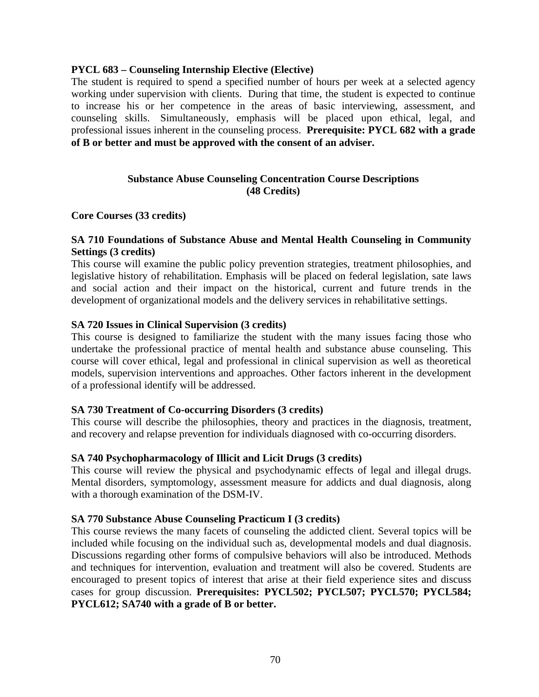### **PYCL 683 – Counseling Internship Elective (Elective)**

The student is required to spend a specified number of hours per week at a selected agency working under supervision with clients. During that time, the student is expected to continue to increase his or her competence in the areas of basic interviewing, assessment, and counseling skills. Simultaneously, emphasis will be placed upon ethical, legal, and professional issues inherent in the counseling process. **Prerequisite: PYCL 682 with a grade of B or better and must be approved with the consent of an adviser.** 

## **Substance Abuse Counseling Concentration Course Descriptions (48 Credits)**

**Core Courses (33 credits)** 

### **SA 710 Foundations of Substance Abuse and Mental Health Counseling in Community Settings (3 credits)**

This course will examine the public policy prevention strategies, treatment philosophies, and legislative history of rehabilitation. Emphasis will be placed on federal legislation, sate laws and social action and their impact on the historical, current and future trends in the development of organizational models and the delivery services in rehabilitative settings.

### **SA 720 Issues in Clinical Supervision (3 credits)**

This course is designed to familiarize the student with the many issues facing those who undertake the professional practice of mental health and substance abuse counseling. This course will cover ethical, legal and professional in clinical supervision as well as theoretical models, supervision interventions and approaches. Other factors inherent in the development of a professional identify will be addressed.

#### **SA 730 Treatment of Co-occurring Disorders (3 credits)**

This course will describe the philosophies, theory and practices in the diagnosis, treatment, and recovery and relapse prevention for individuals diagnosed with co-occurring disorders.

#### **SA 740 Psychopharmacology of Illicit and Licit Drugs (3 credits)**

This course will review the physical and psychodynamic effects of legal and illegal drugs. Mental disorders, symptomology, assessment measure for addicts and dual diagnosis, along with a thorough examination of the DSM-IV.

#### **SA 770 Substance Abuse Counseling Practicum I (3 credits)**

This course reviews the many facets of counseling the addicted client. Several topics will be included while focusing on the individual such as, developmental models and dual diagnosis. Discussions regarding other forms of compulsive behaviors will also be introduced. Methods and techniques for intervention, evaluation and treatment will also be covered. Students are encouraged to present topics of interest that arise at their field experience sites and discuss cases for group discussion. **Prerequisites: PYCL502; PYCL507; PYCL570; PYCL584; PYCL612; SA740 with a grade of B or better.**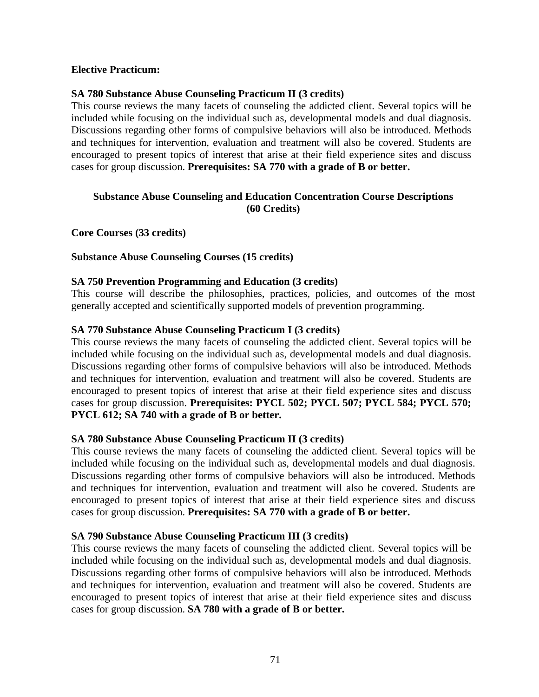### **Elective Practicum:**

## **SA 780 Substance Abuse Counseling Practicum II (3 credits)**

This course reviews the many facets of counseling the addicted client. Several topics will be included while focusing on the individual such as, developmental models and dual diagnosis. Discussions regarding other forms of compulsive behaviors will also be introduced. Methods and techniques for intervention, evaluation and treatment will also be covered. Students are encouraged to present topics of interest that arise at their field experience sites and discuss cases for group discussion. **Prerequisites: SA 770 with a grade of B or better.** 

# **Substance Abuse Counseling and Education Concentration Course Descriptions (60 Credits)**

**Core Courses (33 credits)** 

## **Substance Abuse Counseling Courses (15 credits)**

## **SA 750 Prevention Programming and Education (3 credits)**

This course will describe the philosophies, practices, policies, and outcomes of the most generally accepted and scientifically supported models of prevention programming.

## **SA 770 Substance Abuse Counseling Practicum I (3 credits)**

This course reviews the many facets of counseling the addicted client. Several topics will be included while focusing on the individual such as, developmental models and dual diagnosis. Discussions regarding other forms of compulsive behaviors will also be introduced. Methods and techniques for intervention, evaluation and treatment will also be covered. Students are encouraged to present topics of interest that arise at their field experience sites and discuss cases for group discussion. **Prerequisites: PYCL 502; PYCL 507; PYCL 584; PYCL 570; PYCL 612; SA 740 with a grade of B or better.** 

### **SA 780 Substance Abuse Counseling Practicum II (3 credits)**

This course reviews the many facets of counseling the addicted client. Several topics will be included while focusing on the individual such as, developmental models and dual diagnosis. Discussions regarding other forms of compulsive behaviors will also be introduced. Methods and techniques for intervention, evaluation and treatment will also be covered. Students are encouraged to present topics of interest that arise at their field experience sites and discuss cases for group discussion. **Prerequisites: SA 770 with a grade of B or better.** 

### **SA 790 Substance Abuse Counseling Practicum III (3 credits)**

This course reviews the many facets of counseling the addicted client. Several topics will be included while focusing on the individual such as, developmental models and dual diagnosis. Discussions regarding other forms of compulsive behaviors will also be introduced. Methods and techniques for intervention, evaluation and treatment will also be covered. Students are encouraged to present topics of interest that arise at their field experience sites and discuss cases for group discussion. **SA 780 with a grade of B or better.**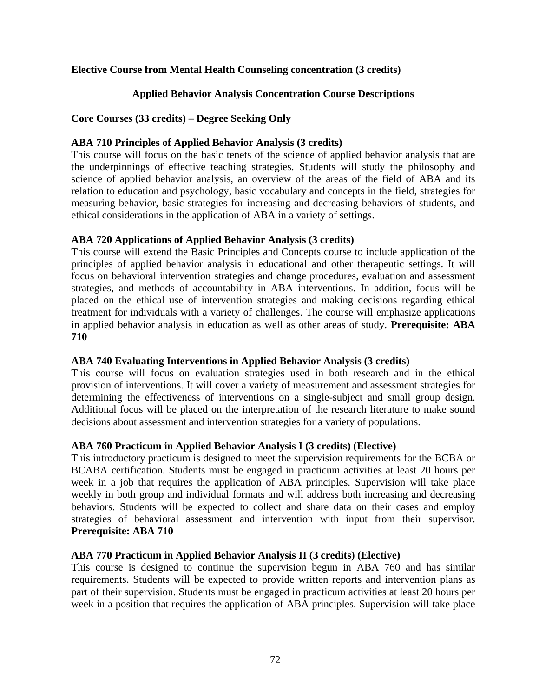# **Elective Course from Mental Health Counseling concentration (3 credits)**

# **Applied Behavior Analysis Concentration Course Descriptions**

### **Core Courses (33 credits) – Degree Seeking Only**

### **ABA 710 Principles of Applied Behavior Analysis (3 credits)**

This course will focus on the basic tenets of the science of applied behavior analysis that are the underpinnings of effective teaching strategies. Students will study the philosophy and science of applied behavior analysis, an overview of the areas of the field of ABA and its relation to education and psychology, basic vocabulary and concepts in the field, strategies for measuring behavior, basic strategies for increasing and decreasing behaviors of students, and ethical considerations in the application of ABA in a variety of settings.

## **ABA 720 Applications of Applied Behavior Analysis (3 credits)**

This course will extend the Basic Principles and Concepts course to include application of the principles of applied behavior analysis in educational and other therapeutic settings. It will focus on behavioral intervention strategies and change procedures, evaluation and assessment strategies, and methods of accountability in ABA interventions. In addition, focus will be placed on the ethical use of intervention strategies and making decisions regarding ethical treatment for individuals with a variety of challenges. The course will emphasize applications in applied behavior analysis in education as well as other areas of study. **Prerequisite: ABA 710** 

### **ABA 740 Evaluating Interventions in Applied Behavior Analysis (3 credits)**

This course will focus on evaluation strategies used in both research and in the ethical provision of interventions. It will cover a variety of measurement and assessment strategies for determining the effectiveness of interventions on a single-subject and small group design. Additional focus will be placed on the interpretation of the research literature to make sound decisions about assessment and intervention strategies for a variety of populations.

### **ABA 760 Practicum in Applied Behavior Analysis I (3 credits) (Elective)**

This introductory practicum is designed to meet the supervision requirements for the BCBA or BCABA certification. Students must be engaged in practicum activities at least 20 hours per week in a job that requires the application of ABA principles. Supervision will take place weekly in both group and individual formats and will address both increasing and decreasing behaviors. Students will be expected to collect and share data on their cases and employ strategies of behavioral assessment and intervention with input from their supervisor. **Prerequisite: ABA 710** 

### **ABA 770 Practicum in Applied Behavior Analysis II (3 credits) (Elective)**

This course is designed to continue the supervision begun in ABA 760 and has similar requirements. Students will be expected to provide written reports and intervention plans as part of their supervision. Students must be engaged in practicum activities at least 20 hours per week in a position that requires the application of ABA principles. Supervision will take place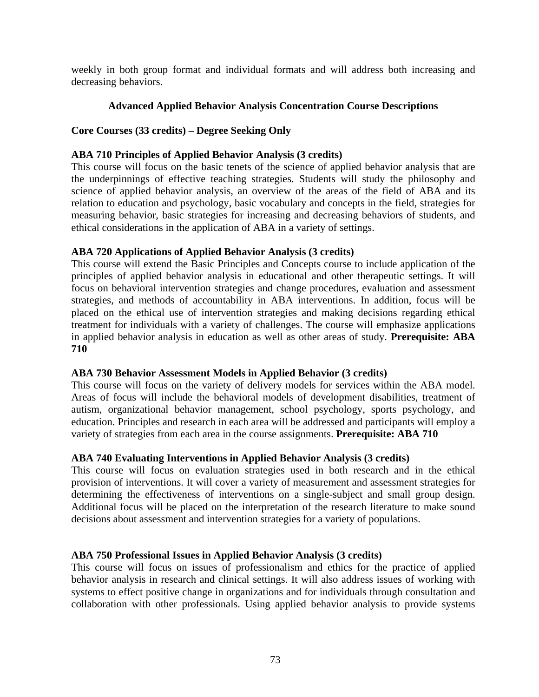weekly in both group format and individual formats and will address both increasing and decreasing behaviors.

# **Advanced Applied Behavior Analysis Concentration Course Descriptions**

## **Core Courses (33 credits) – Degree Seeking Only**

## **ABA 710 Principles of Applied Behavior Analysis (3 credits)**

This course will focus on the basic tenets of the science of applied behavior analysis that are the underpinnings of effective teaching strategies. Students will study the philosophy and science of applied behavior analysis, an overview of the areas of the field of ABA and its relation to education and psychology, basic vocabulary and concepts in the field, strategies for measuring behavior, basic strategies for increasing and decreasing behaviors of students, and ethical considerations in the application of ABA in a variety of settings.

## **ABA 720 Applications of Applied Behavior Analysis (3 credits)**

This course will extend the Basic Principles and Concepts course to include application of the principles of applied behavior analysis in educational and other therapeutic settings. It will focus on behavioral intervention strategies and change procedures, evaluation and assessment strategies, and methods of accountability in ABA interventions. In addition, focus will be placed on the ethical use of intervention strategies and making decisions regarding ethical treatment for individuals with a variety of challenges. The course will emphasize applications in applied behavior analysis in education as well as other areas of study. **Prerequisite: ABA 710**

### **ABA 730 Behavior Assessment Models in Applied Behavior (3 credits)**

This course will focus on the variety of delivery models for services within the ABA model. Areas of focus will include the behavioral models of development disabilities, treatment of autism, organizational behavior management, school psychology, sports psychology, and education. Principles and research in each area will be addressed and participants will employ a variety of strategies from each area in the course assignments. **Prerequisite: ABA 710**

### **ABA 740 Evaluating Interventions in Applied Behavior Analysis (3 credits)**

This course will focus on evaluation strategies used in both research and in the ethical provision of interventions. It will cover a variety of measurement and assessment strategies for determining the effectiveness of interventions on a single-subject and small group design. Additional focus will be placed on the interpretation of the research literature to make sound decisions about assessment and intervention strategies for a variety of populations.

### **ABA 750 Professional Issues in Applied Behavior Analysis (3 credits)**

This course will focus on issues of professionalism and ethics for the practice of applied behavior analysis in research and clinical settings. It will also address issues of working with systems to effect positive change in organizations and for individuals through consultation and collaboration with other professionals. Using applied behavior analysis to provide systems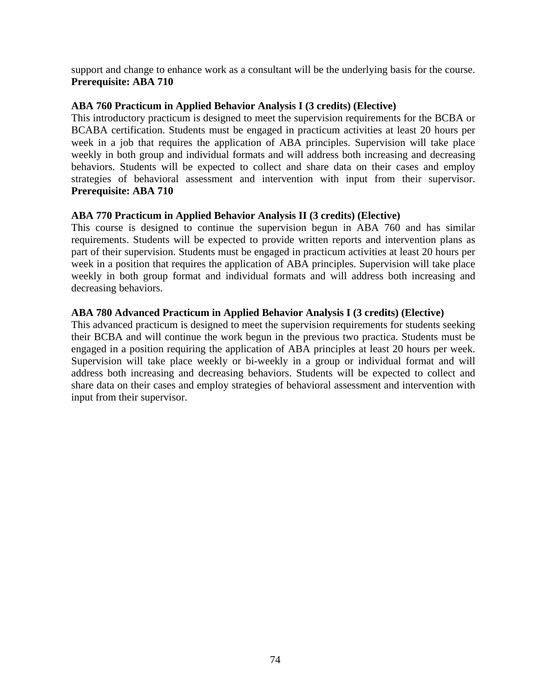support and change to enhance work as a consultant will be the underlying basis for the course. **Prerequisite: ABA 710**

## **ABA 760 Practicum in Applied Behavior Analysis I (3 credits) (Elective)**

This introductory practicum is designed to meet the supervision requirements for the BCBA or BCABA certification. Students must be engaged in practicum activities at least 20 hours per week in a job that requires the application of ABA principles. Supervision will take place weekly in both group and individual formats and will address both increasing and decreasing behaviors. Students will be expected to collect and share data on their cases and employ strategies of behavioral assessment and intervention with input from their supervisor. **Prerequisite: ABA 710** 

## **ABA 770 Practicum in Applied Behavior Analysis II (3 credits) (Elective)**

This course is designed to continue the supervision begun in ABA 760 and has similar requirements. Students will be expected to provide written reports and intervention plans as part of their supervision. Students must be engaged in practicum activities at least 20 hours per week in a position that requires the application of ABA principles. Supervision will take place weekly in both group format and individual formats and will address both increasing and decreasing behaviors.

## **ABA 780 Advanced Practicum in Applied Behavior Analysis I (3 credits) (Elective)**

This advanced practicum is designed to meet the supervision requirements for students seeking their BCBA and will continue the work begun in the previous two practica. Students must be engaged in a position requiring the application of ABA principles at least 20 hours per week. Supervision will take place weekly or bi-weekly in a group or individual format and will address both increasing and decreasing behaviors. Students will be expected to collect and share data on their cases and employ strategies of behavioral assessment and intervention with input from their supervisor.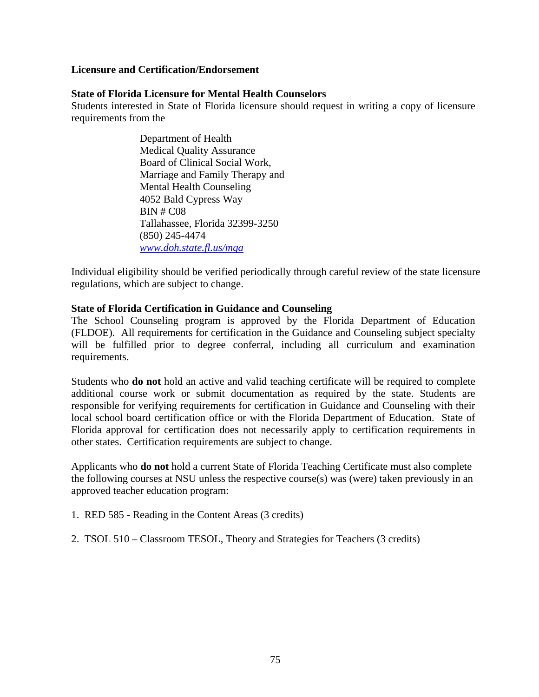### **Licensure and Certification/Endorsement**

# **State of Florida Licensure for Mental Health Counselors**

Students interested in State of Florida licensure should request in writing a copy of licensure requirements from the

> Department of Health Medical Quality Assurance Board of Clinical Social Work, Marriage and Family Therapy and Mental Health Counseling 4052 Bald Cypress Way BIN # C08 Tallahassee, Florida 32399-3250 (850) 245-4474 *[www.doh.state.fl.us/mqa](http://www.doh.state.fl.us/mqa)*

Individual eligibility should be verified periodically through careful review of the state licensure regulations, which are subject to change.

### **State of Florida Certification in Guidance and Counseling**

The School Counseling program is approved by the Florida Department of Education (FLDOE). All requirements for certification in the Guidance and Counseling subject specialty will be fulfilled prior to degree conferral, including all curriculum and examination requirements.

Students who **do not** hold an active and valid teaching certificate will be required to complete additional course work or submit documentation as required by the state. Students are responsible for verifying requirements for certification in Guidance and Counseling with their local school board certification office or with the Florida Department of Education. State of Florida approval for certification does not necessarily apply to certification requirements in other states. Certification requirements are subject to change.

Applicants who **do not** hold a current State of Florida Teaching Certificate must also complete the following courses at NSU unless the respective course(s) was (were) taken previously in an approved teacher education program:

- 1. RED 585 Reading in the Content Areas (3 credits)
- 2. TSOL 510 Classroom TESOL, Theory and Strategies for Teachers (3 credits)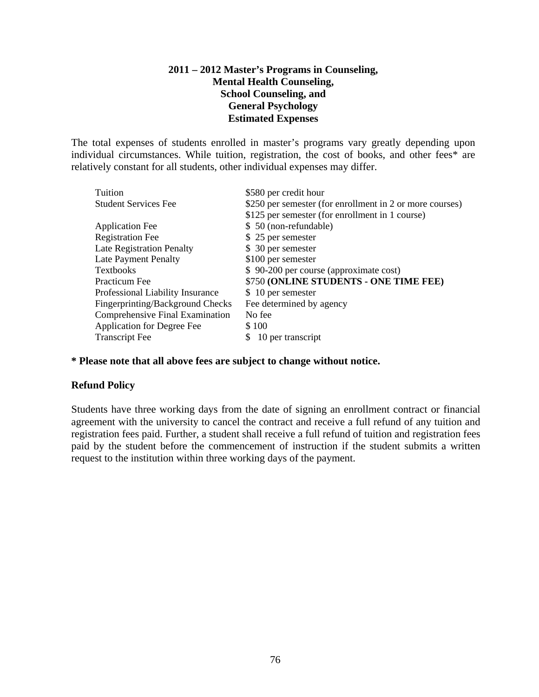## **2011 – 2012 Master's Programs in Counseling, Mental Health Counseling, School Counseling, and General Psychology Estimated Expenses**

The total expenses of students enrolled in master's programs vary greatly depending upon individual circumstances. While tuition, registration, the cost of books, and other fees\* are relatively constant for all students, other individual expenses may differ.

| Tuition                          | \$580 per credit hour                                    |
|----------------------------------|----------------------------------------------------------|
| <b>Student Services Fee</b>      | \$250 per semester (for enrollment in 2 or more courses) |
|                                  | \$125 per semester (for enrollment in 1 course)          |
| <b>Application Fee</b>           | \$ 50 (non-refundable)                                   |
| <b>Registration Fee</b>          | \$25 per semester                                        |
| Late Registration Penalty        | \$ 30 per semester                                       |
| <b>Late Payment Penalty</b>      | \$100 per semester                                       |
| <b>Textbooks</b>                 | \$90-200 per course (approximate cost)                   |
| Practicum Fee                    | \$750 (ONLINE STUDENTS - ONE TIME FEE)                   |
| Professional Liability Insurance | \$10 per semester                                        |
| Fingerprinting/Background Checks | Fee determined by agency                                 |
| Comprehensive Final Examination  | No fee                                                   |
| Application for Degree Fee       | \$100                                                    |
| <b>Transcript Fee</b>            | 10 per transcript<br>S                                   |
|                                  |                                                          |

**\* Please note that all above fees are subject to change without notice.** 

### **Refund Policy**

Students have three working days from the date of signing an enrollment contract or financial agreement with the university to cancel the contract and receive a full refund of any tuition and registration fees paid. Further, a student shall receive a full refund of tuition and registration fees paid by the student before the commencement of instruction if the student submits a written request to the institution within three working days of the payment.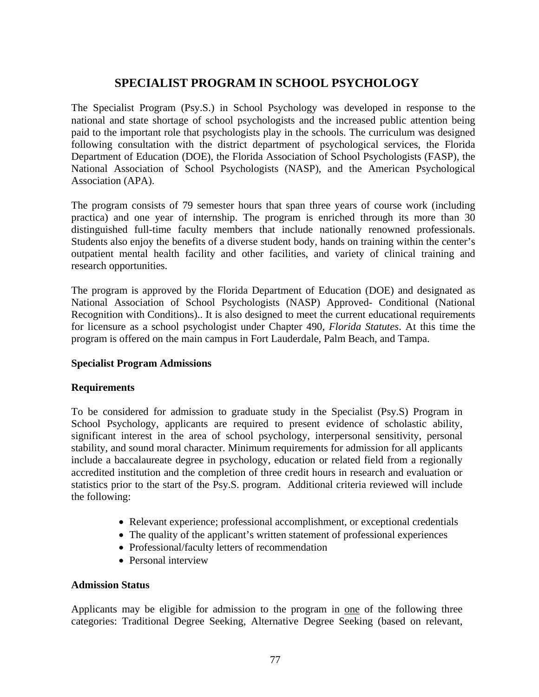# **SPECIALIST PROGRAM IN SCHOOL PSYCHOLOGY**

The Specialist Program (Psy.S.) in School Psychology was developed in response to the national and state shortage of school psychologists and the increased public attention being paid to the important role that psychologists play in the schools. The curriculum was designed following consultation with the district department of psychological services, the Florida Department of Education (DOE), the Florida Association of School Psychologists (FASP), the National Association of School Psychologists (NASP), and the American Psychological Association (APA).

The program consists of 79 semester hours that span three years of course work (including practica) and one year of internship. The program is enriched through its more than 30 distinguished full-time faculty members that include nationally renowned professionals. Students also enjoy the benefits of a diverse student body, hands on training within the center's outpatient mental health facility and other facilities, and variety of clinical training and research opportunities.

The program is approved by the Florida Department of Education (DOE) and designated as National Association of School Psychologists (NASP) Approved- Conditional (National Recognition with Conditions).. It is also designed to meet the current educational requirements for licensure as a school psychologist under Chapter 490, *Florida Statutes*. At this time the program is offered on the main campus in Fort Lauderdale, Palm Beach, and Tampa.

### **Specialist Program Admissions**

### **Requirements**

To be considered for admission to graduate study in the Specialist (Psy.S) Program in School Psychology, applicants are required to present evidence of scholastic ability, significant interest in the area of school psychology, interpersonal sensitivity, personal stability, and sound moral character. Minimum requirements for admission for all applicants include a baccalaureate degree in psychology, education or related field from a regionally accredited institution and the completion of three credit hours in research and evaluation or statistics prior to the start of the Psy.S. program. Additional criteria reviewed will include the following:

- Relevant experience; professional accomplishment, or exceptional credentials
- The quality of the applicant's written statement of professional experiences
- Professional/faculty letters of recommendation
- Personal interview

### **Admission Status**

Applicants may be eligible for admission to the program in <u>one</u> of the following three categories: Traditional Degree Seeking, Alternative Degree Seeking (based on relevant,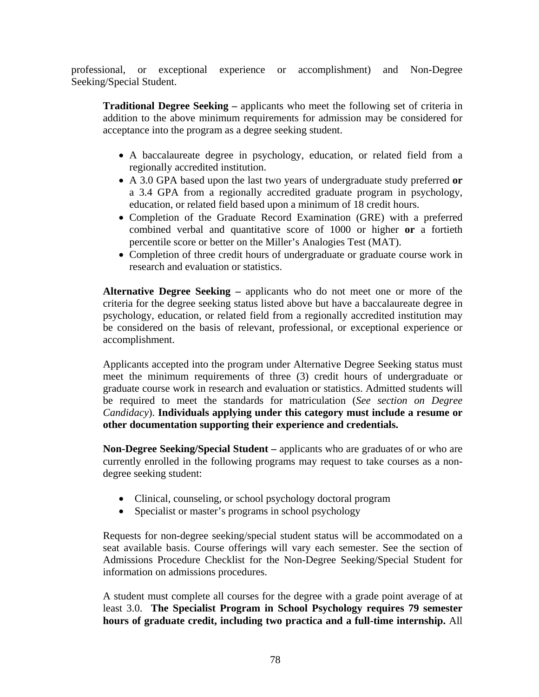professional, or exceptional experience or accomplishment) and Non-Degree Seeking/Special Student.

**Traditional Degree Seeking –** applicants who meet the following set of criteria in addition to the above minimum requirements for admission may be considered for acceptance into the program as a degree seeking student.

- A baccalaureate degree in psychology, education, or related field from a regionally accredited institution.
- A 3.0 GPA based upon the last two years of undergraduate study preferred **or** a 3.4 GPA from a regionally accredited graduate program in psychology, education, or related field based upon a minimum of 18 credit hours.
- Completion of the Graduate Record Examination (GRE) with a preferred combined verbal and quantitative score of 1000 or higher **or** a fortieth percentile score or better on the Miller's Analogies Test (MAT).
- Completion of three credit hours of undergraduate or graduate course work in research and evaluation or statistics.

**Alternative Degree Seeking –** applicants who do not meet one or more of the criteria for the degree seeking status listed above but have a baccalaureate degree in psychology, education, or related field from a regionally accredited institution may be considered on the basis of relevant, professional, or exceptional experience or accomplishment.

Applicants accepted into the program under Alternative Degree Seeking status must meet the minimum requirements of three (3) credit hours of undergraduate or graduate course work in research and evaluation or statistics. Admitted students will be required to meet the standards for matriculation (*See section on Degree Candidacy*). **Individuals applying under this category must include a resume or other documentation supporting their experience and credentials.** 

**Non-Degree Seeking/Special Student –** applicants who are graduates of or who are currently enrolled in the following programs may request to take courses as a nondegree seeking student:

- Clinical, counseling, or school psychology doctoral program
- Specialist or master's programs in school psychology

Requests for non-degree seeking/special student status will be accommodated on a seat available basis. Course offerings will vary each semester. See the section of Admissions Procedure Checklist for the Non-Degree Seeking/Special Student for information on admissions procedures.

A student must complete all courses for the degree with a grade point average of at least 3.0. **The Specialist Program in School Psychology requires 79 semester hours of graduate credit, including two practica and a full-time internship.** All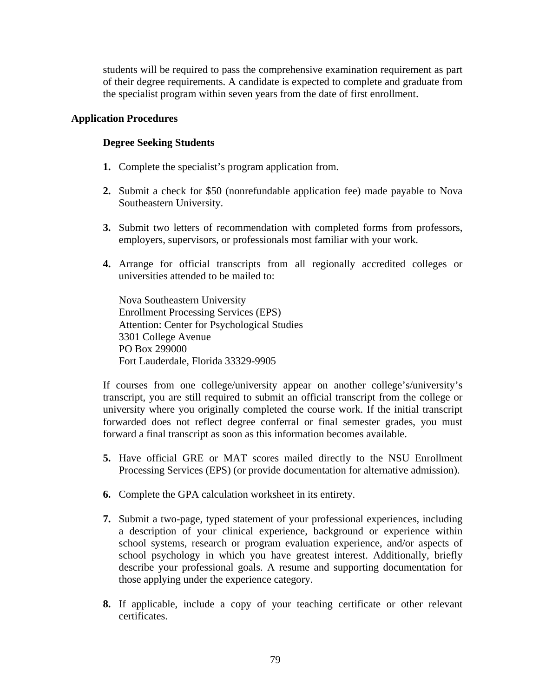students will be required to pass the comprehensive examination requirement as part of their degree requirements. A candidate is expected to complete and graduate from the specialist program within seven years from the date of first enrollment.

### **Application Procedures**

## **Degree Seeking Students**

- **1.** Complete the specialist's program application from.
- **2.** Submit a check for \$50 (nonrefundable application fee) made payable to Nova Southeastern University.
- **3.** Submit two letters of recommendation with completed forms from professors, employers, supervisors, or professionals most familiar with your work.
- **4.** Arrange for official transcripts from all regionally accredited colleges or universities attended to be mailed to:

Nova Southeastern University Enrollment Processing Services (EPS) Attention: Center for Psychological Studies 3301 College Avenue PO Box 299000 Fort Lauderdale, Florida 33329-9905

If courses from one college/university appear on another college's/university's transcript, you are still required to submit an official transcript from the college or university where you originally completed the course work. If the initial transcript forwarded does not reflect degree conferral or final semester grades, you must forward a final transcript as soon as this information becomes available.

- **5.** Have official GRE or MAT scores mailed directly to the NSU Enrollment Processing Services (EPS) (or provide documentation for alternative admission).
- **6.** Complete the GPA calculation worksheet in its entirety.
- **7.** Submit a two-page, typed statement of your professional experiences, including a description of your clinical experience, background or experience within school systems, research or program evaluation experience, and/or aspects of school psychology in which you have greatest interest. Additionally, briefly describe your professional goals. A resume and supporting documentation for those applying under the experience category.
- **8.** If applicable, include a copy of your teaching certificate or other relevant certificates.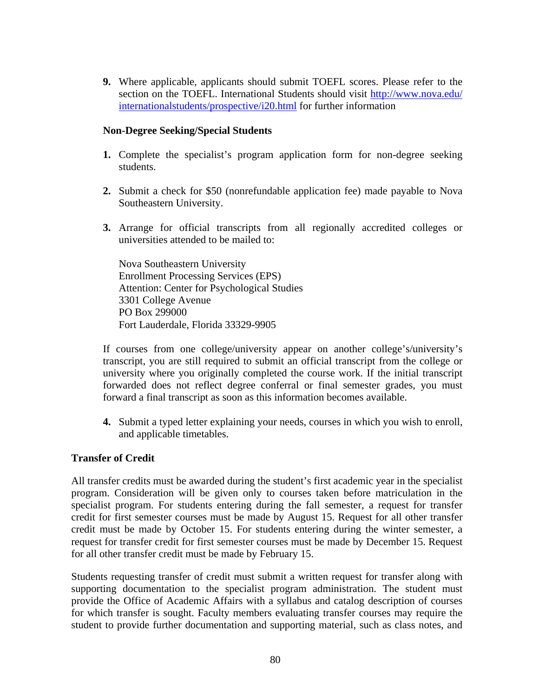**9.** Where applicable, applicants should submit TOEFL scores. Please refer to the section on the TOEFL. International Students should visit [http://www.nova.edu/](http://www.nova.edu/ internationalstudents/prospective/i20.html)  [internationalstudents/prospective/i20.html](http://www.nova.edu/ internationalstudents/prospective/i20.html) for further information

### **Non-Degree Seeking/Special Students**

- **1.** Complete the specialist's program application form for non-degree seeking students.
- **2.** Submit a check for \$50 (nonrefundable application fee) made payable to Nova Southeastern University.
- **3.** Arrange for official transcripts from all regionally accredited colleges or universities attended to be mailed to:

 Nova Southeastern University Enrollment Processing Services (EPS) Attention: Center for Psychological Studies 3301 College Avenue PO Box 299000 Fort Lauderdale, Florida 33329-9905

If courses from one college/university appear on another college's/university's transcript, you are still required to submit an official transcript from the college or university where you originally completed the course work. If the initial transcript forwarded does not reflect degree conferral or final semester grades, you must forward a final transcript as soon as this information becomes available.

**4.** Submit a typed letter explaining your needs, courses in which you wish to enroll, and applicable timetables.

### **Transfer of Credit**

All transfer credits must be awarded during the student's first academic year in the specialist program. Consideration will be given only to courses taken before matriculation in the specialist program. For students entering during the fall semester, a request for transfer credit for first semester courses must be made by August 15. Request for all other transfer credit must be made by October 15. For students entering during the winter semester, a request for transfer credit for first semester courses must be made by December 15. Request for all other transfer credit must be made by February 15.

Students requesting transfer of credit must submit a written request for transfer along with supporting documentation to the specialist program administration. The student must provide the Office of Academic Affairs with a syllabus and catalog description of courses for which transfer is sought. Faculty members evaluating transfer courses may require the student to provide further documentation and supporting material, such as class notes, and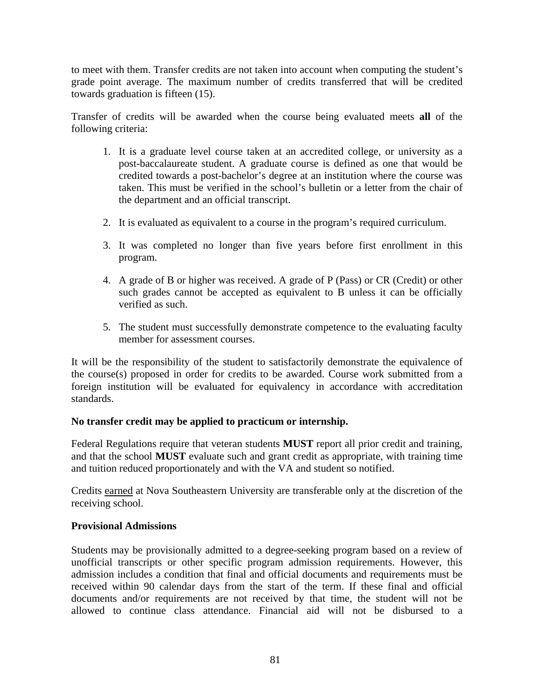to meet with them. Transfer credits are not taken into account when computing the student's grade point average. The maximum number of credits transferred that will be credited towards graduation is fifteen (15).

Transfer of credits will be awarded when the course being evaluated meets **all** of the following criteria:

- 1. It is a graduate level course taken at an accredited college, or university as a post-baccalaureate student. A graduate course is defined as one that would be credited towards a post-bachelor's degree at an institution where the course was taken. This must be verified in the school's bulletin or a letter from the chair of the department and an official transcript.
- 2. It is evaluated as equivalent to a course in the program's required curriculum.
- 3. It was completed no longer than five years before first enrollment in this program.
- 4. A grade of B or higher was received. A grade of P (Pass) or CR (Credit) or other such grades cannot be accepted as equivalent to B unless it can be officially verified as such.
- 5. The student must successfully demonstrate competence to the evaluating faculty member for assessment courses.

It will be the responsibility of the student to satisfactorily demonstrate the equivalence of the course(s) proposed in order for credits to be awarded. Course work submitted from a foreign institution will be evaluated for equivalency in accordance with accreditation standards.

# **No transfer credit may be applied to practicum or internship.**

Federal Regulations require that veteran students **MUST** report all prior credit and training, and that the school **MUST** evaluate such and grant credit as appropriate, with training time and tuition reduced proportionately and with the VA and student so notified.

Credits earned at Nova Southeastern University are transferable only at the discretion of the receiving school.

### **Provisional Admissions**

Students may be provisionally admitted to a degree-seeking program based on a review of unofficial transcripts or other specific program admission requirements. However, this admission includes a condition that final and official documents and requirements must be received within 90 calendar days from the start of the term. If these final and official documents and/or requirements are not received by that time, the student will not be allowed to continue class attendance. Financial aid will not be disbursed to a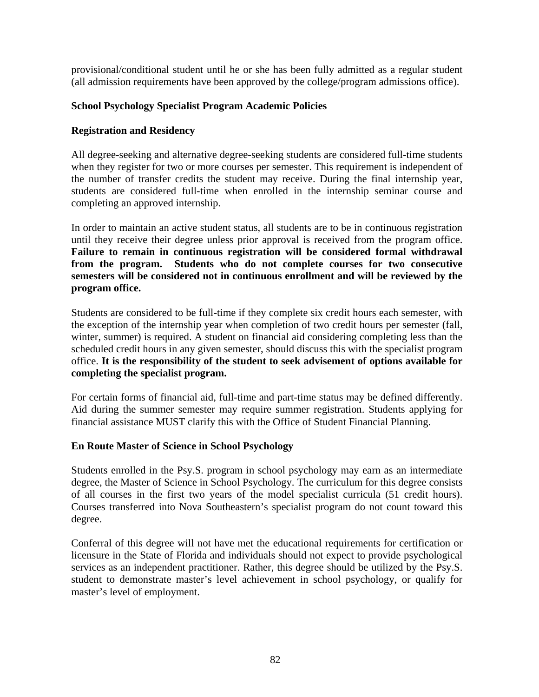provisional/conditional student until he or she has been fully admitted as a regular student (all admission requirements have been approved by the college/program admissions office).

## **School Psychology Specialist Program Academic Policies**

# **Registration and Residency**

All degree-seeking and alternative degree-seeking students are considered full-time students when they register for two or more courses per semester. This requirement is independent of the number of transfer credits the student may receive. During the final internship year, students are considered full-time when enrolled in the internship seminar course and completing an approved internship.

In order to maintain an active student status, all students are to be in continuous registration until they receive their degree unless prior approval is received from the program office. **Failure to remain in continuous registration will be considered formal withdrawal from the program. Students who do not complete courses for two consecutive semesters will be considered not in continuous enrollment and will be reviewed by the program office.** 

Students are considered to be full-time if they complete six credit hours each semester, with the exception of the internship year when completion of two credit hours per semester (fall, winter, summer) is required. A student on financial aid considering completing less than the scheduled credit hours in any given semester, should discuss this with the specialist program office. **It is the responsibility of the student to seek advisement of options available for completing the specialist program.**

For certain forms of financial aid, full-time and part-time status may be defined differently. Aid during the summer semester may require summer registration. Students applying for financial assistance MUST clarify this with the Office of Student Financial Planning.

# **En Route Master of Science in School Psychology**

Students enrolled in the Psy.S. program in school psychology may earn as an intermediate degree, the Master of Science in School Psychology. The curriculum for this degree consists of all courses in the first two years of the model specialist curricula (51 credit hours). Courses transferred into Nova Southeastern's specialist program do not count toward this degree.

Conferral of this degree will not have met the educational requirements for certification or licensure in the State of Florida and individuals should not expect to provide psychological services as an independent practitioner. Rather, this degree should be utilized by the Psy.S. student to demonstrate master's level achievement in school psychology, or qualify for master's level of employment.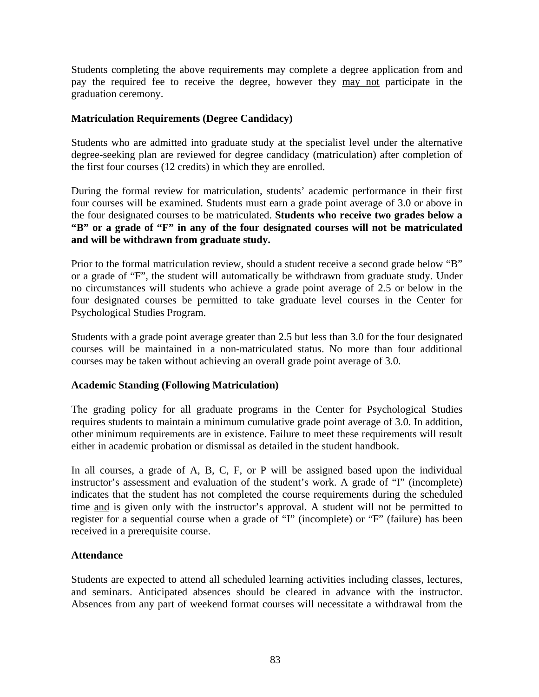Students completing the above requirements may complete a degree application from and pay the required fee to receive the degree, however they may not participate in the graduation ceremony.

## **Matriculation Requirements (Degree Candidacy)**

Students who are admitted into graduate study at the specialist level under the alternative degree-seeking plan are reviewed for degree candidacy (matriculation) after completion of the first four courses (12 credits) in which they are enrolled.

During the formal review for matriculation, students' academic performance in their first four courses will be examined. Students must earn a grade point average of 3.0 or above in the four designated courses to be matriculated. **Students who receive two grades below a "B" or a grade of "F" in any of the four designated courses will not be matriculated and will be withdrawn from graduate study.**

Prior to the formal matriculation review, should a student receive a second grade below "B" or a grade of "F", the student will automatically be withdrawn from graduate study. Under no circumstances will students who achieve a grade point average of 2.5 or below in the four designated courses be permitted to take graduate level courses in the Center for Psychological Studies Program.

Students with a grade point average greater than 2.5 but less than 3.0 for the four designated courses will be maintained in a non-matriculated status. No more than four additional courses may be taken without achieving an overall grade point average of 3.0.

### **Academic Standing (Following Matriculation)**

The grading policy for all graduate programs in the Center for Psychological Studies requires students to maintain a minimum cumulative grade point average of 3.0. In addition, other minimum requirements are in existence. Failure to meet these requirements will result either in academic probation or dismissal as detailed in the student handbook.

In all courses, a grade of A, B, C, F, or P will be assigned based upon the individual instructor's assessment and evaluation of the student's work. A grade of "I" (incomplete) indicates that the student has not completed the course requirements during the scheduled time and is given only with the instructor's approval. A student will not be permitted to register for a sequential course when a grade of "I" (incomplete) or "F" (failure) has been received in a prerequisite course.

### **Attendance**

Students are expected to attend all scheduled learning activities including classes, lectures, and seminars. Anticipated absences should be cleared in advance with the instructor. Absences from any part of weekend format courses will necessitate a withdrawal from the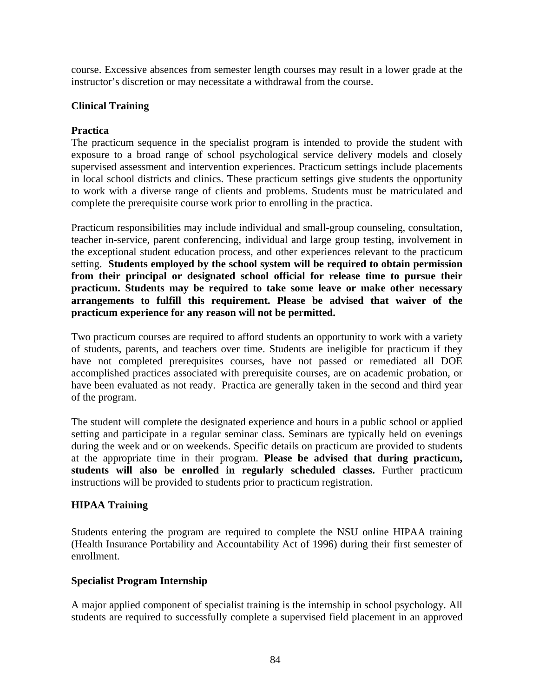course. Excessive absences from semester length courses may result in a lower grade at the instructor's discretion or may necessitate a withdrawal from the course.

# **Clinical Training**

# **Practica**

The practicum sequence in the specialist program is intended to provide the student with exposure to a broad range of school psychological service delivery models and closely supervised assessment and intervention experiences. Practicum settings include placements in local school districts and clinics. These practicum settings give students the opportunity to work with a diverse range of clients and problems. Students must be matriculated and complete the prerequisite course work prior to enrolling in the practica.

Practicum responsibilities may include individual and small-group counseling, consultation, teacher in-service, parent conferencing, individual and large group testing, involvement in the exceptional student education process, and other experiences relevant to the practicum setting. **Students employed by the school system will be required to obtain permission from their principal or designated school official for release time to pursue their practicum. Students may be required to take some leave or make other necessary arrangements to fulfill this requirement. Please be advised that waiver of the practicum experience for any reason will not be permitted.** 

Two practicum courses are required to afford students an opportunity to work with a variety of students, parents, and teachers over time. Students are ineligible for practicum if they have not completed prerequisites courses, have not passed or remediated all DOE accomplished practices associated with prerequisite courses, are on academic probation, or have been evaluated as not ready. Practica are generally taken in the second and third year of the program.

The student will complete the designated experience and hours in a public school or applied setting and participate in a regular seminar class. Seminars are typically held on evenings during the week and or on weekends. Specific details on practicum are provided to students at the appropriate time in their program. **Please be advised that during practicum, students will also be enrolled in regularly scheduled classes.** Further practicum instructions will be provided to students prior to practicum registration.

# **HIPAA Training**

Students entering the program are required to complete the NSU online HIPAA training (Health Insurance Portability and Accountability Act of 1996) during their first semester of enrollment.

# **Specialist Program Internship**

A major applied component of specialist training is the internship in school psychology. All students are required to successfully complete a supervised field placement in an approved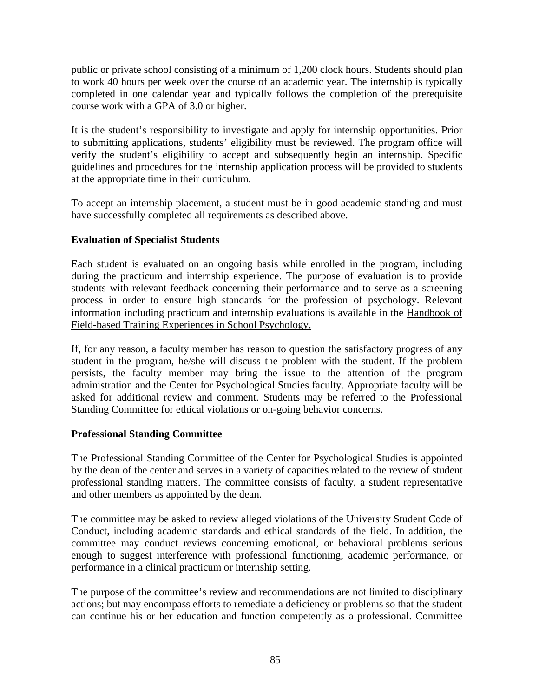public or private school consisting of a minimum of 1,200 clock hours. Students should plan to work 40 hours per week over the course of an academic year. The internship is typically completed in one calendar year and typically follows the completion of the prerequisite course work with a GPA of 3.0 or higher.

It is the student's responsibility to investigate and apply for internship opportunities. Prior to submitting applications, students' eligibility must be reviewed. The program office will verify the student's eligibility to accept and subsequently begin an internship. Specific guidelines and procedures for the internship application process will be provided to students at the appropriate time in their curriculum.

To accept an internship placement, a student must be in good academic standing and must have successfully completed all requirements as described above.

# **Evaluation of Specialist Students**

Each student is evaluated on an ongoing basis while enrolled in the program, including during the practicum and internship experience. The purpose of evaluation is to provide students with relevant feedback concerning their performance and to serve as a screening process in order to ensure high standards for the profession of psychology. Relevant information including practicum and internship evaluations is available in the Handbook of Field-based Training Experiences in School Psychology.

If, for any reason, a faculty member has reason to question the satisfactory progress of any student in the program, he/she will discuss the problem with the student. If the problem persists, the faculty member may bring the issue to the attention of the program administration and the Center for Psychological Studies faculty. Appropriate faculty will be asked for additional review and comment. Students may be referred to the Professional Standing Committee for ethical violations or on-going behavior concerns.

# **Professional Standing Committee**

The Professional Standing Committee of the Center for Psychological Studies is appointed by the dean of the center and serves in a variety of capacities related to the review of student professional standing matters. The committee consists of faculty, a student representative and other members as appointed by the dean.

The committee may be asked to review alleged violations of the University Student Code of Conduct, including academic standards and ethical standards of the field. In addition, the committee may conduct reviews concerning emotional, or behavioral problems serious enough to suggest interference with professional functioning, academic performance, or performance in a clinical practicum or internship setting.

The purpose of the committee's review and recommendations are not limited to disciplinary actions; but may encompass efforts to remediate a deficiency or problems so that the student can continue his or her education and function competently as a professional. Committee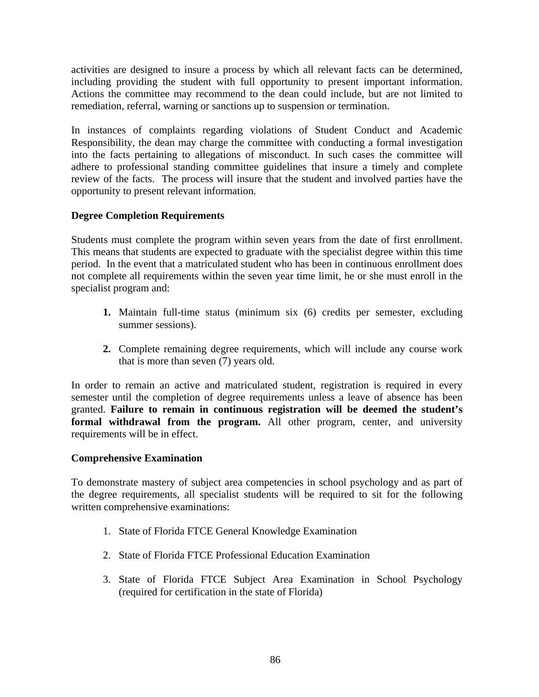activities are designed to insure a process by which all relevant facts can be determined, including providing the student with full opportunity to present important information. Actions the committee may recommend to the dean could include, but are not limited to remediation, referral, warning or sanctions up to suspension or termination.

In instances of complaints regarding violations of Student Conduct and Academic Responsibility, the dean may charge the committee with conducting a formal investigation into the facts pertaining to allegations of misconduct. In such cases the committee will adhere to professional standing committee guidelines that insure a timely and complete review of the facts. The process will insure that the student and involved parties have the opportunity to present relevant information.

## **Degree Completion Requirements**

Students must complete the program within seven years from the date of first enrollment. This means that students are expected to graduate with the specialist degree within this time period. In the event that a matriculated student who has been in continuous enrollment does not complete all requirements within the seven year time limit, he or she must enroll in the specialist program and:

- **1.** Maintain full-time status (minimum six (6) credits per semester, excluding summer sessions).
- **2.** Complete remaining degree requirements, which will include any course work that is more than seven (7) years old.

In order to remain an active and matriculated student, registration is required in every semester until the completion of degree requirements unless a leave of absence has been granted. **Failure to remain in continuous registration will be deemed the student's formal withdrawal from the program.** All other program, center, and university requirements will be in effect.

### **Comprehensive Examination**

To demonstrate mastery of subject area competencies in school psychology and as part of the degree requirements, all specialist students will be required to sit for the following written comprehensive examinations:

- 1. State of Florida FTCE General Knowledge Examination
- 2. State of Florida FTCE Professional Education Examination
- 3. State of Florida FTCE Subject Area Examination in School Psychology (required for certification in the state of Florida)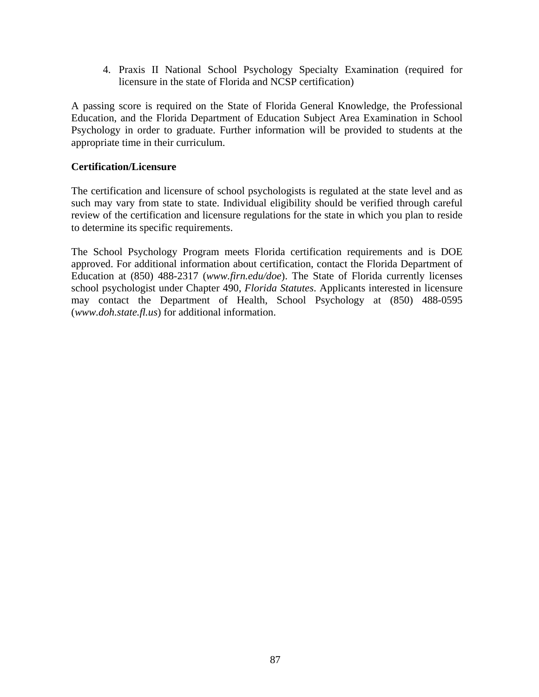4. Praxis II National School Psychology Specialty Examination (required for licensure in the state of Florida and NCSP certification)

A passing score is required on the State of Florida General Knowledge, the Professional Education, and the Florida Department of Education Subject Area Examination in School Psychology in order to graduate. Further information will be provided to students at the appropriate time in their curriculum.

## **Certification/Licensure**

The certification and licensure of school psychologists is regulated at the state level and as such may vary from state to state. Individual eligibility should be verified through careful review of the certification and licensure regulations for the state in which you plan to reside to determine its specific requirements.

The School Psychology Program meets Florida certification requirements and is DOE approved. For additional information about certification, contact the Florida Department of Education at (850) 488-2317 (*www.firn.edu/doe*). The State of Florida currently licenses school psychologist under Chapter 490, *Florida Statutes*. Applicants interested in licensure may contact the Department of Health, School Psychology at (850) 488-0595 (*www.doh.state.fl.us*) for additional information.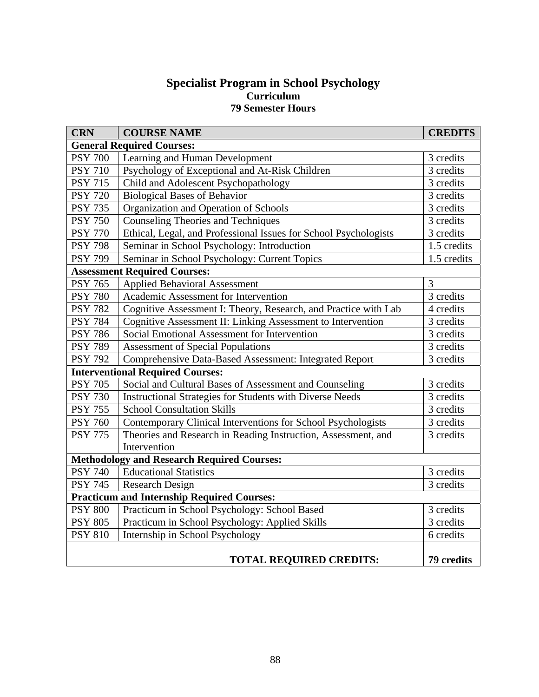# **Specialist Program in School Psychology Curriculum 79 Semester Hours**

| <b>CRN</b>                                        | <b>COURSE NAME</b>                                               | <b>CREDITS</b>         |  |  |
|---------------------------------------------------|------------------------------------------------------------------|------------------------|--|--|
| <b>General Required Courses:</b>                  |                                                                  |                        |  |  |
| <b>PSY 700</b>                                    | Learning and Human Development                                   | 3 credits              |  |  |
| <b>PSY 710</b>                                    | Psychology of Exceptional and At-Risk Children                   | 3 credits              |  |  |
| <b>PSY 715</b>                                    | Child and Adolescent Psychopathology                             | 3 credits              |  |  |
| <b>PSY 720</b>                                    | <b>Biological Bases of Behavior</b>                              | 3 credits              |  |  |
| <b>PSY 735</b>                                    | Organization and Operation of Schools                            | 3 credits              |  |  |
| <b>PSY 750</b>                                    | <b>Counseling Theories and Techniques</b>                        | 3 credits              |  |  |
| <b>PSY 770</b>                                    | Ethical, Legal, and Professional Issues for School Psychologists | 3 credits              |  |  |
| <b>PSY 798</b>                                    | Seminar in School Psychology: Introduction                       | 1.5 credits            |  |  |
| <b>PSY 799</b>                                    | Seminar in School Psychology: Current Topics                     | 1.5 credits            |  |  |
| <b>Assessment Required Courses:</b>               |                                                                  |                        |  |  |
| <b>PSY 765</b>                                    | <b>Applied Behavioral Assessment</b>                             | $\overline{3}$         |  |  |
| <b>PSY 780</b>                                    | Academic Assessment for Intervention                             | $\overline{3}$ credits |  |  |
| <b>PSY 782</b>                                    | Cognitive Assessment I: Theory, Research, and Practice with Lab  | 4 credits              |  |  |
| <b>PSY 784</b>                                    | Cognitive Assessment II: Linking Assessment to Intervention      | 3 credits              |  |  |
| <b>PSY 786</b>                                    | Social Emotional Assessment for Intervention                     | 3 credits              |  |  |
| <b>PSY 789</b>                                    | <b>Assessment of Special Populations</b>                         | 3 credits              |  |  |
| <b>PSY 792</b>                                    | Comprehensive Data-Based Assessment: Integrated Report           | 3 credits              |  |  |
| <b>Interventional Required Courses:</b>           |                                                                  |                        |  |  |
| <b>PSY 705</b>                                    | Social and Cultural Bases of Assessment and Counseling           | 3 credits              |  |  |
| <b>PSY 730</b>                                    | <b>Instructional Strategies for Students with Diverse Needs</b>  | 3 credits              |  |  |
| <b>PSY 755</b>                                    | <b>School Consultation Skills</b>                                | 3 credits              |  |  |
| <b>PSY 760</b>                                    | Contemporary Clinical Interventions for School Psychologists     | 3 credits              |  |  |
| <b>PSY 775</b>                                    | Theories and Research in Reading Instruction, Assessment, and    | 3 credits              |  |  |
|                                                   | Intervention                                                     |                        |  |  |
| Methodology and Research Required Courses:        |                                                                  |                        |  |  |
| <b>PSY 740</b>                                    | <b>Educational Statistics</b>                                    | 3 credits              |  |  |
| <b>PSY 745</b>                                    | <b>Research Design</b>                                           | 3 credits              |  |  |
| <b>Practicum and Internship Required Courses:</b> |                                                                  |                        |  |  |
| <b>PSY 800</b>                                    | Practicum in School Psychology: School Based                     | 3 credits              |  |  |
| <b>PSY 805</b>                                    | Practicum in School Psychology: Applied Skills                   | 3 credits              |  |  |
| <b>PSY 810</b>                                    | Internship in School Psychology                                  | 6 credits              |  |  |
| 79 credits<br><b>TOTAL REQUIRED CREDITS:</b>      |                                                                  |                        |  |  |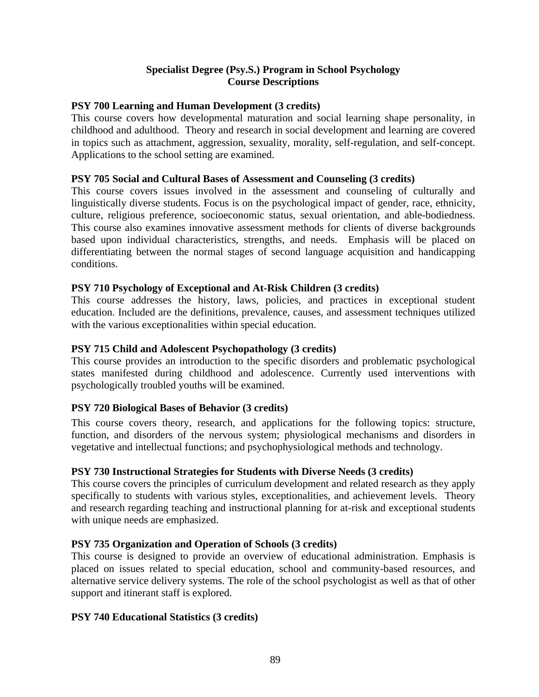# **Specialist Degree (Psy.S.) Program in School Psychology Course Descriptions**

# **PSY 700 Learning and Human Development (3 credits)**

This course covers how developmental maturation and social learning shape personality, in childhood and adulthood. Theory and research in social development and learning are covered in topics such as attachment, aggression, sexuality, morality, self-regulation, and self-concept. Applications to the school setting are examined.

### **PSY 705 Social and Cultural Bases of Assessment and Counseling (3 credits)**

This course covers issues involved in the assessment and counseling of culturally and linguistically diverse students. Focus is on the psychological impact of gender, race, ethnicity, culture, religious preference, socioeconomic status, sexual orientation, and able-bodiedness. This course also examines innovative assessment methods for clients of diverse backgrounds based upon individual characteristics, strengths, and needs. Emphasis will be placed on differentiating between the normal stages of second language acquisition and handicapping conditions.

### **PSY 710 Psychology of Exceptional and At-Risk Children (3 credits)**

This course addresses the history, laws, policies, and practices in exceptional student education. Included are the definitions, prevalence, causes, and assessment techniques utilized with the various exceptionalities within special education.

### **PSY 715 Child and Adolescent Psychopathology (3 credits)**

This course provides an introduction to the specific disorders and problematic psychological states manifested during childhood and adolescence. Currently used interventions with psychologically troubled youths will be examined.

### **PSY 720 Biological Bases of Behavior (3 credits)**

This course covers theory, research, and applications for the following topics: structure, function, and disorders of the nervous system; physiological mechanisms and disorders in vegetative and intellectual functions; and psychophysiological methods and technology.

### **PSY 730 Instructional Strategies for Students with Diverse Needs (3 credits)**

This course covers the principles of curriculum development and related research as they apply specifically to students with various styles, exceptionalities, and achievement levels. Theory and research regarding teaching and instructional planning for at-risk and exceptional students with unique needs are emphasized.

### **PSY 735 Organization and Operation of Schools (3 credits)**

This course is designed to provide an overview of educational administration. Emphasis is placed on issues related to special education, school and community-based resources, and alternative service delivery systems. The role of the school psychologist as well as that of other support and itinerant staff is explored.

### **PSY 740 Educational Statistics (3 credits)**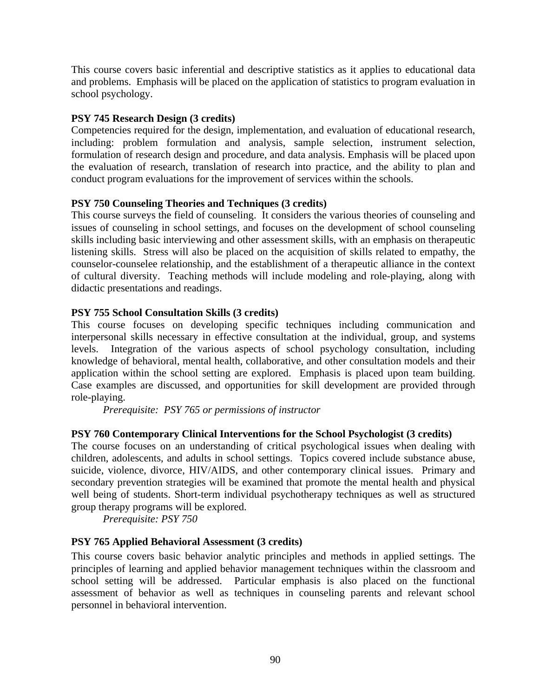This course covers basic inferential and descriptive statistics as it applies to educational data and problems. Emphasis will be placed on the application of statistics to program evaluation in school psychology.

# **PSY 745 Research Design (3 credits)**

Competencies required for the design, implementation, and evaluation of educational research, including: problem formulation and analysis, sample selection, instrument selection, formulation of research design and procedure, and data analysis. Emphasis will be placed upon the evaluation of research, translation of research into practice, and the ability to plan and conduct program evaluations for the improvement of services within the schools.

# **PSY 750 Counseling Theories and Techniques (3 credits)**

This course surveys the field of counseling. It considers the various theories of counseling and issues of counseling in school settings, and focuses on the development of school counseling skills including basic interviewing and other assessment skills, with an emphasis on therapeutic listening skills. Stress will also be placed on the acquisition of skills related to empathy, the counselor-counselee relationship, and the establishment of a therapeutic alliance in the context of cultural diversity. Teaching methods will include modeling and role-playing, along with didactic presentations and readings.

# **PSY 755 School Consultation Skills (3 credits)**

This course focuses on developing specific techniques including communication and interpersonal skills necessary in effective consultation at the individual, group, and systems levels. Integration of the various aspects of school psychology consultation, including knowledge of behavioral, mental health, collaborative, and other consultation models and their application within the school setting are explored. Emphasis is placed upon team building. Case examples are discussed, and opportunities for skill development are provided through role-playing.

*Prerequisite: PSY 765 or permissions of instructor* 

# **PSY 760 Contemporary Clinical Interventions for the School Psychologist (3 credits)**

The course focuses on an understanding of critical psychological issues when dealing with children, adolescents, and adults in school settings. Topics covered include substance abuse, suicide, violence, divorce, HIV/AIDS, and other contemporary clinical issues. Primary and secondary prevention strategies will be examined that promote the mental health and physical well being of students. Short-term individual psychotherapy techniques as well as structured group therapy programs will be explored.

*Prerequisite: PSY 750*

# **PSY 765 Applied Behavioral Assessment (3 credits)**

This course covers basic behavior analytic principles and methods in applied settings. The principles of learning and applied behavior management techniques within the classroom and school setting will be addressed. Particular emphasis is also placed on the functional assessment of behavior as well as techniques in counseling parents and relevant school personnel in behavioral intervention.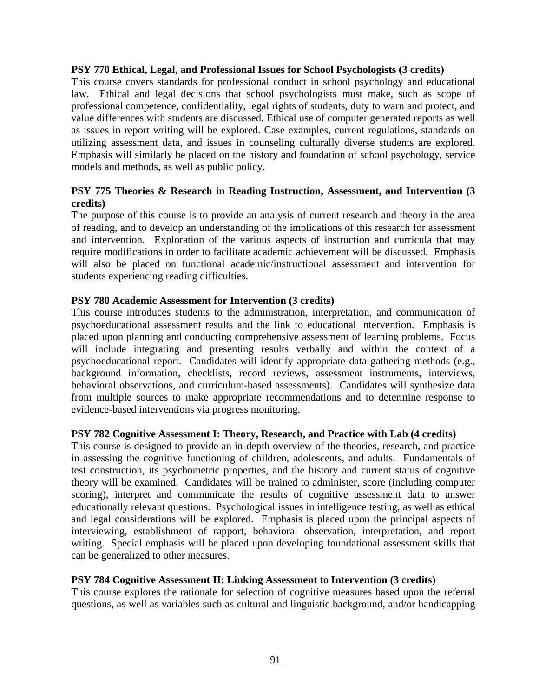### **PSY 770 Ethical, Legal, and Professional Issues for School Psychologists (3 credits)**

This course covers standards for professional conduct in school psychology and educational law. Ethical and legal decisions that school psychologists must make, such as scope of professional competence, confidentiality, legal rights of students, duty to warn and protect, and value differences with students are discussed. Ethical use of computer generated reports as well as issues in report writing will be explored. Case examples, current regulations, standards on utilizing assessment data, and issues in counseling culturally diverse students are explored. Emphasis will similarly be placed on the history and foundation of school psychology, service models and methods, as well as public policy.

# **PSY 775 Theories & Research in Reading Instruction, Assessment, and Intervention (3 credits)**

The purpose of this course is to provide an analysis of current research and theory in the area of reading, and to develop an understanding of the implications of this research for assessment and intervention. Exploration of the various aspects of instruction and curricula that may require modifications in order to facilitate academic achievement will be discussed. Emphasis will also be placed on functional academic/instructional assessment and intervention for students experiencing reading difficulties.

### **PSY 780 Academic Assessment for Intervention (3 credits)**

This course introduces students to the administration, interpretation, and communication of psychoeducational assessment results and the link to educational intervention. Emphasis is placed upon planning and conducting comprehensive assessment of learning problems. Focus will include integrating and presenting results verbally and within the context of a psychoeducational report. Candidates will identify appropriate data gathering methods (e.g., background information, checklists, record reviews, assessment instruments, interviews, behavioral observations, and curriculum-based assessments). Candidates will synthesize data from multiple sources to make appropriate recommendations and to determine response to evidence-based interventions via progress monitoring.

### **PSY 782 Cognitive Assessment I: Theory, Research, and Practice with Lab (4 credits)**

This course is designed to provide an in-depth overview of the theories, research, and practice in assessing the cognitive functioning of children, adolescents, and adults. Fundamentals of test construction, its psychometric properties, and the history and current status of cognitive theory will be examined. Candidates will be trained to administer, score (including computer scoring), interpret and communicate the results of cognitive assessment data to answer educationally relevant questions. Psychological issues in intelligence testing, as well as ethical and legal considerations will be explored. Emphasis is placed upon the principal aspects of interviewing, establishment of rapport, behavioral observation, interpretation, and report writing. Special emphasis will be placed upon developing foundational assessment skills that can be generalized to other measures.

#### **PSY 784 Cognitive Assessment II: Linking Assessment to Intervention (3 credits)**

This course explores the rationale for selection of cognitive measures based upon the referral questions, as well as variables such as cultural and linguistic background, and/or handicapping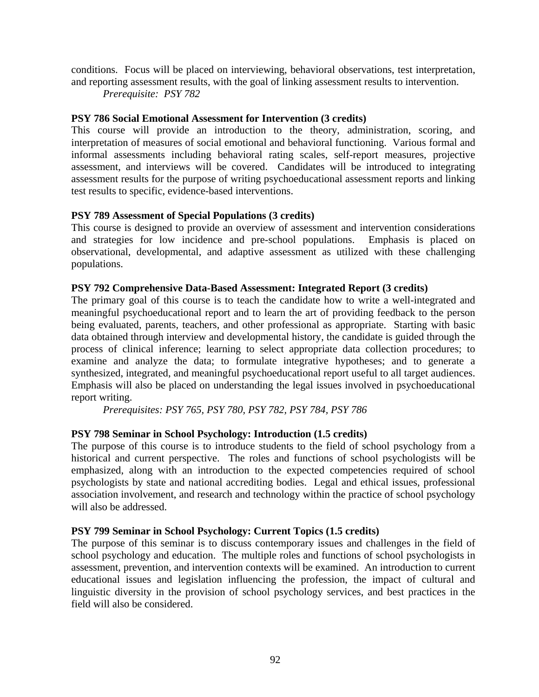conditions. Focus will be placed on interviewing, behavioral observations, test interpretation, and reporting assessment results, with the goal of linking assessment results to intervention.

*Prerequisite: PSY 782* 

### **PSY 786 Social Emotional Assessment for Intervention (3 credits)**

This course will provide an introduction to the theory, administration, scoring, and interpretation of measures of social emotional and behavioral functioning. Various formal and informal assessments including behavioral rating scales, self-report measures, projective assessment, and interviews will be covered. Candidates will be introduced to integrating assessment results for the purpose of writing psychoeducational assessment reports and linking test results to specific, evidence-based interventions.

## **PSY 789 Assessment of Special Populations (3 credits)**

This course is designed to provide an overview of assessment and intervention considerations and strategies for low incidence and pre-school populations. Emphasis is placed on observational, developmental, and adaptive assessment as utilized with these challenging populations.

### **PSY 792 Comprehensive Data-Based Assessment: Integrated Report (3 credits)**

The primary goal of this course is to teach the candidate how to write a well-integrated and meaningful psychoeducational report and to learn the art of providing feedback to the person being evaluated, parents, teachers, and other professional as appropriate. Starting with basic data obtained through interview and developmental history, the candidate is guided through the process of clinical inference; learning to select appropriate data collection procedures; to examine and analyze the data; to formulate integrative hypotheses; and to generate a synthesized, integrated, and meaningful psychoeducational report useful to all target audiences. Emphasis will also be placed on understanding the legal issues involved in psychoeducational report writing.

*Prerequisites: PSY 765, PSY 780, PSY 782, PSY 784, PSY 786*

### **PSY 798 Seminar in School Psychology: Introduction (1.5 credits)**

The purpose of this course is to introduce students to the field of school psychology from a historical and current perspective. The roles and functions of school psychologists will be emphasized, along with an introduction to the expected competencies required of school psychologists by state and national accrediting bodies. Legal and ethical issues, professional association involvement, and research and technology within the practice of school psychology will also be addressed.

### **PSY 799 Seminar in School Psychology: Current Topics (1.5 credits)**

The purpose of this seminar is to discuss contemporary issues and challenges in the field of school psychology and education. The multiple roles and functions of school psychologists in assessment, prevention, and intervention contexts will be examined. An introduction to current educational issues and legislation influencing the profession, the impact of cultural and linguistic diversity in the provision of school psychology services, and best practices in the field will also be considered.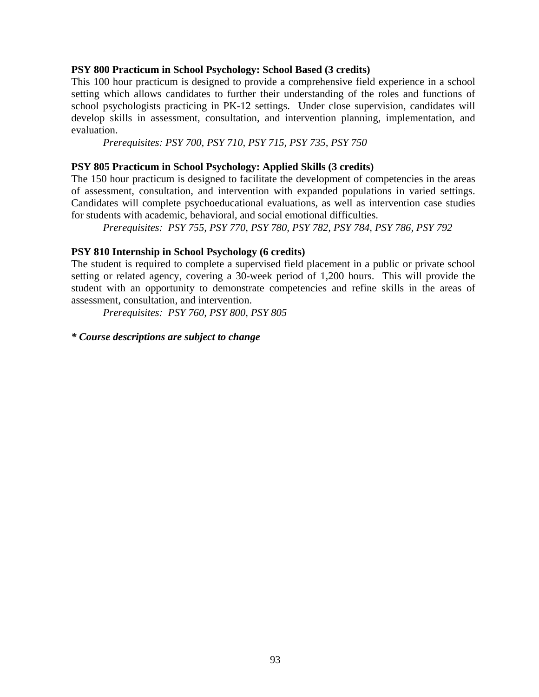### **PSY 800 Practicum in School Psychology: School Based (3 credits)**

This 100 hour practicum is designed to provide a comprehensive field experience in a school setting which allows candidates to further their understanding of the roles and functions of school psychologists practicing in PK-12 settings. Under close supervision, candidates will develop skills in assessment, consultation, and intervention planning, implementation, and evaluation.

*Prerequisites: PSY 700, PSY 710, PSY 715, PSY 735, PSY 750* 

#### **PSY 805 Practicum in School Psychology: Applied Skills (3 credits)**

The 150 hour practicum is designed to facilitate the development of competencies in the areas of assessment, consultation, and intervention with expanded populations in varied settings. Candidates will complete psychoeducational evaluations, as well as intervention case studies for students with academic, behavioral, and social emotional difficulties.

*Prerequisites: PSY 755, PSY 770, PSY 780, PSY 782, PSY 784, PSY 786, PSY 792* 

### **PSY 810 Internship in School Psychology (6 credits)**

The student is required to complete a supervised field placement in a public or private school setting or related agency, covering a 30-week period of 1,200 hours. This will provide the student with an opportunity to demonstrate competencies and refine skills in the areas of assessment, consultation, and intervention.

*Prerequisites: PSY 760, PSY 800, PSY 805*

*\* Course descriptions are subject to change*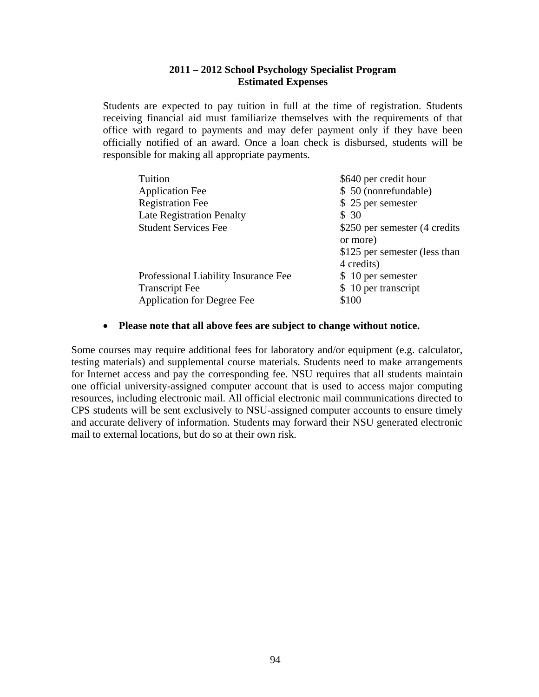### **2011 – 2012 School Psychology Specialist Program Estimated Expenses**

Students are expected to pay tuition in full at the time of registration. Students receiving financial aid must familiarize themselves with the requirements of that office with regard to payments and may defer payment only if they have been officially notified of an award. Once a loan check is disbursed, students will be responsible for making all appropriate payments.

| Tuition                              | \$640 per credit hour                       |
|--------------------------------------|---------------------------------------------|
| <b>Application Fee</b>               | \$ 50 (nonrefundable)                       |
| <b>Registration Fee</b>              | \$25 per semester                           |
| <b>Late Registration Penalty</b>     | \$30                                        |
| <b>Student Services Fee</b>          | \$250 per semester (4 credits)<br>or more)  |
|                                      | \$125 per semester (less than<br>4 credits) |
| Professional Liability Insurance Fee | \$ 10 per semester                          |
| <b>Transcript Fee</b>                | \$10 per transcript                         |
| <b>Application for Degree Fee</b>    | \$100                                       |

#### • **Please note that all above fees are subject to change without notice.**

Some courses may require additional fees for laboratory and/or equipment (e.g. calculator, testing materials) and supplemental course materials. Students need to make arrangements for Internet access and pay the corresponding fee. NSU requires that all students maintain one official university-assigned computer account that is used to access major computing resources, including electronic mail. All official electronic mail communications directed to CPS students will be sent exclusively to NSU-assigned computer accounts to ensure timely and accurate delivery of information. Students may forward their NSU generated electronic mail to external locations, but do so at their own risk.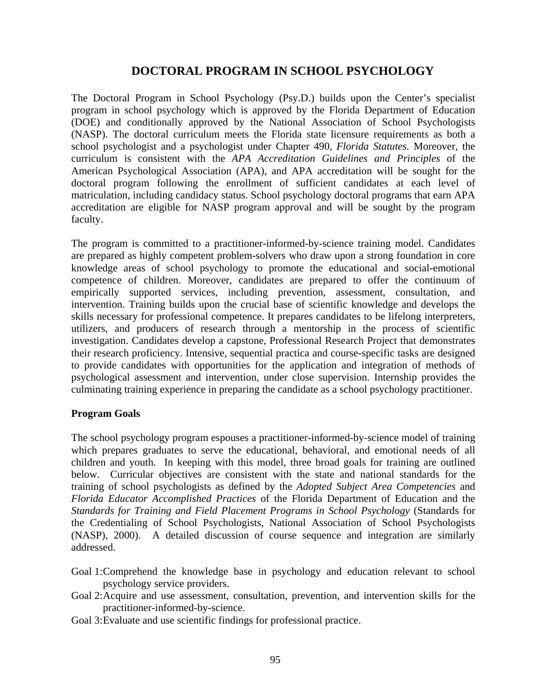# **DOCTORAL PROGRAM IN SCHOOL PSYCHOLOGY**

The Doctoral Program in School Psychology (Psy.D.) builds upon the Center's specialist program in school psychology which is approved by the Florida Department of Education (DOE) and conditionally approved by the National Association of School Psychologists (NASP). The doctoral curriculum meets the Florida state licensure requirements as both a school psychologist and a psychologist under Chapter 490, *Florida Statutes.* Moreover, the curriculum is consistent with the *APA Accreditation Guidelines and Principles* of the American Psychological Association (APA), and APA accreditation will be sought for the doctoral program following the enrollment of sufficient candidates at each level of matriculation, including candidacy status. School psychology doctoral programs that earn APA accreditation are eligible for NASP program approval and will be sought by the program faculty.

The program is committed to a practitioner-informed-by-science training model. Candidates are prepared as highly competent problem-solvers who draw upon a strong foundation in core knowledge areas of school psychology to promote the educational and social-emotional competence of children. Moreover, candidates are prepared to offer the continuum of empirically supported services, including prevention, assessment, consultation, and intervention. Training builds upon the crucial base of scientific knowledge and develops the skills necessary for professional competence. It prepares candidates to be lifelong interpreters, utilizers, and producers of research through a mentorship in the process of scientific investigation. Candidates develop a capstone, Professional Research Project that demonstrates their research proficiency. Intensive, sequential practica and course-specific tasks are designed to provide candidates with opportunities for the application and integration of methods of psychological assessment and intervention, under close supervision. Internship provides the culminating training experience in preparing the candidate as a school psychology practitioner.

### **Program Goals**

The school psychology program espouses a practitioner-informed-by-science model of training which prepares graduates to serve the educational, behavioral, and emotional needs of all children and youth. In keeping with this model, three broad goals for training are outlined below. Curricular objectives are consistent with the state and national standards for the training of school psychologists as defined by the *Adopted Subject Area Competencies* and *Florida Educator Accomplished Practices* of the Florida Department of Education and the *Standards for Training and Field Placement Programs in School Psychology* (Standards for the Credentialing of School Psychologists, National Association of School Psychologists (NASP), 2000). A detailed discussion of course sequence and integration are similarly addressed.

- Goal 1: Comprehend the knowledge base in psychology and education relevant to school psychology service providers.
- Goal 2: Acquire and use assessment, consultation, prevention, and intervention skills for the practitioner-informed-by-science.
- Goal 3: Evaluate and use scientific findings for professional practice.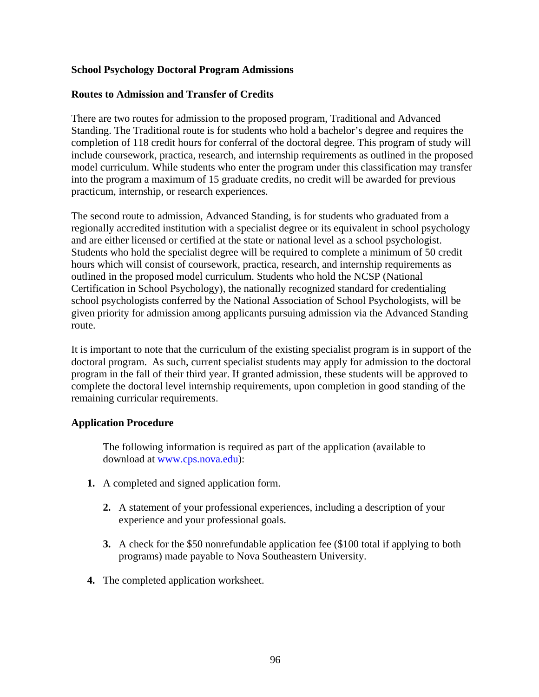## **School Psychology Doctoral Program Admissions**

### **Routes to Admission and Transfer of Credits**

There are two routes for admission to the proposed program, Traditional and Advanced Standing. The Traditional route is for students who hold a bachelor's degree and requires the completion of 118 credit hours for conferral of the doctoral degree. This program of study will include coursework, practica, research, and internship requirements as outlined in the proposed model curriculum. While students who enter the program under this classification may transfer into the program a maximum of 15 graduate credits, no credit will be awarded for previous practicum, internship, or research experiences.

The second route to admission, Advanced Standing, is for students who graduated from a regionally accredited institution with a specialist degree or its equivalent in school psychology and are either licensed or certified at the state or national level as a school psychologist. Students who hold the specialist degree will be required to complete a minimum of 50 credit hours which will consist of coursework, practica, research, and internship requirements as outlined in the proposed model curriculum. Students who hold the NCSP (National Certification in School Psychology), the nationally recognized standard for credentialing school psychologists conferred by the National Association of School Psychologists, will be given priority for admission among applicants pursuing admission via the Advanced Standing route.

It is important to note that the curriculum of the existing specialist program is in support of the doctoral program. As such, current specialist students may apply for admission to the doctoral program in the fall of their third year. If granted admission, these students will be approved to complete the doctoral level internship requirements, upon completion in good standing of the remaining curricular requirements.

### **Application Procedure**

The following information is required as part of the application (available to download at [www.cps.nova.edu\)](http://www.cps.nova.edu/):

- **1.** A completed and signed application form.
	- **2.** A statement of your professional experiences, including a description of your experience and your professional goals.
	- **3.** A check for the \$50 nonrefundable application fee (\$100 total if applying to both programs) made payable to Nova Southeastern University.
- **4.** The completed application worksheet.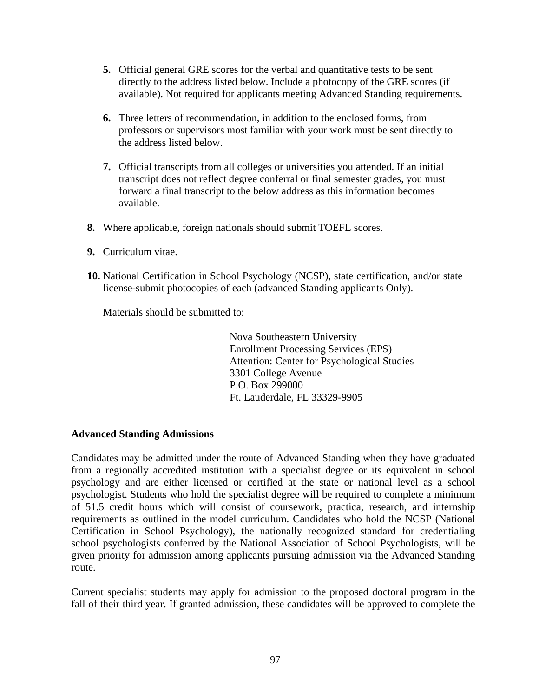- **5.** Official general GRE scores for the verbal and quantitative tests to be sent directly to the address listed below. Include a photocopy of the GRE scores (if available). Not required for applicants meeting Advanced Standing requirements.
- **6.** Three letters of recommendation, in addition to the enclosed forms, from professors or supervisors most familiar with your work must be sent directly to the address listed below.
- **7.** Official transcripts from all colleges or universities you attended. If an initial transcript does not reflect degree conferral or final semester grades, you must forward a final transcript to the below address as this information becomes available.
- **8.** Where applicable, foreign nationals should submit TOEFL scores.
- **9.** Curriculum vitae.
- **10.** National Certification in School Psychology (NCSP), state certification, and/or state license-submit photocopies of each (advanced Standing applicants Only).

Materials should be submitted to:

 Nova Southeastern University Enrollment Processing Services (EPS) Attention: Center for Psychological Studies 3301 College Avenue P.O. Box 299000 Ft. Lauderdale, FL 33329-9905

### **Advanced Standing Admissions**

Candidates may be admitted under the route of Advanced Standing when they have graduated from a regionally accredited institution with a specialist degree or its equivalent in school psychology and are either licensed or certified at the state or national level as a school psychologist. Students who hold the specialist degree will be required to complete a minimum of 51.5 credit hours which will consist of coursework, practica, research, and internship requirements as outlined in the model curriculum. Candidates who hold the NCSP (National Certification in School Psychology), the nationally recognized standard for credentialing school psychologists conferred by the National Association of School Psychologists, will be given priority for admission among applicants pursuing admission via the Advanced Standing route.

Current specialist students may apply for admission to the proposed doctoral program in the fall of their third year. If granted admission, these candidates will be approved to complete the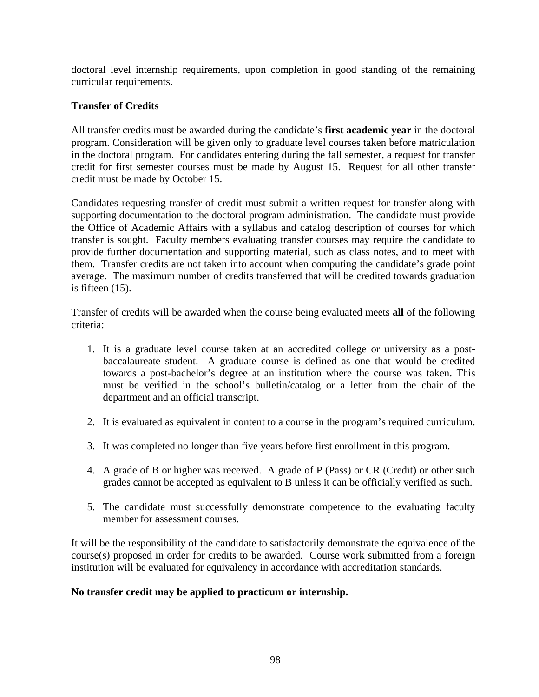doctoral level internship requirements, upon completion in good standing of the remaining curricular requirements.

# **Transfer of Credits**

All transfer credits must be awarded during the candidate's **first academic year** in the doctoral program. Consideration will be given only to graduate level courses taken before matriculation in the doctoral program. For candidates entering during the fall semester, a request for transfer credit for first semester courses must be made by August 15. Request for all other transfer credit must be made by October 15.

Candidates requesting transfer of credit must submit a written request for transfer along with supporting documentation to the doctoral program administration. The candidate must provide the Office of Academic Affairs with a syllabus and catalog description of courses for which transfer is sought. Faculty members evaluating transfer courses may require the candidate to provide further documentation and supporting material, such as class notes, and to meet with them. Transfer credits are not taken into account when computing the candidate's grade point average. The maximum number of credits transferred that will be credited towards graduation is fifteen (15).

Transfer of credits will be awarded when the course being evaluated meets **all** of the following criteria:

- 1. It is a graduate level course taken at an accredited college or university as a postbaccalaureate student. A graduate course is defined as one that would be credited towards a post-bachelor's degree at an institution where the course was taken. This must be verified in the school's bulletin/catalog or a letter from the chair of the department and an official transcript.
- 2. It is evaluated as equivalent in content to a course in the program's required curriculum.
- 3. It was completed no longer than five years before first enrollment in this program.
- 4. A grade of B or higher was received. A grade of P (Pass) or CR (Credit) or other such grades cannot be accepted as equivalent to B unless it can be officially verified as such.
- 5. The candidate must successfully demonstrate competence to the evaluating faculty member for assessment courses.

It will be the responsibility of the candidate to satisfactorily demonstrate the equivalence of the course(s) proposed in order for credits to be awarded. Course work submitted from a foreign institution will be evaluated for equivalency in accordance with accreditation standards.

# **No transfer credit may be applied to practicum or internship.**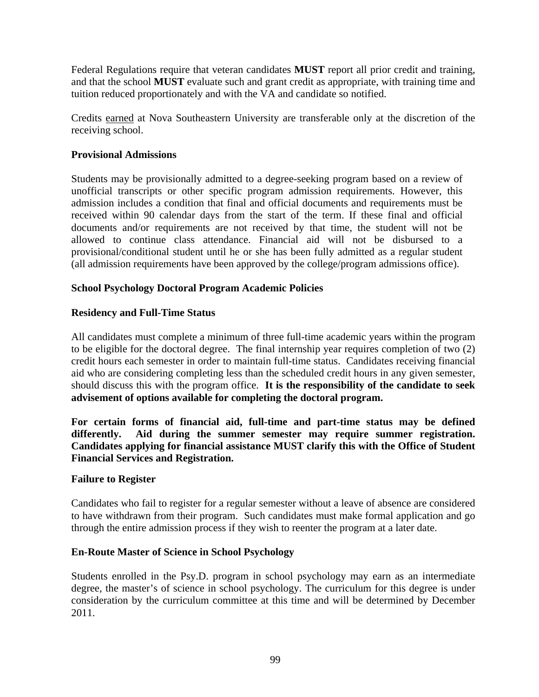Federal Regulations require that veteran candidates **MUST** report all prior credit and training, and that the school **MUST** evaluate such and grant credit as appropriate, with training time and tuition reduced proportionately and with the VA and candidate so notified.

Credits earned at Nova Southeastern University are transferable only at the discretion of the receiving school.

# **Provisional Admissions**

Students may be provisionally admitted to a degree-seeking program based on a review of unofficial transcripts or other specific program admission requirements. However, this admission includes a condition that final and official documents and requirements must be received within 90 calendar days from the start of the term. If these final and official documents and/or requirements are not received by that time, the student will not be allowed to continue class attendance. Financial aid will not be disbursed to a provisional/conditional student until he or she has been fully admitted as a regular student (all admission requirements have been approved by the college/program admissions office).

## **School Psychology Doctoral Program Academic Policies**

### **Residency and Full-Time Status**

All candidates must complete a minimum of three full-time academic years within the program to be eligible for the doctoral degree. The final internship year requires completion of two (2) credit hours each semester in order to maintain full-time status. Candidates receiving financial aid who are considering completing less than the scheduled credit hours in any given semester, should discuss this with the program office. **It is the responsibility of the candidate to seek advisement of options available for completing the doctoral program.**

**For certain forms of financial aid, full-time and part-time status may be defined differently. Aid during the summer semester may require summer registration. Candidates applying for financial assistance MUST clarify this with the Office of Student Financial Services and Registration.** 

### **Failure to Register**

Candidates who fail to register for a regular semester without a leave of absence are considered to have withdrawn from their program. Such candidates must make formal application and go through the entire admission process if they wish to reenter the program at a later date.

### **En-Route Master of Science in School Psychology**

Students enrolled in the Psy.D. program in school psychology may earn as an intermediate degree, the master's of science in school psychology. The curriculum for this degree is under consideration by the curriculum committee at this time and will be determined by December 2011.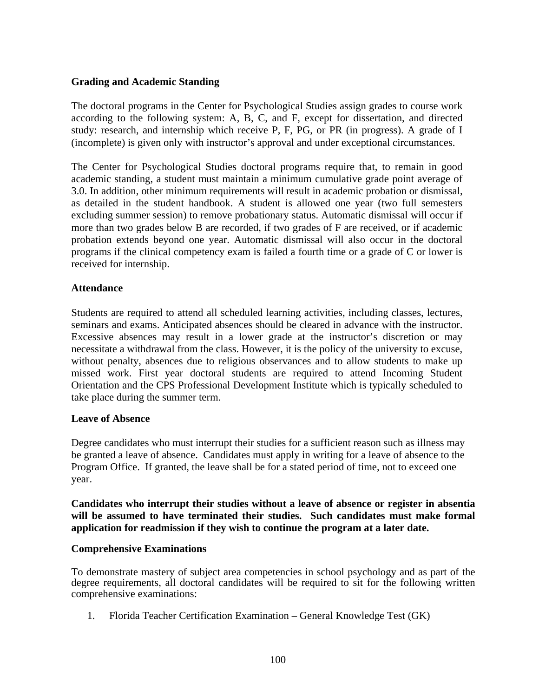# **Grading and Academic Standing**

The doctoral programs in the Center for Psychological Studies assign grades to course work according to the following system: A, B, C, and F, except for dissertation, and directed study: research, and internship which receive P, F, PG, or PR (in progress). A grade of I (incomplete) is given only with instructor's approval and under exceptional circumstances.

The Center for Psychological Studies doctoral programs require that, to remain in good academic standing, a student must maintain a minimum cumulative grade point average of 3.0. In addition, other minimum requirements will result in academic probation or dismissal, as detailed in the student handbook. A student is allowed one year (two full semesters excluding summer session) to remove probationary status. Automatic dismissal will occur if more than two grades below B are recorded, if two grades of F are received, or if academic probation extends beyond one year. Automatic dismissal will also occur in the doctoral programs if the clinical competency exam is failed a fourth time or a grade of C or lower is received for internship.

## **Attendance**

Students are required to attend all scheduled learning activities, including classes, lectures, seminars and exams. Anticipated absences should be cleared in advance with the instructor. Excessive absences may result in a lower grade at the instructor's discretion or may necessitate a withdrawal from the class. However, it is the policy of the university to excuse, without penalty, absences due to religious observances and to allow students to make up missed work. First year doctoral students are required to attend Incoming Student Orientation and the CPS Professional Development Institute which is typically scheduled to take place during the summer term.

### **Leave of Absence**

Degree candidates who must interrupt their studies for a sufficient reason such as illness may be granted a leave of absence. Candidates must apply in writing for a leave of absence to the Program Office. If granted, the leave shall be for a stated period of time, not to exceed one year.

**Candidates who interrupt their studies without a leave of absence or register in absentia will be assumed to have terminated their studies. Such candidates must make formal application for readmission if they wish to continue the program at a later date.**

### **Comprehensive Examinations**

To demonstrate mastery of subject area competencies in school psychology and as part of the degree requirements, all doctoral candidates will be required to sit for the following written comprehensive examinations:

1. Florida Teacher Certification Examination – General Knowledge Test (GK)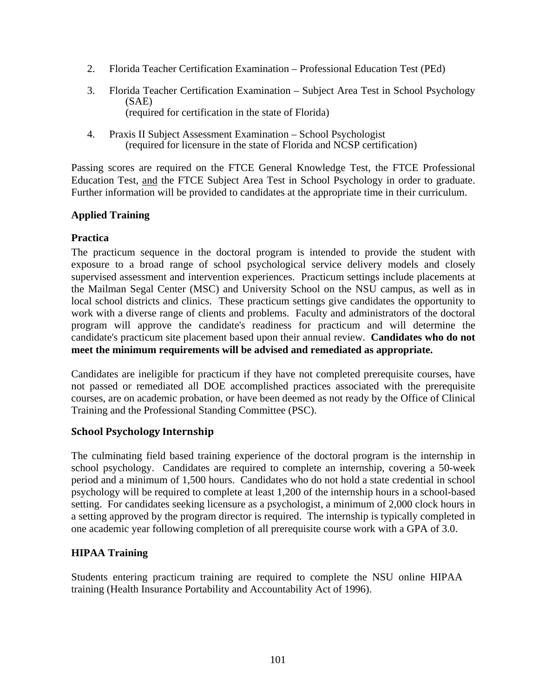- 2. Florida Teacher Certification Examination Professional Education Test (PEd)
- 3. Florida Teacher Certification Examination Subject Area Test in School Psychology (SAE) (required for certification in the state of Florida)
- 4. Praxis II Subject Assessment Examination School Psychologist (required for licensure in the state of Florida and NCSP certification)

Passing scores are required on the FTCE General Knowledge Test, the FTCE Professional Education Test, and the FTCE Subject Area Test in School Psychology in order to graduate. Further information will be provided to candidates at the appropriate time in their curriculum.

## **Applied Training**

## **Practica**

The practicum sequence in the doctoral program is intended to provide the student with exposure to a broad range of school psychological service delivery models and closely supervised assessment and intervention experiences. Practicum settings include placements at the Mailman Segal Center (MSC) and University School on the NSU campus, as well as in local school districts and clinics. These practicum settings give candidates the opportunity to work with a diverse range of clients and problems. Faculty and administrators of the doctoral program will approve the candidate's readiness for practicum and will determine the candidate's practicum site placement based upon their annual review. **Candidates who do not meet the minimum requirements will be advised and remediated as appropriate.**

Candidates are ineligible for practicum if they have not completed prerequisite courses, have not passed or remediated all DOE accomplished practices associated with the prerequisite courses, are on academic probation, or have been deemed as not ready by the Office of Clinical Training and the Professional Standing Committee (PSC).

# **School Psychology Internship**

The culminating field based training experience of the doctoral program is the internship in school psychology. Candidates are required to complete an internship, covering a 50-week period and a minimum of 1,500 hours. Candidates who do not hold a state credential in school psychology will be required to complete at least 1,200 of the internship hours in a school-based setting. For candidates seeking licensure as a psychologist, a minimum of 2,000 clock hours in a setting approved by the program director is required. The internship is typically completed in one academic year following completion of all prerequisite course work with a GPA of 3.0.

# **HIPAA Training**

Students entering practicum training are required to complete the NSU online HIPAA training (Health Insurance Portability and Accountability Act of 1996).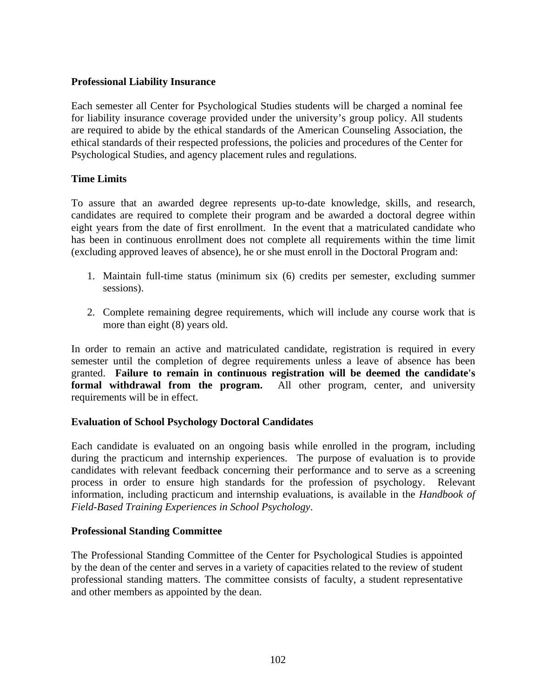## **Professional Liability Insurance**

Each semester all Center for Psychological Studies students will be charged a nominal fee for liability insurance coverage provided under the university's group policy. All students are required to abide by the ethical standards of the American Counseling Association, the ethical standards of their respected professions, the policies and procedures of the Center for Psychological Studies, and agency placement rules and regulations.

## **Time Limits**

To assure that an awarded degree represents up-to-date knowledge, skills, and research, candidates are required to complete their program and be awarded a doctoral degree within eight years from the date of first enrollment. In the event that a matriculated candidate who has been in continuous enrollment does not complete all requirements within the time limit (excluding approved leaves of absence), he or she must enroll in the Doctoral Program and:

- 1. Maintain full-time status (minimum six (6) credits per semester, excluding summer sessions).
- 2. Complete remaining degree requirements, which will include any course work that is more than eight (8) years old.

In order to remain an active and matriculated candidate, registration is required in every semester until the completion of degree requirements unless a leave of absence has been granted. **Failure to remain in continuous registration will be deemed the candidate's formal withdrawal from the program.** All other program, center, and university requirements will be in effect.

### **Evaluation of School Psychology Doctoral Candidates**

Each candidate is evaluated on an ongoing basis while enrolled in the program, including during the practicum and internship experiences. The purpose of evaluation is to provide candidates with relevant feedback concerning their performance and to serve as a screening process in order to ensure high standards for the profession of psychology. Relevant information, including practicum and internship evaluations, is available in the *Handbook of Field-Based Training Experiences in School Psychology*.

### **Professional Standing Committee**

The Professional Standing Committee of the Center for Psychological Studies is appointed by the dean of the center and serves in a variety of capacities related to the review of student professional standing matters. The committee consists of faculty, a student representative and other members as appointed by the dean.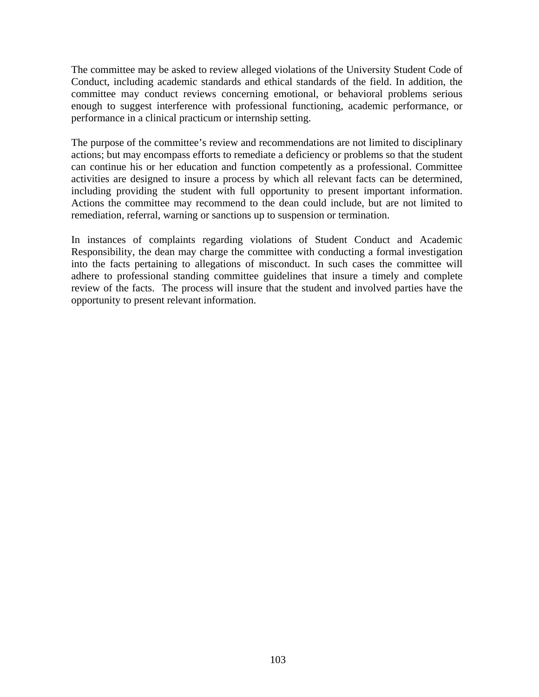The committee may be asked to review alleged violations of the University Student Code of Conduct, including academic standards and ethical standards of the field. In addition, the committee may conduct reviews concerning emotional, or behavioral problems serious enough to suggest interference with professional functioning, academic performance, or performance in a clinical practicum or internship setting.

The purpose of the committee's review and recommendations are not limited to disciplinary actions; but may encompass efforts to remediate a deficiency or problems so that the student can continue his or her education and function competently as a professional. Committee activities are designed to insure a process by which all relevant facts can be determined, including providing the student with full opportunity to present important information. Actions the committee may recommend to the dean could include, but are not limited to remediation, referral, warning or sanctions up to suspension or termination.

In instances of complaints regarding violations of Student Conduct and Academic Responsibility, the dean may charge the committee with conducting a formal investigation into the facts pertaining to allegations of misconduct. In such cases the committee will adhere to professional standing committee guidelines that insure a timely and complete review of the facts. The process will insure that the student and involved parties have the opportunity to present relevant information.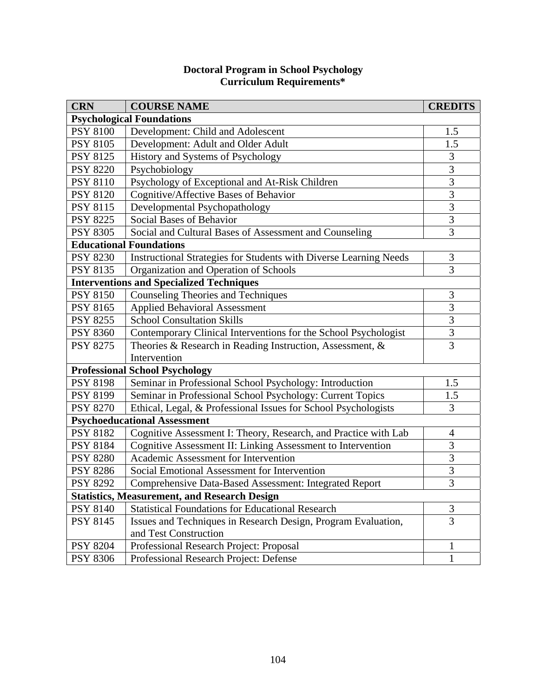#### **Doctoral Program in School Psychology Curriculum Requirements\***

| <b>CRN</b>      | <b>COURSE NAME</b>                                                | <b>CREDITS</b> |
|-----------------|-------------------------------------------------------------------|----------------|
|                 | <b>Psychological Foundations</b>                                  |                |
| <b>PSY 8100</b> | Development: Child and Adolescent                                 | 1.5            |
| <b>PSY 8105</b> | Development: Adult and Older Adult                                | 1.5            |
| <b>PSY 8125</b> | History and Systems of Psychology                                 | 3              |
| <b>PSY 8220</b> | Psychobiology                                                     | $\overline{3}$ |
| <b>PSY 8110</b> | Psychology of Exceptional and At-Risk Children                    | 3              |
| <b>PSY 8120</b> | Cognitive/Affective Bases of Behavior                             | 3              |
| <b>PSY 8115</b> | Developmental Psychopathology                                     | 3              |
| <b>PSY 8225</b> | Social Bases of Behavior                                          | 3              |
| <b>PSY 8305</b> | Social and Cultural Bases of Assessment and Counseling            | 3              |
|                 | <b>Educational Foundations</b>                                    |                |
| <b>PSY 8230</b> | Instructional Strategies for Students with Diverse Learning Needs | 3              |
| <b>PSY 8135</b> | Organization and Operation of Schools                             | $\overline{3}$ |
|                 | <b>Interventions and Specialized Techniques</b>                   |                |
| <b>PSY 8150</b> | <b>Counseling Theories and Techniques</b>                         | 3              |
| <b>PSY 8165</b> | <b>Applied Behavioral Assessment</b>                              | $\overline{3}$ |
| <b>PSY 8255</b> | <b>School Consultation Skills</b>                                 | $\overline{3}$ |
| <b>PSY 8360</b> | Contemporary Clinical Interventions for the School Psychologist   | $\overline{3}$ |
| <b>PSY 8275</b> | Theories & Research in Reading Instruction, Assessment, &         | 3              |
|                 | Intervention                                                      |                |
|                 | <b>Professional School Psychology</b>                             |                |
| <b>PSY 8198</b> | Seminar in Professional School Psychology: Introduction           | 1.5            |
| PSY 8199        | Seminar in Professional School Psychology: Current Topics         | 1.5            |
| <b>PSY 8270</b> | Ethical, Legal, & Professional Issues for School Psychologists    | 3              |
|                 | <b>Psychoeducational Assessment</b>                               |                |
| <b>PSY 8182</b> | Cognitive Assessment I: Theory, Research, and Practice with Lab   | $\overline{4}$ |
| <b>PSY 8184</b> | Cognitive Assessment II: Linking Assessment to Intervention       | 3              |
| <b>PSY 8280</b> | Academic Assessment for Intervention                              | $\overline{3}$ |
| <b>PSY 8286</b> | Social Emotional Assessment for Intervention                      | $\overline{3}$ |
| <b>PSY 8292</b> | Comprehensive Data-Based Assessment: Integrated Report            | 3              |
|                 | <b>Statistics, Measurement, and Research Design</b>               |                |
| <b>PSY 8140</b> | <b>Statistical Foundations for Educational Research</b>           | 3              |
| <b>PSY 8145</b> | Issues and Techniques in Research Design, Program Evaluation,     | $\overline{3}$ |
|                 | and Test Construction                                             |                |
| <b>PSY 8204</b> | Professional Research Project: Proposal                           | 1              |
| <b>PSY 8306</b> | Professional Research Project: Defense                            | 1              |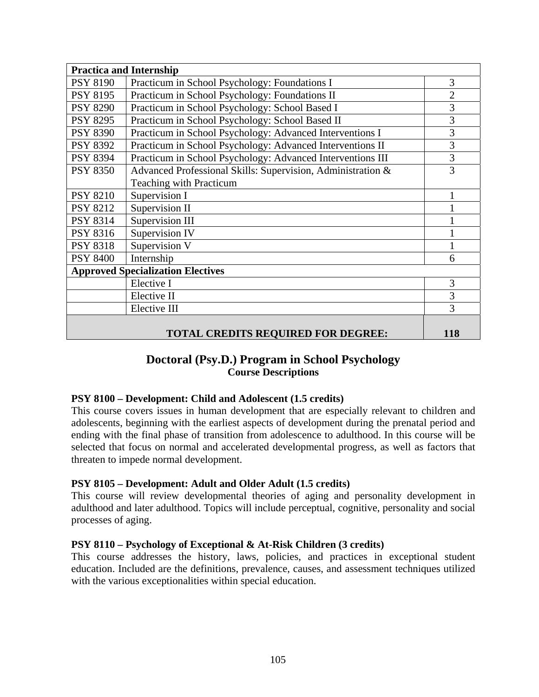| <b>Practica and Internship</b>                   |                                                             |                |  |  |
|--------------------------------------------------|-------------------------------------------------------------|----------------|--|--|
| <b>PSY 8190</b>                                  | Practicum in School Psychology: Foundations I               | 3              |  |  |
| <b>PSY 8195</b>                                  | Practicum in School Psychology: Foundations II              | $\overline{2}$ |  |  |
| <b>PSY 8290</b>                                  | Practicum in School Psychology: School Based I              | 3              |  |  |
| <b>PSY 8295</b>                                  | Practicum in School Psychology: School Based II             | 3              |  |  |
| <b>PSY 8390</b>                                  | Practicum in School Psychology: Advanced Interventions I    | 3              |  |  |
| <b>PSY 8392</b>                                  | Practicum in School Psychology: Advanced Interventions II   | 3              |  |  |
| <b>PSY 8394</b>                                  | Practicum in School Psychology: Advanced Interventions III  | 3              |  |  |
| <b>PSY 8350</b>                                  | Advanced Professional Skills: Supervision, Administration & | 3              |  |  |
|                                                  | Teaching with Practicum                                     |                |  |  |
| <b>PSY 8210</b>                                  | Supervision I                                               |                |  |  |
| <b>PSY 8212</b>                                  | Supervision II                                              |                |  |  |
| <b>PSY 8314</b>                                  | Supervision III                                             |                |  |  |
| <b>PSY 8316</b>                                  | Supervision IV                                              |                |  |  |
| <b>PSY 8318</b>                                  | Supervision $\overline{V}$                                  | 1              |  |  |
| <b>PSY 8400</b>                                  | Internship                                                  | 6              |  |  |
|                                                  | <b>Approved Specialization Electives</b>                    |                |  |  |
|                                                  | Elective I                                                  | 3              |  |  |
|                                                  | Elective II                                                 | 3              |  |  |
|                                                  | Elective III                                                | 3              |  |  |
| <b>TOTAL CREDITS REQUIRED FOR DEGREE:</b><br>118 |                                                             |                |  |  |

# **Doctoral (Psy.D.) Program in School Psychology Course Descriptions**

#### **PSY 8100 – Development: Child and Adolescent (1.5 credits)**

This course covers issues in human development that are especially relevant to children and adolescents, beginning with the earliest aspects of development during the prenatal period and ending with the final phase of transition from adolescence to adulthood. In this course will be selected that focus on normal and accelerated developmental progress, as well as factors that threaten to impede normal development.

### **PSY 8105 – Development: Adult and Older Adult (1.5 credits)**

This course will review developmental theories of aging and personality development in adulthood and later adulthood. Topics will include perceptual, cognitive, personality and social processes of aging.

#### **PSY 8110 – Psychology of Exceptional & At-Risk Children (3 credits)**

This course addresses the history, laws, policies, and practices in exceptional student education. Included are the definitions, prevalence, causes, and assessment techniques utilized with the various exceptionalities within special education.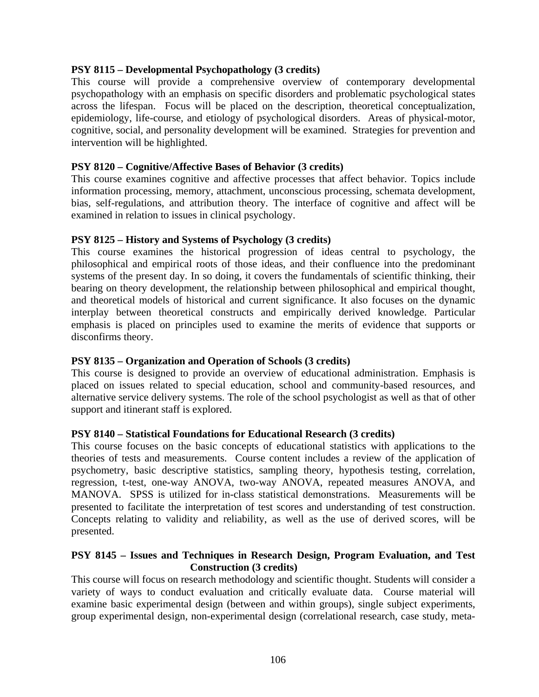#### **PSY 8115 – Developmental Psychopathology (3 credits)**

This course will provide a comprehensive overview of contemporary developmental psychopathology with an emphasis on specific disorders and problematic psychological states across the lifespan. Focus will be placed on the description, theoretical conceptualization, epidemiology, life-course, and etiology of psychological disorders. Areas of physical-motor, cognitive, social, and personality development will be examined. Strategies for prevention and intervention will be highlighted.

#### **PSY 8120 – Cognitive/Affective Bases of Behavior (3 credits)**

This course examines cognitive and affective processes that affect behavior. Topics include information processing, memory, attachment, unconscious processing, schemata development, bias, self-regulations, and attribution theory. The interface of cognitive and affect will be examined in relation to issues in clinical psychology.

#### **PSY 8125 – History and Systems of Psychology (3 credits)**

This course examines the historical progression of ideas central to psychology, the philosophical and empirical roots of those ideas, and their confluence into the predominant systems of the present day. In so doing, it covers the fundamentals of scientific thinking, their bearing on theory development, the relationship between philosophical and empirical thought, and theoretical models of historical and current significance. It also focuses on the dynamic interplay between theoretical constructs and empirically derived knowledge. Particular emphasis is placed on principles used to examine the merits of evidence that supports or disconfirms theory.

### **PSY 8135 – Organization and Operation of Schools (3 credits)**

This course is designed to provide an overview of educational administration. Emphasis is placed on issues related to special education, school and community-based resources, and alternative service delivery systems. The role of the school psychologist as well as that of other support and itinerant staff is explored.

#### **PSY 8140 – Statistical Foundations for Educational Research (3 credits)**

This course focuses on the basic concepts of educational statistics with applications to the theories of tests and measurements. Course content includes a review of the application of psychometry, basic descriptive statistics, sampling theory, hypothesis testing, correlation, regression, t-test, one-way ANOVA, two-way ANOVA, repeated measures ANOVA, and MANOVA. SPSS is utilized for in-class statistical demonstrations. Measurements will be presented to facilitate the interpretation of test scores and understanding of test construction. Concepts relating to validity and reliability, as well as the use of derived scores, will be presented.

#### **PSY 8145 – Issues and Techniques in Research Design, Program Evaluation, and Test Construction (3 credits)**

This course will focus on research methodology and scientific thought. Students will consider a variety of ways to conduct evaluation and critically evaluate data. Course material will examine basic experimental design (between and within groups), single subject experiments, group experimental design, non-experimental design (correlational research, case study, meta-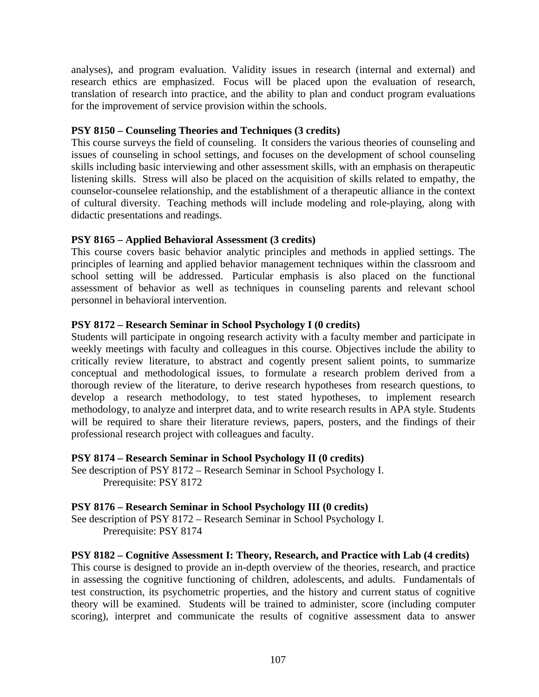analyses), and program evaluation. Validity issues in research (internal and external) and research ethics are emphasized. Focus will be placed upon the evaluation of research, translation of research into practice, and the ability to plan and conduct program evaluations for the improvement of service provision within the schools.

### **PSY 8150 – Counseling Theories and Techniques (3 credits)**

This course surveys the field of counseling. It considers the various theories of counseling and issues of counseling in school settings, and focuses on the development of school counseling skills including basic interviewing and other assessment skills, with an emphasis on therapeutic listening skills. Stress will also be placed on the acquisition of skills related to empathy, the counselor-counselee relationship, and the establishment of a therapeutic alliance in the context of cultural diversity. Teaching methods will include modeling and role-playing, along with didactic presentations and readings.

# **PSY 8165 – Applied Behavioral Assessment (3 credits)**

This course covers basic behavior analytic principles and methods in applied settings. The principles of learning and applied behavior management techniques within the classroom and school setting will be addressed. Particular emphasis is also placed on the functional assessment of behavior as well as techniques in counseling parents and relevant school personnel in behavioral intervention.

# **PSY 8172 – Research Seminar in School Psychology I (0 credits)**

Students will participate in ongoing research activity with a faculty member and participate in weekly meetings with faculty and colleagues in this course. Objectives include the ability to critically review literature, to abstract and cogently present salient points, to summarize conceptual and methodological issues, to formulate a research problem derived from a thorough review of the literature, to derive research hypotheses from research questions, to develop a research methodology, to test stated hypotheses, to implement research methodology, to analyze and interpret data, and to write research results in APA style. Students will be required to share their literature reviews, papers, posters, and the findings of their professional research project with colleagues and faculty.

### **PSY 8174 – Research Seminar in School Psychology II (0 credits)**

See description of PSY 8172 – Research Seminar in School Psychology I. Prerequisite: PSY 8172

### **PSY 8176 – Research Seminar in School Psychology III (0 credits)**

See description of PSY 8172 – Research Seminar in School Psychology I. Prerequisite: PSY 8174

### **PSY 8182 – Cognitive Assessment I: Theory, Research, and Practice with Lab (4 credits)**

This course is designed to provide an in-depth overview of the theories, research, and practice in assessing the cognitive functioning of children, adolescents, and adults. Fundamentals of test construction, its psychometric properties, and the history and current status of cognitive theory will be examined. Students will be trained to administer, score (including computer scoring), interpret and communicate the results of cognitive assessment data to answer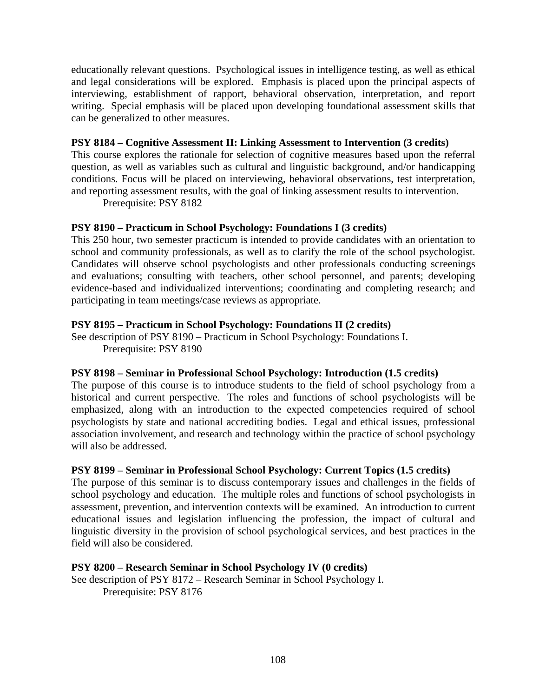educationally relevant questions. Psychological issues in intelligence testing, as well as ethical and legal considerations will be explored. Emphasis is placed upon the principal aspects of interviewing, establishment of rapport, behavioral observation, interpretation, and report writing. Special emphasis will be placed upon developing foundational assessment skills that can be generalized to other measures.

#### **PSY 8184 – Cognitive Assessment II: Linking Assessment to Intervention (3 credits)**

This course explores the rationale for selection of cognitive measures based upon the referral question, as well as variables such as cultural and linguistic background, and/or handicapping conditions. Focus will be placed on interviewing, behavioral observations, test interpretation, and reporting assessment results, with the goal of linking assessment results to intervention.

Prerequisite: PSY 8182

#### **PSY 8190 – Practicum in School Psychology: Foundations I (3 credits)**

This 250 hour, two semester practicum is intended to provide candidates with an orientation to school and community professionals, as well as to clarify the role of the school psychologist. Candidates will observe school psychologists and other professionals conducting screenings and evaluations; consulting with teachers, other school personnel, and parents; developing evidence-based and individualized interventions; coordinating and completing research; and participating in team meetings/case reviews as appropriate.

#### **PSY 8195 – Practicum in School Psychology: Foundations II (2 credits)**

See description of PSY 8190 – Practicum in School Psychology: Foundations I. Prerequisite: PSY 8190

#### **PSY 8198 – Seminar in Professional School Psychology: Introduction (1.5 credits)**

The purpose of this course is to introduce students to the field of school psychology from a historical and current perspective. The roles and functions of school psychologists will be emphasized, along with an introduction to the expected competencies required of school psychologists by state and national accrediting bodies. Legal and ethical issues, professional association involvement, and research and technology within the practice of school psychology will also be addressed.

#### **PSY 8199 – Seminar in Professional School Psychology: Current Topics (1.5 credits)**

The purpose of this seminar is to discuss contemporary issues and challenges in the fields of school psychology and education. The multiple roles and functions of school psychologists in assessment, prevention, and intervention contexts will be examined. An introduction to current educational issues and legislation influencing the profession, the impact of cultural and linguistic diversity in the provision of school psychological services, and best practices in the field will also be considered.

#### **PSY 8200 – Research Seminar in School Psychology IV (0 credits)**

See description of PSY 8172 – Research Seminar in School Psychology I. Prerequisite: PSY 8176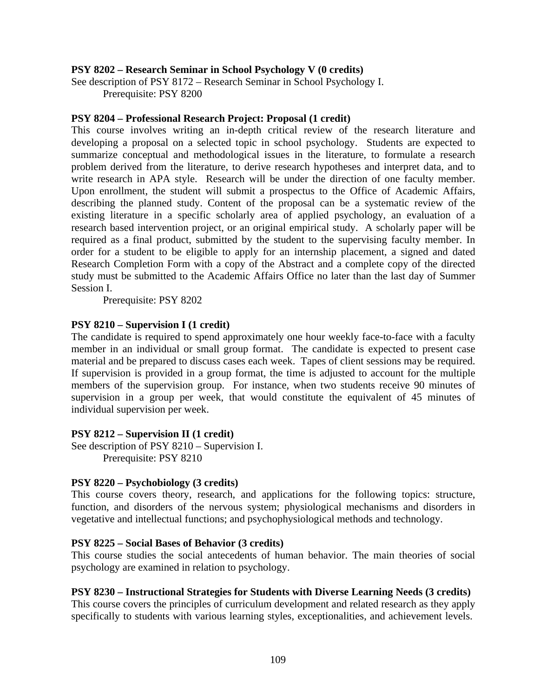#### **PSY 8202 – Research Seminar in School Psychology V (0 credits)**

See description of PSY 8172 – Research Seminar in School Psychology I. Prerequisite: PSY 8200

#### **PSY 8204 – Professional Research Project: Proposal (1 credit)**

This course involves writing an in-depth critical review of the research literature and developing a proposal on a selected topic in school psychology. Students are expected to summarize conceptual and methodological issues in the literature, to formulate a research problem derived from the literature, to derive research hypotheses and interpret data, and to write research in APA style. Research will be under the direction of one faculty member. Upon enrollment, the student will submit a prospectus to the Office of Academic Affairs, describing the planned study. Content of the proposal can be a systematic review of the existing literature in a specific scholarly area of applied psychology, an evaluation of a research based intervention project, or an original empirical study. A scholarly paper will be required as a final product, submitted by the student to the supervising faculty member. In order for a student to be eligible to apply for an internship placement, a signed and dated Research Completion Form with a copy of the Abstract and a complete copy of the directed study must be submitted to the Academic Affairs Office no later than the last day of Summer Session I.

Prerequisite: PSY 8202

#### **PSY 8210 – Supervision I (1 credit)**

The candidate is required to spend approximately one hour weekly face-to-face with a faculty member in an individual or small group format. The candidate is expected to present case material and be prepared to discuss cases each week. Tapes of client sessions may be required. If supervision is provided in a group format, the time is adjusted to account for the multiple members of the supervision group. For instance, when two students receive 90 minutes of supervision in a group per week, that would constitute the equivalent of 45 minutes of individual supervision per week.

#### **PSY 8212 – Supervision II (1 credit)**

See description of PSY 8210 – Supervision I. Prerequisite: PSY 8210

#### **PSY 8220 – Psychobiology (3 credits)**

This course covers theory, research, and applications for the following topics: structure, function, and disorders of the nervous system; physiological mechanisms and disorders in vegetative and intellectual functions; and psychophysiological methods and technology.

#### **PSY 8225 – Social Bases of Behavior (3 credits)**

This course studies the social antecedents of human behavior. The main theories of social psychology are examined in relation to psychology.

#### **PSY 8230 – Instructional Strategies for Students with Diverse Learning Needs (3 credits)**

This course covers the principles of curriculum development and related research as they apply specifically to students with various learning styles, exceptionalities, and achievement levels.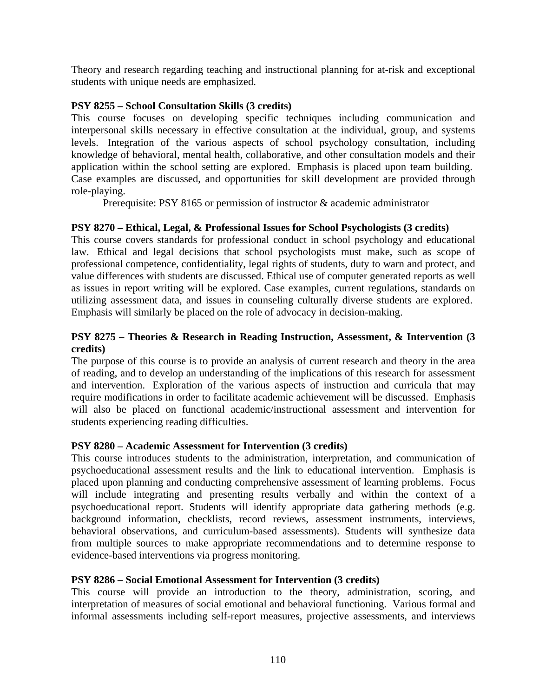Theory and research regarding teaching and instructional planning for at-risk and exceptional students with unique needs are emphasized.

### **PSY 8255 – School Consultation Skills (3 credits)**

This course focuses on developing specific techniques including communication and interpersonal skills necessary in effective consultation at the individual, group, and systems levels. Integration of the various aspects of school psychology consultation, including knowledge of behavioral, mental health, collaborative, and other consultation models and their application within the school setting are explored. Emphasis is placed upon team building. Case examples are discussed, and opportunities for skill development are provided through role-playing.

Prerequisite: PSY 8165 or permission of instructor & academic administrator

### **PSY 8270 – Ethical, Legal, & Professional Issues for School Psychologists (3 credits)**

This course covers standards for professional conduct in school psychology and educational law. Ethical and legal decisions that school psychologists must make, such as scope of professional competence, confidentiality, legal rights of students, duty to warn and protect, and value differences with students are discussed. Ethical use of computer generated reports as well as issues in report writing will be explored. Case examples, current regulations, standards on utilizing assessment data, and issues in counseling culturally diverse students are explored. Emphasis will similarly be placed on the role of advocacy in decision-making.

### **PSY 8275 – Theories & Research in Reading Instruction, Assessment, & Intervention (3 credits)**

The purpose of this course is to provide an analysis of current research and theory in the area of reading, and to develop an understanding of the implications of this research for assessment and intervention. Exploration of the various aspects of instruction and curricula that may require modifications in order to facilitate academic achievement will be discussed. Emphasis will also be placed on functional academic/instructional assessment and intervention for students experiencing reading difficulties.

### **PSY 8280 – Academic Assessment for Intervention (3 credits)**

This course introduces students to the administration, interpretation, and communication of psychoeducational assessment results and the link to educational intervention. Emphasis is placed upon planning and conducting comprehensive assessment of learning problems. Focus will include integrating and presenting results verbally and within the context of a psychoeducational report. Students will identify appropriate data gathering methods (e.g. background information, checklists, record reviews, assessment instruments, interviews, behavioral observations, and curriculum-based assessments). Students will synthesize data from multiple sources to make appropriate recommendations and to determine response to evidence-based interventions via progress monitoring.

### **PSY 8286 – Social Emotional Assessment for Intervention (3 credits)**

This course will provide an introduction to the theory, administration, scoring, and interpretation of measures of social emotional and behavioral functioning. Various formal and informal assessments including self-report measures, projective assessments, and interviews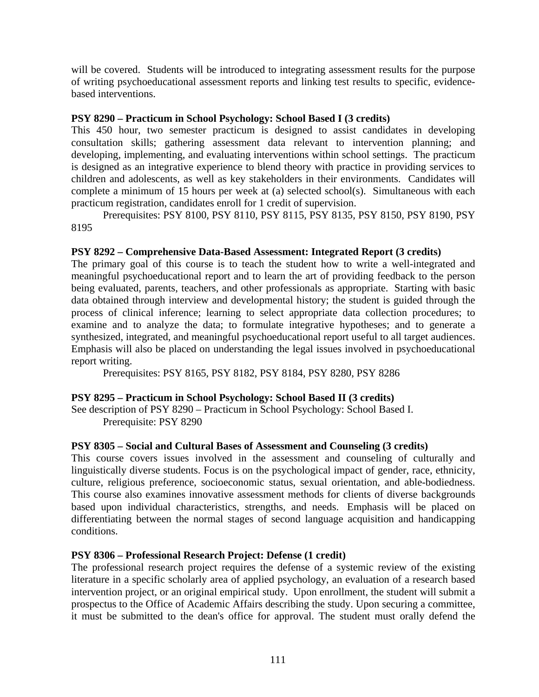will be covered. Students will be introduced to integrating assessment results for the purpose of writing psychoeducational assessment reports and linking test results to specific, evidencebased interventions.

#### **PSY 8290 – Practicum in School Psychology: School Based I (3 credits)**

This 450 hour, two semester practicum is designed to assist candidates in developing consultation skills; gathering assessment data relevant to intervention planning; and developing, implementing, and evaluating interventions within school settings. The practicum is designed as an integrative experience to blend theory with practice in providing services to children and adolescents, as well as key stakeholders in their environments. Candidates will complete a minimum of 15 hours per week at (a) selected school(s). Simultaneous with each practicum registration, candidates enroll for 1 credit of supervision.

 Prerequisites: PSY 8100, PSY 8110, PSY 8115, PSY 8135, PSY 8150, PSY 8190, PSY 8195

#### **PSY 8292 – Comprehensive Data-Based Assessment: Integrated Report (3 credits)**

The primary goal of this course is to teach the student how to write a well-integrated and meaningful psychoeducational report and to learn the art of providing feedback to the person being evaluated, parents, teachers, and other professionals as appropriate. Starting with basic data obtained through interview and developmental history; the student is guided through the process of clinical inference; learning to select appropriate data collection procedures; to examine and to analyze the data; to formulate integrative hypotheses; and to generate a synthesized, integrated, and meaningful psychoeducational report useful to all target audiences. Emphasis will also be placed on understanding the legal issues involved in psychoeducational report writing.

Prerequisites: PSY 8165, PSY 8182, PSY 8184, PSY 8280, PSY 8286

### **PSY 8295 – Practicum in School Psychology: School Based II (3 credits)**

See description of PSY 8290 – Practicum in School Psychology: School Based I. Prerequisite: PSY 8290

### **PSY 8305 – Social and Cultural Bases of Assessment and Counseling (3 credits)**

This course covers issues involved in the assessment and counseling of culturally and linguistically diverse students. Focus is on the psychological impact of gender, race, ethnicity, culture, religious preference, socioeconomic status, sexual orientation, and able-bodiedness. This course also examines innovative assessment methods for clients of diverse backgrounds based upon individual characteristics, strengths, and needs. Emphasis will be placed on differentiating between the normal stages of second language acquisition and handicapping conditions.

#### **PSY 8306 – Professional Research Project: Defense (1 credit)**

The professional research project requires the defense of a systemic review of the existing literature in a specific scholarly area of applied psychology, an evaluation of a research based intervention project, or an original empirical study. Upon enrollment, the student will submit a prospectus to the Office of Academic Affairs describing the study. Upon securing a committee, it must be submitted to the dean's office for approval. The student must orally defend the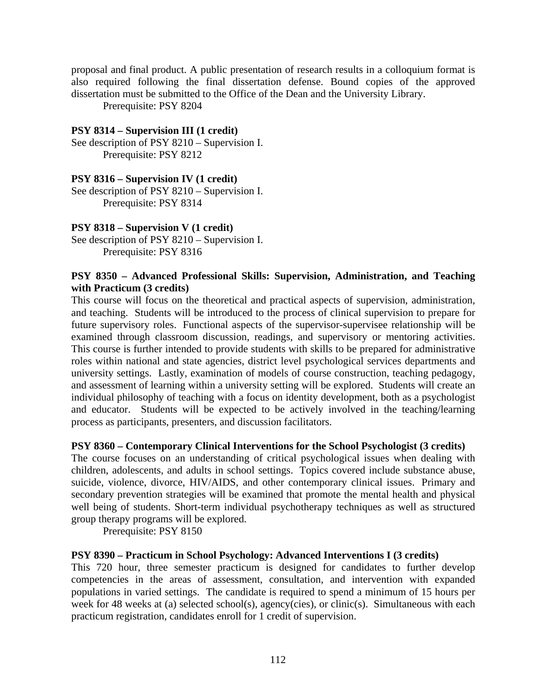proposal and final product. A public presentation of research results in a colloquium format is also required following the final dissertation defense. Bound copies of the approved dissertation must be submitted to the Office of the Dean and the University Library.

Prerequisite: PSY 8204

#### **PSY 8314 – Supervision III (1 credit)**

See description of PSY 8210 – Supervision I. Prerequisite: PSY 8212

#### **PSY 8316 – Supervision IV (1 credit)**

See description of PSY 8210 – Supervision I. Prerequisite: PSY 8314

#### **PSY 8318 – Supervision V (1 credit)**

See description of PSY 8210 – Supervision I. Prerequisite: PSY 8316

#### **PSY 8350 – Advanced Professional Skills: Supervision, Administration, and Teaching with Practicum (3 credits)**

This course will focus on the theoretical and practical aspects of supervision, administration, and teaching. Students will be introduced to the process of clinical supervision to prepare for future supervisory roles. Functional aspects of the supervisor-supervisee relationship will be examined through classroom discussion, readings, and supervisory or mentoring activities. This course is further intended to provide students with skills to be prepared for administrative roles within national and state agencies, district level psychological services departments and university settings. Lastly, examination of models of course construction, teaching pedagogy, and assessment of learning within a university setting will be explored. Students will create an individual philosophy of teaching with a focus on identity development, both as a psychologist and educator. Students will be expected to be actively involved in the teaching/learning process as participants, presenters, and discussion facilitators.

#### **PSY 8360 – Contemporary Clinical Interventions for the School Psychologist (3 credits)**

The course focuses on an understanding of critical psychological issues when dealing with children, adolescents, and adults in school settings. Topics covered include substance abuse, suicide, violence, divorce, HIV/AIDS, and other contemporary clinical issues. Primary and secondary prevention strategies will be examined that promote the mental health and physical well being of students. Short-term individual psychotherapy techniques as well as structured group therapy programs will be explored.

Prerequisite: PSY 8150

#### **PSY 8390 – Practicum in School Psychology: Advanced Interventions I (3 credits)**

This 720 hour, three semester practicum is designed for candidates to further develop competencies in the areas of assessment, consultation, and intervention with expanded populations in varied settings. The candidate is required to spend a minimum of 15 hours per week for 48 weeks at (a) selected school(s), agency(cies), or clinic(s). Simultaneous with each practicum registration, candidates enroll for 1 credit of supervision.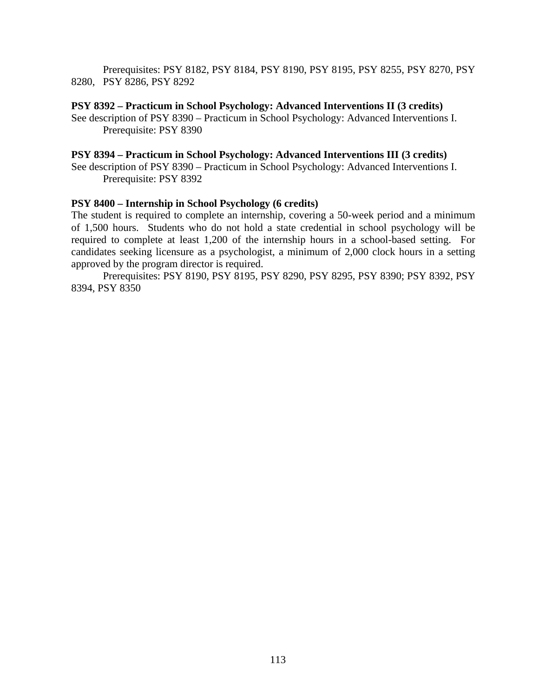Prerequisites: PSY 8182, PSY 8184, PSY 8190, PSY 8195, PSY 8255, PSY 8270, PSY 8280, PSY 8286, PSY 8292

#### **PSY 8392 – Practicum in School Psychology: Advanced Interventions II (3 credits)**

See description of PSY 8390 – Practicum in School Psychology: Advanced Interventions I. Prerequisite: PSY 8390

#### **PSY 8394 – Practicum in School Psychology: Advanced Interventions III (3 credits)**

See description of PSY 8390 – Practicum in School Psychology: Advanced Interventions I. Prerequisite: PSY 8392

#### **PSY 8400 – Internship in School Psychology (6 credits)**

The student is required to complete an internship, covering a 50-week period and a minimum of 1,500 hours. Students who do not hold a state credential in school psychology will be required to complete at least 1,200 of the internship hours in a school-based setting. For candidates seeking licensure as a psychologist, a minimum of 2,000 clock hours in a setting approved by the program director is required.

 Prerequisites: PSY 8190, PSY 8195, PSY 8290, PSY 8295, PSY 8390; PSY 8392, PSY 8394, PSY 8350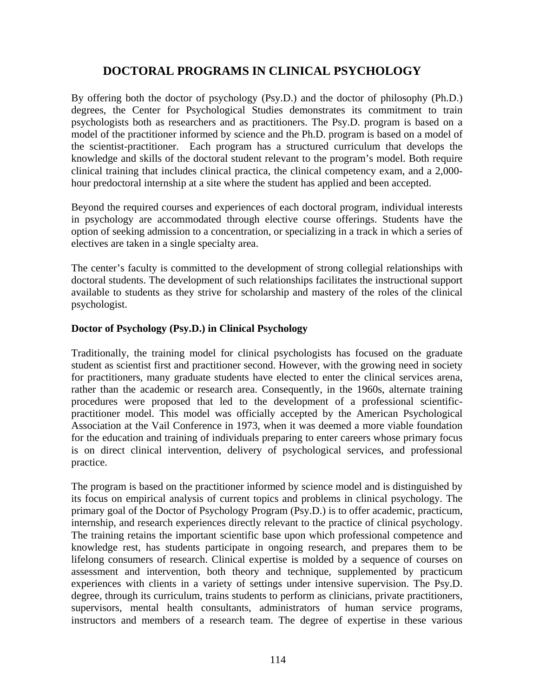# **DOCTORAL PROGRAMS IN CLINICAL PSYCHOLOGY**

By offering both the doctor of psychology (Psy.D.) and the doctor of philosophy (Ph.D.) degrees, the Center for Psychological Studies demonstrates its commitment to train psychologists both as researchers and as practitioners. The Psy.D. program is based on a model of the practitioner informed by science and the Ph.D. program is based on a model of the scientist-practitioner. Each program has a structured curriculum that develops the knowledge and skills of the doctoral student relevant to the program's model. Both require clinical training that includes clinical practica, the clinical competency exam, and a 2,000 hour predoctoral internship at a site where the student has applied and been accepted.

Beyond the required courses and experiences of each doctoral program, individual interests in psychology are accommodated through elective course offerings. Students have the option of seeking admission to a concentration, or specializing in a track in which a series of electives are taken in a single specialty area.

The center's faculty is committed to the development of strong collegial relationships with doctoral students. The development of such relationships facilitates the instructional support available to students as they strive for scholarship and mastery of the roles of the clinical psychologist.

#### **Doctor of Psychology (Psy.D.) in Clinical Psychology**

Traditionally, the training model for clinical psychologists has focused on the graduate student as scientist first and practitioner second. However, with the growing need in society for practitioners, many graduate students have elected to enter the clinical services arena, rather than the academic or research area. Consequently, in the 1960s, alternate training procedures were proposed that led to the development of a professional scientificpractitioner model. This model was officially accepted by the American Psychological Association at the Vail Conference in 1973, when it was deemed a more viable foundation for the education and training of individuals preparing to enter careers whose primary focus is on direct clinical intervention, delivery of psychological services, and professional practice.

The program is based on the practitioner informed by science model and is distinguished by its focus on empirical analysis of current topics and problems in clinical psychology. The primary goal of the Doctor of Psychology Program (Psy.D.) is to offer academic, practicum, internship, and research experiences directly relevant to the practice of clinical psychology. The training retains the important scientific base upon which professional competence and knowledge rest, has students participate in ongoing research, and prepares them to be lifelong consumers of research. Clinical expertise is molded by a sequence of courses on assessment and intervention, both theory and technique, supplemented by practicum experiences with clients in a variety of settings under intensive supervision. The Psy.D. degree, through its curriculum, trains students to perform as clinicians, private practitioners, supervisors, mental health consultants, administrators of human service programs, instructors and members of a research team. The degree of expertise in these various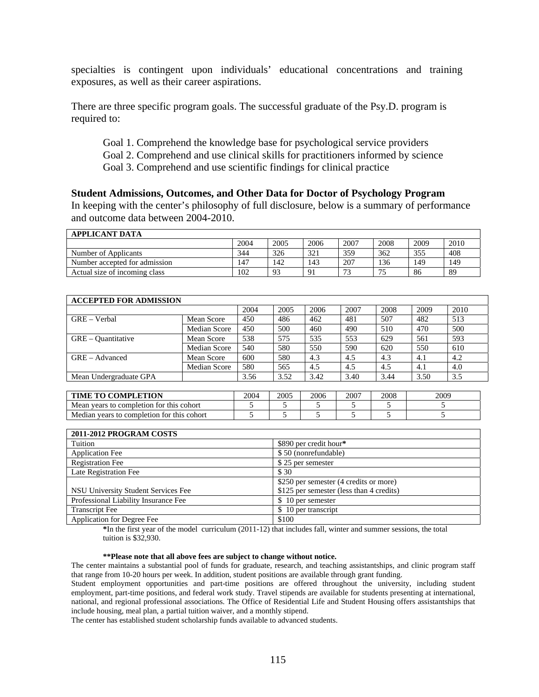specialties is contingent upon individuals' educational concentrations and training exposures, as well as their career aspirations.

There are three specific program goals. The successful graduate of the Psy.D. program is required to:

- Goal 1. Comprehend the knowledge base for psychological service providers
- Goal 2. Comprehend and use clinical skills for practitioners informed by science
- Goal 3. Comprehend and use scientific findings for clinical practice

#### **Student Admissions, Outcomes, and Other Data for Doctor of Psychology Program**

In keeping with the center's philosophy of full disclosure, below is a summary of performance and outcome data between 2004-2010.

| <b>APPLICANT DATA</b>         |      |      |      |              |                          |      |      |
|-------------------------------|------|------|------|--------------|--------------------------|------|------|
|                               | 2004 | 2005 | 2006 | 2007         | 2008                     | 2009 | 2010 |
| Number of Applicants          | 344  | 326  | 321  | 359          | 362                      | 355  | 408  |
| Number accepted for admission | 147  | 142  | 143  | 207          | 136                      | 149  | 149  |
| Actual size of incoming class | 102  | 93   | 91   | $\mathbf{a}$ | $\overline{\phantom{a}}$ | 86   | 89   |

| <b>ACCEPTED FOR ADMISSION</b> |              |      |      |      |      |      |      |      |
|-------------------------------|--------------|------|------|------|------|------|------|------|
|                               |              | 2004 | 2005 | 2006 | 2007 | 2008 | 2009 | 2010 |
| GRE – Verbal                  | Mean Score   | 450  | 486  | 462  | 481  | 507  | 482  | 513  |
|                               | Median Score | 450  | 500  | 460  | 490  | 510  | 470  | 500  |
| $GRE - Quantitative$          | Mean Score   | 538  | 575  | 535  | 553  | 629  | 561  | 593  |
|                               | Median Score | 540  | 580  | 550  | 590  | 620  | 550  | 610  |
| GRE – Advanced                | Mean Score   | 600  | 580  | 4.3  | 4.5  | 4.3  | 4.1  | 4.2  |
|                               | Median Score | 580  | 565  | 4.5  | 4.5  | 4.5  | 4.1  | 4.0  |
| Mean Undergraduate GPA        |              | 3.56 | 3.52 | 3.42 | 3.40 | 3.44 | 3.50 | 3.5  |

| <b>TIME TO COMPLETION</b>                        | 2004 | 2005 | 2006 | 2007 | 2008 | 2009 |
|--------------------------------------------------|------|------|------|------|------|------|
| Mean vears to completion for this cohort         |      |      |      |      |      |      |
| Median<br>vears to completion for this<br>cohort |      |      |      |      |      |      |

| 2011-2012 PROGRAM COSTS              |                                          |
|--------------------------------------|------------------------------------------|
| Tuition                              | \$890 per credit hour*                   |
| <b>Application Fee</b>               | \$50 (nonrefundable)                     |
| <b>Registration Fee</b>              | \$25 per semester                        |
| Late Registration Fee                | \$ 30                                    |
|                                      | \$250 per semester (4 credits or more)   |
| NSU University Student Services Fee  | \$125 per semester (less than 4 credits) |
| Professional Liability Insurance Fee | \$10 per semester                        |
| <b>Transcript Fee</b>                | \$ 10 per transcript                     |
| <b>Application for Degree Fee</b>    | \$100                                    |

**\***In the first year of the model curriculum (2011-12) that includes fall, winter and summer sessions, the total tuition is \$32,930.

#### **\*\*Please note that all above fees are subject to change without notice.**

The center maintains a substantial pool of funds for graduate, research, and teaching assistantships, and clinic program staff that range from 10-20 hours per week. In addition, student positions are available through grant funding.

Student employment opportunities and part-time positions are offered throughout the university, including student employment, part-time positions, and federal work study. Travel stipends are available for students presenting at international, national, and regional professional associations. The Office of Residential Life and Student Housing offers assistantships that include housing, meal plan, a partial tuition waiver, and a monthly stipend.

The center has established student scholarship funds available to advanced students.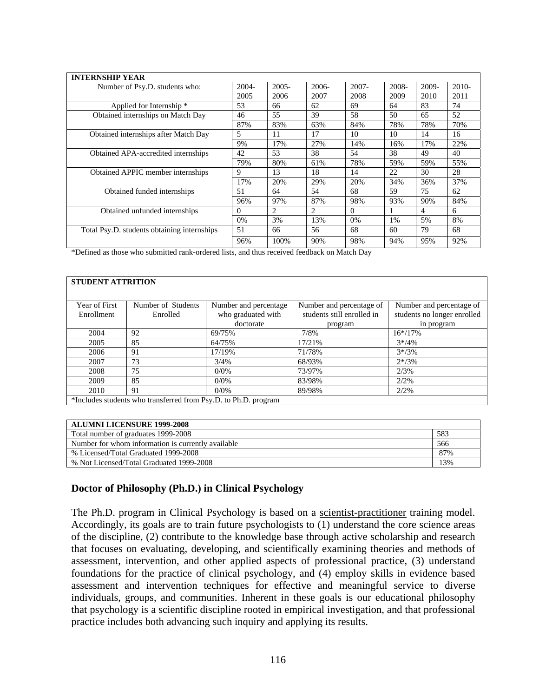| <b>INTERNSHIP YEAR</b>                      |          |                |                |          |       |       |       |
|---------------------------------------------|----------|----------------|----------------|----------|-------|-------|-------|
| Number of Psy.D. students who:              | $2004 -$ | $2005 -$       | $2006 -$       | $2007 -$ | 2008- | 2009- | 2010- |
|                                             | 2005     | 2006           | 2007           | 2008     | 2009  | 2010  | 2011  |
| Applied for Internship *                    | 53       | 66             | 62             | 69       | 64    | 83    | 74    |
| Obtained internships on Match Day           | 46       | 55             | 39             | 58       | 50    | 65    | 52    |
|                                             | 87%      | 83%            | 63%            | 84%      | 78%   | 78%   | 70%   |
| Obtained internships after Match Day        | 5        | 11             | 17             | 10       | 10    | 14    | 16    |
|                                             | 9%       | 17%            | 27%            | 14%      | 16%   | 17%   | 22%   |
| Obtained APA-accredited internships         | 42       | 53             | 38             | 54       | 38    | 49    | 40    |
|                                             | 79%      | 80%            | 61%            | 78%      | 59%   | 59%   | 55%   |
| Obtained APPIC member internships           | 9        | 13             | 18             | 14       | 22    | 30    | 28    |
|                                             | 17%      | 20%            | 29%            | 20%      | 34%   | 36%   | 37%   |
| Obtained funded internships                 | 51       | 64             | 54             | 68       | 59    | 75    | 62    |
|                                             | 96%      | 97%            | 87%            | 98%      | 93%   | 90%   | 84%   |
| Obtained unfunded internships               | 0        | $\overline{c}$ | $\overline{c}$ | $\Omega$ |       | 4     | 6     |
|                                             | 0%       | 3%             | 13%            | 0%       | 1%    | 5%    | 8%    |
| Total Psy.D. students obtaining internships | 51       | 66             | 56             | 68       | 60    | 79    | 68    |
|                                             | 96%      | 100%           | 90%            | 98%      | 94%   | 95%   | 92%   |

\*Defined as those who submitted rank-ordered lists, and thus received feedback on Match Day

| <b>STUDENT ATTRITION</b> |                                                                 |                       |                            |                             |
|--------------------------|-----------------------------------------------------------------|-----------------------|----------------------------|-----------------------------|
|                          |                                                                 |                       |                            |                             |
| Year of First            | Number of Students                                              | Number and percentage | Number and percentage of   | Number and percentage of    |
| Enrollment               | Enrolled                                                        | who graduated with    | students still enrolled in | students no longer enrolled |
|                          |                                                                 | doctorate             | program                    | in program                  |
| 2004                     | 92                                                              | 69/75%                | 7/8%                       | $16*/17%$                   |
| 2005                     | 85                                                              | 64/75%                | 17/21%                     | $3*/4%$                     |
| 2006                     | 91                                                              | 17/19%                | 71/78%                     | $3*/3%$                     |
| 2007                     | 73                                                              | 3/4%                  | 68/93%                     | $2*/3%$                     |
| 2008                     | 75                                                              | 0/0%                  | 73/97%                     | 2/3%                        |
| 2009                     | 85                                                              | 0/0%                  | 83/98%                     | 2/2%                        |
| 2010                     | 91                                                              | 0/0%                  | 89/98%                     | 2/2%                        |
|                          | *Includes students who transferred from Psy.D. to Ph.D. program |                       |                            |                             |

| <b>ALUMNI LICENSURE 1999-2008</b>                  |     |
|----------------------------------------------------|-----|
| Total number of graduates 1999-2008                | 583 |
| Number for whom information is currently available | 566 |
| % Licensed/Total Graduated 1999-2008               | 87% |
| % Not Licensed/Total Graduated 1999-2008           | 13% |

#### **Doctor of Philosophy (Ph.D.) in Clinical Psychology**

The Ph.D. program in Clinical Psychology is based on a <u>scientist-practitioner</u> training model. Accordingly, its goals are to train future psychologists to (1) understand the core science areas of the discipline, (2) contribute to the knowledge base through active scholarship and research that focuses on evaluating, developing, and scientifically examining theories and methods of assessment, intervention, and other applied aspects of professional practice, (3) understand foundations for the practice of clinical psychology, and (4) employ skills in evidence based assessment and intervention techniques for effective and meaningful service to diverse individuals, groups, and communities. Inherent in these goals is our educational philosophy that psychology is a scientific discipline rooted in empirical investigation, and that professional practice includes both advancing such inquiry and applying its results.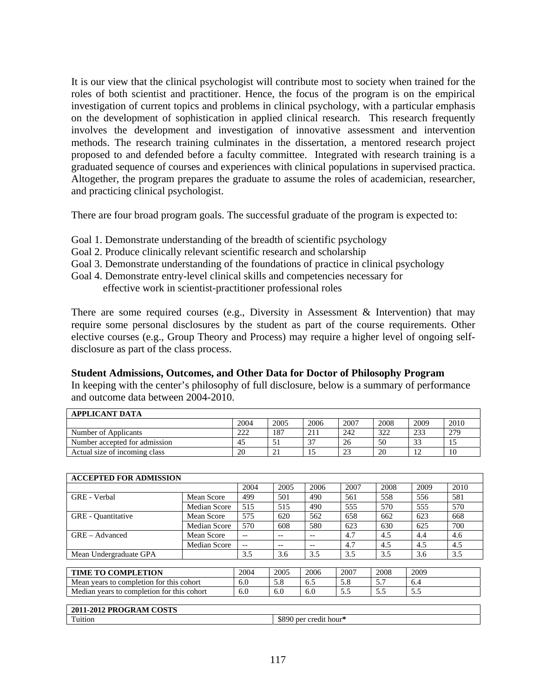It is our view that the clinical psychologist will contribute most to society when trained for the roles of both scientist and practitioner. Hence, the focus of the program is on the empirical investigation of current topics and problems in clinical psychology, with a particular emphasis on the development of sophistication in applied clinical research. This research frequently involves the development and investigation of innovative assessment and intervention methods. The research training culminates in the dissertation, a mentored research project proposed to and defended before a faculty committee. Integrated with research training is a graduated sequence of courses and experiences with clinical populations in supervised practica. Altogether, the program prepares the graduate to assume the roles of academician, researcher, and practicing clinical psychologist.

There are four broad program goals. The successful graduate of the program is expected to:

- Goal 1. Demonstrate understanding of the breadth of scientific psychology
- Goal 2. Produce clinically relevant scientific research and scholarship
- Goal 3. Demonstrate understanding of the foundations of practice in clinical psychology
- Goal 4. Demonstrate entry-level clinical skills and competencies necessary for effective work in scientist-practitioner professional roles

There are some required courses (e.g., Diversity in Assessment  $\&$  Intervention) that may require some personal disclosures by the student as part of the course requirements. Other elective courses (e.g., Group Theory and Process) may require a higher level of ongoing selfdisclosure as part of the class process.

#### **Student Admissions, Outcomes, and Other Data for Doctor of Philosophy Program**

In keeping with the center's philosophy of full disclosure, below is a summary of performance and outcome data between 2004-2010.

| <b>APPLICANT DATA</b>         |            |      |        |              |      |        |      |
|-------------------------------|------------|------|--------|--------------|------|--------|------|
|                               | 2004       | 2005 | 2006   | 2007         | 2008 | 2009   | 2010 |
| Number of Applicants          | າາາ<br>∠∠∠ | 187  | 211    | 242          | 322  | 233    | 279  |
| Number accepted for admission | 42         |      | $\sim$ | 26           | 50   | $\sim$ |      |
| Actual size of incoming class | 20         | ∸    | 15     | $\cap$<br>23 | 20   |        | 10   |

| <b>ACCEPTED FOR ADMISSION</b>              |                     |      |      |      |      |      |      |      |
|--------------------------------------------|---------------------|------|------|------|------|------|------|------|
|                                            |                     | 2004 | 2005 | 2006 | 2007 | 2008 | 2009 | 2010 |
| <b>GRE</b> - Verbal                        | Mean Score          | 499  | 501  | 490  | 561  | 558  | 556  | 581  |
|                                            | <b>Median Score</b> | 515  | 515  | 490  | 555  | 570  | 555  | 570  |
| <b>GRE</b> - Quantitative                  | Mean Score          | 575  | 620  | 562  | 658  | 662  | 623  | 668  |
|                                            | <b>Median Score</b> | 570  | 608  | 580  | 623  | 630  | 625  | 700  |
| GRE - Advanced                             | Mean Score          | --   | $-$  | --   | 4.7  | 4.5  | 4.4  | 4.6  |
|                                            | <b>Median Score</b> | $-$  | $-$  | --   | 4.7  | 4.5  | 4.5  | 4.5  |
| Mean Undergraduate GPA                     |                     | 3.5  | 3.6  | 3.5  | 3.5  | 3.5  | 3.6  | 3.5  |
|                                            |                     |      |      |      |      |      |      |      |
| <b>TIME TO COMPLETION</b>                  |                     | 2004 | 2005 | 2006 | 2007 | 2008 | 2009 |      |
| Mean years to completion for this cohort   |                     | 6.0  | 5.8  | 6.5  | 5.8  | 5.7  | 6.4  |      |
| Median years to completion for this cohort |                     | 6.0  | 6.0  | 6.0  | 5.5  | 5.5  | 5.5  |      |
|                                            |                     |      |      |      |      |      |      |      |
| 2011-2012 PROGRAM COSTS                    |                     |      |      |      |      |      |      |      |
| Tuition<br>\$890 per credit hour*          |                     |      |      |      |      |      |      |      |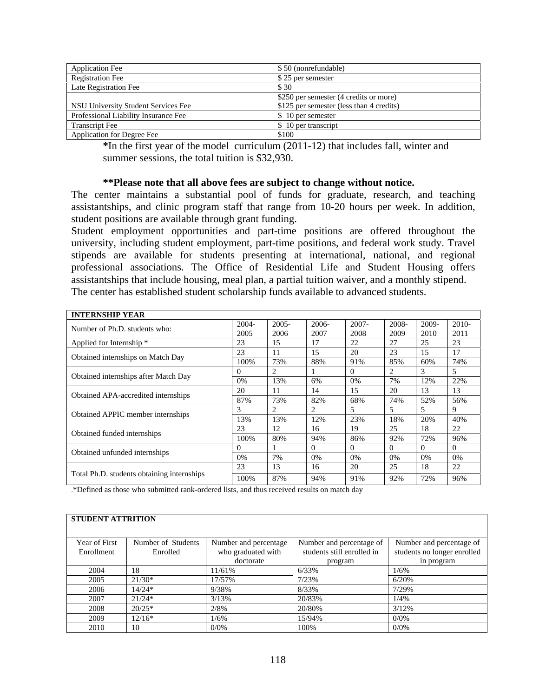| <b>Application Fee</b>               | \$50 (nonrefundable)                     |
|--------------------------------------|------------------------------------------|
| <b>Registration Fee</b>              | \$25 per semester                        |
| Late Registration Fee                | \$ 30                                    |
|                                      | \$250 per semester (4 credits or more)   |
| NSU University Student Services Fee  | \$125 per semester (less than 4 credits) |
| Professional Liability Insurance Fee | \$10 per semester                        |
| <b>Transcript Fee</b>                | \$ 10 per transcript                     |
| Application for Degree Fee           | \$100                                    |

**\***In the first year of the model curriculum (2011-12) that includes fall, winter and summer sessions, the total tuition is \$32,930.

#### **\*\*Please note that all above fees are subject to change without notice.**

The center maintains a substantial pool of funds for graduate, research, and teaching assistantships, and clinic program staff that range from 10-20 hours per week. In addition, student positions are available through grant funding.

Student employment opportunities and part-time positions are offered throughout the university, including student employment, part-time positions, and federal work study. Travel stipends are available for students presenting at international, national, and regional professional associations. The Office of Residential Life and Student Housing offers assistantships that include housing, meal plan, a partial tuition waiver, and a monthly stipend. The center has established student scholarship funds available to advanced students.

| <b>INTERNSHIP YEAR</b>                     |          |                                                                                                                                                                 |                                                                                                             |          |       |          |       |
|--------------------------------------------|----------|-----------------------------------------------------------------------------------------------------------------------------------------------------------------|-------------------------------------------------------------------------------------------------------------|----------|-------|----------|-------|
| Number of Ph.D. students who:              | $2004 -$ | $2005 -$                                                                                                                                                        | $2006 -$                                                                                                    | $2007 -$ | 2008- | 2009-    | 2010- |
|                                            | 2005     | 2006                                                                                                                                                            | 2007                                                                                                        | 2008     | 2009  | 2010     | 2011  |
| Applied for Internship *                   | 23       | 15                                                                                                                                                              | 17                                                                                                          | 22       | 27    | 25       | 23    |
| Obtained internships on Match Day          | 23       | 11                                                                                                                                                              | 15                                                                                                          | 20       | 23    | 15       | 17    |
|                                            | 100%     | 73%                                                                                                                                                             | 88%                                                                                                         | 91%      | 85%   | 60%      | 74%   |
| Obtained internships after Match Day       | 0        | $\overline{c}$                                                                                                                                                  |                                                                                                             | $\Omega$ | 2     | 3        | 5     |
|                                            | 0%       | 13%                                                                                                                                                             | 6%                                                                                                          | 0%       | 7%    | 12%      | 22%   |
|                                            | 20       | 11                                                                                                                                                              | 14                                                                                                          | 15       | 20    | 13       | 13    |
| Obtained APA-accredited internships        | 87%      | 73%                                                                                                                                                             | 82%                                                                                                         | 68%      | 74%   | 52%      | 56%   |
|                                            | 3        | $\mathcal{D}_{\mathcal{L}}^{\mathcal{L}}(\mathcal{L})=\mathcal{L}_{\mathcal{L}}^{\mathcal{L}}(\mathcal{L})\mathcal{L}_{\mathcal{L}}^{\mathcal{L}}(\mathcal{L})$ | $\mathcal{D}_{1}^{(1)}\mathcal{D}_{2}^{(2)}\mathcal{D}_{3}^{(3)}\mathcal{D}_{4}^{(4)}\mathcal{D}_{5}^{(5)}$ | 5        | 5     | 5        | 9     |
| Obtained APPIC member internships          | 13%      | 13%                                                                                                                                                             | 12%                                                                                                         | 23%      | 18%   | 20%      | 40%   |
| Obtained funded internships                | 23       | 12                                                                                                                                                              | 16                                                                                                          | 19       | 25    | 18       | 22    |
|                                            | 100%     | 80%                                                                                                                                                             | 94%                                                                                                         | 86%      | 92%   | 72%      | 96%   |
| Obtained unfunded internships              | 0        |                                                                                                                                                                 | $\Omega$                                                                                                    | $\Omega$ | 0     | $\Omega$ | 0     |
|                                            | 0%       | 7%                                                                                                                                                              | 0%                                                                                                          | 0%       | 0%    | 0%       | $0\%$ |
| Total Ph.D. students obtaining internships | 23       | 13                                                                                                                                                              | 16                                                                                                          | 20       | 25    | 18       | 22    |
|                                            | 100%     | 87%                                                                                                                                                             | 94%                                                                                                         | 91%      | 92%   | 72%      | 96%   |

.\*Defined as those who submitted rank-ordered lists, and thus received results on match day

#### **STUDENT ATTRITION**

| Year of First | Number of Students | Number and percentage | Number and percentage of   | Number and percentage of    |
|---------------|--------------------|-----------------------|----------------------------|-----------------------------|
| Enrollment    | Enrolled           | who graduated with    | students still enrolled in | students no longer enrolled |
|               |                    | doctorate             | program                    | in program                  |
| 2004          | 18                 | 11/61%                | 6/33%                      | 1/6%                        |
| 2005          | $21/30*$           | 17/57%                | 7/23%                      | 6/20%                       |
| 2006          | $14/24*$           | 9/38%                 | 8/33%                      | 7/29%                       |
| 2007          | $21/24*$           | 3/13%                 | 20/83%                     | 1/4%                        |
| 2008          | $20/25*$           | 2/8%                  | 20/80%                     | 3/12%                       |
| 2009          | $12/16*$           | 1/6%                  | 15/94%                     | 0/0%                        |
| 2010          | 10                 | 0/0%                  | 100%                       | 0/0%                        |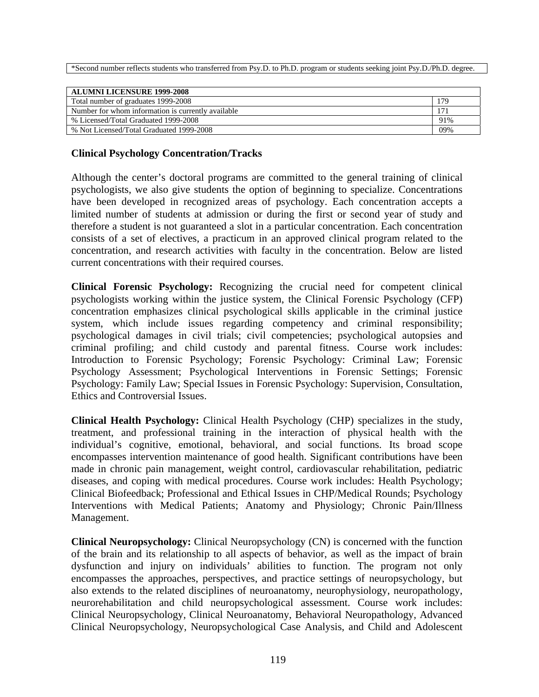\*Second number reflects students who transferred from Psy.D. to Ph.D. program or students seeking joint Psy.D./Ph.D. degree.

| <b>ALUMNI LICENSURE 1999-2008</b>                  |     |
|----------------------------------------------------|-----|
| Total number of graduates 1999-2008                | 179 |
| Number for whom information is currently available |     |
| % Licensed/Total Graduated 1999-2008               | 91% |
| % Not Licensed/Total Graduated 1999-2008           | 09% |

#### **Clinical Psychology Concentration/Tracks**

Although the center's doctoral programs are committed to the general training of clinical psychologists, we also give students the option of beginning to specialize. Concentrations have been developed in recognized areas of psychology. Each concentration accepts a limited number of students at admission or during the first or second year of study and therefore a student is not guaranteed a slot in a particular concentration. Each concentration consists of a set of electives, a practicum in an approved clinical program related to the concentration, and research activities with faculty in the concentration. Below are listed current concentrations with their required courses.

**Clinical Forensic Psychology:** Recognizing the crucial need for competent clinical psychologists working within the justice system, the Clinical Forensic Psychology (CFP) concentration emphasizes clinical psychological skills applicable in the criminal justice system, which include issues regarding competency and criminal responsibility; psychological damages in civil trials; civil competencies; psychological autopsies and criminal profiling; and child custody and parental fitness. Course work includes: Introduction to Forensic Psychology; Forensic Psychology: Criminal Law; Forensic Psychology Assessment; Psychological Interventions in Forensic Settings; Forensic Psychology: Family Law; Special Issues in Forensic Psychology: Supervision, Consultation, Ethics and Controversial Issues.

**Clinical Health Psychology:** Clinical Health Psychology (CHP) specializes in the study, treatment, and professional training in the interaction of physical health with the individual's cognitive, emotional, behavioral, and social functions. Its broad scope encompasses intervention maintenance of good health. Significant contributions have been made in chronic pain management, weight control, cardiovascular rehabilitation, pediatric diseases, and coping with medical procedures. Course work includes: Health Psychology; Clinical Biofeedback; Professional and Ethical Issues in CHP/Medical Rounds; Psychology Interventions with Medical Patients; Anatomy and Physiology; Chronic Pain/Illness Management.

**Clinical Neuropsychology:** Clinical Neuropsychology (CN) is concerned with the function of the brain and its relationship to all aspects of behavior, as well as the impact of brain dysfunction and injury on individuals' abilities to function. The program not only encompasses the approaches, perspectives, and practice settings of neuropsychology, but also extends to the related disciplines of neuroanatomy, neurophysiology, neuropathology, neurorehabilitation and child neuropsychological assessment. Course work includes: Clinical Neuropsychology, Clinical Neuroanatomy, Behavioral Neuropathology, Advanced Clinical Neuropsychology, Neuropsychological Case Analysis, and Child and Adolescent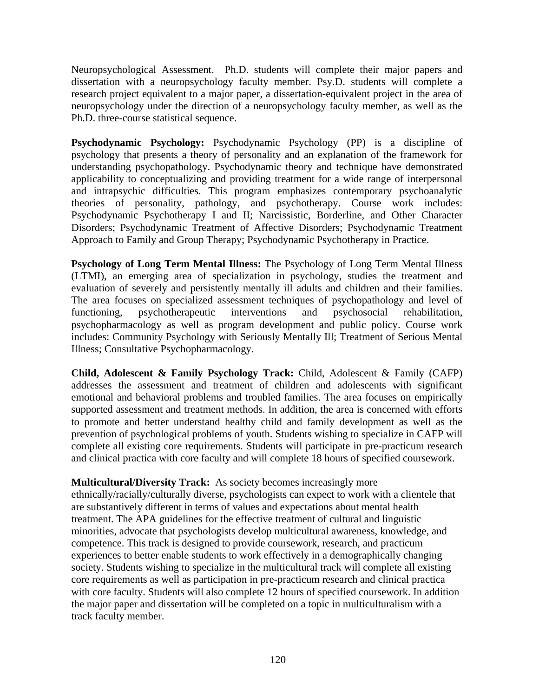Neuropsychological Assessment. Ph.D. students will complete their major papers and dissertation with a neuropsychology faculty member. Psy.D. students will complete a research project equivalent to a major paper, a dissertation-equivalent project in the area of neuropsychology under the direction of a neuropsychology faculty member, as well as the Ph.D. three-course statistical sequence.

**Psychodynamic Psychology:** Psychodynamic Psychology (PP) is a discipline of psychology that presents a theory of personality and an explanation of the framework for understanding psychopathology. Psychodynamic theory and technique have demonstrated applicability to conceptualizing and providing treatment for a wide range of interpersonal and intrapsychic difficulties. This program emphasizes contemporary psychoanalytic theories of personality, pathology, and psychotherapy. Course work includes: Psychodynamic Psychotherapy I and II; Narcissistic, Borderline, and Other Character Disorders; Psychodynamic Treatment of Affective Disorders; Psychodynamic Treatment Approach to Family and Group Therapy; Psychodynamic Psychotherapy in Practice.

**Psychology of Long Term Mental Illness:** The Psychology of Long Term Mental Illness (LTMI), an emerging area of specialization in psychology, studies the treatment and evaluation of severely and persistently mentally ill adults and children and their families. The area focuses on specialized assessment techniques of psychopathology and level of functioning, psychotherapeutic interventions and psychosocial rehabilitation, psychopharmacology as well as program development and public policy. Course work includes: Community Psychology with Seriously Mentally Ill; Treatment of Serious Mental Illness; Consultative Psychopharmacology.

**Child, Adolescent & Family Psychology Track:** Child, Adolescent & Family (CAFP) addresses the assessment and treatment of children and adolescents with significant emotional and behavioral problems and troubled families. The area focuses on empirically supported assessment and treatment methods. In addition, the area is concerned with efforts to promote and better understand healthy child and family development as well as the prevention of psychological problems of youth. Students wishing to specialize in CAFP will complete all existing core requirements. Students will participate in pre-practicum research and clinical practica with core faculty and will complete 18 hours of specified coursework.

#### **Multicultural/Diversity Track:** As society becomes increasingly more

ethnically/racially/culturally diverse, psychologists can expect to work with a clientele that are substantively different in terms of values and expectations about mental health treatment. The APA guidelines for the effective treatment of cultural and linguistic minorities, advocate that psychologists develop multicultural awareness, knowledge, and competence. This track is designed to provide coursework, research, and practicum experiences to better enable students to work effectively in a demographically changing society. Students wishing to specialize in the multicultural track will complete all existing core requirements as well as participation in pre-practicum research and clinical practica with core faculty. Students will also complete 12 hours of specified coursework. In addition the major paper and dissertation will be completed on a topic in multiculturalism with a track faculty member.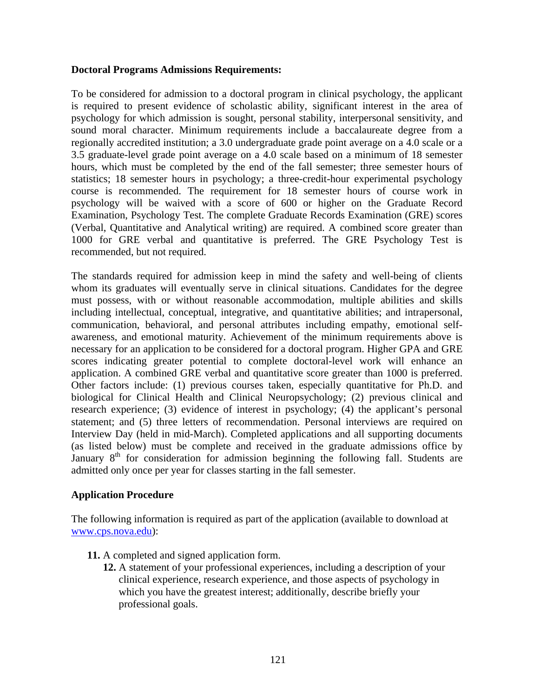#### **Doctoral Programs Admissions Requirements:**

To be considered for admission to a doctoral program in clinical psychology, the applicant is required to present evidence of scholastic ability, significant interest in the area of psychology for which admission is sought, personal stability, interpersonal sensitivity, and sound moral character. Minimum requirements include a baccalaureate degree from a regionally accredited institution; a 3.0 undergraduate grade point average on a 4.0 scale or a 3.5 graduate-level grade point average on a 4.0 scale based on a minimum of 18 semester hours, which must be completed by the end of the fall semester; three semester hours of statistics; 18 semester hours in psychology; a three-credit-hour experimental psychology course is recommended. The requirement for 18 semester hours of course work in psychology will be waived with a score of 600 or higher on the Graduate Record Examination, Psychology Test. The complete Graduate Records Examination (GRE) scores (Verbal, Quantitative and Analytical writing) are required. A combined score greater than 1000 for GRE verbal and quantitative is preferred. The GRE Psychology Test is recommended, but not required.

The standards required for admission keep in mind the safety and well-being of clients whom its graduates will eventually serve in clinical situations. Candidates for the degree must possess, with or without reasonable accommodation, multiple abilities and skills including intellectual, conceptual, integrative, and quantitative abilities; and intrapersonal, communication, behavioral, and personal attributes including empathy, emotional selfawareness, and emotional maturity. Achievement of the minimum requirements above is necessary for an application to be considered for a doctoral program. Higher GPA and GRE scores indicating greater potential to complete doctoral-level work will enhance an application. A combined GRE verbal and quantitative score greater than 1000 is preferred. Other factors include: (1) previous courses taken, especially quantitative for Ph.D. and biological for Clinical Health and Clinical Neuropsychology; (2) previous clinical and research experience; (3) evidence of interest in psychology; (4) the applicant's personal statement; and (5) three letters of recommendation. Personal interviews are required on Interview Day (held in mid-March). Completed applications and all supporting documents (as listed below) must be complete and received in the graduate admissions office by January  $8<sup>th</sup>$  for consideration for admission beginning the following fall. Students are admitted only once per year for classes starting in the fall semester.

#### **Application Procedure**

The following information is required as part of the application (available to download at [www.cps.nova.edu\)](http://www.cps.nova.edu/):

- **11.** A completed and signed application form.
	- **12.** A statement of your professional experiences, including a description of your clinical experience, research experience, and those aspects of psychology in which you have the greatest interest; additionally, describe briefly your professional goals.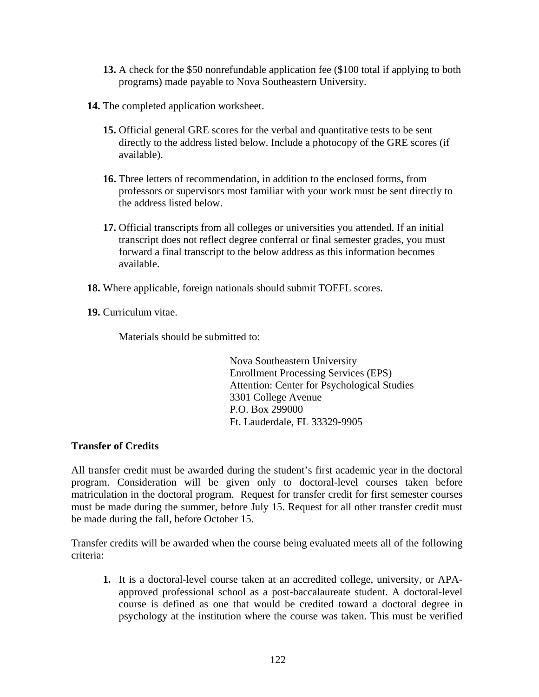- **13.** A check for the \$50 nonrefundable application fee (\$100 total if applying to both programs) made payable to Nova Southeastern University.
- **14.** The completed application worksheet.
	- **15.** Official general GRE scores for the verbal and quantitative tests to be sent directly to the address listed below. Include a photocopy of the GRE scores (if available).
	- **16.** Three letters of recommendation, in addition to the enclosed forms, from professors or supervisors most familiar with your work must be sent directly to the address listed below.
	- **17.** Official transcripts from all colleges or universities you attended. If an initial transcript does not reflect degree conferral or final semester grades, you must forward a final transcript to the below address as this information becomes available.
- **18.** Where applicable, foreign nationals should submit TOEFL scores.
- **19.** Curriculum vitae.

Materials should be submitted to:

 Nova Southeastern University Enrollment Processing Services (EPS) Attention: Center for Psychological Studies 3301 College Avenue P.O. Box 299000 Ft. Lauderdale, FL 33329-9905

### **Transfer of Credits**

All transfer credit must be awarded during the student's first academic year in the doctoral program. Consideration will be given only to doctoral-level courses taken before matriculation in the doctoral program. Request for transfer credit for first semester courses must be made during the summer, before July 15. Request for all other transfer credit must be made during the fall, before October 15.

Transfer credits will be awarded when the course being evaluated meets all of the following criteria:

**1.** It is a doctoral-level course taken at an accredited college, university, or APAapproved professional school as a post-baccalaureate student. A doctoral-level course is defined as one that would be credited toward a doctoral degree in psychology at the institution where the course was taken. This must be verified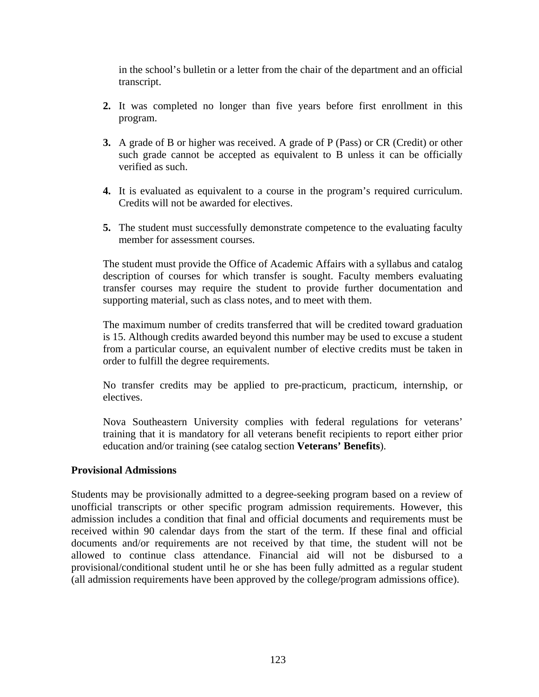in the school's bulletin or a letter from the chair of the department and an official transcript.

- **2.** It was completed no longer than five years before first enrollment in this program.
- **3.** A grade of B or higher was received. A grade of P (Pass) or CR (Credit) or other such grade cannot be accepted as equivalent to B unless it can be officially verified as such.
- **4.** It is evaluated as equivalent to a course in the program's required curriculum. Credits will not be awarded for electives.
- **5.** The student must successfully demonstrate competence to the evaluating faculty member for assessment courses.

The student must provide the Office of Academic Affairs with a syllabus and catalog description of courses for which transfer is sought. Faculty members evaluating transfer courses may require the student to provide further documentation and supporting material, such as class notes, and to meet with them.

The maximum number of credits transferred that will be credited toward graduation is 15. Although credits awarded beyond this number may be used to excuse a student from a particular course, an equivalent number of elective credits must be taken in order to fulfill the degree requirements.

No transfer credits may be applied to pre-practicum, practicum, internship, or electives.

Nova Southeastern University complies with federal regulations for veterans' training that it is mandatory for all veterans benefit recipients to report either prior education and/or training (see catalog section **Veterans' Benefits**).

#### **Provisional Admissions**

Students may be provisionally admitted to a degree-seeking program based on a review of unofficial transcripts or other specific program admission requirements. However, this admission includes a condition that final and official documents and requirements must be received within 90 calendar days from the start of the term. If these final and official documents and/or requirements are not received by that time, the student will not be allowed to continue class attendance. Financial aid will not be disbursed to a provisional/conditional student until he or she has been fully admitted as a regular student (all admission requirements have been approved by the college/program admissions office).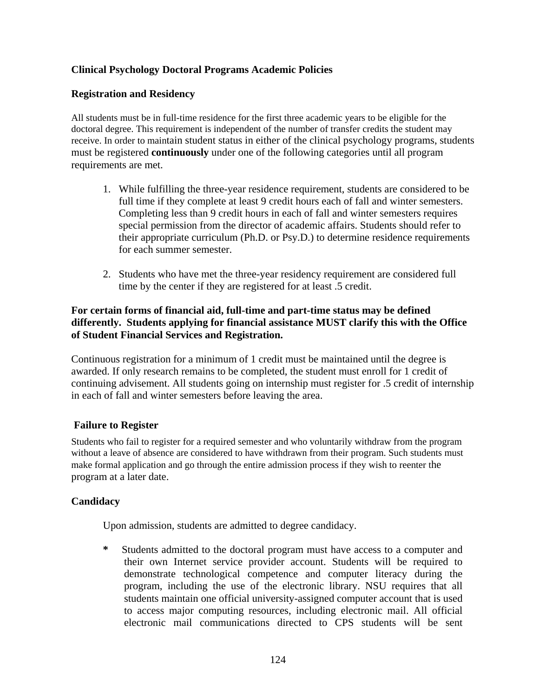## **Clinical Psychology Doctoral Programs Academic Policies**

#### **Registration and Residency**

All students must be in full-time residence for the first three academic years to be eligible for the doctoral degree. This requirement is independent of the number of transfer credits the student may receive. In order to maintain student status in either of the clinical psychology programs, students must be registered **continuously** under one of the following categories until all program requirements are met.

- 1. While fulfilling the three-year residence requirement, students are considered to be full time if they complete at least 9 credit hours each of fall and winter semesters. Completing less than 9 credit hours in each of fall and winter semesters requires special permission from the director of academic affairs. Students should refer to their appropriate curriculum (Ph.D. or Psy.D.) to determine residence requirements for each summer semester.
- 2. Students who have met the three-year residency requirement are considered full time by the center if they are registered for at least .5 credit.

#### **For certain forms of financial aid, full-time and part-time status may be defined differently. Students applying for financial assistance MUST clarify this with the Office of Student Financial Services and Registration.**

Continuous registration for a minimum of 1 credit must be maintained until the degree is awarded. If only research remains to be completed, the student must enroll for 1 credit of continuing advisement. All students going on internship must register for .5 credit of internship in each of fall and winter semesters before leaving the area.

#### **Failure to Register**

Students who fail to register for a required semester and who voluntarily withdraw from the program without a leave of absence are considered to have withdrawn from their program. Such students must make formal application and go through the entire admission process if they wish to reenter the program at a later date.

### **Candidacy**

Upon admission, students are admitted to degree candidacy.

**\*** Students admitted to the doctoral program must have access to a computer and their own Internet service provider account. Students will be required to demonstrate technological competence and computer literacy during the program, including the use of the electronic library. NSU requires that all students maintain one official university-assigned computer account that is used to access major computing resources, including electronic mail. All official electronic mail communications directed to CPS students will be sent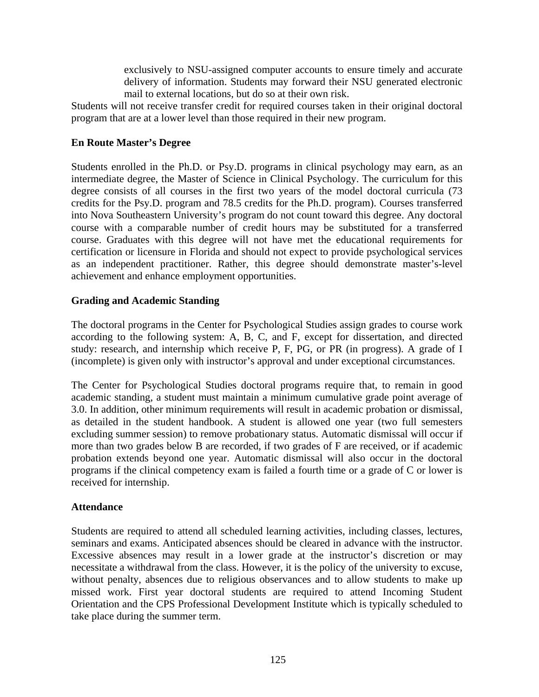exclusively to NSU-assigned computer accounts to ensure timely and accurate delivery of information. Students may forward their NSU generated electronic mail to external locations, but do so at their own risk.

Students will not receive transfer credit for required courses taken in their original doctoral program that are at a lower level than those required in their new program.

#### **En Route Master's Degree**

Students enrolled in the Ph.D. or Psy.D. programs in clinical psychology may earn, as an intermediate degree, the Master of Science in Clinical Psychology. The curriculum for this degree consists of all courses in the first two years of the model doctoral curricula (73 credits for the Psy.D. program and 78.5 credits for the Ph.D. program). Courses transferred into Nova Southeastern University's program do not count toward this degree. Any doctoral course with a comparable number of credit hours may be substituted for a transferred course. Graduates with this degree will not have met the educational requirements for certification or licensure in Florida and should not expect to provide psychological services as an independent practitioner. Rather, this degree should demonstrate master's-level achievement and enhance employment opportunities.

#### **Grading and Academic Standing**

The doctoral programs in the Center for Psychological Studies assign grades to course work according to the following system: A, B, C, and F, except for dissertation, and directed study: research, and internship which receive P, F, PG, or PR (in progress). A grade of I (incomplete) is given only with instructor's approval and under exceptional circumstances.

The Center for Psychological Studies doctoral programs require that, to remain in good academic standing, a student must maintain a minimum cumulative grade point average of 3.0. In addition, other minimum requirements will result in academic probation or dismissal, as detailed in the student handbook. A student is allowed one year (two full semesters excluding summer session) to remove probationary status. Automatic dismissal will occur if more than two grades below B are recorded, if two grades of F are received, or if academic probation extends beyond one year. Automatic dismissal will also occur in the doctoral programs if the clinical competency exam is failed a fourth time or a grade of C or lower is received for internship.

#### **Attendance**

Students are required to attend all scheduled learning activities, including classes, lectures, seminars and exams. Anticipated absences should be cleared in advance with the instructor. Excessive absences may result in a lower grade at the instructor's discretion or may necessitate a withdrawal from the class. However, it is the policy of the university to excuse, without penalty, absences due to religious observances and to allow students to make up missed work. First year doctoral students are required to attend Incoming Student Orientation and the CPS Professional Development Institute which is typically scheduled to take place during the summer term.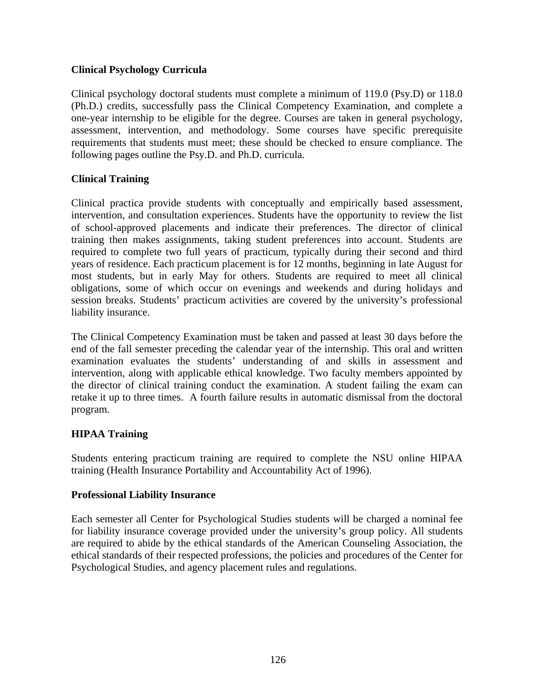#### **Clinical Psychology Curricula**

Clinical psychology doctoral students must complete a minimum of 119.0 (Psy.D) or 118.0 (Ph.D.) credits, successfully pass the Clinical Competency Examination, and complete a one-year internship to be eligible for the degree. Courses are taken in general psychology, assessment, intervention, and methodology. Some courses have specific prerequisite requirements that students must meet; these should be checked to ensure compliance. The following pages outline the Psy.D. and Ph.D. curricula.

#### **Clinical Training**

Clinical practica provide students with conceptually and empirically based assessment, intervention, and consultation experiences. Students have the opportunity to review the list of school-approved placements and indicate their preferences. The director of clinical training then makes assignments, taking student preferences into account. Students are required to complete two full years of practicum, typically during their second and third years of residence. Each practicum placement is for 12 months, beginning in late August for most students, but in early May for others. Students are required to meet all clinical obligations, some of which occur on evenings and weekends and during holidays and session breaks. Students' practicum activities are covered by the university's professional liability insurance.

The Clinical Competency Examination must be taken and passed at least 30 days before the end of the fall semester preceding the calendar year of the internship. This oral and written examination evaluates the students' understanding of and skills in assessment and intervention, along with applicable ethical knowledge. Two faculty members appointed by the director of clinical training conduct the examination. A student failing the exam can retake it up to three times. A fourth failure results in automatic dismissal from the doctoral program.

### **HIPAA Training**

Students entering practicum training are required to complete the NSU online HIPAA training (Health Insurance Portability and Accountability Act of 1996).

#### **Professional Liability Insurance**

Each semester all Center for Psychological Studies students will be charged a nominal fee for liability insurance coverage provided under the university's group policy. All students are required to abide by the ethical standards of the American Counseling Association, the ethical standards of their respected professions, the policies and procedures of the Center for Psychological Studies, and agency placement rules and regulations.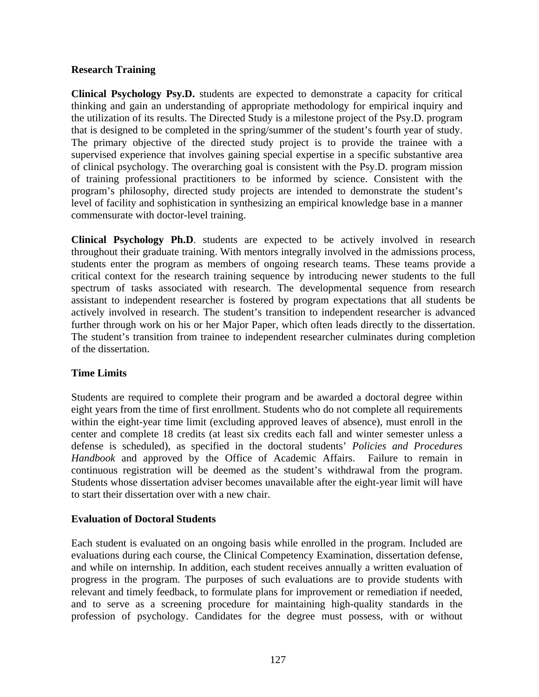#### **Research Training**

**Clinical Psychology Psy.D.** students are expected to demonstrate a capacity for critical thinking and gain an understanding of appropriate methodology for empirical inquiry and the utilization of its results. The Directed Study is a milestone project of the Psy.D. program that is designed to be completed in the spring/summer of the student's fourth year of study. The primary objective of the directed study project is to provide the trainee with a supervised experience that involves gaining special expertise in a specific substantive area of clinical psychology. The overarching goal is consistent with the Psy.D. program mission of training professional practitioners to be informed by science. Consistent with the program's philosophy, directed study projects are intended to demonstrate the student's level of facility and sophistication in synthesizing an empirical knowledge base in a manner commensurate with doctor-level training.

**Clinical Psychology Ph.D**. students are expected to be actively involved in research throughout their graduate training. With mentors integrally involved in the admissions process, students enter the program as members of ongoing research teams. These teams provide a critical context for the research training sequence by introducing newer students to the full spectrum of tasks associated with research. The developmental sequence from research assistant to independent researcher is fostered by program expectations that all students be actively involved in research. The student's transition to independent researcher is advanced further through work on his or her Major Paper, which often leads directly to the dissertation. The student's transition from trainee to independent researcher culminates during completion of the dissertation.

### **Time Limits**

Students are required to complete their program and be awarded a doctoral degree within eight years from the time of first enrollment. Students who do not complete all requirements within the eight-year time limit (excluding approved leaves of absence), must enroll in the center and complete 18 credits (at least six credits each fall and winter semester unless a defense is scheduled), as specified in the doctoral students' *Policies and Procedures Handbook* and approved by the Office of Academic Affairs. Failure to remain in continuous registration will be deemed as the student's withdrawal from the program. Students whose dissertation adviser becomes unavailable after the eight-year limit will have to start their dissertation over with a new chair.

#### **Evaluation of Doctoral Students**

Each student is evaluated on an ongoing basis while enrolled in the program. Included are evaluations during each course, the Clinical Competency Examination, dissertation defense, and while on internship. In addition, each student receives annually a written evaluation of progress in the program. The purposes of such evaluations are to provide students with relevant and timely feedback, to formulate plans for improvement or remediation if needed, and to serve as a screening procedure for maintaining high-quality standards in the profession of psychology. Candidates for the degree must possess, with or without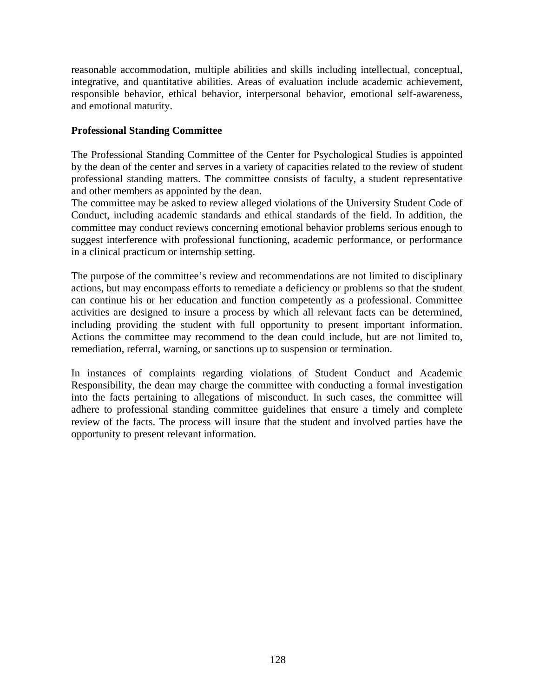reasonable accommodation, multiple abilities and skills including intellectual, conceptual, integrative, and quantitative abilities. Areas of evaluation include academic achievement, responsible behavior, ethical behavior, interpersonal behavior, emotional self-awareness, and emotional maturity.

#### **Professional Standing Committee**

The Professional Standing Committee of the Center for Psychological Studies is appointed by the dean of the center and serves in a variety of capacities related to the review of student professional standing matters. The committee consists of faculty, a student representative and other members as appointed by the dean.

The committee may be asked to review alleged violations of the University Student Code of Conduct, including academic standards and ethical standards of the field. In addition, the committee may conduct reviews concerning emotional behavior problems serious enough to suggest interference with professional functioning, academic performance, or performance in a clinical practicum or internship setting.

The purpose of the committee's review and recommendations are not limited to disciplinary actions, but may encompass efforts to remediate a deficiency or problems so that the student can continue his or her education and function competently as a professional. Committee activities are designed to insure a process by which all relevant facts can be determined, including providing the student with full opportunity to present important information. Actions the committee may recommend to the dean could include, but are not limited to, remediation, referral, warning, or sanctions up to suspension or termination.

In instances of complaints regarding violations of Student Conduct and Academic Responsibility, the dean may charge the committee with conducting a formal investigation into the facts pertaining to allegations of misconduct. In such cases, the committee will adhere to professional standing committee guidelines that ensure a timely and complete review of the facts. The process will insure that the student and involved parties have the opportunity to present relevant information.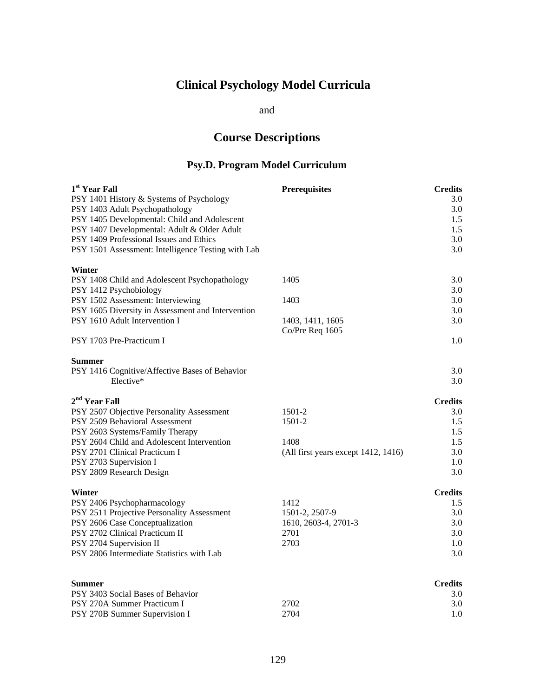# **Clinical Psychology Model Curricula**

and

# **Course Descriptions**

# **Psy.D. Program Model Curriculum**

| 1 <sup>st</sup> Year Fall                          | <b>Prerequisites</b>                | <b>Credits</b> |
|----------------------------------------------------|-------------------------------------|----------------|
| PSY 1401 History & Systems of Psychology           |                                     | 3.0            |
| PSY 1403 Adult Psychopathology                     |                                     | 3.0            |
| PSY 1405 Developmental: Child and Adolescent       |                                     | 1.5            |
| PSY 1407 Developmental: Adult & Older Adult        |                                     | 1.5            |
| PSY 1409 Professional Issues and Ethics            |                                     | 3.0            |
| PSY 1501 Assessment: Intelligence Testing with Lab |                                     | 3.0            |
| Winter                                             |                                     |                |
| PSY 1408 Child and Adolescent Psychopathology      | 1405                                | 3.0            |
| PSY 1412 Psychobiology                             |                                     | 3.0            |
| PSY 1502 Assessment: Interviewing                  | 1403                                | 3.0            |
| PSY 1605 Diversity in Assessment and Intervention  |                                     | 3.0            |
| PSY 1610 Adult Intervention I                      | 1403, 1411, 1605                    | 3.0            |
|                                                    | Co/Pre Req 1605                     |                |
| PSY 1703 Pre-Practicum I                           |                                     | 1.0            |
| <b>Summer</b>                                      |                                     |                |
| PSY 1416 Cognitive/Affective Bases of Behavior     |                                     | 3.0            |
| Elective*                                          |                                     | 3.0            |
| 2 <sup>nd</sup> Year Fall                          |                                     | <b>Credits</b> |
| PSY 2507 Objective Personality Assessment          | 1501-2                              | 3.0            |
| PSY 2509 Behavioral Assessment                     | 1501-2                              | 1.5            |
| PSY 2603 Systems/Family Therapy                    |                                     | 1.5            |
| PSY 2604 Child and Adolescent Intervention         | 1408                                | 1.5            |
| PSY 2701 Clinical Practicum I                      | (All first years except 1412, 1416) | 3.0            |
| PSY 2703 Supervision I                             |                                     | 1.0            |
| PSY 2809 Research Design                           |                                     | 3.0            |
| Winter                                             |                                     | <b>Credits</b> |
| PSY 2406 Psychopharmacology                        | 1412                                | 1.5            |
| PSY 2511 Projective Personality Assessment         | 1501-2, 2507-9                      | 3.0            |
| PSY 2606 Case Conceptualization                    | 1610, 2603-4, 2701-3                | 3.0            |
| PSY 2702 Clinical Practicum II                     | 2701                                | 3.0            |
| PSY 2704 Supervision II                            | 2703                                | 1.0            |
| PSY 2806 Intermediate Statistics with Lab          |                                     | 3.0            |
|                                                    |                                     |                |
| Summer                                             |                                     | <b>Credits</b> |
| PSY 3403 Social Bases of Behavior                  |                                     | 3.0            |
| PSY 270A Summer Practicum I                        | 2702<br>2704                        | 3.0<br>1.0     |
| PSY 270B Summer Supervision I                      |                                     |                |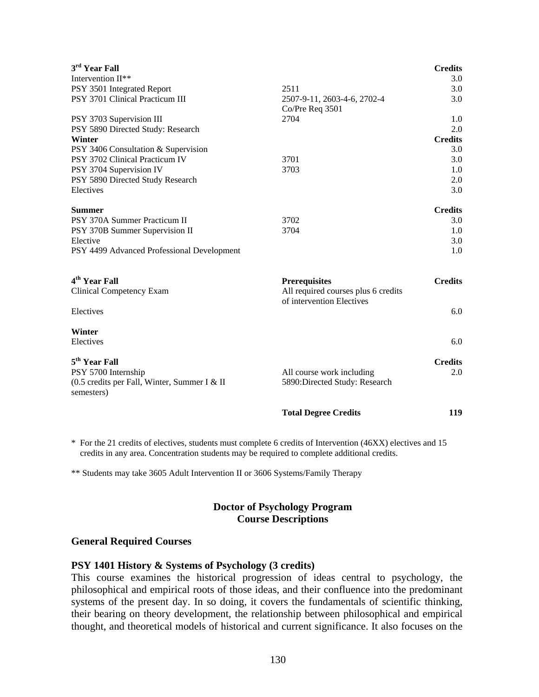| 3rd Year Fall<br>Intervention II**                                                | <b>Credits</b><br>3.0                                             |
|-----------------------------------------------------------------------------------|-------------------------------------------------------------------|
|                                                                                   | 2511<br>3.0                                                       |
| PSY 3501 Integrated Report<br>PSY 3701 Clinical Practicum III                     | 3.0                                                               |
|                                                                                   | 2507-9-11, 2603-4-6, 2702-4<br>Co/Pre Req 3501                    |
| PSY 3703 Supervision III                                                          | 2704<br>1.0                                                       |
| PSY 5890 Directed Study: Research                                                 | 2.0                                                               |
| <b>Winter</b>                                                                     | <b>Credits</b>                                                    |
| PSY 3406 Consultation & Supervision                                               | 3.0                                                               |
| PSY 3702 Clinical Practicum IV                                                    | 3701<br>3.0                                                       |
| PSY 3704 Supervision IV                                                           | 3703<br>1.0                                                       |
| PSY 5890 Directed Study Research                                                  | 2.0                                                               |
| Electives                                                                         | 3.0                                                               |
| <b>Summer</b>                                                                     | <b>Credits</b>                                                    |
| PSY 370A Summer Practicum II                                                      | 3702<br>3.0                                                       |
| PSY 370B Summer Supervision II                                                    | 3704<br>1.0                                                       |
| Elective                                                                          | 3.0                                                               |
| PSY 4499 Advanced Professional Development                                        | 1.0                                                               |
| 4 <sup>th</sup> Year Fall                                                         | <b>Credits</b><br><b>Prerequisites</b>                            |
| <b>Clinical Competency Exam</b>                                                   | All required courses plus 6 credits                               |
| Electives                                                                         | of intervention Electives<br>6.0                                  |
| <b>Winter</b>                                                                     |                                                                   |
| Electives                                                                         | 6.0                                                               |
| 5 <sup>th</sup> Year Fall                                                         | <b>Credits</b>                                                    |
| PSY 5700 Internship<br>(0.5 credits per Fall, Winter, Summer I & II<br>semesters) | All course work including<br>2.0<br>5890:Directed Study: Research |
|                                                                                   | 119<br><b>Total Degree Credits</b>                                |

\* For the 21 credits of electives, students must complete 6 credits of Intervention (46XX) electives and 15 credits in any area. Concentration students may be required to complete additional credits.

\*\* Students may take 3605 Adult Intervention II or 3606 Systems/Family Therapy

#### **Doctor of Psychology Program Course Descriptions**

#### **General Required Courses**

#### **PSY 1401 History & Systems of Psychology (3 credits)**

This course examines the historical progression of ideas central to psychology, the philosophical and empirical roots of those ideas, and their confluence into the predominant systems of the present day. In so doing, it covers the fundamentals of scientific thinking, their bearing on theory development, the relationship between philosophical and empirical thought, and theoretical models of historical and current significance. It also focuses on the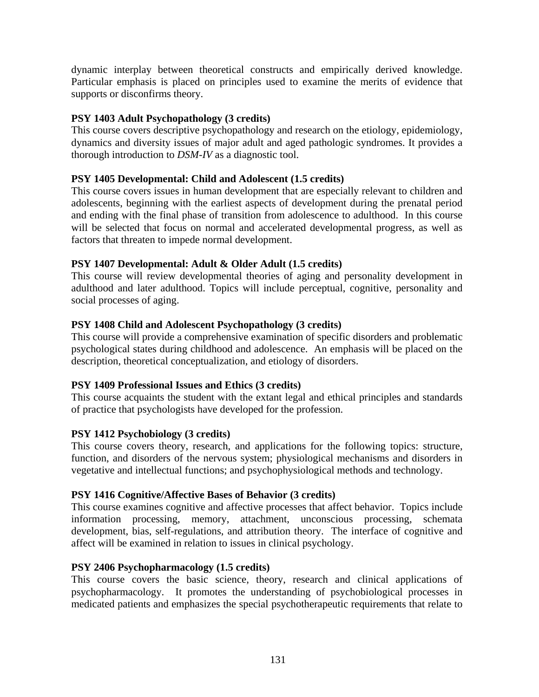dynamic interplay between theoretical constructs and empirically derived knowledge. Particular emphasis is placed on principles used to examine the merits of evidence that supports or disconfirms theory.

### **PSY 1403 Adult Psychopathology (3 credits)**

This course covers descriptive psychopathology and research on the etiology, epidemiology, dynamics and diversity issues of major adult and aged pathologic syndromes. It provides a thorough introduction to *DSM-IV* as a diagnostic tool.

# **PSY 1405 Developmental: Child and Adolescent (1.5 credits)**

This course covers issues in human development that are especially relevant to children and adolescents, beginning with the earliest aspects of development during the prenatal period and ending with the final phase of transition from adolescence to adulthood. In this course will be selected that focus on normal and accelerated developmental progress, as well as factors that threaten to impede normal development.

# **PSY 1407 Developmental: Adult & Older Adult (1.5 credits)**

This course will review developmental theories of aging and personality development in adulthood and later adulthood. Topics will include perceptual, cognitive, personality and social processes of aging.

# **PSY 1408 Child and Adolescent Psychopathology (3 credits)**

This course will provide a comprehensive examination of specific disorders and problematic psychological states during childhood and adolescence. An emphasis will be placed on the description, theoretical conceptualization, and etiology of disorders.

### **PSY 1409 Professional Issues and Ethics (3 credits)**

This course acquaints the student with the extant legal and ethical principles and standards of practice that psychologists have developed for the profession.

### **PSY 1412 Psychobiology (3 credits)**

This course covers theory, research, and applications for the following topics: structure, function, and disorders of the nervous system; physiological mechanisms and disorders in vegetative and intellectual functions; and psychophysiological methods and technology.

### **PSY 1416 Cognitive/Affective Bases of Behavior (3 credits)**

This course examines cognitive and affective processes that affect behavior. Topics include information processing, memory, attachment, unconscious processing, schemata development, bias, self-regulations, and attribution theory. The interface of cognitive and affect will be examined in relation to issues in clinical psychology.

### **PSY 2406 Psychopharmacology (1.5 credits)**

This course covers the basic science, theory, research and clinical applications of psychopharmacology. It promotes the understanding of psychobiological processes in medicated patients and emphasizes the special psychotherapeutic requirements that relate to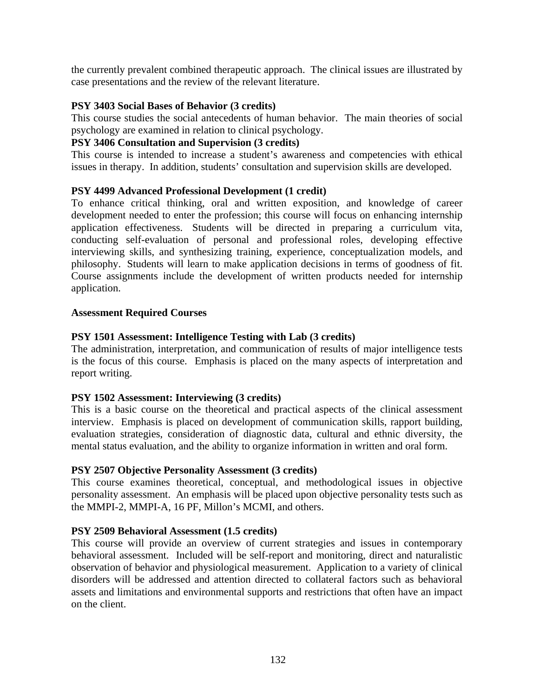the currently prevalent combined therapeutic approach. The clinical issues are illustrated by case presentations and the review of the relevant literature.

#### **PSY 3403 Social Bases of Behavior (3 credits)**

This course studies the social antecedents of human behavior. The main theories of social psychology are examined in relation to clinical psychology.

#### **PSY 3406 Consultation and Supervision (3 credits)**

This course is intended to increase a student's awareness and competencies with ethical issues in therapy. In addition, students' consultation and supervision skills are developed.

#### **PSY 4499 Advanced Professional Development (1 credit)**

To enhance critical thinking, oral and written exposition, and knowledge of career development needed to enter the profession; this course will focus on enhancing internship application effectiveness. Students will be directed in preparing a curriculum vita, conducting self-evaluation of personal and professional roles, developing effective interviewing skills, and synthesizing training, experience, conceptualization models, and philosophy. Students will learn to make application decisions in terms of goodness of fit. Course assignments include the development of written products needed for internship application.

#### **Assessment Required Courses**

#### **PSY 1501 Assessment: Intelligence Testing with Lab (3 credits)**

The administration, interpretation, and communication of results of major intelligence tests is the focus of this course. Emphasis is placed on the many aspects of interpretation and report writing.

### **PSY 1502 Assessment: Interviewing (3 credits)**

This is a basic course on the theoretical and practical aspects of the clinical assessment interview. Emphasis is placed on development of communication skills, rapport building, evaluation strategies, consideration of diagnostic data, cultural and ethnic diversity, the mental status evaluation, and the ability to organize information in written and oral form.

#### **PSY 2507 Objective Personality Assessment (3 credits)**

This course examines theoretical, conceptual, and methodological issues in objective personality assessment. An emphasis will be placed upon objective personality tests such as the MMPI-2, MMPI-A, 16 PF, Millon's MCMI, and others.

#### **PSY 2509 Behavioral Assessment (1.5 credits)**

This course will provide an overview of current strategies and issues in contemporary behavioral assessment. Included will be self-report and monitoring, direct and naturalistic observation of behavior and physiological measurement. Application to a variety of clinical disorders will be addressed and attention directed to collateral factors such as behavioral assets and limitations and environmental supports and restrictions that often have an impact on the client.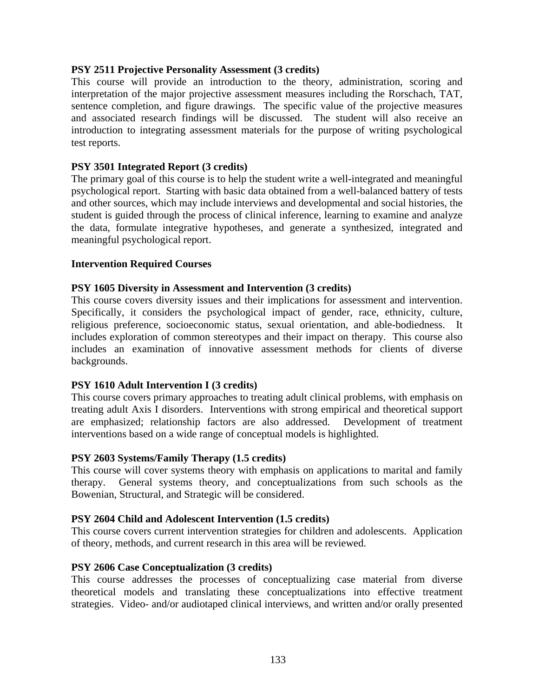#### **PSY 2511 Projective Personality Assessment (3 credits)**

This course will provide an introduction to the theory, administration, scoring and interpretation of the major projective assessment measures including the Rorschach, TAT, sentence completion, and figure drawings. The specific value of the projective measures and associated research findings will be discussed. The student will also receive an introduction to integrating assessment materials for the purpose of writing psychological test reports.

#### **PSY 3501 Integrated Report (3 credits)**

The primary goal of this course is to help the student write a well-integrated and meaningful psychological report. Starting with basic data obtained from a well-balanced battery of tests and other sources, which may include interviews and developmental and social histories, the student is guided through the process of clinical inference, learning to examine and analyze the data, formulate integrative hypotheses, and generate a synthesized, integrated and meaningful psychological report.

#### **Intervention Required Courses**

#### **PSY 1605 Diversity in Assessment and Intervention (3 credits)**

This course covers diversity issues and their implications for assessment and intervention. Specifically, it considers the psychological impact of gender, race, ethnicity, culture, religious preference, socioeconomic status, sexual orientation, and able-bodiedness. It includes exploration of common stereotypes and their impact on therapy. This course also includes an examination of innovative assessment methods for clients of diverse backgrounds.

#### **PSY 1610 Adult Intervention I (3 credits)**

This course covers primary approaches to treating adult clinical problems, with emphasis on treating adult Axis I disorders. Interventions with strong empirical and theoretical support are emphasized; relationship factors are also addressed. Development of treatment interventions based on a wide range of conceptual models is highlighted.

#### **PSY 2603 Systems/Family Therapy (1.5 credits)**

This course will cover systems theory with emphasis on applications to marital and family therapy. General systems theory, and conceptualizations from such schools as the Bowenian, Structural, and Strategic will be considered.

#### **PSY 2604 Child and Adolescent Intervention (1.5 credits)**

This course covers current intervention strategies for children and adolescents. Application of theory, methods, and current research in this area will be reviewed.

#### **PSY 2606 Case Conceptualization (3 credits)**

This course addresses the processes of conceptualizing case material from diverse theoretical models and translating these conceptualizations into effective treatment strategies. Video- and/or audiotaped clinical interviews, and written and/or orally presented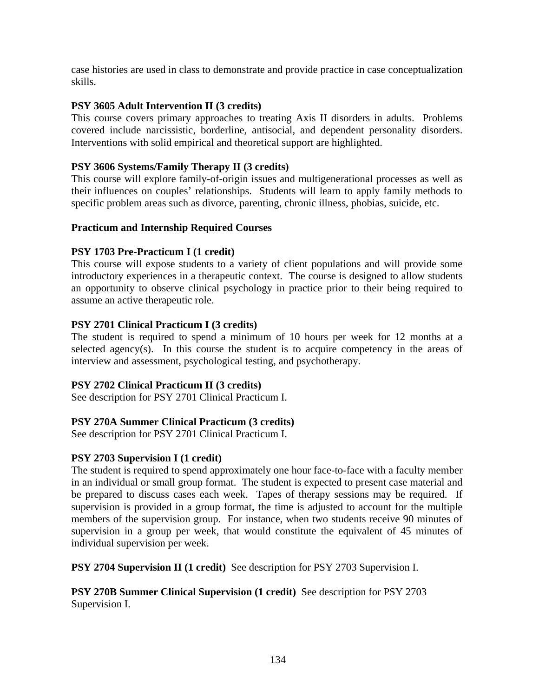case histories are used in class to demonstrate and provide practice in case conceptualization skills.

## **PSY 3605 Adult Intervention II (3 credits)**

This course covers primary approaches to treating Axis II disorders in adults. Problems covered include narcissistic, borderline, antisocial, and dependent personality disorders. Interventions with solid empirical and theoretical support are highlighted.

## **PSY 3606 Systems/Family Therapy II (3 credits)**

This course will explore family-of-origin issues and multigenerational processes as well as their influences on couples' relationships. Students will learn to apply family methods to specific problem areas such as divorce, parenting, chronic illness, phobias, suicide, etc.

### **Practicum and Internship Required Courses**

# **PSY 1703 Pre-Practicum I (1 credit)**

This course will expose students to a variety of client populations and will provide some introductory experiences in a therapeutic context. The course is designed to allow students an opportunity to observe clinical psychology in practice prior to their being required to assume an active therapeutic role.

### **PSY 2701 Clinical Practicum I (3 credits)**

The student is required to spend a minimum of 10 hours per week for 12 months at a selected agency(s). In this course the student is to acquire competency in the areas of interview and assessment, psychological testing, and psychotherapy.

### **PSY 2702 Clinical Practicum II (3 credits)**

See description for PSY 2701 Clinical Practicum I.

# **PSY 270A Summer Clinical Practicum (3 credits)**

See description for PSY 2701 Clinical Practicum I.

### **PSY 2703 Supervision I (1 credit)**

The student is required to spend approximately one hour face-to-face with a faculty member in an individual or small group format. The student is expected to present case material and be prepared to discuss cases each week. Tapes of therapy sessions may be required. If supervision is provided in a group format, the time is adjusted to account for the multiple members of the supervision group. For instance, when two students receive 90 minutes of supervision in a group per week, that would constitute the equivalent of 45 minutes of individual supervision per week.

**PSY 2704 Supervision II (1 credit)** See description for PSY 2703 Supervision I.

**PSY 270B Summer Clinical Supervision (1 credit)** See description for PSY 2703 Supervision I.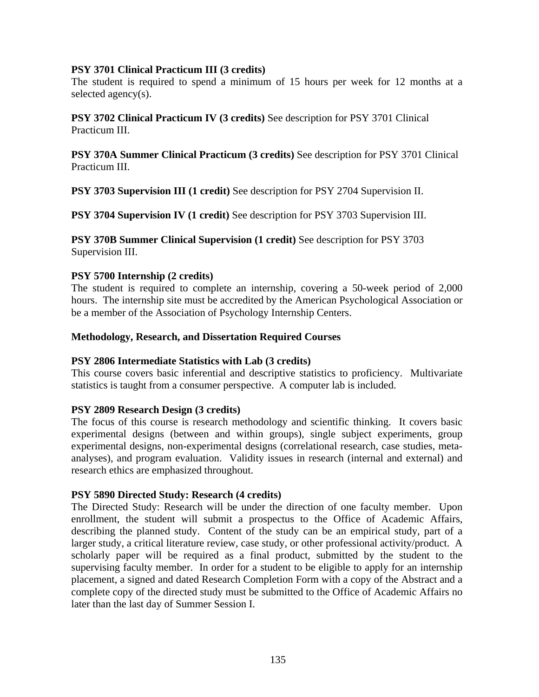#### **PSY 3701 Clinical Practicum III (3 credits)**

The student is required to spend a minimum of 15 hours per week for 12 months at a selected agency(s).

#### **PSY 3702 Clinical Practicum IV (3 credits)** See description for PSY 3701 Clinical Practicum III.

**PSY 370A Summer Clinical Practicum (3 credits)** See description for PSY 3701 Clinical Practicum III.

**PSY 3703 Supervision III (1 credit)** See description for PSY 2704 Supervision II.

**PSY 3704 Supervision IV (1 credit)** See description for PSY 3703 Supervision III.

**PSY 370B Summer Clinical Supervision (1 credit)** See description for PSY 3703 Supervision III.

#### **PSY 5700 Internship (2 credits)**

The student is required to complete an internship, covering a 50-week period of 2,000 hours. The internship site must be accredited by the American Psychological Association or be a member of the Association of Psychology Internship Centers.

#### **Methodology, Research, and Dissertation Required Courses**

#### **PSY 2806 Intermediate Statistics with Lab (3 credits)**

This course covers basic inferential and descriptive statistics to proficiency. Multivariate statistics is taught from a consumer perspective. A computer lab is included.

#### **PSY 2809 Research Design (3 credits)**

The focus of this course is research methodology and scientific thinking. It covers basic experimental designs (between and within groups), single subject experiments, group experimental designs, non-experimental designs (correlational research, case studies, metaanalyses), and program evaluation. Validity issues in research (internal and external) and research ethics are emphasized throughout.

#### **PSY 5890 Directed Study: Research (4 credits)**

The Directed Study: Research will be under the direction of one faculty member. Upon enrollment, the student will submit a prospectus to the Office of Academic Affairs, describing the planned study. Content of the study can be an empirical study, part of a larger study, a critical literature review, case study, or other professional activity/product. A scholarly paper will be required as a final product, submitted by the student to the supervising faculty member. In order for a student to be eligible to apply for an internship placement, a signed and dated Research Completion Form with a copy of the Abstract and a complete copy of the directed study must be submitted to the Office of Academic Affairs no later than the last day of Summer Session I.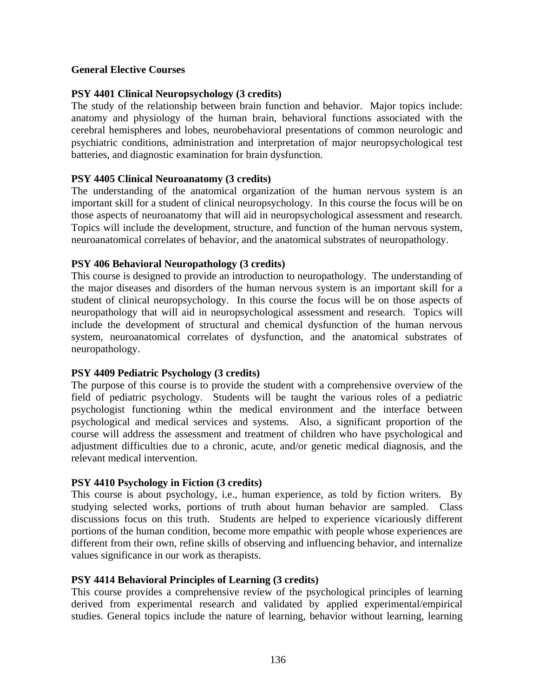#### **General Elective Courses**

#### **PSY 4401 Clinical Neuropsychology (3 credits)**

The study of the relationship between brain function and behavior. Major topics include: anatomy and physiology of the human brain, behavioral functions associated with the cerebral hemispheres and lobes, neurobehavioral presentations of common neurologic and psychiatric conditions, administration and interpretation of major neuropsychological test batteries, and diagnostic examination for brain dysfunction.

#### **PSY 4405 Clinical Neuroanatomy (3 credits)**

The understanding of the anatomical organization of the human nervous system is an important skill for a student of clinical neuropsychology. In this course the focus will be on those aspects of neuroanatomy that will aid in neuropsychological assessment and research. Topics will include the development, structure, and function of the human nervous system, neuroanatomical correlates of behavior, and the anatomical substrates of neuropathology.

#### **PSY 406 Behavioral Neuropathology (3 credits)**

This course is designed to provide an introduction to neuropathology. The understanding of the major diseases and disorders of the human nervous system is an important skill for a student of clinical neuropsychology. In this course the focus will be on those aspects of neuropathology that will aid in neuropsychological assessment and research. Topics will include the development of structural and chemical dysfunction of the human nervous system, neuroanatomical correlates of dysfunction, and the anatomical substrates of neuropathology.

#### **PSY 4409 Pediatric Psychology (3 credits)**

The purpose of this course is to provide the student with a comprehensive overview of the field of pediatric psychology. Students will be taught the various roles of a pediatric psychologist functioning wthin the medical environment and the interface between psychological and medical services and systems. Also, a significant proportion of the course will address the assessment and treatment of children who have psychological and adjustment difficulties due to a chronic, acute, and/or genetic medical diagnosis, and the relevant medical intervention.

### **PSY 4410 Psychology in Fiction (3 credits)**

This course is about psychology, i.e., human experience, as told by fiction writers. By studying selected works, portions of truth about human behavior are sampled. Class discussions focus on this truth. Students are helped to experience vicariously different portions of the human condition, become more empathic with people whose experiences are different from their own, refine skills of observing and influencing behavior, and internalize values significance in our work as therapists.

#### **PSY 4414 Behavioral Principles of Learning (3 credits)**

This course provides a comprehensive review of the psychological principles of learning derived from experimental research and validated by applied experimental/empirical studies. General topics include the nature of learning, behavior without learning, learning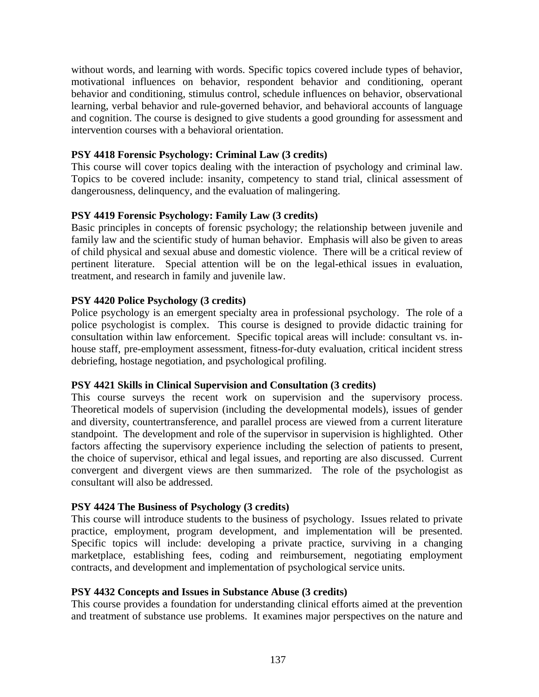without words, and learning with words. Specific topics covered include types of behavior, motivational influences on behavior, respondent behavior and conditioning, operant behavior and conditioning, stimulus control, schedule influences on behavior, observational learning, verbal behavior and rule-governed behavior, and behavioral accounts of language and cognition. The course is designed to give students a good grounding for assessment and intervention courses with a behavioral orientation.

#### **PSY 4418 Forensic Psychology: Criminal Law (3 credits)**

This course will cover topics dealing with the interaction of psychology and criminal law. Topics to be covered include: insanity, competency to stand trial, clinical assessment of dangerousness, delinquency, and the evaluation of malingering.

#### **PSY 4419 Forensic Psychology: Family Law (3 credits)**

Basic principles in concepts of forensic psychology; the relationship between juvenile and family law and the scientific study of human behavior. Emphasis will also be given to areas of child physical and sexual abuse and domestic violence. There will be a critical review of pertinent literature. Special attention will be on the legal-ethical issues in evaluation, treatment, and research in family and juvenile law.

#### **PSY 4420 Police Psychology (3 credits)**

Police psychology is an emergent specialty area in professional psychology. The role of a police psychologist is complex. This course is designed to provide didactic training for consultation within law enforcement. Specific topical areas will include: consultant vs. inhouse staff, pre-employment assessment, fitness-for-duty evaluation, critical incident stress debriefing, hostage negotiation, and psychological profiling.

#### **PSY 4421 Skills in Clinical Supervision and Consultation (3 credits)**

This course surveys the recent work on supervision and the supervisory process. Theoretical models of supervision (including the developmental models), issues of gender and diversity, countertransference, and parallel process are viewed from a current literature standpoint. The development and role of the supervisor in supervision is highlighted. Other factors affecting the supervisory experience including the selection of patients to present, the choice of supervisor, ethical and legal issues, and reporting are also discussed. Current convergent and divergent views are then summarized. The role of the psychologist as consultant will also be addressed.

#### **PSY 4424 The Business of Psychology (3 credits)**

This course will introduce students to the business of psychology. Issues related to private practice, employment, program development, and implementation will be presented. Specific topics will include: developing a private practice, surviving in a changing marketplace, establishing fees, coding and reimbursement, negotiating employment contracts, and development and implementation of psychological service units.

#### **PSY 4432 Concepts and Issues in Substance Abuse (3 credits)**

This course provides a foundation for understanding clinical efforts aimed at the prevention and treatment of substance use problems. It examines major perspectives on the nature and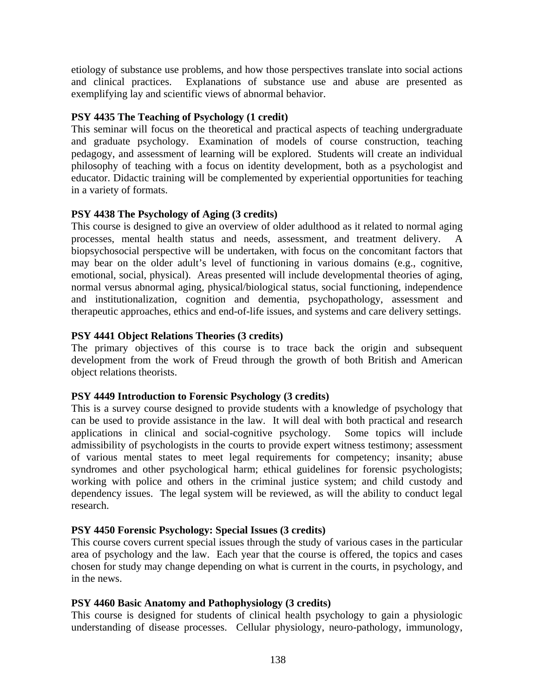etiology of substance use problems, and how those perspectives translate into social actions and clinical practices. Explanations of substance use and abuse are presented as exemplifying lay and scientific views of abnormal behavior.

#### **PSY 4435 The Teaching of Psychology (1 credit)**

This seminar will focus on the theoretical and practical aspects of teaching undergraduate and graduate psychology. Examination of models of course construction, teaching pedagogy, and assessment of learning will be explored. Students will create an individual philosophy of teaching with a focus on identity development, both as a psychologist and educator. Didactic training will be complemented by experiential opportunities for teaching in a variety of formats.

#### **PSY 4438 The Psychology of Aging (3 credits)**

This course is designed to give an overview of older adulthood as it related to normal aging processes, mental health status and needs, assessment, and treatment delivery. biopsychosocial perspective will be undertaken, with focus on the concomitant factors that may bear on the older adult's level of functioning in various domains (e.g., cognitive, emotional, social, physical). Areas presented will include developmental theories of aging, normal versus abnormal aging, physical/biological status, social functioning, independence and institutionalization, cognition and dementia, psychopathology, assessment and therapeutic approaches, ethics and end-of-life issues, and systems and care delivery settings.

#### **PSY 4441 Object Relations Theories (3 credits)**

The primary objectives of this course is to trace back the origin and subsequent development from the work of Freud through the growth of both British and American object relations theorists.

#### **PSY 4449 Introduction to Forensic Psychology (3 credits)**

This is a survey course designed to provide students with a knowledge of psychology that can be used to provide assistance in the law. It will deal with both practical and research applications in clinical and social-cognitive psychology. Some topics will include admissibility of psychologists in the courts to provide expert witness testimony; assessment of various mental states to meet legal requirements for competency; insanity; abuse syndromes and other psychological harm; ethical guidelines for forensic psychologists; working with police and others in the criminal justice system; and child custody and dependency issues. The legal system will be reviewed, as will the ability to conduct legal research.

#### **PSY 4450 Forensic Psychology: Special Issues (3 credits)**

This course covers current special issues through the study of various cases in the particular area of psychology and the law. Each year that the course is offered, the topics and cases chosen for study may change depending on what is current in the courts, in psychology, and in the news.

### **PSY 4460 Basic Anatomy and Pathophysiology (3 credits)**

This course is designed for students of clinical health psychology to gain a physiologic understanding of disease processes. Cellular physiology, neuro-pathology, immunology,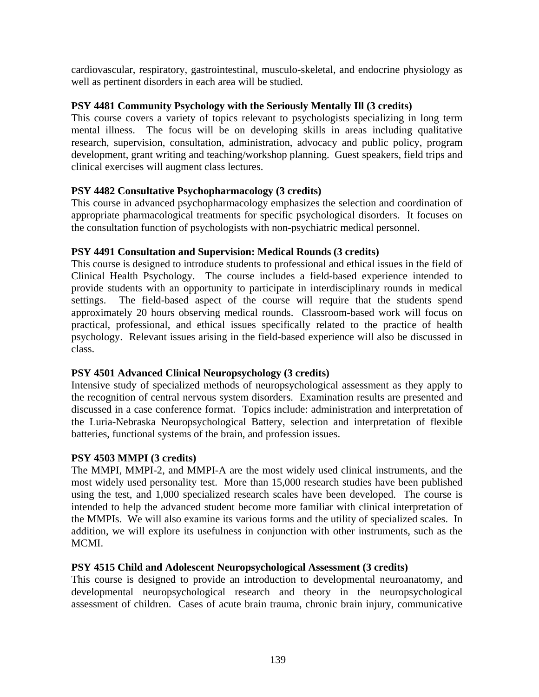cardiovascular, respiratory, gastrointestinal, musculo-skeletal, and endocrine physiology as well as pertinent disorders in each area will be studied.

## **PSY 4481 Community Psychology with the Seriously Mentally Ill (3 credits)**

This course covers a variety of topics relevant to psychologists specializing in long term mental illness. The focus will be on developing skills in areas including qualitative research, supervision, consultation, administration, advocacy and public policy, program development, grant writing and teaching/workshop planning. Guest speakers, field trips and clinical exercises will augment class lectures.

## **PSY 4482 Consultative Psychopharmacology (3 credits)**

This course in advanced psychopharmacology emphasizes the selection and coordination of appropriate pharmacological treatments for specific psychological disorders. It focuses on the consultation function of psychologists with non-psychiatric medical personnel.

## **PSY 4491 Consultation and Supervision: Medical Rounds (3 credits)**

This course is designed to introduce students to professional and ethical issues in the field of Clinical Health Psychology. The course includes a field-based experience intended to provide students with an opportunity to participate in interdisciplinary rounds in medical settings. The field-based aspect of the course will require that the students spend approximately 20 hours observing medical rounds. Classroom-based work will focus on practical, professional, and ethical issues specifically related to the practice of health psychology. Relevant issues arising in the field-based experience will also be discussed in class.

## **PSY 4501 Advanced Clinical Neuropsychology (3 credits)**

Intensive study of specialized methods of neuropsychological assessment as they apply to the recognition of central nervous system disorders. Examination results are presented and discussed in a case conference format. Topics include: administration and interpretation of the Luria-Nebraska Neuropsychological Battery, selection and interpretation of flexible batteries, functional systems of the brain, and profession issues.

## **PSY 4503 MMPI (3 credits)**

The MMPI, MMPI-2, and MMPI-A are the most widely used clinical instruments, and the most widely used personality test. More than 15,000 research studies have been published using the test, and 1,000 specialized research scales have been developed. The course is intended to help the advanced student become more familiar with clinical interpretation of the MMPIs. We will also examine its various forms and the utility of specialized scales. In addition, we will explore its usefulness in conjunction with other instruments, such as the MCMI.

## **PSY 4515 Child and Adolescent Neuropsychological Assessment (3 credits)**

This course is designed to provide an introduction to developmental neuroanatomy, and developmental neuropsychological research and theory in the neuropsychological assessment of children. Cases of acute brain trauma, chronic brain injury, communicative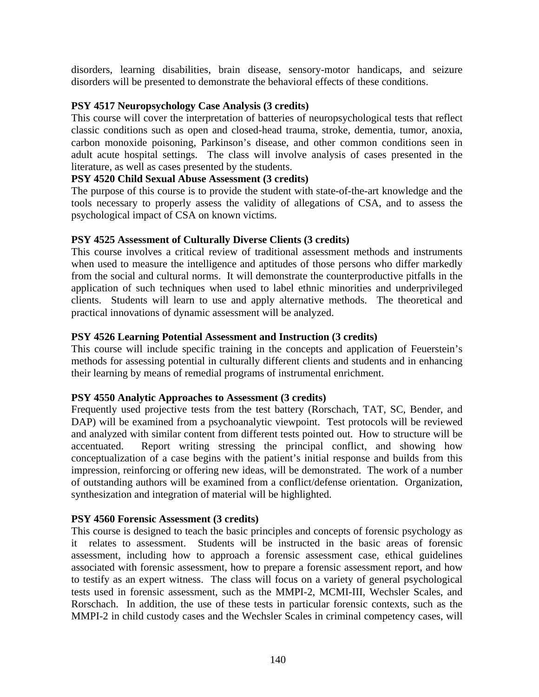disorders, learning disabilities, brain disease, sensory-motor handicaps, and seizure disorders will be presented to demonstrate the behavioral effects of these conditions.

## **PSY 4517 Neuropsychology Case Analysis (3 credits)**

This course will cover the interpretation of batteries of neuropsychological tests that reflect classic conditions such as open and closed-head trauma, stroke, dementia, tumor, anoxia, carbon monoxide poisoning, Parkinson's disease, and other common conditions seen in adult acute hospital settings. The class will involve analysis of cases presented in the literature, as well as cases presented by the students.

## **PSY 4520 Child Sexual Abuse Assessment (3 credits)**

The purpose of this course is to provide the student with state-of-the-art knowledge and the tools necessary to properly assess the validity of allegations of CSA, and to assess the psychological impact of CSA on known victims.

## **PSY 4525 Assessment of Culturally Diverse Clients (3 credits)**

This course involves a critical review of traditional assessment methods and instruments when used to measure the intelligence and aptitudes of those persons who differ markedly from the social and cultural norms. It will demonstrate the counterproductive pitfalls in the application of such techniques when used to label ethnic minorities and underprivileged clients. Students will learn to use and apply alternative methods. The theoretical and practical innovations of dynamic assessment will be analyzed.

## **PSY 4526 Learning Potential Assessment and Instruction (3 credits)**

This course will include specific training in the concepts and application of Feuerstein's methods for assessing potential in culturally different clients and students and in enhancing their learning by means of remedial programs of instrumental enrichment.

## **PSY 4550 Analytic Approaches to Assessment (3 credits)**

Frequently used projective tests from the test battery (Rorschach, TAT, SC, Bender, and DAP) will be examined from a psychoanalytic viewpoint. Test protocols will be reviewed and analyzed with similar content from different tests pointed out. How to structure will be accentuated. Report writing stressing the principal conflict, and showing how conceptualization of a case begins with the patient's initial response and builds from this impression, reinforcing or offering new ideas, will be demonstrated. The work of a number of outstanding authors will be examined from a conflict/defense orientation. Organization, synthesization and integration of material will be highlighted.

## **PSY 4560 Forensic Assessment (3 credits)**

This course is designed to teach the basic principles and concepts of forensic psychology as it relates to assessment. Students will be instructed in the basic areas of forensic assessment, including how to approach a forensic assessment case, ethical guidelines associated with forensic assessment, how to prepare a forensic assessment report, and how to testify as an expert witness. The class will focus on a variety of general psychological tests used in forensic assessment, such as the MMPI-2, MCMI-III, Wechsler Scales, and Rorschach. In addition, the use of these tests in particular forensic contexts, such as the MMPI-2 in child custody cases and the Wechsler Scales in criminal competency cases, will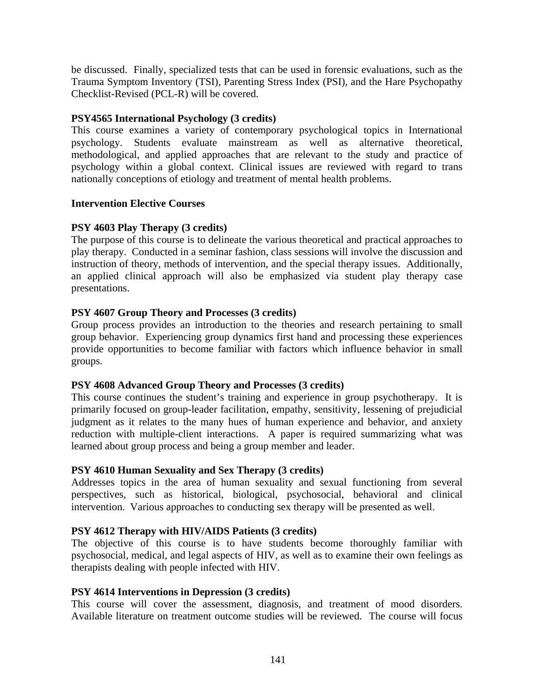be discussed. Finally, specialized tests that can be used in forensic evaluations, such as the Trauma Symptom Inventory (TSI), Parenting Stress Index (PSI), and the Hare Psychopathy Checklist-Revised (PCL-R) will be covered.

### **PSY4565 International Psychology (3 credits)**

This course examines a variety of contemporary psychological topics in International psychology. Students evaluate mainstream as well as alternative theoretical, methodological, and applied approaches that are relevant to the study and practice of psychology within a global context. Clinical issues are reviewed with regard to trans nationally conceptions of etiology and treatment of mental health problems.

#### **Intervention Elective Courses**

## **PSY 4603 Play Therapy (3 credits)**

The purpose of this course is to delineate the various theoretical and practical approaches to play therapy. Conducted in a seminar fashion, class sessions will involve the discussion and instruction of theory, methods of intervention, and the special therapy issues. Additionally, an applied clinical approach will also be emphasized via student play therapy case presentations.

### **PSY 4607 Group Theory and Processes (3 credits)**

Group process provides an introduction to the theories and research pertaining to small group behavior. Experiencing group dynamics first hand and processing these experiences provide opportunities to become familiar with factors which influence behavior in small groups.

#### **PSY 4608 Advanced Group Theory and Processes (3 credits)**

This course continues the student's training and experience in group psychotherapy. It is primarily focused on group-leader facilitation, empathy, sensitivity, lessening of prejudicial judgment as it relates to the many hues of human experience and behavior, and anxiety reduction with multiple-client interactions. A paper is required summarizing what was learned about group process and being a group member and leader.

#### **PSY 4610 Human Sexuality and Sex Therapy (3 credits)**

Addresses topics in the area of human sexuality and sexual functioning from several perspectives, such as historical, biological, psychosocial, behavioral and clinical intervention. Various approaches to conducting sex therapy will be presented as well.

#### **PSY 4612 Therapy with HIV/AIDS Patients (3 credits)**

The objective of this course is to have students become thoroughly familiar with psychosocial, medical, and legal aspects of HIV, as well as to examine their own feelings as therapists dealing with people infected with HIV.

#### **PSY 4614 Interventions in Depression (3 credits)**

This course will cover the assessment, diagnosis, and treatment of mood disorders. Available literature on treatment outcome studies will be reviewed. The course will focus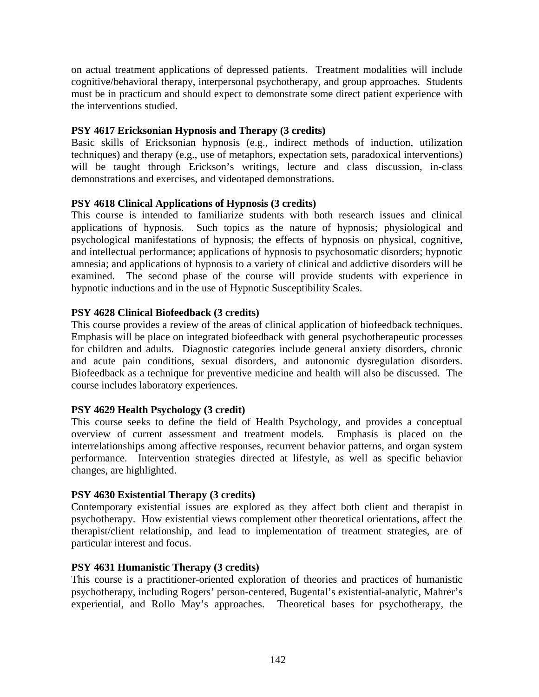on actual treatment applications of depressed patients. Treatment modalities will include cognitive/behavioral therapy, interpersonal psychotherapy, and group approaches. Students must be in practicum and should expect to demonstrate some direct patient experience with the interventions studied.

### **PSY 4617 Ericksonian Hypnosis and Therapy (3 credits)**

Basic skills of Ericksonian hypnosis (e.g., indirect methods of induction, utilization techniques) and therapy (e.g., use of metaphors, expectation sets, paradoxical interventions) will be taught through Erickson's writings, lecture and class discussion, in-class demonstrations and exercises, and videotaped demonstrations.

### **PSY 4618 Clinical Applications of Hypnosis (3 credits)**

This course is intended to familiarize students with both research issues and clinical applications of hypnosis. Such topics as the nature of hypnosis; physiological and psychological manifestations of hypnosis; the effects of hypnosis on physical, cognitive, and intellectual performance; applications of hypnosis to psychosomatic disorders; hypnotic amnesia; and applications of hypnosis to a variety of clinical and addictive disorders will be examined. The second phase of the course will provide students with experience in hypnotic inductions and in the use of Hypnotic Susceptibility Scales.

### **PSY 4628 Clinical Biofeedback (3 credits)**

This course provides a review of the areas of clinical application of biofeedback techniques. Emphasis will be place on integrated biofeedback with general psychotherapeutic processes for children and adults. Diagnostic categories include general anxiety disorders, chronic and acute pain conditions, sexual disorders, and autonomic dysregulation disorders. Biofeedback as a technique for preventive medicine and health will also be discussed. The course includes laboratory experiences.

## **PSY 4629 Health Psychology (3 credit)**

This course seeks to define the field of Health Psychology, and provides a conceptual overview of current assessment and treatment models. Emphasis is placed on the interrelationships among affective responses, recurrent behavior patterns, and organ system performance. Intervention strategies directed at lifestyle, as well as specific behavior changes, are highlighted.

#### **PSY 4630 Existential Therapy (3 credits)**

Contemporary existential issues are explored as they affect both client and therapist in psychotherapy. How existential views complement other theoretical orientations, affect the therapist/client relationship, and lead to implementation of treatment strategies, are of particular interest and focus.

#### **PSY 4631 Humanistic Therapy (3 credits)**

This course is a practitioner-oriented exploration of theories and practices of humanistic psychotherapy, including Rogers' person-centered, Bugental's existential-analytic, Mahrer's experiential, and Rollo May's approaches. Theoretical bases for psychotherapy, the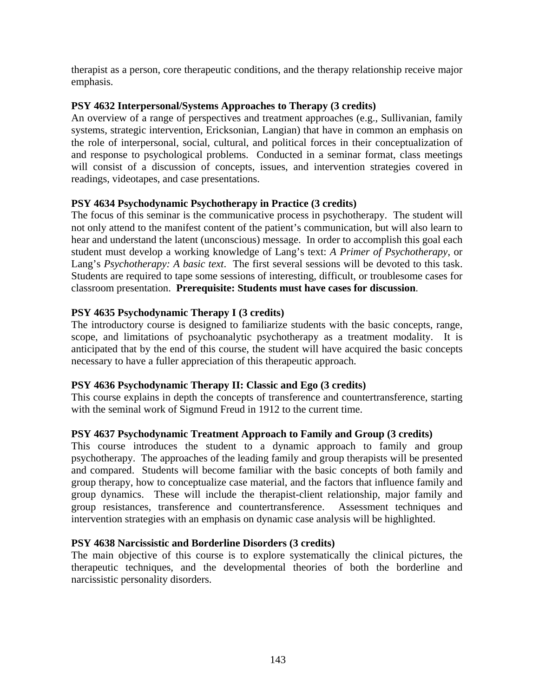therapist as a person, core therapeutic conditions, and the therapy relationship receive major emphasis.

## **PSY 4632 Interpersonal/Systems Approaches to Therapy (3 credits)**

An overview of a range of perspectives and treatment approaches (e.g., Sullivanian, family systems, strategic intervention, Ericksonian, Langian) that have in common an emphasis on the role of interpersonal, social, cultural, and political forces in their conceptualization of and response to psychological problems. Conducted in a seminar format, class meetings will consist of a discussion of concepts, issues, and intervention strategies covered in readings, videotapes, and case presentations.

## **PSY 4634 Psychodynamic Psychotherapy in Practice (3 credits)**

The focus of this seminar is the communicative process in psychotherapy. The student will not only attend to the manifest content of the patient's communication, but will also learn to hear and understand the latent (unconscious) message. In order to accomplish this goal each student must develop a working knowledge of Lang's text: *A Primer of Psychotherapy*, or Lang's *Psychotherapy: A basic text*. The first several sessions will be devoted to this task. Students are required to tape some sessions of interesting, difficult, or troublesome cases for classroom presentation. **Prerequisite: Students must have cases for discussion**.

## **PSY 4635 Psychodynamic Therapy I (3 credits)**

The introductory course is designed to familiarize students with the basic concepts, range, scope, and limitations of psychoanalytic psychotherapy as a treatment modality. It is anticipated that by the end of this course, the student will have acquired the basic concepts necessary to have a fuller appreciation of this therapeutic approach.

## **PSY 4636 Psychodynamic Therapy II: Classic and Ego (3 credits)**

This course explains in depth the concepts of transference and countertransference, starting with the seminal work of Sigmund Freud in 1912 to the current time.

## **PSY 4637 Psychodynamic Treatment Approach to Family and Group (3 credits)**

This course introduces the student to a dynamic approach to family and group psychotherapy. The approaches of the leading family and group therapists will be presented and compared. Students will become familiar with the basic concepts of both family and group therapy, how to conceptualize case material, and the factors that influence family and group dynamics. These will include the therapist-client relationship, major family and group resistances, transference and countertransference. Assessment techniques and intervention strategies with an emphasis on dynamic case analysis will be highlighted.

## **PSY 4638 Narcissistic and Borderline Disorders (3 credits)**

The main objective of this course is to explore systematically the clinical pictures, the therapeutic techniques, and the developmental theories of both the borderline and narcissistic personality disorders.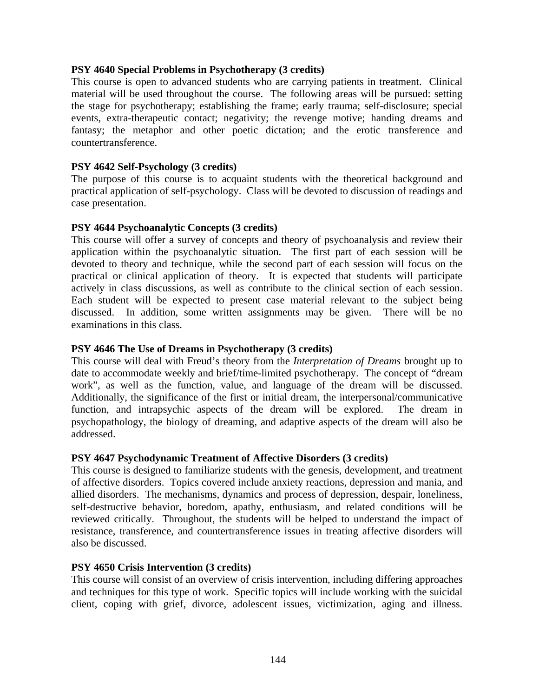#### **PSY 4640 Special Problems in Psychotherapy (3 credits)**

This course is open to advanced students who are carrying patients in treatment. Clinical material will be used throughout the course. The following areas will be pursued: setting the stage for psychotherapy; establishing the frame; early trauma; self-disclosure; special events, extra-therapeutic contact; negativity; the revenge motive; handing dreams and fantasy; the metaphor and other poetic dictation; and the erotic transference and countertransference.

#### **PSY 4642 Self-Psychology (3 credits)**

The purpose of this course is to acquaint students with the theoretical background and practical application of self-psychology. Class will be devoted to discussion of readings and case presentation.

#### **PSY 4644 Psychoanalytic Concepts (3 credits)**

This course will offer a survey of concepts and theory of psychoanalysis and review their application within the psychoanalytic situation. The first part of each session will be devoted to theory and technique, while the second part of each session will focus on the practical or clinical application of theory. It is expected that students will participate actively in class discussions, as well as contribute to the clinical section of each session. Each student will be expected to present case material relevant to the subject being discussed. In addition, some written assignments may be given. There will be no examinations in this class.

#### **PSY 4646 The Use of Dreams in Psychotherapy (3 credits)**

This course will deal with Freud's theory from the *Interpretation of Dreams* brought up to date to accommodate weekly and brief/time-limited psychotherapy. The concept of "dream work", as well as the function, value, and language of the dream will be discussed. Additionally, the significance of the first or initial dream, the interpersonal/communicative function, and intrapsychic aspects of the dream will be explored. The dream in psychopathology, the biology of dreaming, and adaptive aspects of the dream will also be addressed.

#### **PSY 4647 Psychodynamic Treatment of Affective Disorders (3 credits)**

This course is designed to familiarize students with the genesis, development, and treatment of affective disorders. Topics covered include anxiety reactions, depression and mania, and allied disorders. The mechanisms, dynamics and process of depression, despair, loneliness, self-destructive behavior, boredom, apathy, enthusiasm, and related conditions will be reviewed critically. Throughout, the students will be helped to understand the impact of resistance, transference, and countertransference issues in treating affective disorders will also be discussed.

#### **PSY 4650 Crisis Intervention (3 credits)**

This course will consist of an overview of crisis intervention, including differing approaches and techniques for this type of work. Specific topics will include working with the suicidal client, coping with grief, divorce, adolescent issues, victimization, aging and illness.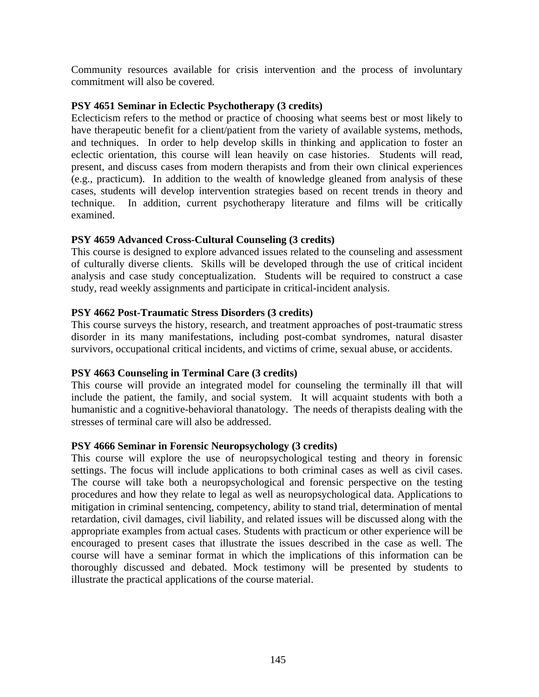Community resources available for crisis intervention and the process of involuntary commitment will also be covered.

### **PSY 4651 Seminar in Eclectic Psychotherapy (3 credits)**

Eclecticism refers to the method or practice of choosing what seems best or most likely to have therapeutic benefit for a client/patient from the variety of available systems, methods, and techniques. In order to help develop skills in thinking and application to foster an eclectic orientation, this course will lean heavily on case histories. Students will read, present, and discuss cases from modern therapists and from their own clinical experiences (e.g., practicum). In addition to the wealth of knowledge gleaned from analysis of these cases, students will develop intervention strategies based on recent trends in theory and technique. In addition, current psychotherapy literature and films will be critically examined.

## **PSY 4659 Advanced Cross-Cultural Counseling (3 credits)**

This course is designed to explore advanced issues related to the counseling and assessment of culturally diverse clients. Skills will be developed through the use of critical incident analysis and case study conceptualization. Students will be required to construct a case study, read weekly assignments and participate in critical-incident analysis.

### **PSY 4662 Post-Traumatic Stress Disorders (3 credits)**

This course surveys the history, research, and treatment approaches of post-traumatic stress disorder in its many manifestations, including post-combat syndromes, natural disaster survivors, occupational critical incidents, and victims of crime, sexual abuse, or accidents.

## **PSY 4663 Counseling in Terminal Care (3 credits)**

This course will provide an integrated model for counseling the terminally ill that will include the patient, the family, and social system. It will acquaint students with both a humanistic and a cognitive-behavioral thanatology. The needs of therapists dealing with the stresses of terminal care will also be addressed.

#### **PSY 4666 Seminar in Forensic Neuropsychology (3 credits)**

This course will explore the use of neuropsychological testing and theory in forensic settings. The focus will include applications to both criminal cases as well as civil cases. The course will take both a neuropsychological and forensic perspective on the testing procedures and how they relate to legal as well as neuropsychological data. Applications to mitigation in criminal sentencing, competency, ability to stand trial, determination of mental retardation, civil damages, civil liability, and related issues will be discussed along with the appropriate examples from actual cases. Students with practicum or other experience will be encouraged to present cases that illustrate the issues described in the case as well. The course will have a seminar format in which the implications of this information can be thoroughly discussed and debated. Mock testimony will be presented by students to illustrate the practical applications of the course material.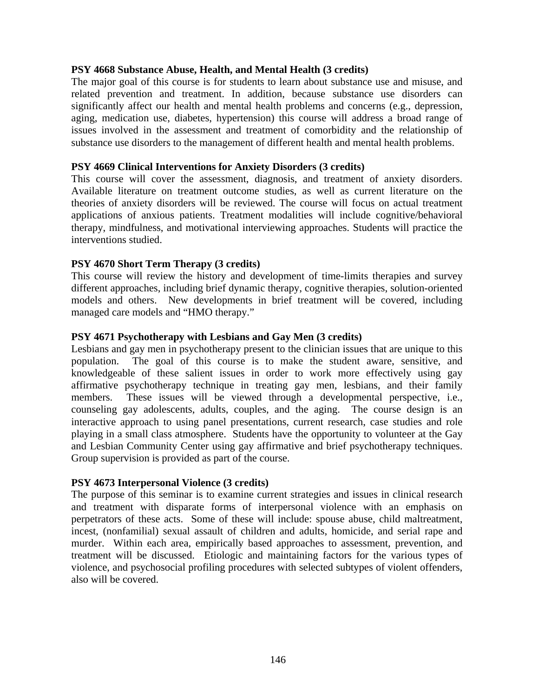#### **PSY 4668 Substance Abuse, Health, and Mental Health (3 credits)**

The major goal of this course is for students to learn about substance use and misuse, and related prevention and treatment. In addition, because substance use disorders can significantly affect our health and mental health problems and concerns (e.g., depression, aging, medication use, diabetes, hypertension) this course will address a broad range of issues involved in the assessment and treatment of comorbidity and the relationship of substance use disorders to the management of different health and mental health problems.

#### **PSY 4669 Clinical Interventions for Anxiety Disorders (3 credits)**

This course will cover the assessment, diagnosis, and treatment of anxiety disorders. Available literature on treatment outcome studies, as well as current literature on the theories of anxiety disorders will be reviewed. The course will focus on actual treatment applications of anxious patients. Treatment modalities will include cognitive/behavioral therapy, mindfulness, and motivational interviewing approaches. Students will practice the interventions studied.

#### **PSY 4670 Short Term Therapy (3 credits)**

This course will review the history and development of time-limits therapies and survey different approaches, including brief dynamic therapy, cognitive therapies, solution-oriented models and others. New developments in brief treatment will be covered, including managed care models and "HMO therapy."

#### **PSY 4671 Psychotherapy with Lesbians and Gay Men (3 credits)**

Lesbians and gay men in psychotherapy present to the clinician issues that are unique to this population. The goal of this course is to make the student aware, sensitive, and knowledgeable of these salient issues in order to work more effectively using gay affirmative psychotherapy technique in treating gay men, lesbians, and their family members. These issues will be viewed through a developmental perspective, i.e., counseling gay adolescents, adults, couples, and the aging. The course design is an interactive approach to using panel presentations, current research, case studies and role playing in a small class atmosphere. Students have the opportunity to volunteer at the Gay and Lesbian Community Center using gay affirmative and brief psychotherapy techniques. Group supervision is provided as part of the course.

#### **PSY 4673 Interpersonal Violence (3 credits)**

The purpose of this seminar is to examine current strategies and issues in clinical research and treatment with disparate forms of interpersonal violence with an emphasis on perpetrators of these acts. Some of these will include: spouse abuse, child maltreatment, incest, (nonfamilial) sexual assault of children and adults, homicide, and serial rape and murder. Within each area, empirically based approaches to assessment, prevention, and treatment will be discussed. Etiologic and maintaining factors for the various types of violence, and psychosocial profiling procedures with selected subtypes of violent offenders, also will be covered.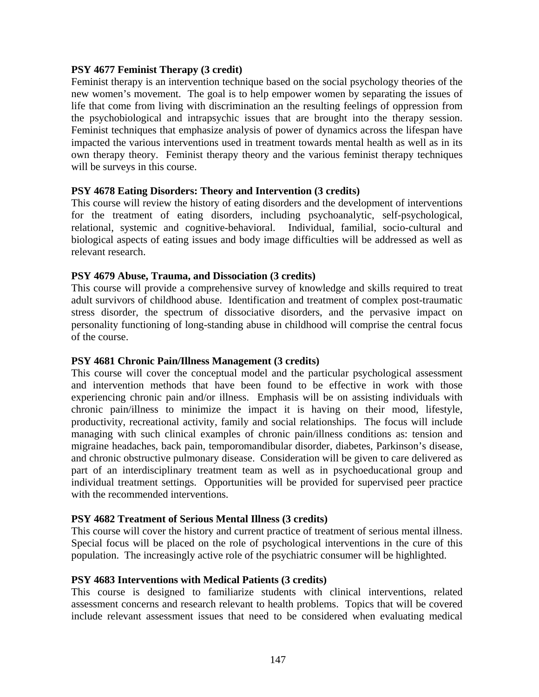#### **PSY 4677 Feminist Therapy (3 credit)**

Feminist therapy is an intervention technique based on the social psychology theories of the new women's movement. The goal is to help empower women by separating the issues of life that come from living with discrimination an the resulting feelings of oppression from the psychobiological and intrapsychic issues that are brought into the therapy session. Feminist techniques that emphasize analysis of power of dynamics across the lifespan have impacted the various interventions used in treatment towards mental health as well as in its own therapy theory. Feminist therapy theory and the various feminist therapy techniques will be surveys in this course.

#### **PSY 4678 Eating Disorders: Theory and Intervention (3 credits)**

This course will review the history of eating disorders and the development of interventions for the treatment of eating disorders, including psychoanalytic, self-psychological, relational, systemic and cognitive-behavioral. Individual, familial, socio-cultural and biological aspects of eating issues and body image difficulties will be addressed as well as relevant research.

#### **PSY 4679 Abuse, Trauma, and Dissociation (3 credits)**

This course will provide a comprehensive survey of knowledge and skills required to treat adult survivors of childhood abuse. Identification and treatment of complex post-traumatic stress disorder, the spectrum of dissociative disorders, and the pervasive impact on personality functioning of long-standing abuse in childhood will comprise the central focus of the course.

#### **PSY 4681 Chronic Pain/Illness Management (3 credits)**

This course will cover the conceptual model and the particular psychological assessment and intervention methods that have been found to be effective in work with those experiencing chronic pain and/or illness. Emphasis will be on assisting individuals with chronic pain/illness to minimize the impact it is having on their mood, lifestyle, productivity, recreational activity, family and social relationships. The focus will include managing with such clinical examples of chronic pain/illness conditions as: tension and migraine headaches, back pain, temporomandibular disorder, diabetes, Parkinson's disease, and chronic obstructive pulmonary disease. Consideration will be given to care delivered as part of an interdisciplinary treatment team as well as in psychoeducational group and individual treatment settings. Opportunities will be provided for supervised peer practice with the recommended interventions.

#### **PSY 4682 Treatment of Serious Mental Illness (3 credits)**

This course will cover the history and current practice of treatment of serious mental illness. Special focus will be placed on the role of psychological interventions in the cure of this population. The increasingly active role of the psychiatric consumer will be highlighted.

#### **PSY 4683 Interventions with Medical Patients (3 credits)**

This course is designed to familiarize students with clinical interventions, related assessment concerns and research relevant to health problems. Topics that will be covered include relevant assessment issues that need to be considered when evaluating medical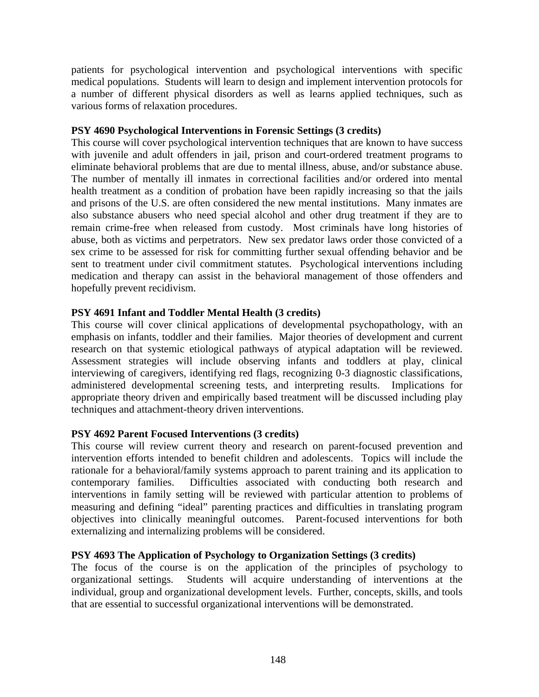patients for psychological intervention and psychological interventions with specific medical populations. Students will learn to design and implement intervention protocols for a number of different physical disorders as well as learns applied techniques, such as various forms of relaxation procedures.

### **PSY 4690 Psychological Interventions in Forensic Settings (3 credits)**

This course will cover psychological intervention techniques that are known to have success with juvenile and adult offenders in jail, prison and court-ordered treatment programs to eliminate behavioral problems that are due to mental illness, abuse, and/or substance abuse. The number of mentally ill inmates in correctional facilities and/or ordered into mental health treatment as a condition of probation have been rapidly increasing so that the jails and prisons of the U.S. are often considered the new mental institutions. Many inmates are also substance abusers who need special alcohol and other drug treatment if they are to remain crime-free when released from custody. Most criminals have long histories of abuse, both as victims and perpetrators. New sex predator laws order those convicted of a sex crime to be assessed for risk for committing further sexual offending behavior and be sent to treatment under civil commitment statutes. Psychological interventions including medication and therapy can assist in the behavioral management of those offenders and hopefully prevent recidivism.

## **PSY 4691 Infant and Toddler Mental Health (3 credits)**

This course will cover clinical applications of developmental psychopathology, with an emphasis on infants, toddler and their families. Major theories of development and current research on that systemic etiological pathways of atypical adaptation will be reviewed. Assessment strategies will include observing infants and toddlers at play, clinical interviewing of caregivers, identifying red flags, recognizing 0-3 diagnostic classifications, administered developmental screening tests, and interpreting results. Implications for appropriate theory driven and empirically based treatment will be discussed including play techniques and attachment-theory driven interventions.

## **PSY 4692 Parent Focused Interventions (3 credits)**

This course will review current theory and research on parent-focused prevention and intervention efforts intended to benefit children and adolescents. Topics will include the rationale for a behavioral/family systems approach to parent training and its application to contemporary families. Difficulties associated with conducting both research and interventions in family setting will be reviewed with particular attention to problems of measuring and defining "ideal" parenting practices and difficulties in translating program objectives into clinically meaningful outcomes. Parent-focused interventions for both externalizing and internalizing problems will be considered.

#### **PSY 4693 The Application of Psychology to Organization Settings (3 credits)**

The focus of the course is on the application of the principles of psychology to organizational settings. Students will acquire understanding of interventions at the individual, group and organizational development levels. Further, concepts, skills, and tools that are essential to successful organizational interventions will be demonstrated.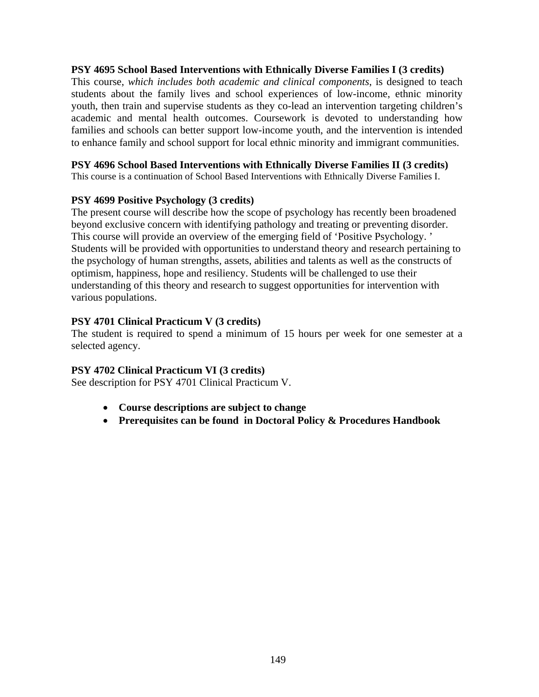#### **PSY 4695 School Based Interventions with Ethnically Diverse Families I (3 credits)**

This course, *which includes both academic and clinical components*, is designed to teach students about the family lives and school experiences of low-income, ethnic minority youth, then train and supervise students as they co-lead an intervention targeting children's academic and mental health outcomes. Coursework is devoted to understanding how families and schools can better support low-income youth, and the intervention is intended to enhance family and school support for local ethnic minority and immigrant communities.

#### **PSY 4696 School Based Interventions with Ethnically Diverse Families II (3 credits)**

This course is a continuation of School Based Interventions with Ethnically Diverse Families I.

#### **PSY 4699 Positive Psychology (3 credits)**

The present course will describe how the scope of psychology has recently been broadened beyond exclusive concern with identifying pathology and treating or preventing disorder. This course will provide an overview of the emerging field of 'Positive Psychology. ' Students will be provided with opportunities to understand theory and research pertaining to the psychology of human strengths, assets, abilities and talents as well as the constructs of optimism, happiness, hope and resiliency. Students will be challenged to use their understanding of this theory and research to suggest opportunities for intervention with various populations.

#### **PSY 4701 Clinical Practicum V (3 credits)**

The student is required to spend a minimum of 15 hours per week for one semester at a selected agency.

#### **PSY 4702 Clinical Practicum VI (3 credits)**

See description for PSY 4701 Clinical Practicum V.

- **Course descriptions are subject to change**
- **Prerequisites can be found in Doctoral Policy & Procedures Handbook**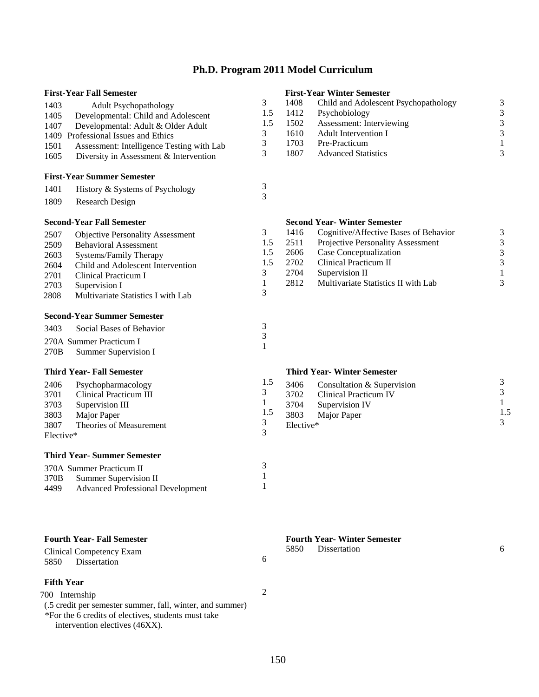# **Ph.D. Program 2011 Model Curriculum**

| <b>First-Year Fall Semester</b>                                              |                     | <b>First-Year Winter Semester</b>                                     |                     |
|------------------------------------------------------------------------------|---------------------|-----------------------------------------------------------------------|---------------------|
| 1403<br>Adult Psychopathology<br>1405<br>Developmental: Child and Adolescent | 3<br>1.5            | 1408<br>Child and Adolescent Psychopathology<br>1412<br>Psychobiology | 3<br>3              |
| 1407<br>Developmental: Adult & Older Adult                                   | 1.5                 | 1502<br>Assessment: Interviewing                                      | 3                   |
| 1409 Professional Issues and Ethics                                          | 3<br>3              | 1610<br>Adult Intervention I<br>Pre-Practicum<br>1703                 | 3<br>$\mathbf{1}$   |
| 1501<br>Assessment: Intelligence Testing with Lab                            | 3                   | 1807<br><b>Advanced Statistics</b>                                    | 3                   |
| 1605<br>Diversity in Assessment & Intervention                               |                     |                                                                       |                     |
| <b>First-Year Summer Semester</b>                                            |                     |                                                                       |                     |
| 1401<br>History & Systems of Psychology                                      | 3<br>3              |                                                                       |                     |
| 1809<br>Research Design                                                      |                     |                                                                       |                     |
| <b>Second-Year Fall Semester</b>                                             |                     | <b>Second Year-Winter Semester</b>                                    |                     |
| 2507<br><b>Objective Personality Assessment</b>                              | 3                   | Cognitive/Affective Bases of Behavior<br>1416                         | 3                   |
| 2509<br><b>Behavioral Assessment</b>                                         | 1.5                 | 2511<br>Projective Personality Assessment                             | 3                   |
| 2603<br>Systems/Family Therapy                                               | 1.5                 | 2606<br>Case Conceptualization                                        | 3                   |
| 2604<br>Child and Adolescent Intervention                                    | 1.5                 | 2702<br><b>Clinical Practicum II</b>                                  | 3                   |
| 2701<br>Clinical Practicum I                                                 | 3                   | 2704<br>Supervision II<br>2812<br>Multivariate Statistics II with Lab | $\mathbf{1}$<br>3   |
| 2703<br>Supervision I                                                        | 1<br>3              |                                                                       |                     |
| 2808<br>Multivariate Statistics I with Lab                                   |                     |                                                                       |                     |
| <b>Second-Year Summer Semester</b>                                           |                     |                                                                       |                     |
| 3403<br>Social Bases of Behavior                                             | 3                   |                                                                       |                     |
| 270A Summer Practicum I                                                      | 3<br>1              |                                                                       |                     |
| 270B<br>Summer Supervision I                                                 |                     |                                                                       |                     |
| <b>Third Year- Fall Semester</b>                                             |                     | <b>Third Year-Winter Semester</b>                                     |                     |
| 2406<br>Psychopharmacology                                                   | 1.5                 | 3406<br>Consultation & Supervision                                    | 3                   |
| 3701<br><b>Clinical Practicum III</b>                                        | 3                   | 3702<br><b>Clinical Practicum IV</b>                                  | 3                   |
| 3703<br>Supervision III                                                      | $\mathbf{1}$<br>1.5 | 3704<br>Supervision IV                                                | $\mathbf{1}$<br>1.5 |
| 3803<br>Major Paper                                                          | 3                   | 3803<br>Major Paper                                                   | 3                   |
| 3807<br>Theories of Measurement<br>Elective*                                 | 3                   | Elective*                                                             |                     |
|                                                                              |                     |                                                                       |                     |
| <b>Third Year- Summer Semester</b>                                           |                     |                                                                       |                     |
| 370A Summer Practicum II                                                     | 3                   |                                                                       |                     |
| 370B<br>Summer Supervision II                                                | 1<br>1              |                                                                       |                     |
| 4499<br><b>Advanced Professional Development</b>                             |                     |                                                                       |                     |
|                                                                              |                     |                                                                       |                     |
| <b>Fourth Year-Fall Semester</b>                                             |                     | <b>Fourth Year-Winter Semester</b>                                    |                     |
| <b>Clinical Competency Exam</b>                                              |                     | 5850<br>Dissertation                                                  | 6                   |
| Dissertation<br>5850                                                         | 6                   |                                                                       |                     |
| <b>Fifth Year</b>                                                            |                     |                                                                       |                     |
| 700 Internship                                                               | $\overline{2}$      |                                                                       |                     |

(.5 credit per semester summer, fall, winter, and summer) \*For the 6 credits of electives, students must take

intervention electives (46XX).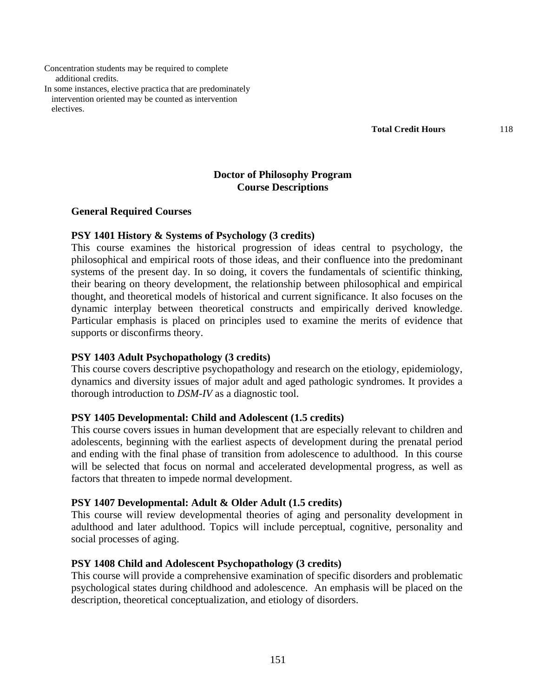Concentration students may be required to complete additional credits.

In some instances, elective practica that are predominately intervention oriented may be counted as intervention electives.

 **Total Credit Hours** 118

## **Doctor of Philosophy Program Course Descriptions**

#### **General Required Courses**

#### **PSY 1401 History & Systems of Psychology (3 credits)**

This course examines the historical progression of ideas central to psychology, the philosophical and empirical roots of those ideas, and their confluence into the predominant systems of the present day. In so doing, it covers the fundamentals of scientific thinking, their bearing on theory development, the relationship between philosophical and empirical thought, and theoretical models of historical and current significance. It also focuses on the dynamic interplay between theoretical constructs and empirically derived knowledge. Particular emphasis is placed on principles used to examine the merits of evidence that supports or disconfirms theory.

#### **PSY 1403 Adult Psychopathology (3 credits)**

This course covers descriptive psychopathology and research on the etiology, epidemiology, dynamics and diversity issues of major adult and aged pathologic syndromes. It provides a thorough introduction to *DSM-IV* as a diagnostic tool.

#### **PSY 1405 Developmental: Child and Adolescent (1.5 credits)**

This course covers issues in human development that are especially relevant to children and adolescents, beginning with the earliest aspects of development during the prenatal period and ending with the final phase of transition from adolescence to adulthood. In this course will be selected that focus on normal and accelerated developmental progress, as well as factors that threaten to impede normal development.

#### **PSY 1407 Developmental: Adult & Older Adult (1.5 credits)**

This course will review developmental theories of aging and personality development in adulthood and later adulthood. Topics will include perceptual, cognitive, personality and social processes of aging.

#### **PSY 1408 Child and Adolescent Psychopathology (3 credits)**

This course will provide a comprehensive examination of specific disorders and problematic psychological states during childhood and adolescence. An emphasis will be placed on the description, theoretical conceptualization, and etiology of disorders.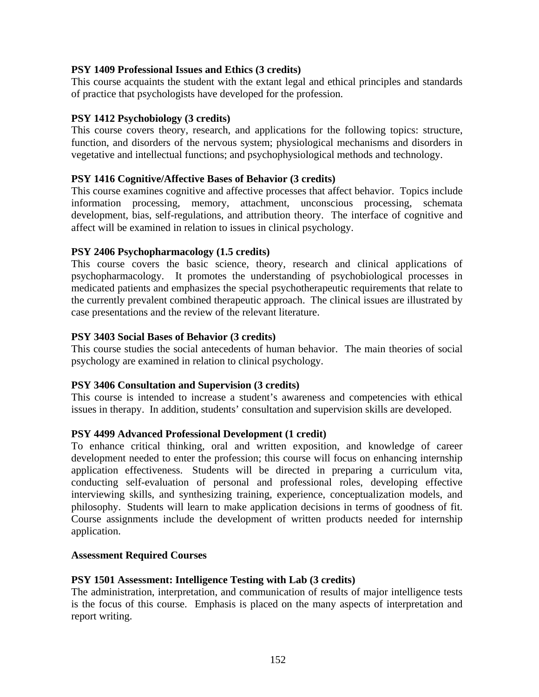### **PSY 1409 Professional Issues and Ethics (3 credits)**

This course acquaints the student with the extant legal and ethical principles and standards of practice that psychologists have developed for the profession.

## **PSY 1412 Psychobiology (3 credits)**

This course covers theory, research, and applications for the following topics: structure, function, and disorders of the nervous system; physiological mechanisms and disorders in vegetative and intellectual functions; and psychophysiological methods and technology.

### **PSY 1416 Cognitive/Affective Bases of Behavior (3 credits)**

This course examines cognitive and affective processes that affect behavior. Topics include information processing, memory, attachment, unconscious processing, schemata development, bias, self-regulations, and attribution theory. The interface of cognitive and affect will be examined in relation to issues in clinical psychology.

### **PSY 2406 Psychopharmacology (1.5 credits)**

This course covers the basic science, theory, research and clinical applications of psychopharmacology. It promotes the understanding of psychobiological processes in medicated patients and emphasizes the special psychotherapeutic requirements that relate to the currently prevalent combined therapeutic approach. The clinical issues are illustrated by case presentations and the review of the relevant literature.

### **PSY 3403 Social Bases of Behavior (3 credits)**

This course studies the social antecedents of human behavior. The main theories of social psychology are examined in relation to clinical psychology.

#### **PSY 3406 Consultation and Supervision (3 credits)**

This course is intended to increase a student's awareness and competencies with ethical issues in therapy. In addition, students' consultation and supervision skills are developed.

#### **PSY 4499 Advanced Professional Development (1 credit)**

To enhance critical thinking, oral and written exposition, and knowledge of career development needed to enter the profession; this course will focus on enhancing internship application effectiveness. Students will be directed in preparing a curriculum vita, conducting self-evaluation of personal and professional roles, developing effective interviewing skills, and synthesizing training, experience, conceptualization models, and philosophy. Students will learn to make application decisions in terms of goodness of fit. Course assignments include the development of written products needed for internship application.

#### **Assessment Required Courses**

#### **PSY 1501 Assessment: Intelligence Testing with Lab (3 credits)**

The administration, interpretation, and communication of results of major intelligence tests is the focus of this course. Emphasis is placed on the many aspects of interpretation and report writing.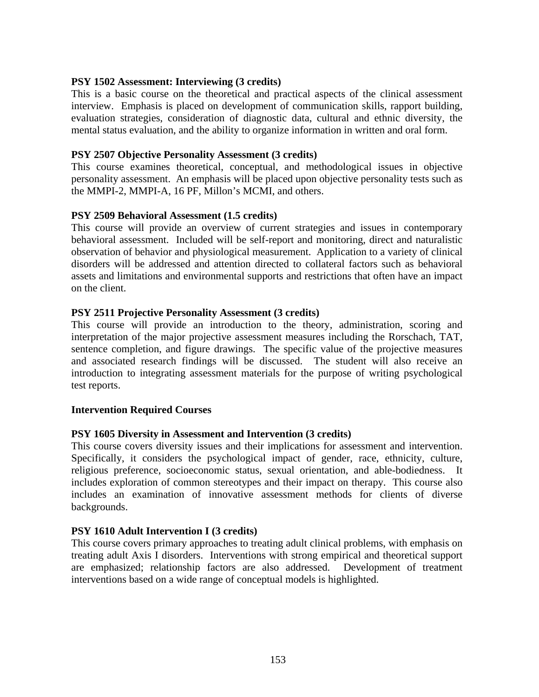### **PSY 1502 Assessment: Interviewing (3 credits)**

This is a basic course on the theoretical and practical aspects of the clinical assessment interview. Emphasis is placed on development of communication skills, rapport building, evaluation strategies, consideration of diagnostic data, cultural and ethnic diversity, the mental status evaluation, and the ability to organize information in written and oral form.

### **PSY 2507 Objective Personality Assessment (3 credits)**

This course examines theoretical, conceptual, and methodological issues in objective personality assessment. An emphasis will be placed upon objective personality tests such as the MMPI-2, MMPI-A, 16 PF, Millon's MCMI, and others.

### **PSY 2509 Behavioral Assessment (1.5 credits)**

This course will provide an overview of current strategies and issues in contemporary behavioral assessment. Included will be self-report and monitoring, direct and naturalistic observation of behavior and physiological measurement. Application to a variety of clinical disorders will be addressed and attention directed to collateral factors such as behavioral assets and limitations and environmental supports and restrictions that often have an impact on the client.

### **PSY 2511 Projective Personality Assessment (3 credits)**

This course will provide an introduction to the theory, administration, scoring and interpretation of the major projective assessment measures including the Rorschach, TAT, sentence completion, and figure drawings. The specific value of the projective measures and associated research findings will be discussed. The student will also receive an introduction to integrating assessment materials for the purpose of writing psychological test reports.

#### **Intervention Required Courses**

## **PSY 1605 Diversity in Assessment and Intervention (3 credits)**

This course covers diversity issues and their implications for assessment and intervention. Specifically, it considers the psychological impact of gender, race, ethnicity, culture, religious preference, socioeconomic status, sexual orientation, and able-bodiedness. It includes exploration of common stereotypes and their impact on therapy. This course also includes an examination of innovative assessment methods for clients of diverse backgrounds.

#### **PSY 1610 Adult Intervention I (3 credits)**

This course covers primary approaches to treating adult clinical problems, with emphasis on treating adult Axis I disorders. Interventions with strong empirical and theoretical support are emphasized; relationship factors are also addressed. Development of treatment interventions based on a wide range of conceptual models is highlighted.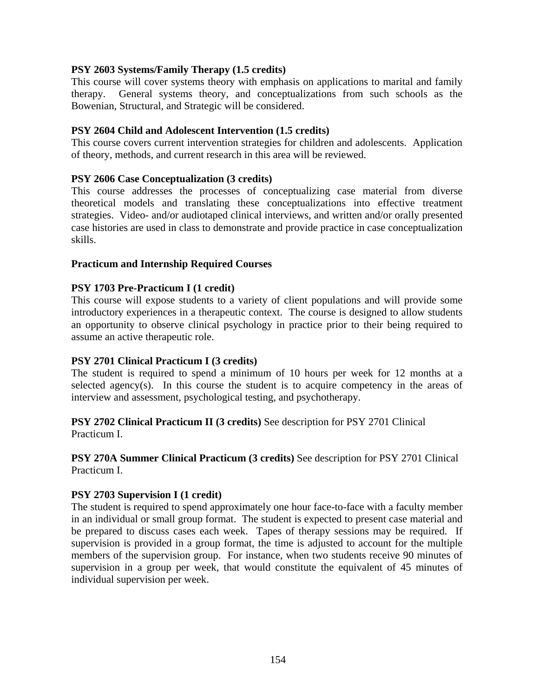### **PSY 2603 Systems/Family Therapy (1.5 credits)**

This course will cover systems theory with emphasis on applications to marital and family therapy. General systems theory, and conceptualizations from such schools as the Bowenian, Structural, and Strategic will be considered.

### **PSY 2604 Child and Adolescent Intervention (1.5 credits)**

This course covers current intervention strategies for children and adolescents. Application of theory, methods, and current research in this area will be reviewed.

### **PSY 2606 Case Conceptualization (3 credits)**

This course addresses the processes of conceptualizing case material from diverse theoretical models and translating these conceptualizations into effective treatment strategies. Video- and/or audiotaped clinical interviews, and written and/or orally presented case histories are used in class to demonstrate and provide practice in case conceptualization skills.

#### **Practicum and Internship Required Courses**

#### **PSY 1703 Pre-Practicum I (1 credit)**

This course will expose students to a variety of client populations and will provide some introductory experiences in a therapeutic context. The course is designed to allow students an opportunity to observe clinical psychology in practice prior to their being required to assume an active therapeutic role.

#### **PSY 2701 Clinical Practicum I (3 credits)**

The student is required to spend a minimum of 10 hours per week for 12 months at a selected agency(s). In this course the student is to acquire competency in the areas of interview and assessment, psychological testing, and psychotherapy.

### **PSY 2702 Clinical Practicum II (3 credits)** See description for PSY 2701 Clinical Practicum I.

### **PSY 270A Summer Clinical Practicum (3 credits)** See description for PSY 2701 Clinical Practicum I.

#### **PSY 2703 Supervision I (1 credit)**

The student is required to spend approximately one hour face-to-face with a faculty member in an individual or small group format. The student is expected to present case material and be prepared to discuss cases each week. Tapes of therapy sessions may be required. If supervision is provided in a group format, the time is adjusted to account for the multiple members of the supervision group. For instance, when two students receive 90 minutes of supervision in a group per week, that would constitute the equivalent of 45 minutes of individual supervision per week.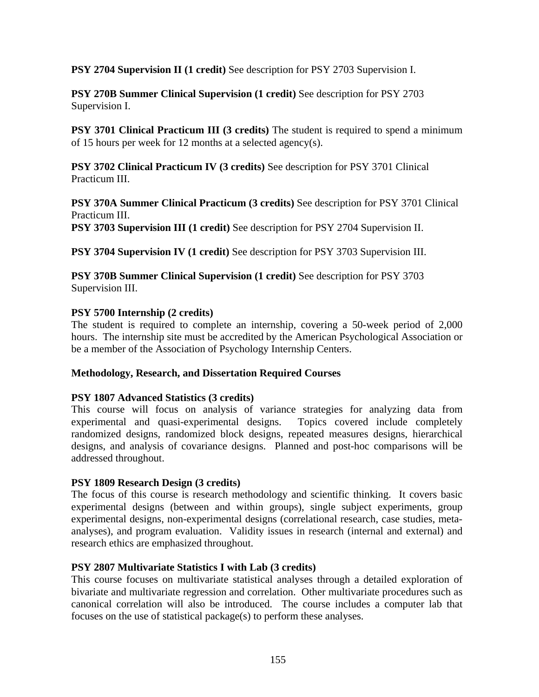### **PSY 2704 Supervision II (1 credit)** See description for PSY 2703 Supervision I.

**PSY 270B Summer Clinical Supervision (1 credit)** See description for PSY 2703 Supervision I.

**PSY 3701 Clinical Practicum III (3 credits)** The student is required to spend a minimum of 15 hours per week for 12 months at a selected agency(s).

**PSY 3702 Clinical Practicum IV (3 credits)** See description for PSY 3701 Clinical Practicum III.

**PSY 370A Summer Clinical Practicum (3 credits)** See description for PSY 3701 Clinical Practicum III. **PSY 3703 Supervision III (1 credit)** See description for PSY 2704 Supervision II.

**PSY 3704 Supervision IV (1 credit)** See description for PSY 3703 Supervision III.

**PSY 370B Summer Clinical Supervision (1 credit)** See description for PSY 3703 Supervision III.

### **PSY 5700 Internship (2 credits)**

The student is required to complete an internship, covering a 50-week period of 2,000 hours. The internship site must be accredited by the American Psychological Association or be a member of the Association of Psychology Internship Centers.

## **Methodology, Research, and Dissertation Required Courses**

#### **PSY 1807 Advanced Statistics (3 credits)**

This course will focus on analysis of variance strategies for analyzing data from experimental and quasi-experimental designs. Topics covered include completely randomized designs, randomized block designs, repeated measures designs, hierarchical designs, and analysis of covariance designs. Planned and post-hoc comparisons will be addressed throughout.

#### **PSY 1809 Research Design (3 credits)**

The focus of this course is research methodology and scientific thinking. It covers basic experimental designs (between and within groups), single subject experiments, group experimental designs, non-experimental designs (correlational research, case studies, metaanalyses), and program evaluation. Validity issues in research (internal and external) and research ethics are emphasized throughout.

## **PSY 2807 Multivariate Statistics I with Lab (3 credits)**

This course focuses on multivariate statistical analyses through a detailed exploration of bivariate and multivariate regression and correlation. Other multivariate procedures such as canonical correlation will also be introduced. The course includes a computer lab that focuses on the use of statistical package(s) to perform these analyses.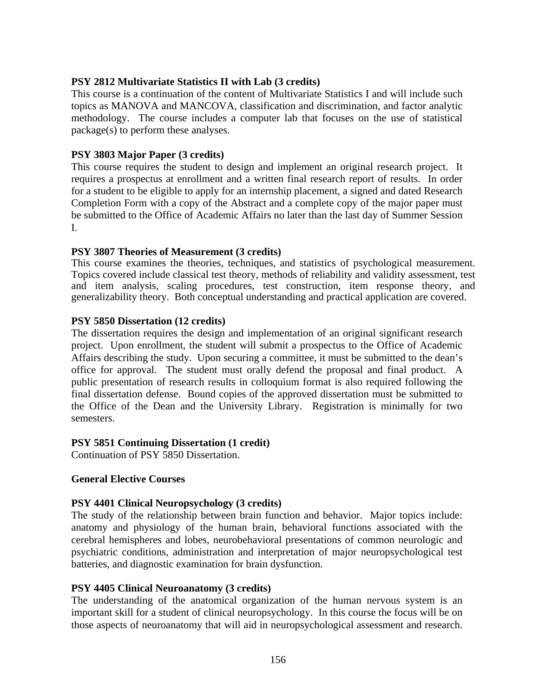### **PSY 2812 Multivariate Statistics II with Lab (3 credits)**

This course is a continuation of the content of Multivariate Statistics I and will include such topics as MANOVA and MANCOVA, classification and discrimination, and factor analytic methodology. The course includes a computer lab that focuses on the use of statistical package(s) to perform these analyses.

### **PSY 3803 Major Paper (3 credits)**

This course requires the student to design and implement an original research project. It requires a prospectus at enrollment and a written final research report of results. In order for a student to be eligible to apply for an internship placement, a signed and dated Research Completion Form with a copy of the Abstract and a complete copy of the major paper must be submitted to the Office of Academic Affairs no later than the last day of Summer Session I.

#### **PSY 3807 Theories of Measurement (3 credits)**

This course examines the theories, techniques, and statistics of psychological measurement. Topics covered include classical test theory, methods of reliability and validity assessment, test and item analysis, scaling procedures, test construction, item response theory, and generalizability theory. Both conceptual understanding and practical application are covered.

#### **PSY 5850 Dissertation (12 credits)**

The dissertation requires the design and implementation of an original significant research project. Upon enrollment, the student will submit a prospectus to the Office of Academic Affairs describing the study. Upon securing a committee, it must be submitted to the dean's office for approval. The student must orally defend the proposal and final product. A public presentation of research results in colloquium format is also required following the final dissertation defense. Bound copies of the approved dissertation must be submitted to the Office of the Dean and the University Library. Registration is minimally for two semesters.

#### **PSY 5851 Continuing Dissertation (1 credit)**

Continuation of PSY 5850 Dissertation.

#### **General Elective Courses**

#### **PSY 4401 Clinical Neuropsychology (3 credits)**

The study of the relationship between brain function and behavior. Major topics include: anatomy and physiology of the human brain, behavioral functions associated with the cerebral hemispheres and lobes, neurobehavioral presentations of common neurologic and psychiatric conditions, administration and interpretation of major neuropsychological test batteries, and diagnostic examination for brain dysfunction.

#### **PSY 4405 Clinical Neuroanatomy (3 credits)**

The understanding of the anatomical organization of the human nervous system is an important skill for a student of clinical neuropsychology. In this course the focus will be on those aspects of neuroanatomy that will aid in neuropsychological assessment and research.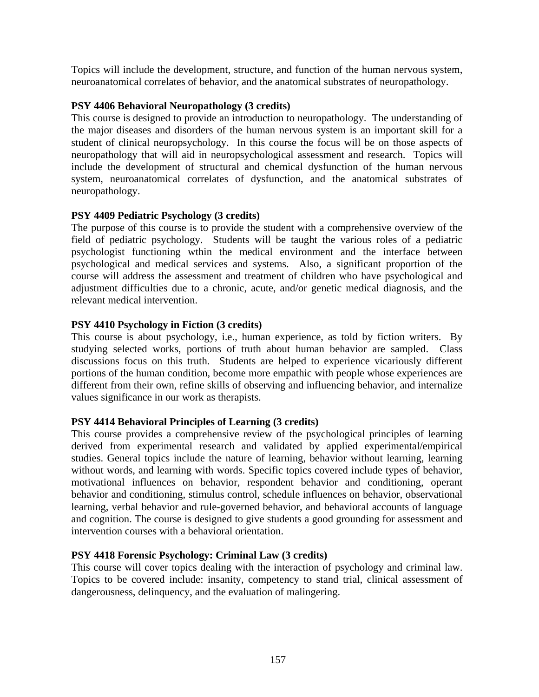Topics will include the development, structure, and function of the human nervous system, neuroanatomical correlates of behavior, and the anatomical substrates of neuropathology.

### **PSY 4406 Behavioral Neuropathology (3 credits)**

This course is designed to provide an introduction to neuropathology. The understanding of the major diseases and disorders of the human nervous system is an important skill for a student of clinical neuropsychology. In this course the focus will be on those aspects of neuropathology that will aid in neuropsychological assessment and research. Topics will include the development of structural and chemical dysfunction of the human nervous system, neuroanatomical correlates of dysfunction, and the anatomical substrates of neuropathology.

## **PSY 4409 Pediatric Psychology (3 credits)**

The purpose of this course is to provide the student with a comprehensive overview of the field of pediatric psychology. Students will be taught the various roles of a pediatric psychologist functioning wthin the medical environment and the interface between psychological and medical services and systems. Also, a significant proportion of the course will address the assessment and treatment of children who have psychological and adjustment difficulties due to a chronic, acute, and/or genetic medical diagnosis, and the relevant medical intervention.

## **PSY 4410 Psychology in Fiction (3 credits)**

This course is about psychology, i.e., human experience, as told by fiction writers. By studying selected works, portions of truth about human behavior are sampled. Class discussions focus on this truth. Students are helped to experience vicariously different portions of the human condition, become more empathic with people whose experiences are different from their own, refine skills of observing and influencing behavior, and internalize values significance in our work as therapists.

## **PSY 4414 Behavioral Principles of Learning (3 credits)**

This course provides a comprehensive review of the psychological principles of learning derived from experimental research and validated by applied experimental/empirical studies. General topics include the nature of learning, behavior without learning, learning without words, and learning with words. Specific topics covered include types of behavior, motivational influences on behavior, respondent behavior and conditioning, operant behavior and conditioning, stimulus control, schedule influences on behavior, observational learning, verbal behavior and rule-governed behavior, and behavioral accounts of language and cognition. The course is designed to give students a good grounding for assessment and intervention courses with a behavioral orientation.

#### **PSY 4418 Forensic Psychology: Criminal Law (3 credits)**

This course will cover topics dealing with the interaction of psychology and criminal law. Topics to be covered include: insanity, competency to stand trial, clinical assessment of dangerousness, delinquency, and the evaluation of malingering.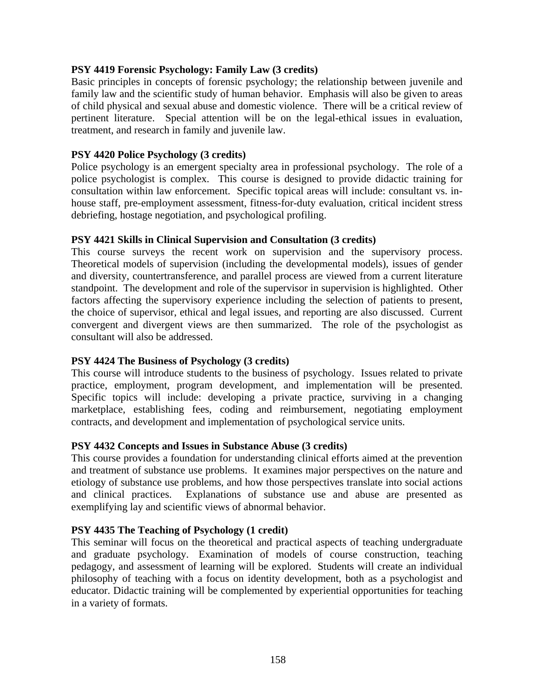### **PSY 4419 Forensic Psychology: Family Law (3 credits)**

Basic principles in concepts of forensic psychology; the relationship between juvenile and family law and the scientific study of human behavior. Emphasis will also be given to areas of child physical and sexual abuse and domestic violence. There will be a critical review of pertinent literature. Special attention will be on the legal-ethical issues in evaluation, treatment, and research in family and juvenile law.

### **PSY 4420 Police Psychology (3 credits)**

Police psychology is an emergent specialty area in professional psychology. The role of a police psychologist is complex. This course is designed to provide didactic training for consultation within law enforcement. Specific topical areas will include: consultant vs. inhouse staff, pre-employment assessment, fitness-for-duty evaluation, critical incident stress debriefing, hostage negotiation, and psychological profiling.

### **PSY 4421 Skills in Clinical Supervision and Consultation (3 credits)**

This course surveys the recent work on supervision and the supervisory process. Theoretical models of supervision (including the developmental models), issues of gender and diversity, countertransference, and parallel process are viewed from a current literature standpoint. The development and role of the supervisor in supervision is highlighted. Other factors affecting the supervisory experience including the selection of patients to present, the choice of supervisor, ethical and legal issues, and reporting are also discussed. Current convergent and divergent views are then summarized. The role of the psychologist as consultant will also be addressed.

## **PSY 4424 The Business of Psychology (3 credits)**

This course will introduce students to the business of psychology. Issues related to private practice, employment, program development, and implementation will be presented. Specific topics will include: developing a private practice, surviving in a changing marketplace, establishing fees, coding and reimbursement, negotiating employment contracts, and development and implementation of psychological service units.

#### **PSY 4432 Concepts and Issues in Substance Abuse (3 credits)**

This course provides a foundation for understanding clinical efforts aimed at the prevention and treatment of substance use problems. It examines major perspectives on the nature and etiology of substance use problems, and how those perspectives translate into social actions and clinical practices. Explanations of substance use and abuse are presented as exemplifying lay and scientific views of abnormal behavior.

## **PSY 4435 The Teaching of Psychology (1 credit)**

This seminar will focus on the theoretical and practical aspects of teaching undergraduate and graduate psychology. Examination of models of course construction, teaching pedagogy, and assessment of learning will be explored. Students will create an individual philosophy of teaching with a focus on identity development, both as a psychologist and educator. Didactic training will be complemented by experiential opportunities for teaching in a variety of formats.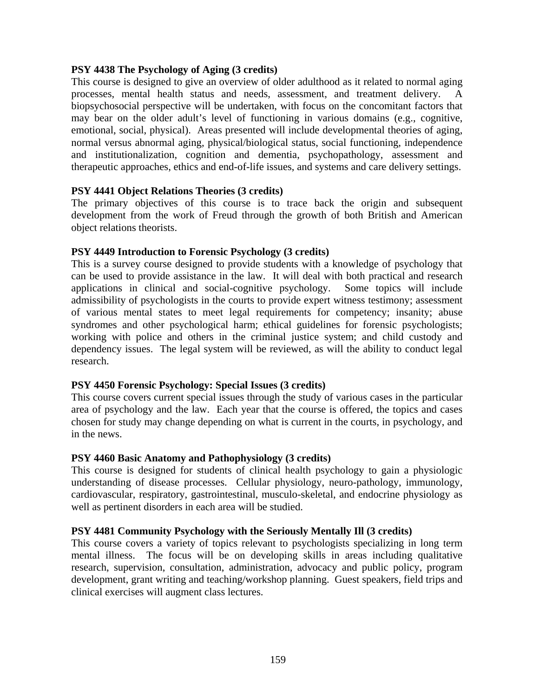### **PSY 4438 The Psychology of Aging (3 credits)**

This course is designed to give an overview of older adulthood as it related to normal aging processes, mental health status and needs, assessment, and treatment delivery. A biopsychosocial perspective will be undertaken, with focus on the concomitant factors that may bear on the older adult's level of functioning in various domains (e.g., cognitive, emotional, social, physical). Areas presented will include developmental theories of aging, normal versus abnormal aging, physical/biological status, social functioning, independence and institutionalization, cognition and dementia, psychopathology, assessment and therapeutic approaches, ethics and end-of-life issues, and systems and care delivery settings.

### **PSY 4441 Object Relations Theories (3 credits)**

The primary objectives of this course is to trace back the origin and subsequent development from the work of Freud through the growth of both British and American object relations theorists.

### **PSY 4449 Introduction to Forensic Psychology (3 credits)**

This is a survey course designed to provide students with a knowledge of psychology that can be used to provide assistance in the law. It will deal with both practical and research applications in clinical and social-cognitive psychology. Some topics will include admissibility of psychologists in the courts to provide expert witness testimony; assessment of various mental states to meet legal requirements for competency; insanity; abuse syndromes and other psychological harm; ethical guidelines for forensic psychologists; working with police and others in the criminal justice system; and child custody and dependency issues. The legal system will be reviewed, as will the ability to conduct legal research.

#### **PSY 4450 Forensic Psychology: Special Issues (3 credits)**

This course covers current special issues through the study of various cases in the particular area of psychology and the law. Each year that the course is offered, the topics and cases chosen for study may change depending on what is current in the courts, in psychology, and in the news.

#### **PSY 4460 Basic Anatomy and Pathophysiology (3 credits)**

This course is designed for students of clinical health psychology to gain a physiologic understanding of disease processes. Cellular physiology, neuro-pathology, immunology, cardiovascular, respiratory, gastrointestinal, musculo-skeletal, and endocrine physiology as well as pertinent disorders in each area will be studied.

#### **PSY 4481 Community Psychology with the Seriously Mentally Ill (3 credits)**

This course covers a variety of topics relevant to psychologists specializing in long term mental illness. The focus will be on developing skills in areas including qualitative research, supervision, consultation, administration, advocacy and public policy, program development, grant writing and teaching/workshop planning. Guest speakers, field trips and clinical exercises will augment class lectures.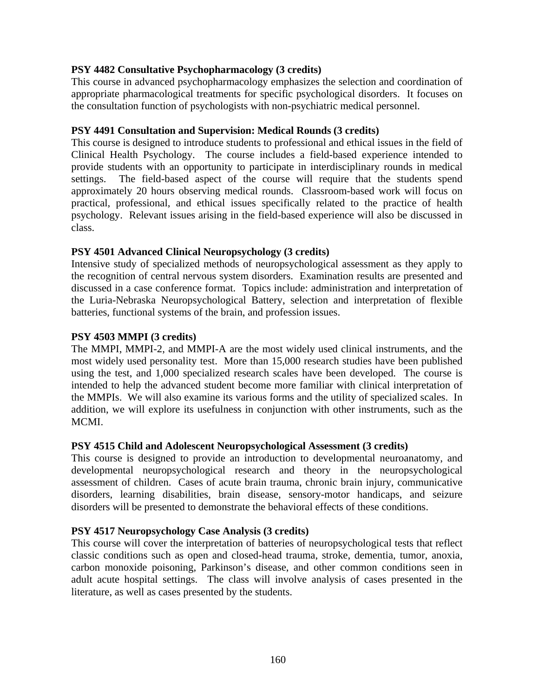### **PSY 4482 Consultative Psychopharmacology (3 credits)**

This course in advanced psychopharmacology emphasizes the selection and coordination of appropriate pharmacological treatments for specific psychological disorders. It focuses on the consultation function of psychologists with non-psychiatric medical personnel.

### **PSY 4491 Consultation and Supervision: Medical Rounds (3 credits)**

This course is designed to introduce students to professional and ethical issues in the field of Clinical Health Psychology. The course includes a field-based experience intended to provide students with an opportunity to participate in interdisciplinary rounds in medical settings. The field-based aspect of the course will require that the students spend approximately 20 hours observing medical rounds. Classroom-based work will focus on practical, professional, and ethical issues specifically related to the practice of health psychology. Relevant issues arising in the field-based experience will also be discussed in class.

### **PSY 4501 Advanced Clinical Neuropsychology (3 credits)**

Intensive study of specialized methods of neuropsychological assessment as they apply to the recognition of central nervous system disorders. Examination results are presented and discussed in a case conference format. Topics include: administration and interpretation of the Luria-Nebraska Neuropsychological Battery, selection and interpretation of flexible batteries, functional systems of the brain, and profession issues.

#### **PSY 4503 MMPI (3 credits)**

The MMPI, MMPI-2, and MMPI-A are the most widely used clinical instruments, and the most widely used personality test. More than 15,000 research studies have been published using the test, and 1,000 specialized research scales have been developed. The course is intended to help the advanced student become more familiar with clinical interpretation of the MMPIs. We will also examine its various forms and the utility of specialized scales. In addition, we will explore its usefulness in conjunction with other instruments, such as the MCMI.

#### **PSY 4515 Child and Adolescent Neuropsychological Assessment (3 credits)**

This course is designed to provide an introduction to developmental neuroanatomy, and developmental neuropsychological research and theory in the neuropsychological assessment of children. Cases of acute brain trauma, chronic brain injury, communicative disorders, learning disabilities, brain disease, sensory-motor handicaps, and seizure disorders will be presented to demonstrate the behavioral effects of these conditions.

#### **PSY 4517 Neuropsychology Case Analysis (3 credits)**

This course will cover the interpretation of batteries of neuropsychological tests that reflect classic conditions such as open and closed-head trauma, stroke, dementia, tumor, anoxia, carbon monoxide poisoning, Parkinson's disease, and other common conditions seen in adult acute hospital settings. The class will involve analysis of cases presented in the literature, as well as cases presented by the students.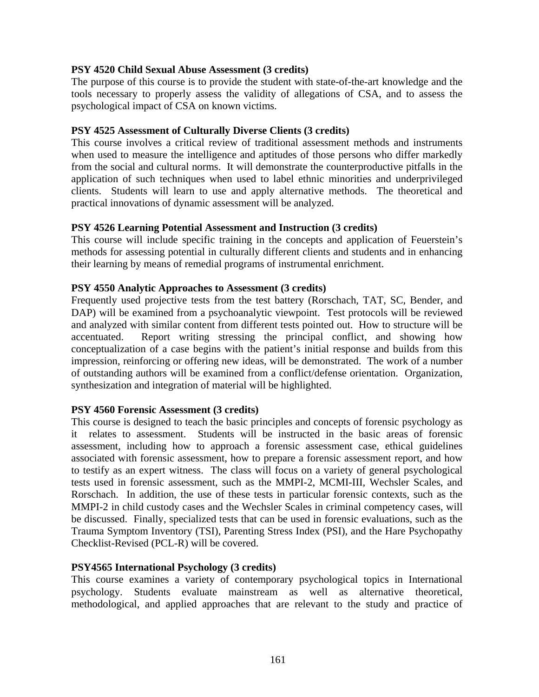### **PSY 4520 Child Sexual Abuse Assessment (3 credits)**

The purpose of this course is to provide the student with state-of-the-art knowledge and the tools necessary to properly assess the validity of allegations of CSA, and to assess the psychological impact of CSA on known victims.

### **PSY 4525 Assessment of Culturally Diverse Clients (3 credits)**

This course involves a critical review of traditional assessment methods and instruments when used to measure the intelligence and aptitudes of those persons who differ markedly from the social and cultural norms. It will demonstrate the counterproductive pitfalls in the application of such techniques when used to label ethnic minorities and underprivileged clients. Students will learn to use and apply alternative methods. The theoretical and practical innovations of dynamic assessment will be analyzed.

### **PSY 4526 Learning Potential Assessment and Instruction (3 credits)**

This course will include specific training in the concepts and application of Feuerstein's methods for assessing potential in culturally different clients and students and in enhancing their learning by means of remedial programs of instrumental enrichment.

#### **PSY 4550 Analytic Approaches to Assessment (3 credits)**

Frequently used projective tests from the test battery (Rorschach, TAT, SC, Bender, and DAP) will be examined from a psychoanalytic viewpoint. Test protocols will be reviewed and analyzed with similar content from different tests pointed out. How to structure will be accentuated. Report writing stressing the principal conflict, and showing how conceptualization of a case begins with the patient's initial response and builds from this impression, reinforcing or offering new ideas, will be demonstrated. The work of a number of outstanding authors will be examined from a conflict/defense orientation. Organization, synthesization and integration of material will be highlighted.

#### **PSY 4560 Forensic Assessment (3 credits)**

This course is designed to teach the basic principles and concepts of forensic psychology as it relates to assessment. Students will be instructed in the basic areas of forensic assessment, including how to approach a forensic assessment case, ethical guidelines associated with forensic assessment, how to prepare a forensic assessment report, and how to testify as an expert witness. The class will focus on a variety of general psychological tests used in forensic assessment, such as the MMPI-2, MCMI-III, Wechsler Scales, and Rorschach. In addition, the use of these tests in particular forensic contexts, such as the MMPI-2 in child custody cases and the Wechsler Scales in criminal competency cases, will be discussed. Finally, specialized tests that can be used in forensic evaluations, such as the Trauma Symptom Inventory (TSI), Parenting Stress Index (PSI), and the Hare Psychopathy Checklist-Revised (PCL-R) will be covered.

#### **PSY4565 International Psychology (3 credits)**

This course examines a variety of contemporary psychological topics in International psychology. Students evaluate mainstream as well as alternative theoretical, methodological, and applied approaches that are relevant to the study and practice of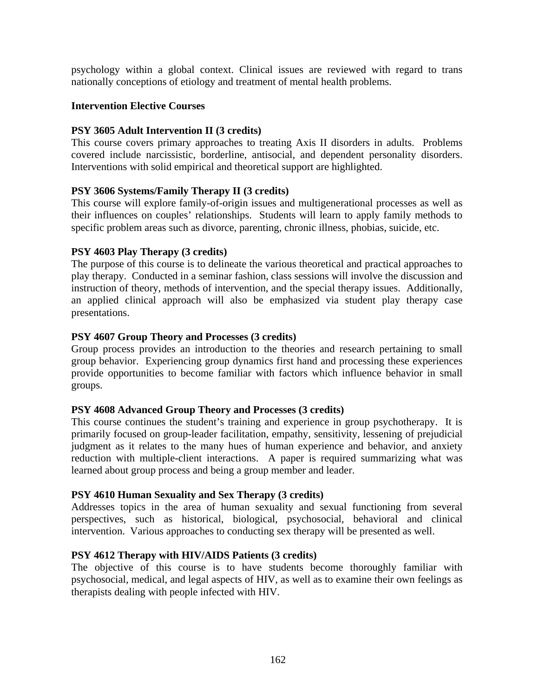psychology within a global context. Clinical issues are reviewed with regard to trans nationally conceptions of etiology and treatment of mental health problems.

### **Intervention Elective Courses**

### **PSY 3605 Adult Intervention II (3 credits)**

This course covers primary approaches to treating Axis II disorders in adults. Problems covered include narcissistic, borderline, antisocial, and dependent personality disorders. Interventions with solid empirical and theoretical support are highlighted.

## **PSY 3606 Systems/Family Therapy II (3 credits)**

This course will explore family-of-origin issues and multigenerational processes as well as their influences on couples' relationships. Students will learn to apply family methods to specific problem areas such as divorce, parenting, chronic illness, phobias, suicide, etc.

### **PSY 4603 Play Therapy (3 credits)**

The purpose of this course is to delineate the various theoretical and practical approaches to play therapy. Conducted in a seminar fashion, class sessions will involve the discussion and instruction of theory, methods of intervention, and the special therapy issues. Additionally, an applied clinical approach will also be emphasized via student play therapy case presentations.

### **PSY 4607 Group Theory and Processes (3 credits)**

Group process provides an introduction to the theories and research pertaining to small group behavior. Experiencing group dynamics first hand and processing these experiences provide opportunities to become familiar with factors which influence behavior in small groups.

#### **PSY 4608 Advanced Group Theory and Processes (3 credits)**

This course continues the student's training and experience in group psychotherapy. It is primarily focused on group-leader facilitation, empathy, sensitivity, lessening of prejudicial judgment as it relates to the many hues of human experience and behavior, and anxiety reduction with multiple-client interactions. A paper is required summarizing what was learned about group process and being a group member and leader.

#### **PSY 4610 Human Sexuality and Sex Therapy (3 credits)**

Addresses topics in the area of human sexuality and sexual functioning from several perspectives, such as historical, biological, psychosocial, behavioral and clinical intervention. Various approaches to conducting sex therapy will be presented as well.

#### **PSY 4612 Therapy with HIV/AIDS Patients (3 credits)**

The objective of this course is to have students become thoroughly familiar with psychosocial, medical, and legal aspects of HIV, as well as to examine their own feelings as therapists dealing with people infected with HIV.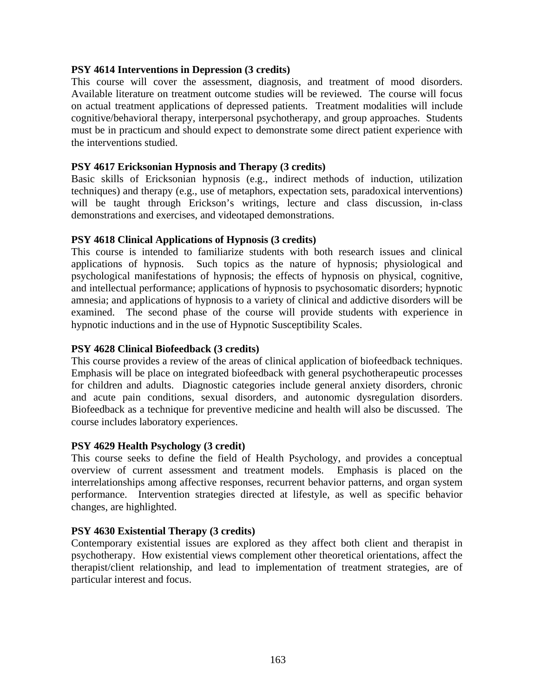### **PSY 4614 Interventions in Depression (3 credits)**

This course will cover the assessment, diagnosis, and treatment of mood disorders. Available literature on treatment outcome studies will be reviewed. The course will focus on actual treatment applications of depressed patients. Treatment modalities will include cognitive/behavioral therapy, interpersonal psychotherapy, and group approaches. Students must be in practicum and should expect to demonstrate some direct patient experience with the interventions studied.

### **PSY 4617 Ericksonian Hypnosis and Therapy (3 credits)**

Basic skills of Ericksonian hypnosis (e.g., indirect methods of induction, utilization techniques) and therapy (e.g., use of metaphors, expectation sets, paradoxical interventions) will be taught through Erickson's writings, lecture and class discussion, in-class demonstrations and exercises, and videotaped demonstrations.

### **PSY 4618 Clinical Applications of Hypnosis (3 credits)**

This course is intended to familiarize students with both research issues and clinical applications of hypnosis. Such topics as the nature of hypnosis; physiological and psychological manifestations of hypnosis; the effects of hypnosis on physical, cognitive, and intellectual performance; applications of hypnosis to psychosomatic disorders; hypnotic amnesia; and applications of hypnosis to a variety of clinical and addictive disorders will be examined. The second phase of the course will provide students with experience in hypnotic inductions and in the use of Hypnotic Susceptibility Scales.

#### **PSY 4628 Clinical Biofeedback (3 credits)**

This course provides a review of the areas of clinical application of biofeedback techniques. Emphasis will be place on integrated biofeedback with general psychotherapeutic processes for children and adults. Diagnostic categories include general anxiety disorders, chronic and acute pain conditions, sexual disorders, and autonomic dysregulation disorders. Biofeedback as a technique for preventive medicine and health will also be discussed. The course includes laboratory experiences.

#### **PSY 4629 Health Psychology (3 credit)**

This course seeks to define the field of Health Psychology, and provides a conceptual overview of current assessment and treatment models. Emphasis is placed on the interrelationships among affective responses, recurrent behavior patterns, and organ system performance. Intervention strategies directed at lifestyle, as well as specific behavior changes, are highlighted.

#### **PSY 4630 Existential Therapy (3 credits)**

Contemporary existential issues are explored as they affect both client and therapist in psychotherapy. How existential views complement other theoretical orientations, affect the therapist/client relationship, and lead to implementation of treatment strategies, are of particular interest and focus.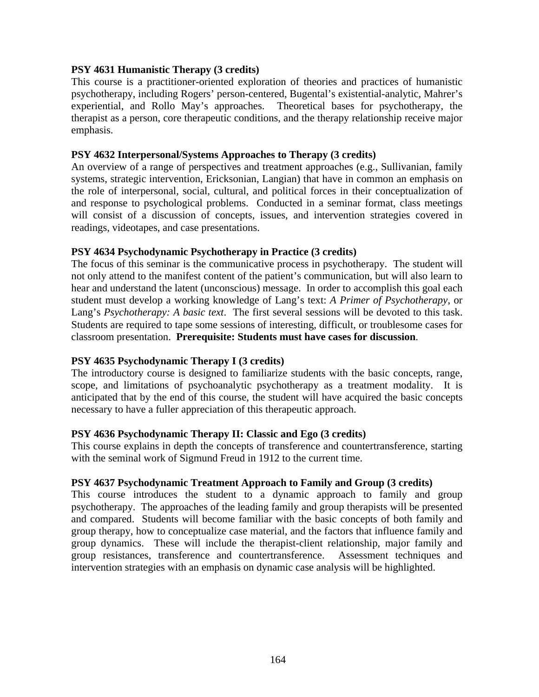### **PSY 4631 Humanistic Therapy (3 credits)**

This course is a practitioner-oriented exploration of theories and practices of humanistic psychotherapy, including Rogers' person-centered, Bugental's existential-analytic, Mahrer's experiential, and Rollo May's approaches. Theoretical bases for psychotherapy, the therapist as a person, core therapeutic conditions, and the therapy relationship receive major emphasis.

### **PSY 4632 Interpersonal/Systems Approaches to Therapy (3 credits)**

An overview of a range of perspectives and treatment approaches (e.g., Sullivanian, family systems, strategic intervention, Ericksonian, Langian) that have in common an emphasis on the role of interpersonal, social, cultural, and political forces in their conceptualization of and response to psychological problems. Conducted in a seminar format, class meetings will consist of a discussion of concepts, issues, and intervention strategies covered in readings, videotapes, and case presentations.

### **PSY 4634 Psychodynamic Psychotherapy in Practice (3 credits)**

The focus of this seminar is the communicative process in psychotherapy. The student will not only attend to the manifest content of the patient's communication, but will also learn to hear and understand the latent (unconscious) message. In order to accomplish this goal each student must develop a working knowledge of Lang's text: *A Primer of Psychotherapy*, or Lang's *Psychotherapy: A basic text*. The first several sessions will be devoted to this task. Students are required to tape some sessions of interesting, difficult, or troublesome cases for classroom presentation. **Prerequisite: Students must have cases for discussion**.

## **PSY 4635 Psychodynamic Therapy I (3 credits)**

The introductory course is designed to familiarize students with the basic concepts, range, scope, and limitations of psychoanalytic psychotherapy as a treatment modality. It is anticipated that by the end of this course, the student will have acquired the basic concepts necessary to have a fuller appreciation of this therapeutic approach.

#### **PSY 4636 Psychodynamic Therapy II: Classic and Ego (3 credits)**

This course explains in depth the concepts of transference and countertransference, starting with the seminal work of Sigmund Freud in 1912 to the current time.

## **PSY 4637 Psychodynamic Treatment Approach to Family and Group (3 credits)**

This course introduces the student to a dynamic approach to family and group psychotherapy. The approaches of the leading family and group therapists will be presented and compared. Students will become familiar with the basic concepts of both family and group therapy, how to conceptualize case material, and the factors that influence family and group dynamics. These will include the therapist-client relationship, major family and group resistances, transference and countertransference. Assessment techniques and intervention strategies with an emphasis on dynamic case analysis will be highlighted.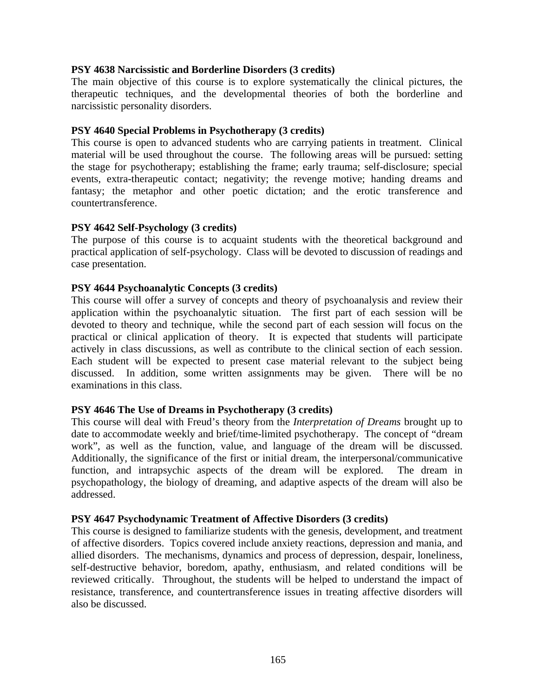#### **PSY 4638 Narcissistic and Borderline Disorders (3 credits)**

The main objective of this course is to explore systematically the clinical pictures, the therapeutic techniques, and the developmental theories of both the borderline and narcissistic personality disorders.

#### **PSY 4640 Special Problems in Psychotherapy (3 credits)**

This course is open to advanced students who are carrying patients in treatment. Clinical material will be used throughout the course. The following areas will be pursued: setting the stage for psychotherapy; establishing the frame; early trauma; self-disclosure; special events, extra-therapeutic contact; negativity; the revenge motive; handing dreams and fantasy; the metaphor and other poetic dictation; and the erotic transference and countertransference.

#### **PSY 4642 Self-Psychology (3 credits)**

The purpose of this course is to acquaint students with the theoretical background and practical application of self-psychology. Class will be devoted to discussion of readings and case presentation.

#### **PSY 4644 Psychoanalytic Concepts (3 credits)**

This course will offer a survey of concepts and theory of psychoanalysis and review their application within the psychoanalytic situation. The first part of each session will be devoted to theory and technique, while the second part of each session will focus on the practical or clinical application of theory. It is expected that students will participate actively in class discussions, as well as contribute to the clinical section of each session. Each student will be expected to present case material relevant to the subject being discussed. In addition, some written assignments may be given. There will be no examinations in this class.

#### **PSY 4646 The Use of Dreams in Psychotherapy (3 credits)**

This course will deal with Freud's theory from the *Interpretation of Dreams* brought up to date to accommodate weekly and brief/time-limited psychotherapy. The concept of "dream work", as well as the function, value, and language of the dream will be discussed. Additionally, the significance of the first or initial dream, the interpersonal/communicative function, and intrapsychic aspects of the dream will be explored. The dream in psychopathology, the biology of dreaming, and adaptive aspects of the dream will also be addressed.

#### **PSY 4647 Psychodynamic Treatment of Affective Disorders (3 credits)**

This course is designed to familiarize students with the genesis, development, and treatment of affective disorders. Topics covered include anxiety reactions, depression and mania, and allied disorders. The mechanisms, dynamics and process of depression, despair, loneliness, self-destructive behavior, boredom, apathy, enthusiasm, and related conditions will be reviewed critically. Throughout, the students will be helped to understand the impact of resistance, transference, and countertransference issues in treating affective disorders will also be discussed.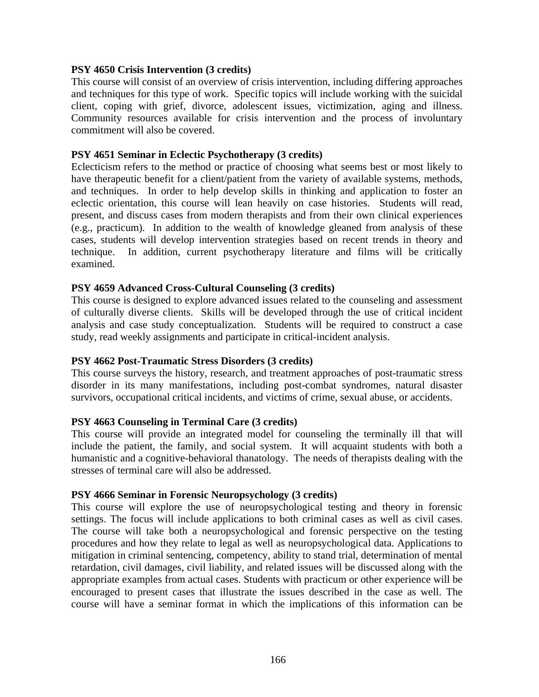#### **PSY 4650 Crisis Intervention (3 credits)**

This course will consist of an overview of crisis intervention, including differing approaches and techniques for this type of work. Specific topics will include working with the suicidal client, coping with grief, divorce, adolescent issues, victimization, aging and illness. Community resources available for crisis intervention and the process of involuntary commitment will also be covered.

#### **PSY 4651 Seminar in Eclectic Psychotherapy (3 credits)**

Eclecticism refers to the method or practice of choosing what seems best or most likely to have therapeutic benefit for a client/patient from the variety of available systems, methods, and techniques. In order to help develop skills in thinking and application to foster an eclectic orientation, this course will lean heavily on case histories. Students will read, present, and discuss cases from modern therapists and from their own clinical experiences (e.g., practicum). In addition to the wealth of knowledge gleaned from analysis of these cases, students will develop intervention strategies based on recent trends in theory and technique. In addition, current psychotherapy literature and films will be critically examined.

#### **PSY 4659 Advanced Cross-Cultural Counseling (3 credits)**

This course is designed to explore advanced issues related to the counseling and assessment of culturally diverse clients. Skills will be developed through the use of critical incident analysis and case study conceptualization. Students will be required to construct a case study, read weekly assignments and participate in critical-incident analysis.

#### **PSY 4662 Post-Traumatic Stress Disorders (3 credits)**

This course surveys the history, research, and treatment approaches of post-traumatic stress disorder in its many manifestations, including post-combat syndromes, natural disaster survivors, occupational critical incidents, and victims of crime, sexual abuse, or accidents.

#### **PSY 4663 Counseling in Terminal Care (3 credits)**

This course will provide an integrated model for counseling the terminally ill that will include the patient, the family, and social system. It will acquaint students with both a humanistic and a cognitive-behavioral thanatology. The needs of therapists dealing with the stresses of terminal care will also be addressed.

#### **PSY 4666 Seminar in Forensic Neuropsychology (3 credits)**

This course will explore the use of neuropsychological testing and theory in forensic settings. The focus will include applications to both criminal cases as well as civil cases. The course will take both a neuropsychological and forensic perspective on the testing procedures and how they relate to legal as well as neuropsychological data. Applications to mitigation in criminal sentencing, competency, ability to stand trial, determination of mental retardation, civil damages, civil liability, and related issues will be discussed along with the appropriate examples from actual cases. Students with practicum or other experience will be encouraged to present cases that illustrate the issues described in the case as well. The course will have a seminar format in which the implications of this information can be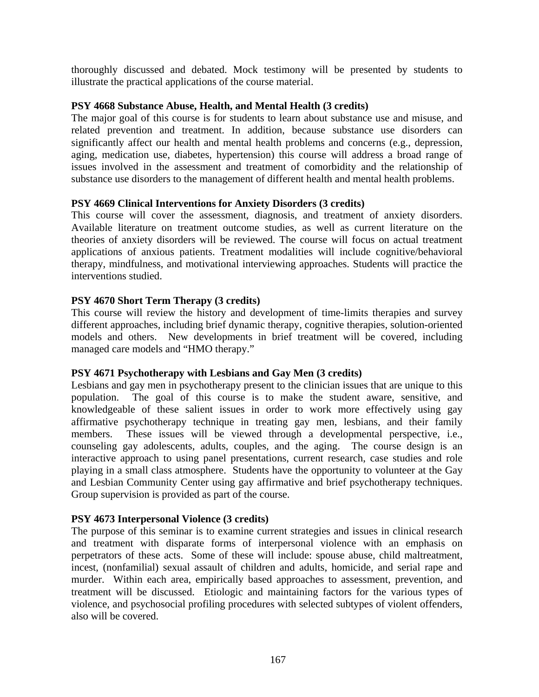thoroughly discussed and debated. Mock testimony will be presented by students to illustrate the practical applications of the course material.

### **PSY 4668 Substance Abuse, Health, and Mental Health (3 credits)**

The major goal of this course is for students to learn about substance use and misuse, and related prevention and treatment. In addition, because substance use disorders can significantly affect our health and mental health problems and concerns (e.g., depression, aging, medication use, diabetes, hypertension) this course will address a broad range of issues involved in the assessment and treatment of comorbidity and the relationship of substance use disorders to the management of different health and mental health problems.

## **PSY 4669 Clinical Interventions for Anxiety Disorders (3 credits)**

This course will cover the assessment, diagnosis, and treatment of anxiety disorders. Available literature on treatment outcome studies, as well as current literature on the theories of anxiety disorders will be reviewed. The course will focus on actual treatment applications of anxious patients. Treatment modalities will include cognitive/behavioral therapy, mindfulness, and motivational interviewing approaches. Students will practice the interventions studied.

## **PSY 4670 Short Term Therapy (3 credits)**

This course will review the history and development of time-limits therapies and survey different approaches, including brief dynamic therapy, cognitive therapies, solution-oriented models and others. New developments in brief treatment will be covered, including managed care models and "HMO therapy."

## **PSY 4671 Psychotherapy with Lesbians and Gay Men (3 credits)**

Lesbians and gay men in psychotherapy present to the clinician issues that are unique to this population. The goal of this course is to make the student aware, sensitive, and knowledgeable of these salient issues in order to work more effectively using gay affirmative psychotherapy technique in treating gay men, lesbians, and their family members. These issues will be viewed through a developmental perspective, i.e., counseling gay adolescents, adults, couples, and the aging. The course design is an interactive approach to using panel presentations, current research, case studies and role playing in a small class atmosphere. Students have the opportunity to volunteer at the Gay and Lesbian Community Center using gay affirmative and brief psychotherapy techniques. Group supervision is provided as part of the course.

#### **PSY 4673 Interpersonal Violence (3 credits)**

The purpose of this seminar is to examine current strategies and issues in clinical research and treatment with disparate forms of interpersonal violence with an emphasis on perpetrators of these acts. Some of these will include: spouse abuse, child maltreatment, incest, (nonfamilial) sexual assault of children and adults, homicide, and serial rape and murder. Within each area, empirically based approaches to assessment, prevention, and treatment will be discussed. Etiologic and maintaining factors for the various types of violence, and psychosocial profiling procedures with selected subtypes of violent offenders, also will be covered.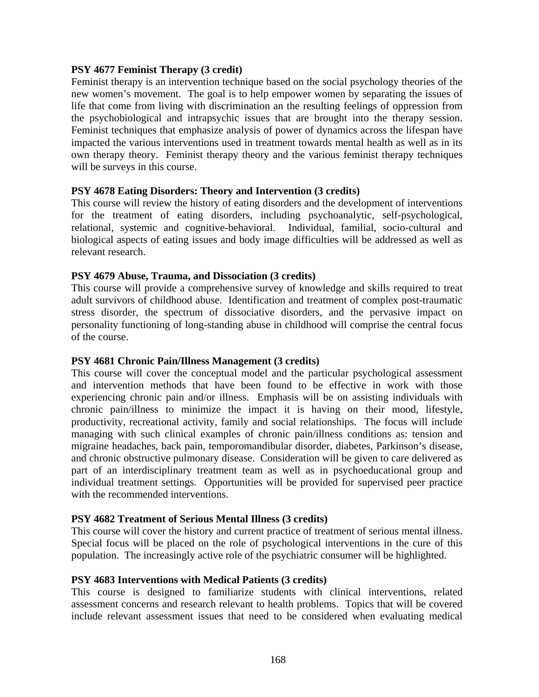#### **PSY 4677 Feminist Therapy (3 credit)**

Feminist therapy is an intervention technique based on the social psychology theories of the new women's movement. The goal is to help empower women by separating the issues of life that come from living with discrimination an the resulting feelings of oppression from the psychobiological and intrapsychic issues that are brought into the therapy session. Feminist techniques that emphasize analysis of power of dynamics across the lifespan have impacted the various interventions used in treatment towards mental health as well as in its own therapy theory. Feminist therapy theory and the various feminist therapy techniques will be surveys in this course.

#### **PSY 4678 Eating Disorders: Theory and Intervention (3 credits)**

This course will review the history of eating disorders and the development of interventions for the treatment of eating disorders, including psychoanalytic, self-psychological, relational, systemic and cognitive-behavioral. Individual, familial, socio-cultural and biological aspects of eating issues and body image difficulties will be addressed as well as relevant research.

#### **PSY 4679 Abuse, Trauma, and Dissociation (3 credits)**

This course will provide a comprehensive survey of knowledge and skills required to treat adult survivors of childhood abuse. Identification and treatment of complex post-traumatic stress disorder, the spectrum of dissociative disorders, and the pervasive impact on personality functioning of long-standing abuse in childhood will comprise the central focus of the course.

#### **PSY 4681 Chronic Pain/Illness Management (3 credits)**

This course will cover the conceptual model and the particular psychological assessment and intervention methods that have been found to be effective in work with those experiencing chronic pain and/or illness. Emphasis will be on assisting individuals with chronic pain/illness to minimize the impact it is having on their mood, lifestyle, productivity, recreational activity, family and social relationships. The focus will include managing with such clinical examples of chronic pain/illness conditions as: tension and migraine headaches, back pain, temporomandibular disorder, diabetes, Parkinson's disease, and chronic obstructive pulmonary disease. Consideration will be given to care delivered as part of an interdisciplinary treatment team as well as in psychoeducational group and individual treatment settings. Opportunities will be provided for supervised peer practice with the recommended interventions.

#### **PSY 4682 Treatment of Serious Mental Illness (3 credits)**

This course will cover the history and current practice of treatment of serious mental illness. Special focus will be placed on the role of psychological interventions in the cure of this population. The increasingly active role of the psychiatric consumer will be highlighted.

#### **PSY 4683 Interventions with Medical Patients (3 credits)**

This course is designed to familiarize students with clinical interventions, related assessment concerns and research relevant to health problems. Topics that will be covered include relevant assessment issues that need to be considered when evaluating medical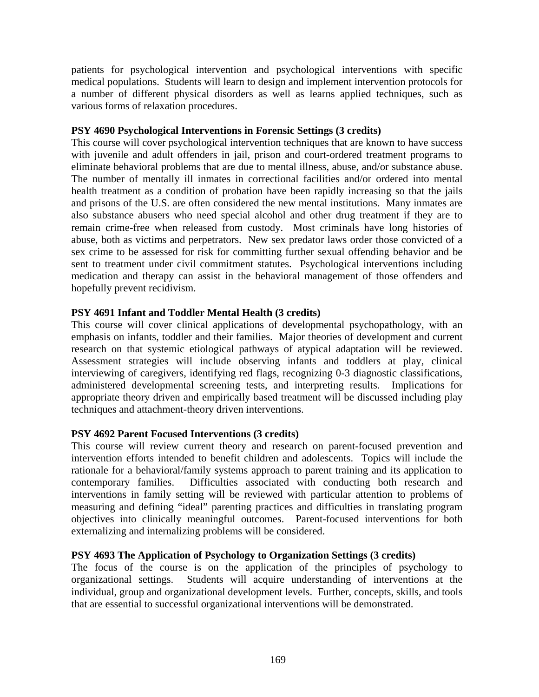patients for psychological intervention and psychological interventions with specific medical populations. Students will learn to design and implement intervention protocols for a number of different physical disorders as well as learns applied techniques, such as various forms of relaxation procedures.

### **PSY 4690 Psychological Interventions in Forensic Settings (3 credits)**

This course will cover psychological intervention techniques that are known to have success with juvenile and adult offenders in jail, prison and court-ordered treatment programs to eliminate behavioral problems that are due to mental illness, abuse, and/or substance abuse. The number of mentally ill inmates in correctional facilities and/or ordered into mental health treatment as a condition of probation have been rapidly increasing so that the jails and prisons of the U.S. are often considered the new mental institutions. Many inmates are also substance abusers who need special alcohol and other drug treatment if they are to remain crime-free when released from custody. Most criminals have long histories of abuse, both as victims and perpetrators. New sex predator laws order those convicted of a sex crime to be assessed for risk for committing further sexual offending behavior and be sent to treatment under civil commitment statutes. Psychological interventions including medication and therapy can assist in the behavioral management of those offenders and hopefully prevent recidivism.

## **PSY 4691 Infant and Toddler Mental Health (3 credits)**

This course will cover clinical applications of developmental psychopathology, with an emphasis on infants, toddler and their families. Major theories of development and current research on that systemic etiological pathways of atypical adaptation will be reviewed. Assessment strategies will include observing infants and toddlers at play, clinical interviewing of caregivers, identifying red flags, recognizing 0-3 diagnostic classifications, administered developmental screening tests, and interpreting results. Implications for appropriate theory driven and empirically based treatment will be discussed including play techniques and attachment-theory driven interventions.

## **PSY 4692 Parent Focused Interventions (3 credits)**

This course will review current theory and research on parent-focused prevention and intervention efforts intended to benefit children and adolescents. Topics will include the rationale for a behavioral/family systems approach to parent training and its application to contemporary families. Difficulties associated with conducting both research and interventions in family setting will be reviewed with particular attention to problems of measuring and defining "ideal" parenting practices and difficulties in translating program objectives into clinically meaningful outcomes. Parent-focused interventions for both externalizing and internalizing problems will be considered.

#### **PSY 4693 The Application of Psychology to Organization Settings (3 credits)**

The focus of the course is on the application of the principles of psychology to organizational settings. Students will acquire understanding of interventions at the individual, group and organizational development levels. Further, concepts, skills, and tools that are essential to successful organizational interventions will be demonstrated.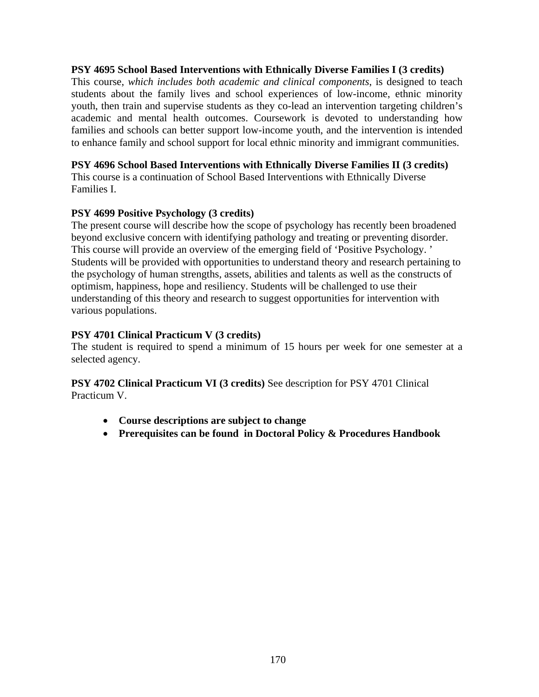#### **PSY 4695 School Based Interventions with Ethnically Diverse Families I (3 credits)**

This course, *which includes both academic and clinical components*, is designed to teach students about the family lives and school experiences of low-income, ethnic minority youth, then train and supervise students as they co-lead an intervention targeting children's academic and mental health outcomes. Coursework is devoted to understanding how families and schools can better support low-income youth, and the intervention is intended to enhance family and school support for local ethnic minority and immigrant communities.

### **PSY 4696 School Based Interventions with Ethnically Diverse Families II (3 credits)**

This course is a continuation of School Based Interventions with Ethnically Diverse Families I.

### **PSY 4699 Positive Psychology (3 credits)**

The present course will describe how the scope of psychology has recently been broadened beyond exclusive concern with identifying pathology and treating or preventing disorder. This course will provide an overview of the emerging field of 'Positive Psychology. ' Students will be provided with opportunities to understand theory and research pertaining to the psychology of human strengths, assets, abilities and talents as well as the constructs of optimism, happiness, hope and resiliency. Students will be challenged to use their understanding of this theory and research to suggest opportunities for intervention with various populations.

### **PSY 4701 Clinical Practicum V (3 credits)**

The student is required to spend a minimum of 15 hours per week for one semester at a selected agency.

**PSY 4702 Clinical Practicum VI (3 credits)** See description for PSY 4701 Clinical Practicum V.

- **Course descriptions are subject to change**
- **Prerequisites can be found in Doctoral Policy & Procedures Handbook**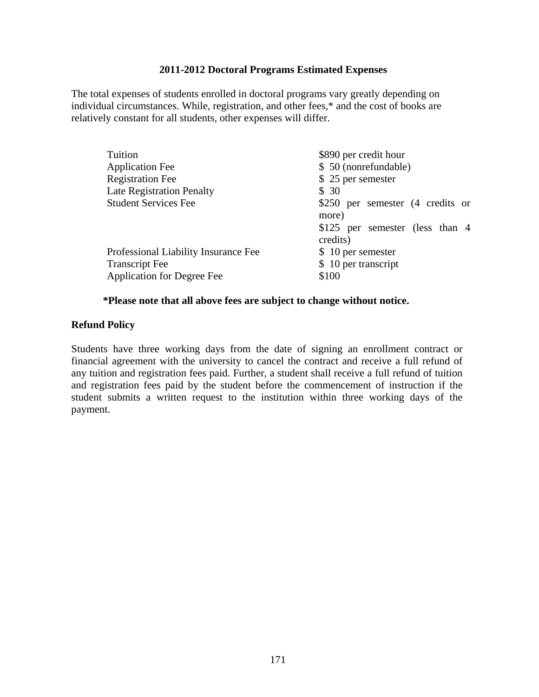#### **2011-2012 Doctoral Programs Estimated Expenses**

The total expenses of students enrolled in doctoral programs vary greatly depending on individual circumstances. While, registration, and other fees,\* and the cost of books are relatively constant for all students, other expenses will differ.

| Tuition                              | \$890 per credit hour                                                                    |
|--------------------------------------|------------------------------------------------------------------------------------------|
| <b>Application Fee</b>               | \$ 50 (nonrefundable)                                                                    |
| <b>Registration Fee</b>              | \$25 per semester                                                                        |
| <b>Late Registration Penalty</b>     | \$30                                                                                     |
| <b>Student Services Fee</b>          | \$250 per semester (4 credits or<br>more)<br>\$125 per semester (less than 4<br>credits) |
| Professional Liability Insurance Fee | \$ 10 per semester                                                                       |
| <b>Transcript Fee</b>                | \$ 10 per transcript                                                                     |
| <b>Application for Degree Fee</b>    | \$100                                                                                    |

#### **\*Please note that all above fees are subject to change without notice.**

#### **Refund Policy**

Students have three working days from the date of signing an enrollment contract or financial agreement with the university to cancel the contract and receive a full refund of any tuition and registration fees paid. Further, a student shall receive a full refund of tuition and registration fees paid by the student before the commencement of instruction if the student submits a written request to the institution within three working days of the payment.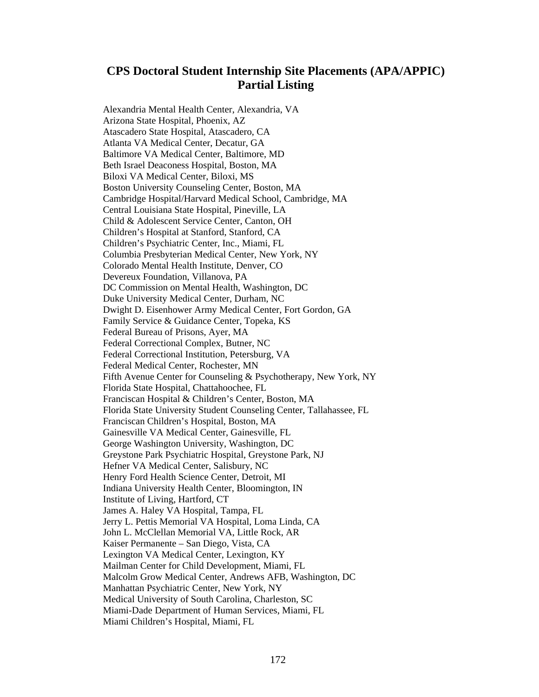## **CPS Doctoral Student Internship Site Placements (APA/APPIC) Partial Listing**

Alexandria Mental Health Center, Alexandria, VA Arizona State Hospital, Phoenix, AZ Atascadero State Hospital, Atascadero, CA Atlanta VA Medical Center, Decatur, GA Baltimore VA Medical Center, Baltimore, MD Beth Israel Deaconess Hospital, Boston, MA Biloxi VA Medical Center, Biloxi, MS Boston University Counseling Center, Boston, MA Cambridge Hospital/Harvard Medical School, Cambridge, MA Central Louisiana State Hospital, Pineville, LA Child & Adolescent Service Center, Canton, OH Children's Hospital at Stanford, Stanford, CA Children's Psychiatric Center, Inc., Miami, FL Columbia Presbyterian Medical Center, New York, NY Colorado Mental Health Institute, Denver, CO Devereux Foundation, Villanova, PA DC Commission on Mental Health, Washington, DC Duke University Medical Center, Durham, NC Dwight D. Eisenhower Army Medical Center, Fort Gordon, GA Family Service & Guidance Center, Topeka, KS Federal Bureau of Prisons, Ayer, MA Federal Correctional Complex, Butner, NC Federal Correctional Institution, Petersburg, VA Federal Medical Center, Rochester, MN Fifth Avenue Center for Counseling & Psychotherapy, New York, NY Florida State Hospital, Chattahoochee, FL Franciscan Hospital & Children's Center, Boston, MA Florida State University Student Counseling Center, Tallahassee, FL Franciscan Children's Hospital, Boston, MA Gainesville VA Medical Center, Gainesville, FL George Washington University, Washington, DC Greystone Park Psychiatric Hospital, Greystone Park, NJ Hefner VA Medical Center, Salisbury, NC Henry Ford Health Science Center, Detroit, MI Indiana University Health Center, Bloomington, IN Institute of Living, Hartford, CT James A. Haley VA Hospital, Tampa, FL Jerry L. Pettis Memorial VA Hospital, Loma Linda, CA John L. McClellan Memorial VA, Little Rock, AR Kaiser Permanente – San Diego, Vista, CA Lexington VA Medical Center, Lexington, KY Mailman Center for Child Development, Miami, FL Malcolm Grow Medical Center, Andrews AFB, Washington, DC Manhattan Psychiatric Center, New York, NY Medical University of South Carolina, Charleston, SC Miami-Dade Department of Human Services, Miami, FL Miami Children's Hospital, Miami, FL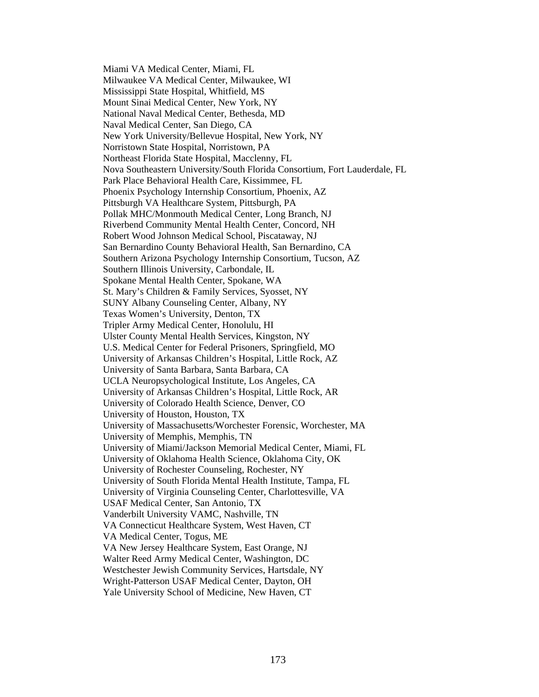Miami VA Medical Center, Miami, FL Milwaukee VA Medical Center, Milwaukee, WI Mississippi State Hospital, Whitfield, MS Mount Sinai Medical Center, New York, NY National Naval Medical Center, Bethesda, MD Naval Medical Center, San Diego, CA New York University/Bellevue Hospital, New York, NY Norristown State Hospital, Norristown, PA Northeast Florida State Hospital, Macclenny, FL Nova Southeastern University/South Florida Consortium, Fort Lauderdale, FL Park Place Behavioral Health Care, Kissimmee, FL Phoenix Psychology Internship Consortium, Phoenix, AZ Pittsburgh VA Healthcare System, Pittsburgh, PA Pollak MHC/Monmouth Medical Center, Long Branch, NJ Riverbend Community Mental Health Center, Concord, NH Robert Wood Johnson Medical School, Piscataway, NJ San Bernardino County Behavioral Health, San Bernardino, CA Southern Arizona Psychology Internship Consortium, Tucson, AZ Southern Illinois University, Carbondale, IL Spokane Mental Health Center, Spokane, WA St. Mary's Children & Family Services, Syosset, NY SUNY Albany Counseling Center, Albany, NY Texas Women's University, Denton, TX Tripler Army Medical Center, Honolulu, HI Ulster County Mental Health Services, Kingston, NY U.S. Medical Center for Federal Prisoners, Springfield, MO University of Arkansas Children's Hospital, Little Rock, AZ University of Santa Barbara, Santa Barbara, CA UCLA Neuropsychological Institute, Los Angeles, CA University of Arkansas Children's Hospital, Little Rock, AR University of Colorado Health Science, Denver, CO University of Houston, Houston, TX University of Massachusetts/Worchester Forensic, Worchester, MA University of Memphis, Memphis, TN University of Miami/Jackson Memorial Medical Center, Miami, FL University of Oklahoma Health Science, Oklahoma City, OK University of Rochester Counseling, Rochester, NY University of South Florida Mental Health Institute, Tampa, FL University of Virginia Counseling Center, Charlottesville, VA USAF Medical Center, San Antonio, TX Vanderbilt University VAMC, Nashville, TN VA Connecticut Healthcare System, West Haven, CT VA Medical Center, Togus, ME VA New Jersey Healthcare System, East Orange, NJ Walter Reed Army Medical Center, Washington, DC Westchester Jewish Community Services, Hartsdale, NY Wright-Patterson USAF Medical Center, Dayton, OH Yale University School of Medicine, New Haven, CT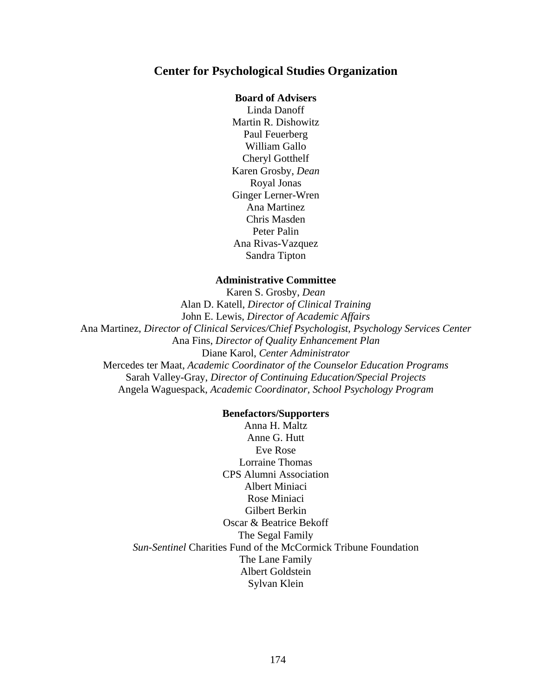#### **Center for Psychological Studies Organization**

#### **Board of Advisers**

Linda Danoff Martin R. Dishowitz Paul Feuerberg William Gallo Cheryl Gotthelf Karen Grosby, *Dean*  Royal Jonas Ginger Lerner-Wren Ana Martinez Chris Masden Peter Palin Ana Rivas-Vazquez Sandra Tipton

#### **Administrative Committee**

Karen S. Grosby, *Dean*  Alan D. Katell, *Director of Clinical Training*  John E. Lewis, *Director of Academic Affairs* Ana Martinez, *Director of Clinical Services/Chief Psychologist, Psychology Services Center* Ana Fins, *Director of Quality Enhancement Plan*  Diane Karol, *Center Administrator*  Mercedes ter Maat, *Academic Coordinator of the Counselor Education Programs*  Sarah Valley-Gray, *Director of Continuing Education/Special Projects*  Angela Waguespack, *Academic Coordinator, School Psychology Program* 

#### **Benefactors/Supporters**

Anna H. Maltz Anne G. Hutt Eve Rose Lorraine Thomas CPS Alumni Association Albert Miniaci Rose Miniaci Gilbert Berkin Oscar & Beatrice Bekoff The Segal Family *Sun-Sentinel* Charities Fund of the McCormick Tribune Foundation The Lane Family Albert Goldstein Sylvan Klein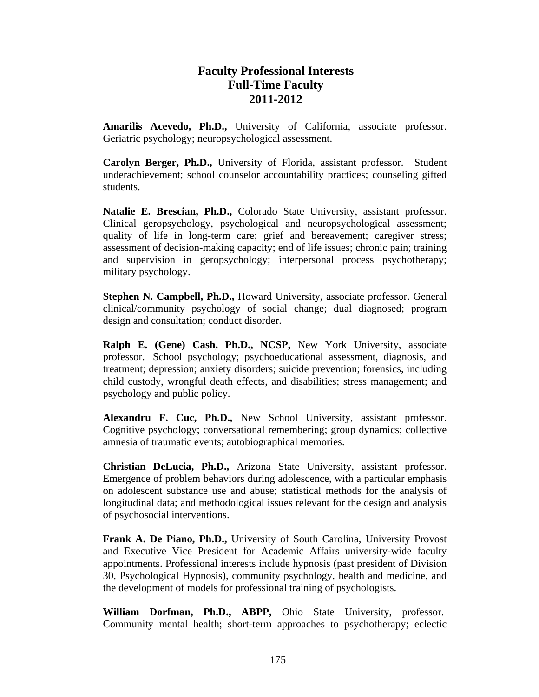## **Faculty Professional Interests Full-Time Faculty 2011-2012**

**Amarilis Acevedo, Ph.D.,** University of California, associate professor. Geriatric psychology; neuropsychological assessment.

**Carolyn Berger, Ph.D.,** University of Florida, assistant professor. Student underachievement; school counselor accountability practices; counseling gifted students.

**Natalie E. Brescian, Ph.D.,** Colorado State University, assistant professor. Clinical geropsychology, psychological and neuropsychological assessment; quality of life in long-term care; grief and bereavement; caregiver stress; assessment of decision-making capacity; end of life issues; chronic pain; training and supervision in geropsychology; interpersonal process psychotherapy; military psychology.

**Stephen N. Campbell, Ph.D.,** Howard University, associate professor. General clinical/community psychology of social change; dual diagnosed; program design and consultation; conduct disorder.

**[Ralph E. \(Gene\) Cash, Ph.D., NCSP](http://cps.nova.edu/faculty/Ffultime/cash/cash.html),** New York University, associate professor. School psychology; psychoeducational assessment, diagnosis, and treatment; depression; anxiety disorders; suicide prevention; forensics, including child custody, wrongful death effects, and disabilities; stress management; and psychology and public policy.

**[Alexandru F. Cuc, Ph.D.](http://cps.nova.edu/faculty/Ffultime/calex/),** New School University, assistant professor. Cognitive psychology; conversational remembering; group dynamics; collective amnesia of traumatic events; autobiographical memories.

**[Christian DeLucia, Ph.D.,](http://cps.nova.edu/faculty/Ffultime/delucia/delucia.html)** Arizona State University, assistant professor. Emergence of problem behaviors during adolescence, with a particular emphasis on adolescent substance use and abuse; statistical methods for the analysis of longitudinal data; and methodological issues relevant for the design and analysis of psychosocial interventions.

**Frank A. De Piano, Ph.D.,** University of South Carolina, University Provost and Executive Vice President for Academic Affairs university-wide faculty appointments. Professional interests include hypnosis (past president of Division 30, Psychological Hypnosis), community psychology, health and medicine, and the development of models for professional training of psychologists.

**William Dorfman, Ph.D., ABPP,** Ohio State University, professor. Community mental health; short-term approaches to psychotherapy; eclectic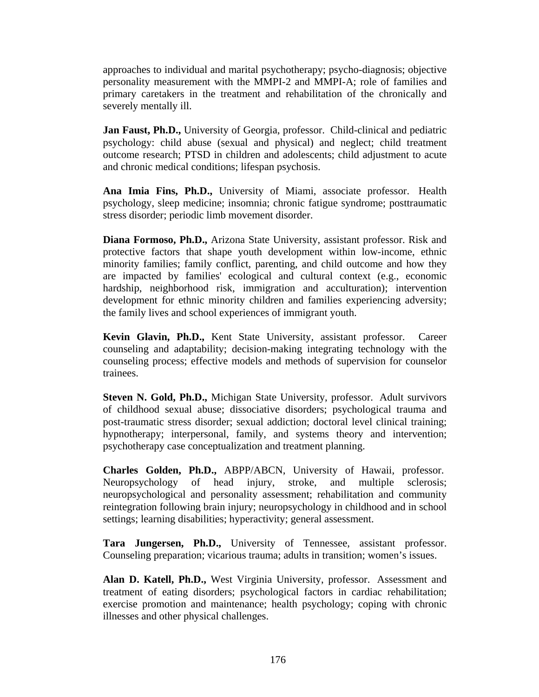approaches to individual and marital psychotherapy; psycho-diagnosis; objective personality measurement with the MMPI-2 and MMPI-A; role of families and primary caretakers in the treatment and rehabilitation of the chronically and severely mentally ill.

**[Jan Faust, Ph.D.,](http://cps.nova.edu/faculty/Ffultime/faust/faust.html)** University of Georgia, professor. Child-clinical and pediatric psychology: child abuse (sexual and physical) and neglect; child treatment outcome research; PTSD in children and adolescents; child adjustment to acute and chronic medical conditions; lifespan psychosis.

**Ana Imia Fins, Ph.D.,** University of Miami, associate professor. Health psychology, sleep medicine; insomnia; chronic fatigue syndrome; posttraumatic stress disorder; periodic limb movement disorder.

**Diana Formoso, Ph.D.,** Arizona State University, assistant professor. Risk and protective factors that shape youth development within low-income, ethnic minority families; family conflict, parenting, and child outcome and how they are impacted by families' ecological and cultural context (e.g., economic hardship, neighborhood risk, immigration and acculturation); intervention development for ethnic minority children and families experiencing adversity; the family lives and school experiences of immigrant youth.

**Kevin Glavin, Ph.D.,** Kent State University, assistant professor. Career counseling and adaptability; decision-making integrating technology with the counseling process; effective models and methods of supervision for counselor trainees.

**[Steven N. Gold, Ph.D.,](http://cps.nova.edu/faculty/Ffultime/gold/index.html)** Michigan State University, professor. Adult survivors of childhood sexual abuse; dissociative disorders; psychological trauma and post-traumatic stress disorder; sexual addiction; doctoral level clinical training; hypnotherapy; interpersonal, family, and systems theory and intervention; psychotherapy case conceptualization and treatment planning.

**Charles Golden, Ph.D.,** ABPP/ABCN, University of Hawaii, professor. Neuropsychology of head injury, stroke, and multiple sclerosis; neuropsychological and personality assessment; rehabilitation and community reintegration following brain injury; neuropsychology in childhood and in school settings; learning disabilities; hyperactivity; general assessment.

**Tara Jungersen, Ph.D.,** University of Tennessee, assistant professor. Counseling preparation; vicarious trauma; adults in transition; women's issues.

**[Alan D. Katell, Ph.D.](http://cps.nova.edu/faculty/Ffultime/katell/katell.html),** West Virginia University, professor. Assessment and treatment of eating disorders; psychological factors in cardiac rehabilitation; exercise promotion and maintenance; health psychology; coping with chronic illnesses and other physical challenges.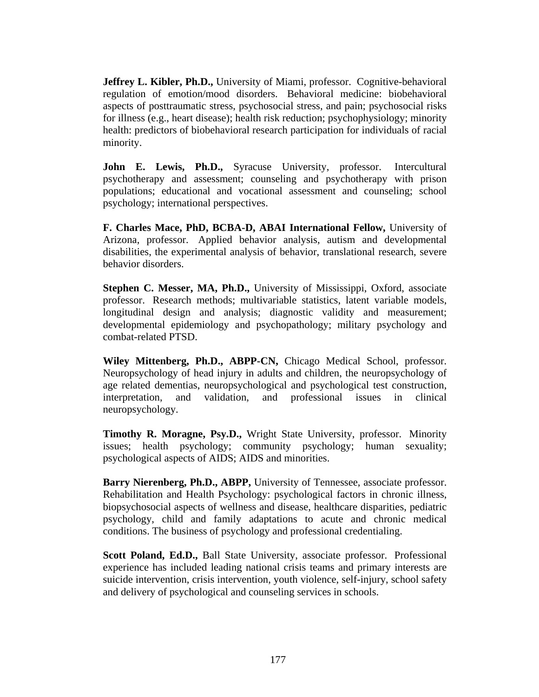**[Jeffrey L. Kibler, Ph.D.](http://cps.nova.edu/faculty/Ffultime/kibler/kibler.html),** University of Miami, professor. Cognitive-behavioral regulation of emotion/mood disorders. Behavioral medicine: biobehavioral aspects of posttraumatic stress, psychosocial stress, and pain; psychosocial risks for illness (e.g., heart disease); health risk reduction; psychophysiology; minority health: predictors of biobehavioral research participation for individuals of racial minority.

**[John E. Lewis, Ph.D.](http://cps.nova.edu/faculty/Ffultime/Lewis/lewis.html),** Syracuse University, professor. Intercultural psychotherapy and assessment; counseling and psychotherapy with prison populations; educational and vocational assessment and counseling; school psychology; international perspectives.

**F. Charles Mace, PhD, BCBA-D, ABAI International Fellow,** University of Arizona, professor. Applied behavior analysis, autism and developmental disabilities, the experimental analysis of behavior, translational research, severe behavior disorders.

**Stephen C. Messer, MA, Ph.D.,** University of Mississippi, Oxford, associate professor. Research methods; multivariable statistics, latent variable models, longitudinal design and analysis; diagnostic validity and measurement; developmental epidemiology and psychopathology; military psychology and combat-related PTSD.

**Wiley Mittenberg, Ph.D., ABPP-CN,** Chicago Medical School, professor. Neuropsychology of head injury in adults and children, the neuropsychology of age related dementias, neuropsychological and psychological test construction, interpretation, and validation, and professional issues in clinical neuropsychology.

**Timothy R. Moragne, Psy.D.,** Wright State University, professor. Minority issues; health psychology; community psychology; human sexuality; psychological aspects of AIDS; AIDS and minorities.

**Barry Nierenberg, Ph.D., ABPP,** University of Tennessee, associate professor. Rehabilitation and Health Psychology: psychological factors in chronic illness, biopsychosocial aspects of wellness and disease, healthcare disparities, pediatric psychology, child and family adaptations to acute and chronic medical conditions. The business of psychology and professional credentialing.

**Scott Poland, Ed.D., Ball State University, associate professor. Professional** experience has included leading national crisis teams and primary interests are suicide intervention, crisis intervention, youth violence, self-injury, school safety and delivery of psychological and counseling services in schools.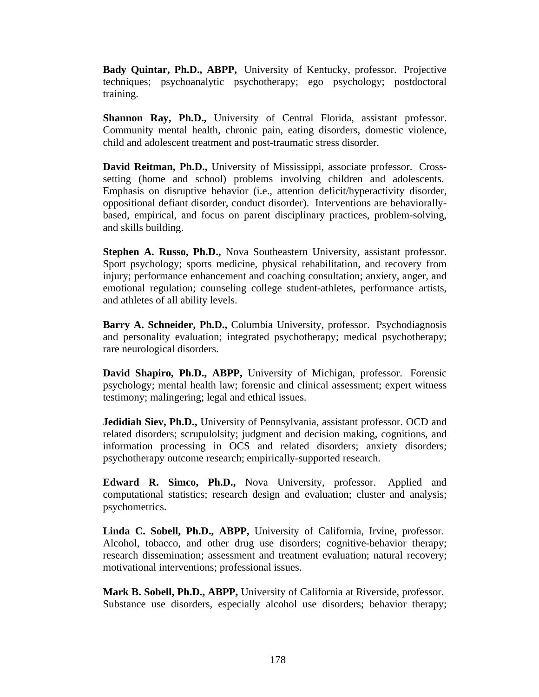**[Bady Quintar, Ph.D., ABPP](http://cps.nova.edu/faculty/Ffultime/quintar/quintar.html),** University of Kentucky, professor. Projective techniques; psychoanalytic psychotherapy; ego psychology; postdoctoral training.

**[Shannon Ray, Ph.D.,](http://cps.nova.edu/faculty/Ffultime/ray/ray.html)** University of Central Florida, assistant professor. Community mental health, chronic pain, eating disorders, domestic violence, child and adolescent treatment and post-traumatic stress disorder.

**[David Reitman, Ph.D.,](http://cps.nova.edu/faculty/Ffultime/reitman/reitman.html)** University of Mississippi, associate professor. Crosssetting (home and school) problems involving children and adolescents. Emphasis on disruptive behavior (i.e., attention deficit/hyperactivity disorder, oppositional defiant disorder, conduct disorder). Interventions are behaviorallybased, empirical, and focus on parent disciplinary practices, problem-solving, and skills building.

**Stephen A. Russo, Ph.D.,** Nova Southeastern University, assistant professor. Sport psychology; sports medicine, physical rehabilitation, and recovery from injury; performance enhancement and coaching consultation; anxiety, anger, and emotional regulation; counseling college student-athletes, performance artists, and athletes of all ability levels.

**[Barry A. Schneider, Ph.D.](http://cps.nova.edu/faculty/Ffultime/schneider/schneider.html),** Columbia University, professor. Psychodiagnosis and personality evaluation; integrated psychotherapy; medical psychotherapy; rare neurological disorders.

**David Shapiro, Ph.D., ABPP,** University of Michigan, professor. Forensic psychology; mental health law; forensic and clinical assessment; expert witness testimony; malingering; legal and ethical issues.

**Jedidiah Siev, Ph.D.,** University of Pennsylvania, assistant professor. OCD and related disorders; scrupulolsity; judgment and decision making, cognitions, and information processing in OCS and related disorders; anxiety disorders; psychotherapy outcome research; empirically-supported research.

**[Edward R. Simco, Ph.D.,](http://cps.nova.edu/faculty/Ffultime/simco/simco.html)** Nova University, professor. Applied and computational statistics; research design and evaluation; cluster and analysis; psychometrics.

**Linda C. Sobell, Ph.D., ABPP,** University of California, Irvine, professor. Alcohol, tobacco, and other drug use disorders; cognitive-behavior therapy; research dissemination; assessment and treatment evaluation; natural recovery; motivational interventions; professional issues.

**Mark B. Sobell, Ph.D., ABPP,** University of California at Riverside, professor. Substance use disorders, especially alcohol use disorders; behavior therapy;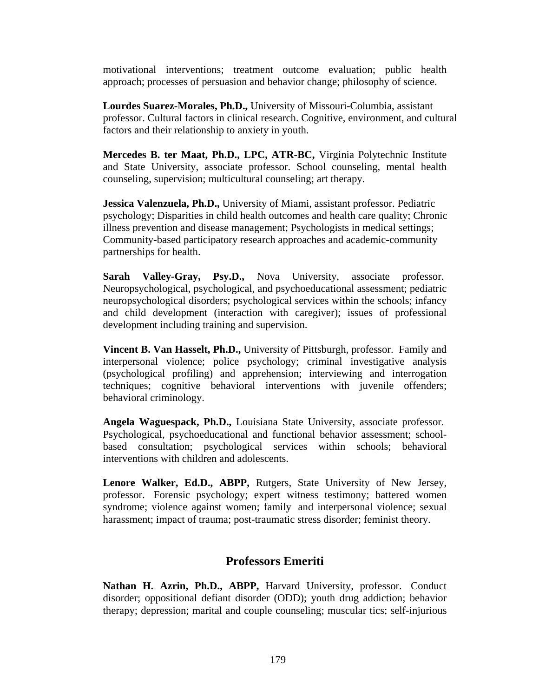motivational interventions; treatment outcome evaluation; public health approach; processes of persuasion and behavior change; philosophy of science.

**Lourdes Suarez-Morales, Ph.D.,** University of Missouri-Columbia, assistant professor. Cultural factors in clinical research. Cognitive, environment, and cultural factors and their relationship to anxiety in youth.

**[Mercedes B. ter Maat, Ph.D., LPC, ATR-BC,](http://cps.nova.edu/faculty/Ffultime/termaat/termaat.html)** Virginia Polytechnic Institute and State University, associate professor. School counseling, mental health counseling, supervision; multicultural counseling; art therapy.

**Jessica Valenzuela, Ph.D.,** University of Miami, assistant professor. Pediatric psychology; Disparities in child health outcomes and health care quality; Chronic illness prevention and disease management; Psychologists in medical settings; Community-based participatory research approaches and academic-community partnerships for health.

**Sarah Valley-Gray, Psy.D.,** Nova University, associate professor. Neuropsychological, psychological, and psychoeducational assessment; pediatric neuropsychological disorders; psychological services within the schools; infancy and child development (interaction with caregiver); issues of professional development including training and supervision.

**[Vincent B. Van Hasselt, Ph.D.,](http://cps.nova.edu/faculty/Ffultime/vhasselt/vanhasselt.html)** University of Pittsburgh, professor. Family and interpersonal violence; police psychology; criminal investigative analysis (psychological profiling) and apprehension; interviewing and interrogation techniques; cognitive behavioral interventions with juvenile offenders; behavioral criminology.

**[Angela Waguespack, Ph.D.](http://cps.nova.edu/faculty/Ffultime/waguespack/waguespa.html),** Louisiana State University, associate professor. Psychological, psychoeducational and functional behavior assessment; schoolbased consultation; psychological services within schools; behavioral interventions with children and adolescents.

**Lenore Walker, Ed.D., ABPP,** Rutgers, State University of New Jersey, professor. Forensic psychology; expert witness testimony; battered women syndrome; violence against women; family and interpersonal violence; sexual harassment; impact of trauma; post-traumatic stress disorder; feminist theory.

## **Professors Emeriti**

**Nathan H. Azrin, Ph.D., ABPP,** Harvard University, professor. Conduct disorder; oppositional defiant disorder (ODD); youth drug addiction; behavior therapy; depression; marital and couple counseling; muscular tics; self-injurious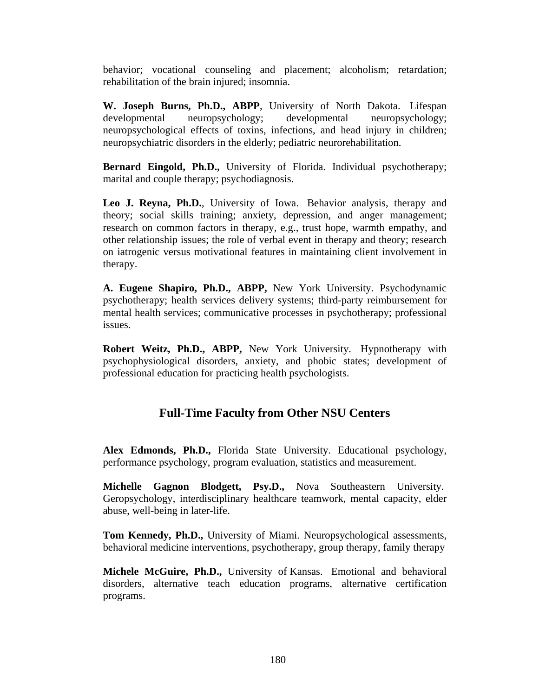behavior; vocational counseling and placement; alcoholism; retardation; rehabilitation of the brain injured; insomnia.

**W. Joseph Burns, Ph.D., ABPP**, University of North Dakota. Lifespan developmental neuropsychology; developmental neuropsychology; neuropsychological effects of toxins, infections, and head injury in children; neuropsychiatric disorders in the elderly; pediatric neurorehabilitation.

**Bernard Eingold, Ph.D.,** University of Florida. Individual psychotherapy; marital and couple therapy; psychodiagnosis.

**Leo J. Reyna, Ph.D.**, University of Iowa. Behavior analysis, therapy and theory; social skills training; anxiety, depression, and anger management; research on common factors in therapy, e.g., trust hope, warmth empathy, and other relationship issues; the role of verbal event in therapy and theory; research on iatrogenic versus motivational features in maintaining client involvement in therapy.

**A. Eugene Shapiro, Ph.D., ABPP,** New York University. Psychodynamic psychotherapy; health services delivery systems; third-party reimbursement for mental health services; communicative processes in psychotherapy; professional issues.

**Robert Weitz, Ph.D., ABPP,** New York University. Hypnotherapy with psychophysiological disorders, anxiety, and phobic states; development of professional education for practicing health psychologists.

# **Full-Time Faculty from Other NSU Centers**

**Alex Edmonds, Ph.D.,** Florida State University. Educational psychology, performance psychology, program evaluation, statistics and measurement.

**Michelle Gagnon Blodgett, Psy.D.,** Nova Southeastern University. Geropsychology, interdisciplinary healthcare teamwork, mental capacity, elder abuse, well-being in later-life.

**Tom Kennedy, Ph.D.,** University of Miami. Neuropsychological assessments, behavioral medicine interventions, psychotherapy, group therapy, family therapy

**Michele McGuire, Ph.D.,** University of Kansas. Emotional and behavioral disorders, alternative teach education programs, alternative certification programs.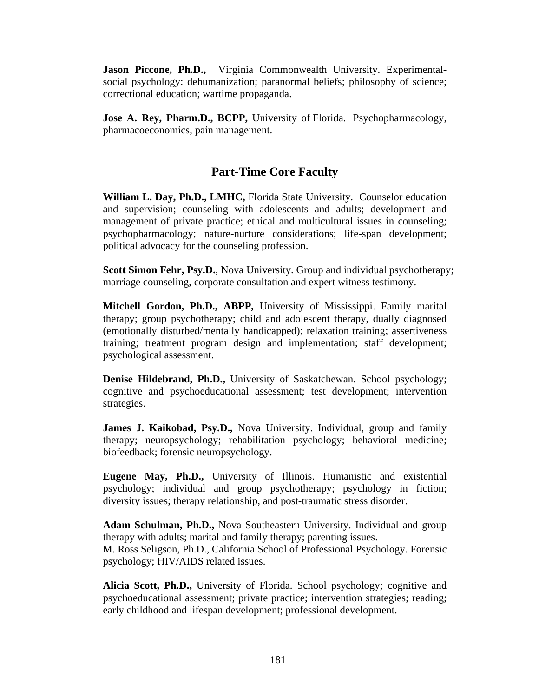**Jason Piccone, Ph.D.,** Virginia Commonwealth University. Experimentalsocial psychology: dehumanization; paranormal beliefs; philosophy of science; correctional education; wartime propaganda.

Jose A. Rey, Pharm.D., BCPP, University of Florida. Psychopharmacology, pharmacoeconomics, pain management.

## **Part-Time Core Faculty**

**William L. Day, Ph.D., LMHC,** Florida State University. Counselor education and supervision; counseling with adolescents and adults; development and management of private practice; ethical and multicultural issues in counseling; psychopharmacology; nature-nurture considerations; life-span development; political advocacy for the counseling profession.

**Scott Simon Fehr, Psy.D.**, Nova University. Group and individual psychotherapy; marriage counseling, corporate consultation and expert witness testimony.

**Mitchell Gordon, Ph.D., ABPP,** University of Mississippi. Family marital therapy; group psychotherapy; child and adolescent therapy, dually diagnosed (emotionally disturbed/mentally handicapped); relaxation training; assertiveness training; treatment program design and implementation; staff development; psychological assessment.

**Denise Hildebrand, Ph.D.,** University of Saskatchewan. School psychology; cognitive and psychoeducational assessment; test development; intervention strategies.

James J. Kaikobad, Psy.D., Nova University. Individual, group and family therapy; neuropsychology; rehabilitation psychology; behavioral medicine; biofeedback; forensic neuropsychology.

**Eugene May, Ph.D.,** University of Illinois. Humanistic and existential psychology; individual and group psychotherapy; psychology in fiction; diversity issues; therapy relationship, and post-traumatic stress disorder.

**Adam Schulman, Ph.D.,** Nova Southeastern University. Individual and group therapy with adults; marital and family therapy; parenting issues. M. Ross Seligson, Ph.D., California School of Professional Psychology. Forensic psychology; HIV/AIDS related issues.

**Alicia Scott, Ph.D.,** University of Florida. School psychology; cognitive and psychoeducational assessment; private practice; intervention strategies; reading; early childhood and lifespan development; professional development.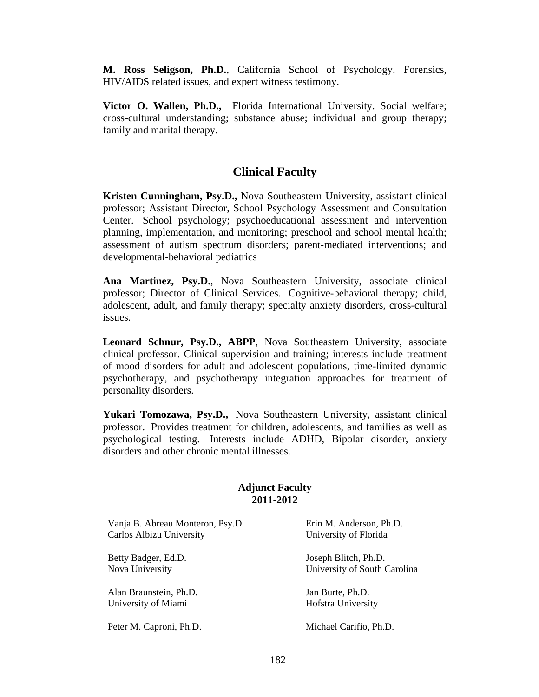**M. Ross Seligson, Ph.D.**, California School of Psychology. Forensics, HIV/AIDS related issues, and expert witness testimony.

**Victor O. Wallen, Ph.D.,** Florida International University. Social welfare; cross-cultural understanding; substance abuse; individual and group therapy; family and marital therapy.

### **Clinical Faculty**

**Kristen Cunningham, Psy.D.,** Nova Southeastern University, assistant clinical professor; Assistant Director, School Psychology Assessment and Consultation Center. School psychology; psychoeducational assessment and intervention planning, implementation, and monitoring; preschool and school mental health; assessment of autism spectrum disorders; parent-mediated interventions; and developmental-behavioral pediatrics

**Ana Martinez, Psy.D.**, Nova Southeastern University, associate clinical professor; Director of Clinical Services. Cognitive-behavioral therapy; child, adolescent, adult, and family therapy; specialty anxiety disorders, cross-cultural issues.

**Leonard Schnur, Psy.D., ABPP**, Nova Southeastern University, associate clinical professor. Clinical supervision and training; interests include treatment of mood disorders for adult and adolescent populations, time-limited dynamic psychotherapy, and psychotherapy integration approaches for treatment of personality disorders.

**Yukari Tomozawa, Psy.D.,** Nova Southeastern University, assistant clinical professor. Provides treatment for children, adolescents, and families as well as psychological testing. Interests include ADHD, Bipolar disorder, anxiety disorders and other chronic mental illnesses.

#### **Adjunct Faculty 2011-2012**

| Vanja B. Abreau Monteron, Psy.D. | Erin M. Anderson, Ph.D.      |
|----------------------------------|------------------------------|
| Carlos Albizu University         | University of Florida        |
| Betty Badger, Ed.D.              | Joseph Blitch, Ph.D.         |
| Nova University                  | University of South Carolina |
| Alan Braunstein, Ph.D.           | Jan Burte, Ph.D.             |
| University of Miami              | <b>Hofstra University</b>    |
| Peter M. Caproni, Ph.D.          | Michael Carifio, Ph.D.       |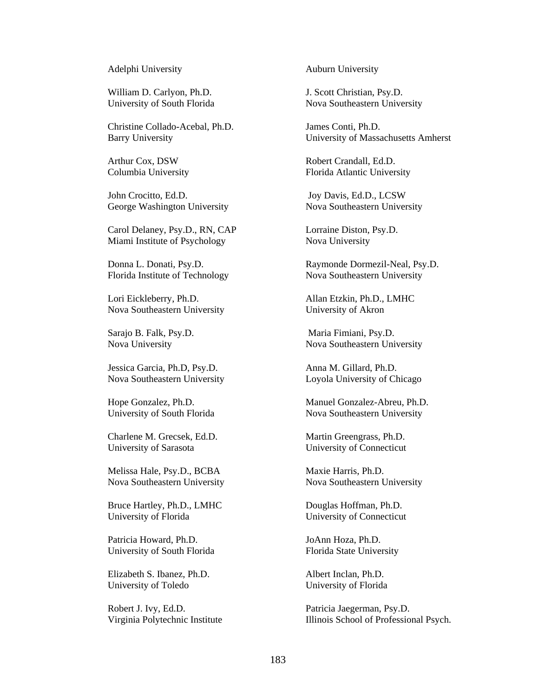#### Adelphi University

William D. Carlyon, Ph.D. University of South Florida

Christine Collado-Acebal, Ph.D. Barry University

Arthur Cox, DSW Columbia University

John Crocitto, Ed.D. George Washington University

Carol Delaney, Psy.D., RN, CAP Miami Institute of Psychology

Donna L. Donati, Psy.D. Florida Institute of Technology

Lori Eickleberry, Ph.D. Nova Southeastern University

Sarajo B. Falk, Psy.D. Nova University

Jessica Garcia, Ph.D, Psy.D. Nova Southeastern University

Hope Gonzalez, Ph.D. University of South Florida

Charlene M. Grecsek, Ed.D. University of Sarasota

Melissa Hale, Psy.D., BCBA Nova Southeastern University

Bruce Hartley, Ph.D., LMHC University of Florida

Patricia Howard, Ph.D. University of South Florida

Elizabeth S. Ibanez, Ph.D. University of Toledo

Robert J. Ivy, Ed.D. Virginia Polytechnic Institute Auburn University

J. Scott Christian, Psy.D. Nova Southeastern University

James Conti, Ph.D. University of Massachusetts Amherst

Robert Crandall, Ed.D. Florida Atlantic University

 Joy Davis, Ed.D., LCSW Nova Southeastern University

Lorraine Diston, Psy.D. Nova University

Raymonde Dormezil-Neal, Psy.D. Nova Southeastern University

Allan Etzkin, Ph.D., LMHC University of Akron

 Maria Fimiani, Psy.D. Nova Southeastern University

Anna M. Gillard, Ph.D. Loyola University of Chicago

Manuel Gonzalez-Abreu, Ph.D. Nova Southeastern University

Martin Greengrass, Ph.D. University of Connecticut

Maxie Harris, Ph.D. Nova Southeastern University

Douglas Hoffman, Ph.D. University of Connecticut

JoAnn Hoza, Ph.D. Florida State University

Albert Inclan, Ph.D. University of Florida

Patricia Jaegerman, Psy.D. Illinois School of Professional Psych.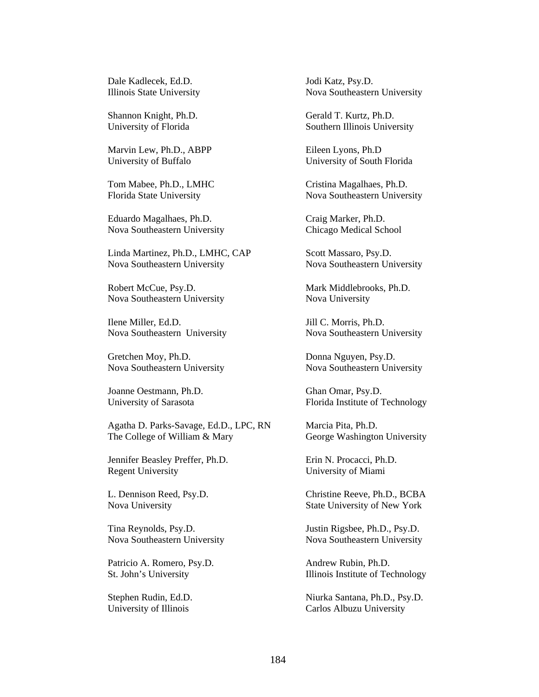Dale Kadlecek, Ed.D. Illinois State University

Shannon Knight, Ph.D. University of Florida

Marvin Lew, Ph.D., ABPP University of Buffalo

Tom Mabee, Ph.D., LMHC Florida State University

Eduardo Magalhaes, Ph.D. Nova Southeastern University

Linda Martinez, Ph.D., LMHC, CAP Nova Southeastern University

Robert McCue, Psy.D. Nova Southeastern University

Ilene Miller, Ed.D. Nova Southeastern University

Gretchen Moy, Ph.D. Nova Southeastern University

Joanne Oestmann, Ph.D. University of Sarasota

Agatha D. Parks-Savage, Ed.D., LPC, RN The College of William & Mary

Jennifer Beasley Preffer, Ph.D. Regent University

L. Dennison Reed, Psy.D. Nova University

Tina Reynolds, Psy.D. Nova Southeastern University

Patricio A. Romero, Psy.D. St. John's University

Stephen Rudin, Ed.D. University of Illinois

Jodi Katz, Psy.D. Nova Southeastern University

Gerald T. Kurtz, Ph.D. Southern Illinois University

Eileen Lyons, Ph.D University of South Florida

Cristina Magalhaes, Ph.D. Nova Southeastern University

Craig Marker, Ph.D. Chicago Medical School

Scott Massaro, Psy.D. Nova Southeastern University

Mark Middlebrooks, Ph.D. Nova University

Jill C. Morris, Ph.D. Nova Southeastern University

Donna Nguyen, Psy.D. Nova Southeastern University

Ghan Omar, Psy.D. Florida Institute of Technology

Marcia Pita, Ph.D. George Washington University

Erin N. Procacci, Ph.D. University of Miami

Christine Reeve, Ph.D., BCBA State University of New York

Justin Rigsbee, Ph.D., Psy.D. Nova Southeastern University

Andrew Rubin, Ph.D. Illinois Institute of Technology

Niurka Santana, Ph.D., Psy.D. Carlos Albuzu University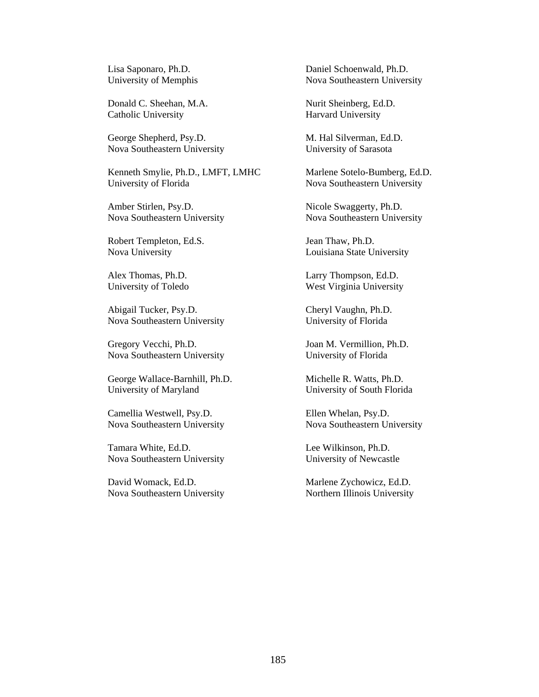Lisa Saponaro, Ph.D. University of Memphis

Donald C. Sheehan, M.A. Catholic University

George Shepherd, Psy.D. Nova Southeastern University

Kenneth Smylie, Ph.D., LMFT, LMHC University of Florida

Amber Stirlen, Psy.D. Nova Southeastern University

Robert Templeton, Ed.S. Nova University

Alex Thomas, Ph.D. University of Toledo

Abigail Tucker, Psy.D. Nova Southeastern University

Gregory Vecchi, Ph.D. Nova Southeastern University

George Wallace-Barnhill, Ph.D. University of Maryland

Camellia Westwell, Psy.D. Nova Southeastern University

Tamara White, Ed.D. Nova Southeastern University

David Womack, Ed.D. Nova Southeastern University Daniel Schoenwald, Ph.D. Nova Southeastern University

Nurit Sheinberg, Ed.D. Harvard University

M. Hal Silverman, Ed.D. University of Sarasota

Marlene Sotelo-Bumberg, Ed.D. Nova Southeastern University

Nicole Swaggerty, Ph.D. Nova Southeastern University

Jean Thaw, Ph.D. Louisiana State University

Larry Thompson, Ed.D. West Virginia University

Cheryl Vaughn, Ph.D. University of Florida

Joan M. Vermillion, Ph.D. University of Florida

Michelle R. Watts, Ph.D. University of South Florida

Ellen Whelan, Psy.D. Nova Southeastern University

Lee Wilkinson, Ph.D. University of Newcastle

Marlene Zychowicz, Ed.D. Northern Illinois University